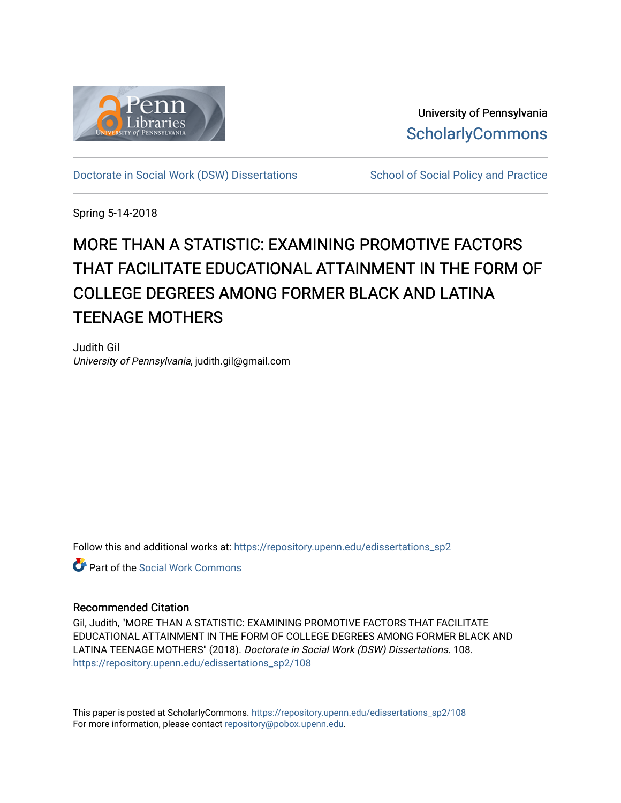

University of Pennsylvania **ScholarlyCommons** 

[Doctorate in Social Work \(DSW\) Dissertations](https://repository.upenn.edu/edissertations_sp2) School of Social Policy and Practice

Spring 5-14-2018

# MORE THAN A STATISTIC: EXAMINING PROMOTIVE FACTORS THAT FACILITATE EDUCATIONAL ATTAINMENT IN THE FORM OF COLLEGE DEGREES AMONG FORMER BLACK AND LATINA TEENAGE MOTHERS

Judith Gil University of Pennsylvania, judith.gil@gmail.com

Follow this and additional works at: [https://repository.upenn.edu/edissertations\\_sp2](https://repository.upenn.edu/edissertations_sp2?utm_source=repository.upenn.edu%2Fedissertations_sp2%2F108&utm_medium=PDF&utm_campaign=PDFCoverPages) 

**C** Part of the [Social Work Commons](http://network.bepress.com/hgg/discipline/713?utm_source=repository.upenn.edu%2Fedissertations_sp2%2F108&utm_medium=PDF&utm_campaign=PDFCoverPages)

### Recommended Citation

Gil, Judith, "MORE THAN A STATISTIC: EXAMINING PROMOTIVE FACTORS THAT FACILITATE EDUCATIONAL ATTAINMENT IN THE FORM OF COLLEGE DEGREES AMONG FORMER BLACK AND LATINA TEENAGE MOTHERS" (2018). Doctorate in Social Work (DSW) Dissertations. 108. [https://repository.upenn.edu/edissertations\\_sp2/108](https://repository.upenn.edu/edissertations_sp2/108?utm_source=repository.upenn.edu%2Fedissertations_sp2%2F108&utm_medium=PDF&utm_campaign=PDFCoverPages) 

This paper is posted at ScholarlyCommons. [https://repository.upenn.edu/edissertations\\_sp2/108](https://repository.upenn.edu/edissertations_sp2/108)  For more information, please contact [repository@pobox.upenn.edu.](mailto:repository@pobox.upenn.edu)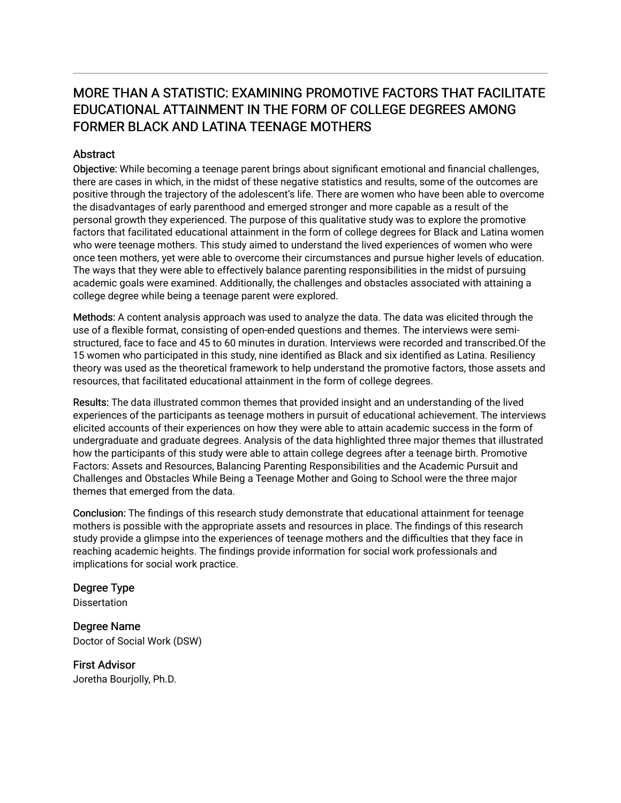### MORE THAN A STATISTIC: EXAMINING PROMOTIVE FACTORS THAT FACILITATE EDUCATIONAL ATTAINMENT IN THE FORM OF COLLEGE DEGREES AMONG FORMER BLACK AND LATINA TEENAGE MOTHERS

### **Abstract**

Objective: While becoming a teenage parent brings about significant emotional and financial challenges, there are cases in which, in the midst of these negative statistics and results, some of the outcomes are positive through the trajectory of the adolescent's life. There are women who have been able to overcome the disadvantages of early parenthood and emerged stronger and more capable as a result of the personal growth they experienced. The purpose of this qualitative study was to explore the promotive factors that facilitated educational attainment in the form of college degrees for Black and Latina women who were teenage mothers. This study aimed to understand the lived experiences of women who were once teen mothers, yet were able to overcome their circumstances and pursue higher levels of education. The ways that they were able to effectively balance parenting responsibilities in the midst of pursuing academic goals were examined. Additionally, the challenges and obstacles associated with attaining a college degree while being a teenage parent were explored.

Methods: A content analysis approach was used to analyze the data. The data was elicited through the use of a flexible format, consisting of open-ended questions and themes. The interviews were semistructured, face to face and 45 to 60 minutes in duration. Interviews were recorded and transcribed.Of the 15 women who participated in this study, nine identified as Black and six identified as Latina. Resiliency theory was used as the theoretical framework to help understand the promotive factors, those assets and resources, that facilitated educational attainment in the form of college degrees.

Results: The data illustrated common themes that provided insight and an understanding of the lived experiences of the participants as teenage mothers in pursuit of educational achievement. The interviews elicited accounts of their experiences on how they were able to attain academic success in the form of undergraduate and graduate degrees. Analysis of the data highlighted three major themes that illustrated how the participants of this study were able to attain college degrees after a teenage birth. Promotive Factors: Assets and Resources, Balancing Parenting Responsibilities and the Academic Pursuit and Challenges and Obstacles While Being a Teenage Mother and Going to School were the three major themes that emerged from the data.

Conclusion: The findings of this research study demonstrate that educational attainment for teenage mothers is possible with the appropriate assets and resources in place. The findings of this research study provide a glimpse into the experiences of teenage mothers and the difficulties that they face in reaching academic heights. The findings provide information for social work professionals and implications for social work practice.

## Degree Type

**Dissertation** 

Degree Name Doctor of Social Work (DSW)

First Advisor Joretha Bourjolly, Ph.D.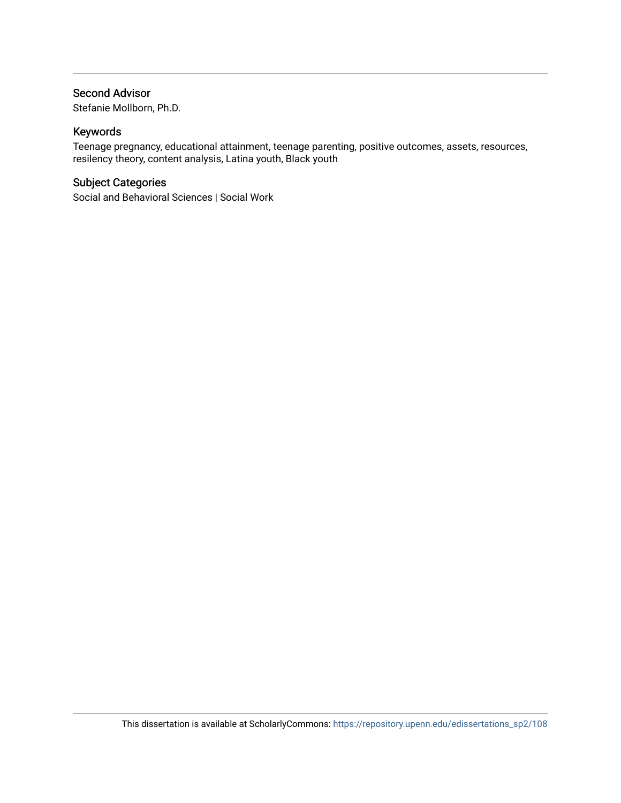### Second Advisor

Stefanie Mollborn, Ph.D.

### Keywords

Teenage pregnancy, educational attainment, teenage parenting, positive outcomes, assets, resources, resilency theory, content analysis, Latina youth, Black youth

### Subject Categories

Social and Behavioral Sciences | Social Work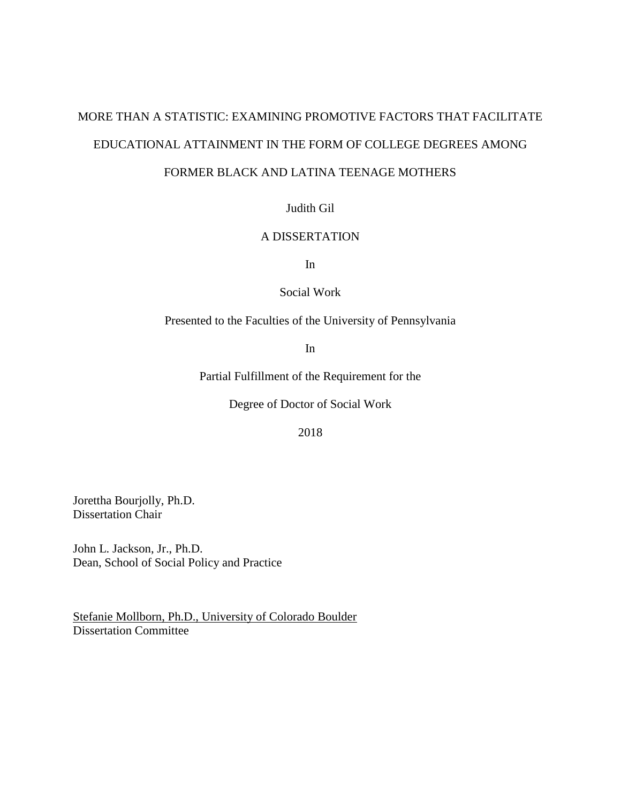# MORE THAN A STATISTIC: EXAMINING PROMOTIVE FACTORS THAT FACILITATE EDUCATIONAL ATTAINMENT IN THE FORM OF COLLEGE DEGREES AMONG

### FORMER BLACK AND LATINA TEENAGE MOTHERS

Judith Gil

### A DISSERTATION

In

Social Work

Presented to the Faculties of the University of Pennsylvania

In

Partial Fulfillment of the Requirement for the

Degree of Doctor of Social Work

2018

Jorettha Bourjolly, Ph.D. Dissertation Chair

John L. Jackson, Jr., Ph.D. Dean, School of Social Policy and Practice

Stefanie Mollborn, Ph.D., University of Colorado Boulder Dissertation Committee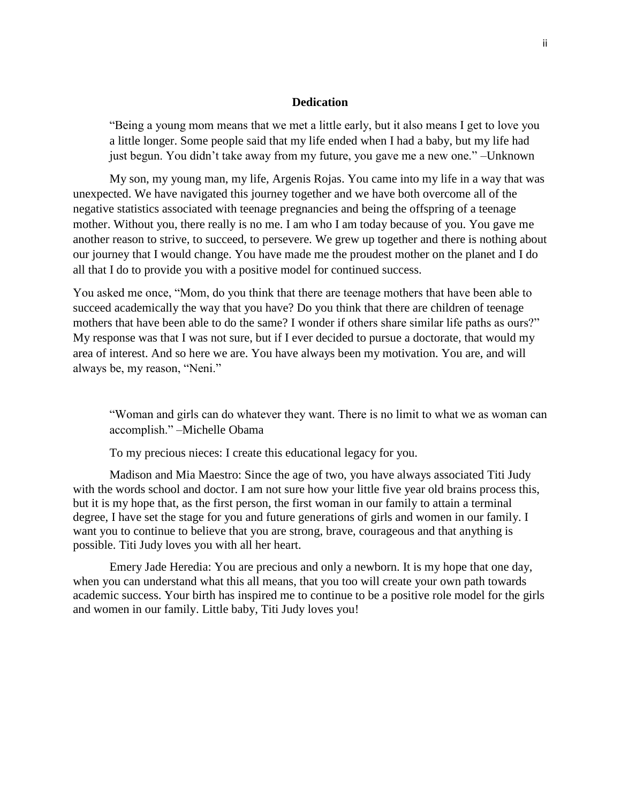### **Dedication**

"Being a young mom means that we met a little early, but it also means I get to love you a little longer. Some people said that my life ended when I had a baby, but my life had just begun. You didn't take away from my future, you gave me a new one." –Unknown

My son, my young man, my life, Argenis Rojas. You came into my life in a way that was unexpected. We have navigated this journey together and we have both overcome all of the negative statistics associated with teenage pregnancies and being the offspring of a teenage mother. Without you, there really is no me. I am who I am today because of you. You gave me another reason to strive, to succeed, to persevere. We grew up together and there is nothing about our journey that I would change. You have made me the proudest mother on the planet and I do all that I do to provide you with a positive model for continued success.

You asked me once, "Mom, do you think that there are teenage mothers that have been able to succeed academically the way that you have? Do you think that there are children of teenage mothers that have been able to do the same? I wonder if others share similar life paths as ours?" My response was that I was not sure, but if I ever decided to pursue a doctorate, that would my area of interest. And so here we are. You have always been my motivation. You are, and will always be, my reason, "Neni."

"Woman and girls can do whatever they want. There is no limit to what we as woman can accomplish." –Michelle Obama

To my precious nieces: I create this educational legacy for you.

Madison and Mia Maestro: Since the age of two, you have always associated Titi Judy with the words school and doctor. I am not sure how your little five year old brains process this, but it is my hope that, as the first person, the first woman in our family to attain a terminal degree, I have set the stage for you and future generations of girls and women in our family. I want you to continue to believe that you are strong, brave, courageous and that anything is possible. Titi Judy loves you with all her heart.

Emery Jade Heredia: You are precious and only a newborn. It is my hope that one day, when you can understand what this all means, that you too will create your own path towards academic success. Your birth has inspired me to continue to be a positive role model for the girls and women in our family. Little baby, Titi Judy loves you!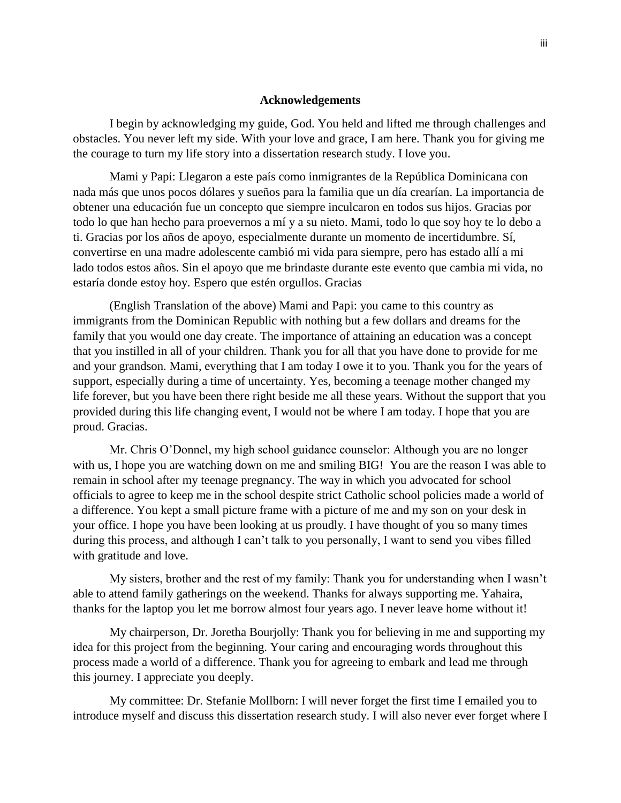### **Acknowledgements**

I begin by acknowledging my guide, God. You held and lifted me through challenges and obstacles. You never left my side. With your love and grace, I am here. Thank you for giving me the courage to turn my life story into a dissertation research study. I love you.

Mami y Papi: Llegaron a este país como inmigrantes de la República Dominicana con nada más que unos pocos dólares y sueños para la familia que un día crearían. La importancia de obtener una educación fue un concepto que siempre inculcaron en todos sus hijos. Gracias por todo lo que han hecho para proevernos a mí y a su nieto. Mami, todo lo que soy hoy te lo debo a ti. Gracias por los años de apoyo, especialmente durante un momento de incertidumbre. Sí, convertirse en una madre adolescente cambió mi vida para siempre, pero has estado allí a mi lado todos estos años. Sin el apoyo que me brindaste durante este evento que cambia mi vida, no estaría donde estoy hoy. Espero que estén orgullos. Gracias

(English Translation of the above) Mami and Papi: you came to this country as immigrants from the Dominican Republic with nothing but a few dollars and dreams for the family that you would one day create. The importance of attaining an education was a concept that you instilled in all of your children. Thank you for all that you have done to provide for me and your grandson. Mami, everything that I am today I owe it to you. Thank you for the years of support, especially during a time of uncertainty. Yes, becoming a teenage mother changed my life forever, but you have been there right beside me all these years. Without the support that you provided during this life changing event, I would not be where I am today. I hope that you are proud. Gracias.

Mr. Chris O'Donnel, my high school guidance counselor: Although you are no longer with us, I hope you are watching down on me and smiling BIG! You are the reason I was able to remain in school after my teenage pregnancy. The way in which you advocated for school officials to agree to keep me in the school despite strict Catholic school policies made a world of a difference. You kept a small picture frame with a picture of me and my son on your desk in your office. I hope you have been looking at us proudly. I have thought of you so many times during this process, and although I can't talk to you personally, I want to send you vibes filled with gratitude and love.

My sisters, brother and the rest of my family: Thank you for understanding when I wasn't able to attend family gatherings on the weekend. Thanks for always supporting me. Yahaira, thanks for the laptop you let me borrow almost four years ago. I never leave home without it!

My chairperson, Dr. Joretha Bourjolly: Thank you for believing in me and supporting my idea for this project from the beginning. Your caring and encouraging words throughout this process made a world of a difference. Thank you for agreeing to embark and lead me through this journey. I appreciate you deeply.

My committee: Dr. Stefanie Mollborn: I will never forget the first time I emailed you to introduce myself and discuss this dissertation research study. I will also never ever forget where I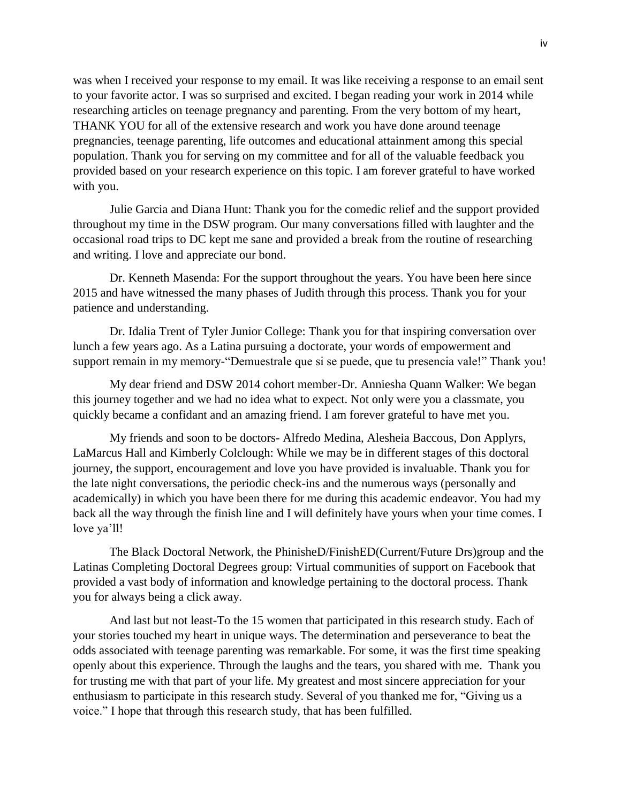was when I received your response to my email. It was like receiving a response to an email sent to your favorite actor. I was so surprised and excited. I began reading your work in 2014 while researching articles on teenage pregnancy and parenting. From the very bottom of my heart, THANK YOU for all of the extensive research and work you have done around teenage pregnancies, teenage parenting, life outcomes and educational attainment among this special population. Thank you for serving on my committee and for all of the valuable feedback you provided based on your research experience on this topic. I am forever grateful to have worked with you.

Julie Garcia and Diana Hunt: Thank you for the comedic relief and the support provided throughout my time in the DSW program. Our many conversations filled with laughter and the occasional road trips to DC kept me sane and provided a break from the routine of researching and writing. I love and appreciate our bond.

Dr. Kenneth Masenda: For the support throughout the years. You have been here since 2015 and have witnessed the many phases of Judith through this process. Thank you for your patience and understanding.

Dr. Idalia Trent of Tyler Junior College: Thank you for that inspiring conversation over lunch a few years ago. As a Latina pursuing a doctorate, your words of empowerment and support remain in my memory-"Demuestrale que si se puede, que tu presencia vale!" Thank you!

My dear friend and DSW 2014 cohort member-Dr. Anniesha Quann Walker: We began this journey together and we had no idea what to expect. Not only were you a classmate, you quickly became a confidant and an amazing friend. I am forever grateful to have met you.

My friends and soon to be doctors- Alfredo Medina, Alesheia Baccous, Don Applyrs, LaMarcus Hall and Kimberly Colclough: While we may be in different stages of this doctoral journey, the support, encouragement and love you have provided is invaluable. Thank you for the late night conversations, the periodic check-ins and the numerous ways (personally and academically) in which you have been there for me during this academic endeavor. You had my back all the way through the finish line and I will definitely have yours when your time comes. I love ya'll!

The Black Doctoral Network, the PhinisheD/FinishED(Current/Future Drs)group and the Latinas Completing Doctoral Degrees group: Virtual communities of support on Facebook that provided a vast body of information and knowledge pertaining to the doctoral process. Thank you for always being a click away.

And last but not least-To the 15 women that participated in this research study. Each of your stories touched my heart in unique ways. The determination and perseverance to beat the odds associated with teenage parenting was remarkable. For some, it was the first time speaking openly about this experience. Through the laughs and the tears, you shared with me. Thank you for trusting me with that part of your life. My greatest and most sincere appreciation for your enthusiasm to participate in this research study. Several of you thanked me for, "Giving us a voice." I hope that through this research study, that has been fulfilled.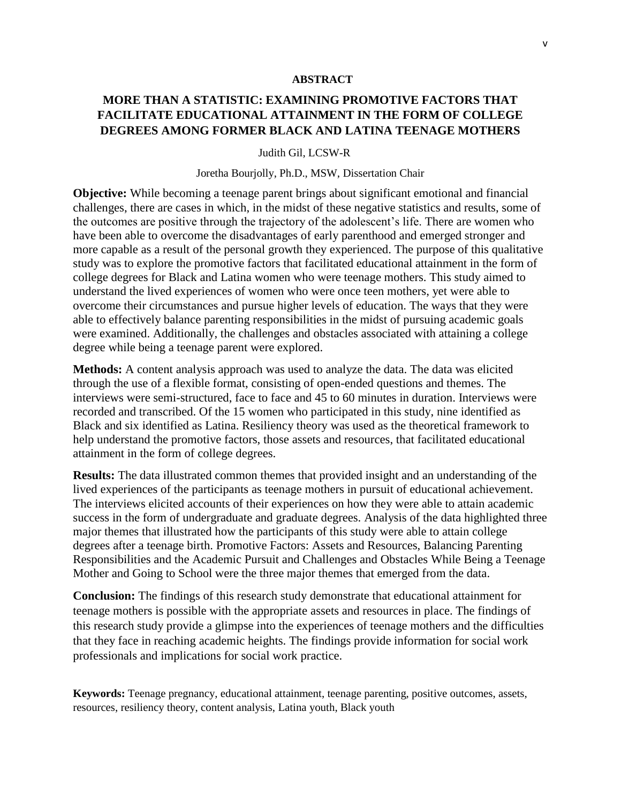#### **ABSTRACT**

### **MORE THAN A STATISTIC: EXAMINING PROMOTIVE FACTORS THAT FACILITATE EDUCATIONAL ATTAINMENT IN THE FORM OF COLLEGE DEGREES AMONG FORMER BLACK AND LATINA TEENAGE MOTHERS**

#### Judith Gil, LCSW-R

#### Joretha Bourjolly, Ph.D., MSW, Dissertation Chair

**Objective:** While becoming a teenage parent brings about significant emotional and financial challenges, there are cases in which, in the midst of these negative statistics and results, some of the outcomes are positive through the trajectory of the adolescent's life. There are women who have been able to overcome the disadvantages of early parenthood and emerged stronger and more capable as a result of the personal growth they experienced. The purpose of this qualitative study was to explore the promotive factors that facilitated educational attainment in the form of college degrees for Black and Latina women who were teenage mothers. This study aimed to understand the lived experiences of women who were once teen mothers, yet were able to overcome their circumstances and pursue higher levels of education. The ways that they were able to effectively balance parenting responsibilities in the midst of pursuing academic goals were examined. Additionally, the challenges and obstacles associated with attaining a college degree while being a teenage parent were explored.

**Methods:** A content analysis approach was used to analyze the data. The data was elicited through the use of a flexible format, consisting of open-ended questions and themes. The interviews were semi-structured, face to face and 45 to 60 minutes in duration. Interviews were recorded and transcribed. Of the 15 women who participated in this study, nine identified as Black and six identified as Latina. Resiliency theory was used as the theoretical framework to help understand the promotive factors, those assets and resources, that facilitated educational attainment in the form of college degrees.

**Results:** The data illustrated common themes that provided insight and an understanding of the lived experiences of the participants as teenage mothers in pursuit of educational achievement. The interviews elicited accounts of their experiences on how they were able to attain academic success in the form of undergraduate and graduate degrees. Analysis of the data highlighted three major themes that illustrated how the participants of this study were able to attain college degrees after a teenage birth. Promotive Factors: Assets and Resources, Balancing Parenting Responsibilities and the Academic Pursuit and Challenges and Obstacles While Being a Teenage Mother and Going to School were the three major themes that emerged from the data.

**Conclusion:** The findings of this research study demonstrate that educational attainment for teenage mothers is possible with the appropriate assets and resources in place. The findings of this research study provide a glimpse into the experiences of teenage mothers and the difficulties that they face in reaching academic heights. The findings provide information for social work professionals and implications for social work practice.

**Keywords:** Teenage pregnancy, educational attainment, teenage parenting, positive outcomes, assets, resources, resiliency theory, content analysis, Latina youth, Black youth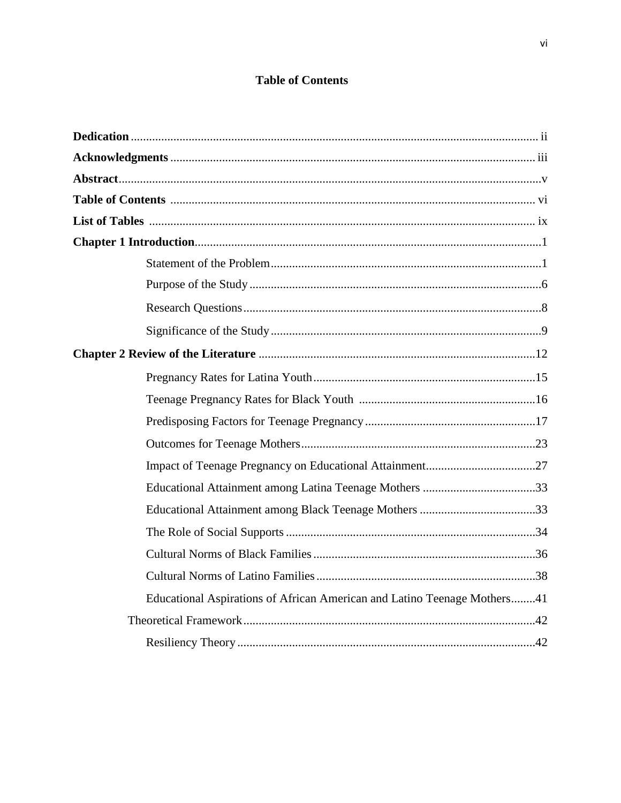### **Table of Contents**

| Educational Aspirations of African American and Latino Teenage Mothers41 |
|--------------------------------------------------------------------------|
|                                                                          |
|                                                                          |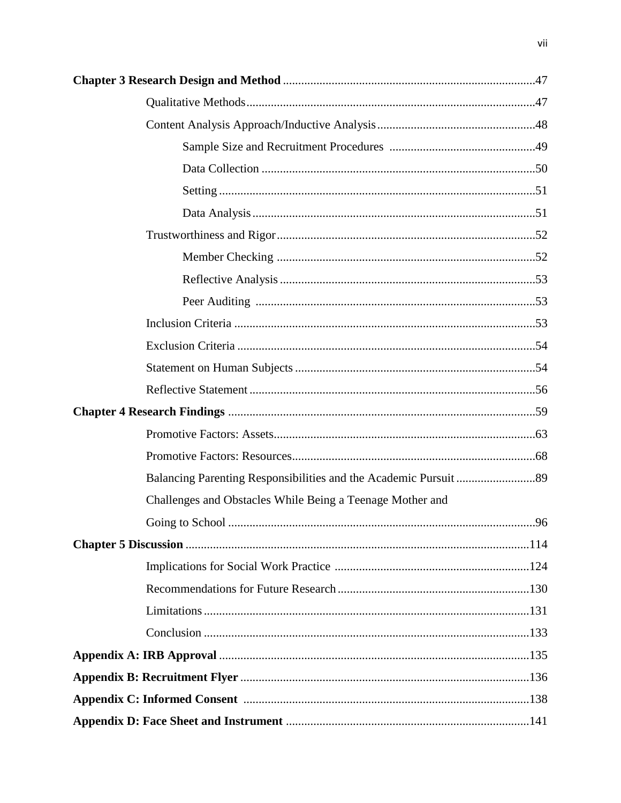| Challenges and Obstacles While Being a Teenage Mother and |    |
|-----------------------------------------------------------|----|
|                                                           | 96 |
|                                                           |    |
|                                                           |    |
|                                                           |    |
|                                                           |    |
|                                                           |    |
|                                                           |    |
|                                                           |    |
|                                                           |    |
|                                                           |    |

vii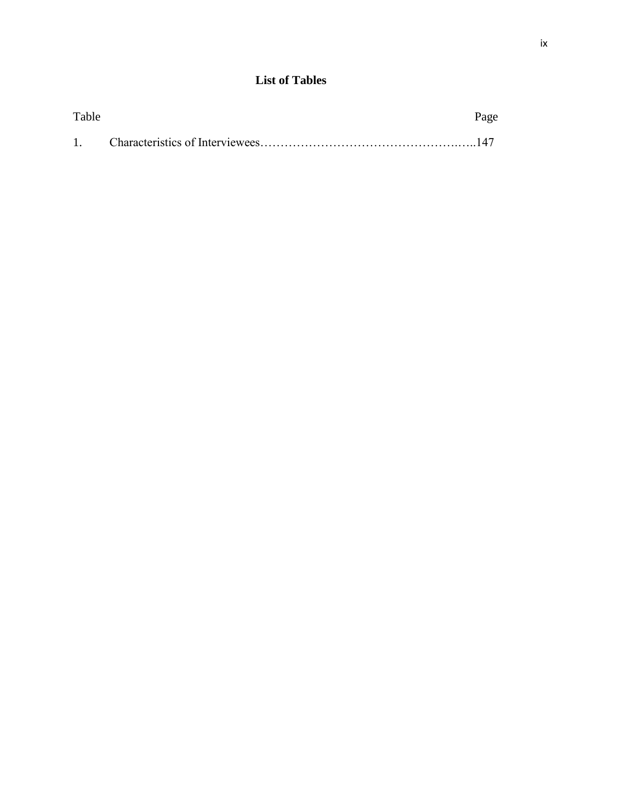### **List of Tables**

| Table | Page |
|-------|------|
|       |      |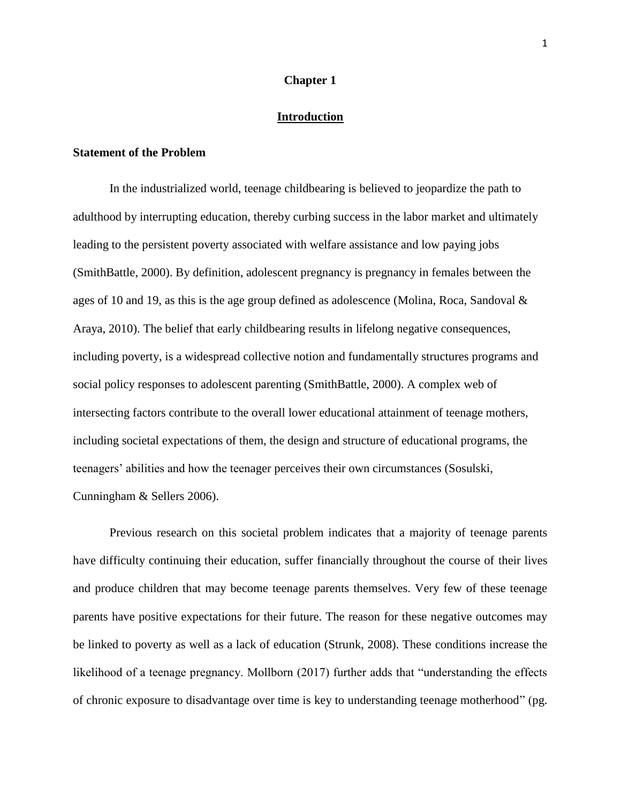#### **Chapter 1**

### **Introduction**

### **Statement of the Problem**

In the industrialized world, teenage childbearing is believed to jeopardize the path to adulthood by interrupting education, thereby curbing success in the labor market and ultimately leading to the persistent poverty associated with welfare assistance and low paying jobs (SmithBattle, 2000). By definition, adolescent pregnancy is pregnancy in females between the ages of 10 and 19, as this is the age group defined as adolescence (Molina, Roca, Sandoval & Araya, 2010). The belief that early childbearing results in lifelong negative consequences, including poverty, is a widespread collective notion and fundamentally structures programs and social policy responses to adolescent parenting (SmithBattle, 2000). A complex web of intersecting factors contribute to the overall lower educational attainment of teenage mothers, including societal expectations of them, the design and structure of educational programs, the teenagers' abilities and how the teenager perceives their own circumstances (Sosulski, Cunningham & Sellers 2006).

Previous research on this societal problem indicates that a majority of teenage parents have difficulty continuing their education, suffer financially throughout the course of their lives and produce children that may become teenage parents themselves. Very few of these teenage parents have positive expectations for their future. The reason for these negative outcomes may be linked to poverty as well as a lack of education (Strunk, 2008). These conditions increase the likelihood of a teenage pregnancy. Mollborn (2017) further adds that "understanding the effects of chronic exposure to disadvantage over time is key to understanding teenage motherhood" (pg.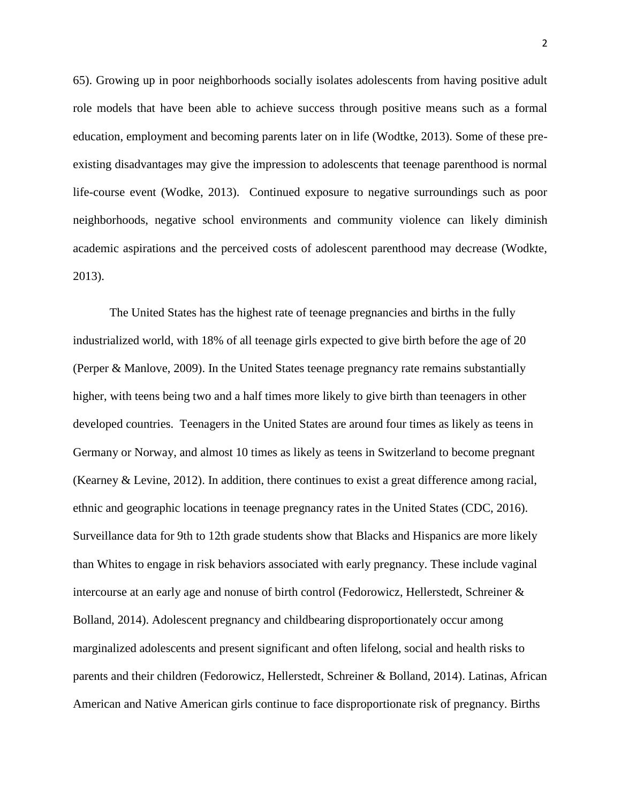65). Growing up in poor neighborhoods socially isolates adolescents from having positive adult role models that have been able to achieve success through positive means such as a formal education, employment and becoming parents later on in life (Wodtke, 2013). Some of these preexisting disadvantages may give the impression to adolescents that teenage parenthood is normal life-course event (Wodke, 2013). Continued exposure to negative surroundings such as poor neighborhoods, negative school environments and community violence can likely diminish academic aspirations and the perceived costs of adolescent parenthood may decrease (Wodkte, 2013).

The United States has the highest rate of teenage pregnancies and births in the fully industrialized world, with 18% of all teenage girls expected to give birth before the age of 20 (Perper & Manlove, 2009). In the United States teenage pregnancy rate remains substantially higher, with teens being two and a half times more likely to give birth than teenagers in other developed countries. Teenagers in the United States are around four times as likely as teens in Germany or Norway, and almost 10 times as likely as teens in Switzerland to become pregnant (Kearney & Levine, 2012). In addition, there continues to exist a great difference among racial, ethnic and geographic locations in teenage pregnancy rates in the United States (CDC, 2016). Surveillance data for 9th to 12th grade students show that Blacks and Hispanics are more likely than Whites to engage in risk behaviors associated with early pregnancy. These include vaginal intercourse at an early age and nonuse of birth control (Fedorowicz, Hellerstedt, Schreiner & Bolland, 2014). Adolescent pregnancy and childbearing disproportionately occur among marginalized adolescents and present significant and often lifelong, social and health risks to parents and their children (Fedorowicz, Hellerstedt, Schreiner & Bolland, 2014). Latinas, African American and Native American girls continue to face disproportionate risk of pregnancy. Births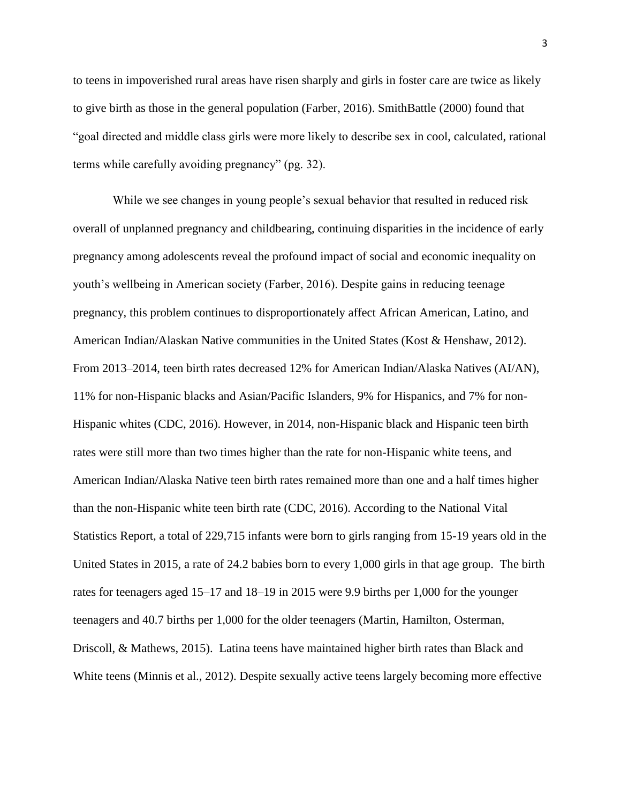to teens in impoverished rural areas have risen sharply and girls in foster care are twice as likely to give birth as those in the general population (Farber, 2016). SmithBattle (2000) found that "goal directed and middle class girls were more likely to describe sex in cool, calculated, rational terms while carefully avoiding pregnancy" (pg. 32).

While we see changes in young people's sexual behavior that resulted in reduced risk overall of unplanned pregnancy and childbearing, continuing disparities in the incidence of early pregnancy among adolescents reveal the profound impact of social and economic inequality on youth's wellbeing in American society (Farber, 2016). Despite gains in reducing teenage pregnancy, this problem continues to disproportionately affect African American, Latino, and American Indian/Alaskan Native communities in the United States (Kost & Henshaw, 2012). From 2013–2014, teen birth rates decreased 12% for American Indian/Alaska Natives (AI/AN), 11% for non-Hispanic blacks and Asian/Pacific Islanders, 9% for Hispanics, and 7% for non-Hispanic whites (CDC, 2016). However, in 2014, non-Hispanic black and Hispanic teen birth rates were still more than two times higher than the rate for non-Hispanic white teens, and American Indian/Alaska Native teen birth rates remained more than one and a half times higher than the non-Hispanic white teen birth rate (CDC, 2016). According to the National Vital Statistics Report, a total of 229,715 infants were born to girls ranging from 15-19 years old in the United States in 2015, a rate of 24.2 babies born to every 1,000 girls in that age group. The birth rates for teenagers aged 15–17 and 18–19 in 2015 were 9.9 births per 1,000 for the younger teenagers and 40.7 births per 1,000 for the older teenagers (Martin, Hamilton, Osterman, Driscoll, & Mathews, 2015). Latina teens have maintained higher birth rates than Black and White teens (Minnis et al., 2012). Despite sexually active teens largely becoming more effective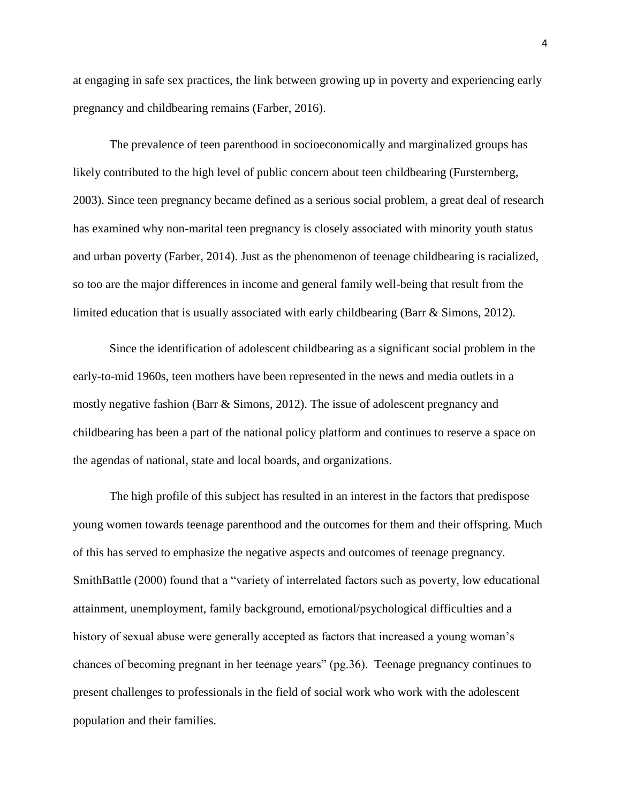at engaging in safe sex practices, the link between growing up in poverty and experiencing early pregnancy and childbearing remains (Farber, 2016).

The prevalence of teen parenthood in socioeconomically and marginalized groups has likely contributed to the high level of public concern about teen childbearing (Fursternberg, 2003). Since teen pregnancy became defined as a serious social problem, a great deal of research has examined why non-marital teen pregnancy is closely associated with minority youth status and urban poverty (Farber, 2014). Just as the phenomenon of teenage childbearing is racialized, so too are the major differences in income and general family well-being that result from the limited education that is usually associated with early childbearing (Barr & Simons, 2012).

Since the identification of adolescent childbearing as a significant social problem in the early-to-mid 1960s, teen mothers have been represented in the news and media outlets in a mostly negative fashion (Barr & Simons, 2012). The issue of adolescent pregnancy and childbearing has been a part of the national policy platform and continues to reserve a space on the agendas of national, state and local boards, and organizations.

The high profile of this subject has resulted in an interest in the factors that predispose young women towards teenage parenthood and the outcomes for them and their offspring. Much of this has served to emphasize the negative aspects and outcomes of teenage pregnancy. SmithBattle (2000) found that a "variety of interrelated factors such as poverty, low educational attainment, unemployment, family background, emotional/psychological difficulties and a history of sexual abuse were generally accepted as factors that increased a young woman's chances of becoming pregnant in her teenage years" (pg.36). Teenage pregnancy continues to present challenges to professionals in the field of social work who work with the adolescent population and their families.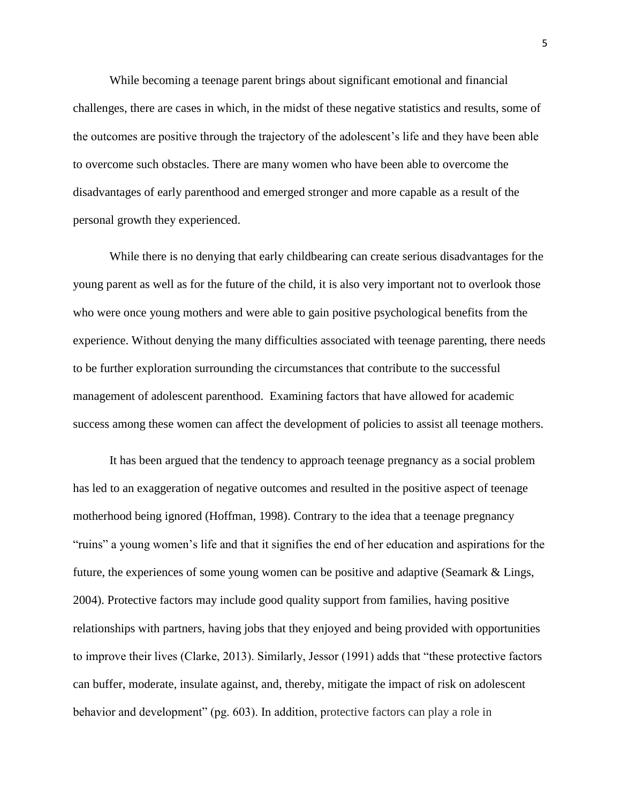While becoming a teenage parent brings about significant emotional and financial challenges, there are cases in which, in the midst of these negative statistics and results, some of the outcomes are positive through the trajectory of the adolescent's life and they have been able to overcome such obstacles. There are many women who have been able to overcome the disadvantages of early parenthood and emerged stronger and more capable as a result of the personal growth they experienced.

While there is no denying that early childbearing can create serious disadvantages for the young parent as well as for the future of the child, it is also very important not to overlook those who were once young mothers and were able to gain positive psychological benefits from the experience. Without denying the many difficulties associated with teenage parenting, there needs to be further exploration surrounding the circumstances that contribute to the successful management of adolescent parenthood. Examining factors that have allowed for academic success among these women can affect the development of policies to assist all teenage mothers.

It has been argued that the tendency to approach teenage pregnancy as a social problem has led to an exaggeration of negative outcomes and resulted in the positive aspect of teenage motherhood being ignored (Hoffman, 1998). Contrary to the idea that a teenage pregnancy "ruins" a young women's life and that it signifies the end of her education and aspirations for the future, the experiences of some young women can be positive and adaptive (Seamark & Lings, 2004). Protective factors may include good quality support from families, having positive relationships with partners, having jobs that they enjoyed and being provided with opportunities to improve their lives (Clarke, 2013). Similarly, Jessor (1991) adds that "these protective factors can buffer, moderate, insulate against, and, thereby, mitigate the impact of risk on adolescent behavior and development" (pg. 603). In addition, protective factors can play a role in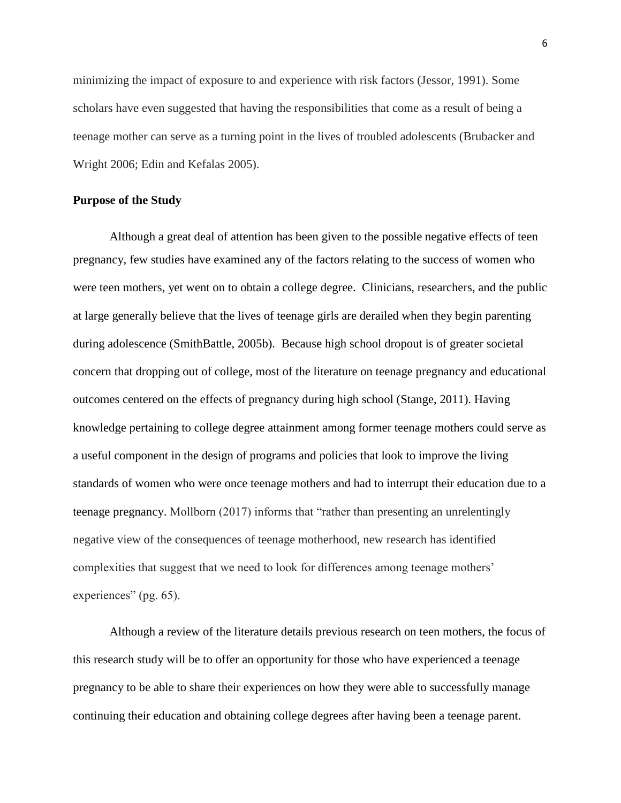minimizing the impact of exposure to and experience with risk factors (Jessor, 1991). Some scholars have even suggested that having the responsibilities that come as a result of being a teenage mother can serve as a turning point in the lives of troubled adolescents (Brubacker and Wright 2006; Edin and Kefalas 2005).

### **Purpose of the Study**

Although a great deal of attention has been given to the possible negative effects of teen pregnancy, few studies have examined any of the factors relating to the success of women who were teen mothers, yet went on to obtain a college degree. Clinicians, researchers, and the public at large generally believe that the lives of teenage girls are derailed when they begin parenting during adolescence (SmithBattle, 2005b). Because high school dropout is of greater societal concern that dropping out of college, most of the literature on teenage pregnancy and educational outcomes centered on the effects of pregnancy during high school (Stange, 2011). Having knowledge pertaining to college degree attainment among former teenage mothers could serve as a useful component in the design of programs and policies that look to improve the living standards of women who were once teenage mothers and had to interrupt their education due to a teenage pregnancy. Mollborn (2017) informs that "rather than presenting an unrelentingly negative view of the consequences of teenage motherhood, new research has identified complexities that suggest that we need to look for differences among teenage mothers' experiences" (pg. 65).

Although a review of the literature details previous research on teen mothers, the focus of this research study will be to offer an opportunity for those who have experienced a teenage pregnancy to be able to share their experiences on how they were able to successfully manage continuing their education and obtaining college degrees after having been a teenage parent.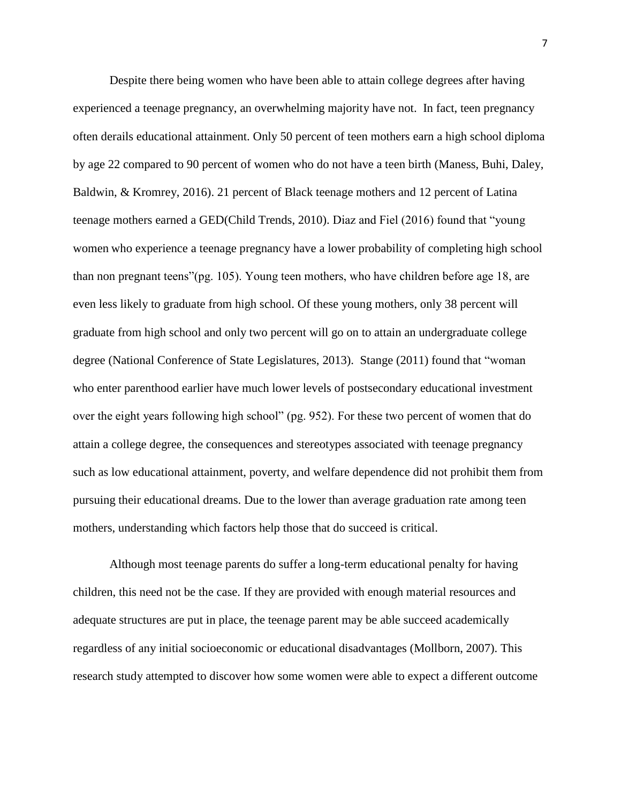Despite there being women who have been able to attain college degrees after having experienced a teenage pregnancy, an overwhelming majority have not. In fact, teen pregnancy often derails educational attainment. Only 50 percent of teen mothers earn a high school diploma by age 22 compared to 90 percent of women who do not have a teen birth (Maness, Buhi, Daley, Baldwin, & Kromrey, 2016). 21 percent of Black teenage mothers and 12 percent of Latina teenage mothers earned a GED(Child Trends, 2010). Diaz and Fiel (2016) found that "young women who experience a teenage pregnancy have a lower probability of completing high school than non pregnant teens"(pg. 105). Young teen mothers, who have children before age 18, are even less likely to graduate from high school. Of these young mothers, only 38 percent will graduate from high school and only two percent will go on to attain an undergraduate college degree (National Conference of State Legislatures, 2013). Stange (2011) found that "woman who enter parenthood earlier have much lower levels of postsecondary educational investment over the eight years following high school" (pg. 952). For these two percent of women that do attain a college degree, the consequences and stereotypes associated with teenage pregnancy such as low educational attainment, poverty, and welfare dependence did not prohibit them from pursuing their educational dreams. Due to the lower than average graduation rate among teen mothers, understanding which factors help those that do succeed is critical.

Although most teenage parents do suffer a long-term educational penalty for having children, this need not be the case. If they are provided with enough material resources and adequate structures are put in place, the teenage parent may be able succeed academically regardless of any initial socioeconomic or educational disadvantages (Mollborn, 2007). This research study attempted to discover how some women were able to expect a different outcome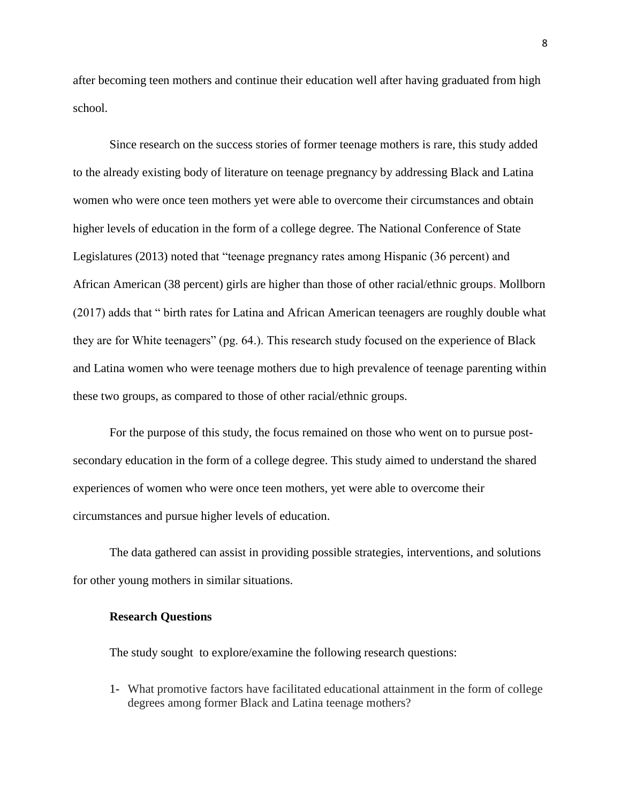after becoming teen mothers and continue their education well after having graduated from high school.

Since research on the success stories of former teenage mothers is rare, this study added to the already existing body of literature on teenage pregnancy by addressing Black and Latina women who were once teen mothers yet were able to overcome their circumstances and obtain higher levels of education in the form of a college degree. The National Conference of State Legislatures (2013) noted that "teenage pregnancy rates among Hispanic (36 percent) and African American (38 percent) girls are higher than those of other racial/ethnic groups. Mollborn (2017) adds that " birth rates for Latina and African American teenagers are roughly double what they are for White teenagers" (pg. 64.). This research study focused on the experience of Black and Latina women who were teenage mothers due to high prevalence of teenage parenting within these two groups, as compared to those of other racial/ethnic groups.

For the purpose of this study, the focus remained on those who went on to pursue postsecondary education in the form of a college degree. This study aimed to understand the shared experiences of women who were once teen mothers, yet were able to overcome their circumstances and pursue higher levels of education.

The data gathered can assist in providing possible strategies, interventions, and solutions for other young mothers in similar situations.

### **Research Questions**

The study sought to explore/examine the following research questions:

1- What promotive factors have facilitated educational attainment in the form of college degrees among former Black and Latina teenage mothers?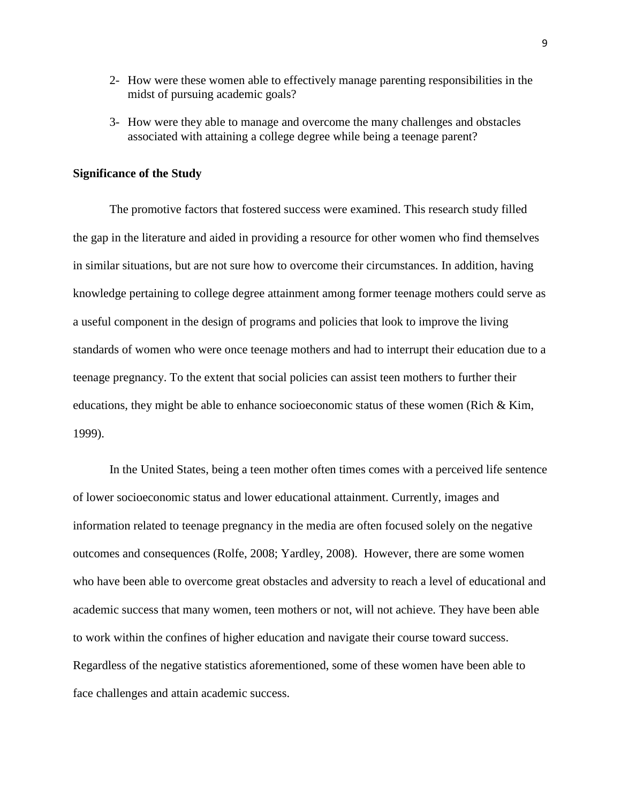- 2- How were these women able to effectively manage parenting responsibilities in the midst of pursuing academic goals?
- 3- How were they able to manage and overcome the many challenges and obstacles associated with attaining a college degree while being a teenage parent?

### **Significance of the Study**

The promotive factors that fostered success were examined. This research study filled the gap in the literature and aided in providing a resource for other women who find themselves in similar situations, but are not sure how to overcome their circumstances. In addition, having knowledge pertaining to college degree attainment among former teenage mothers could serve as a useful component in the design of programs and policies that look to improve the living standards of women who were once teenage mothers and had to interrupt their education due to a teenage pregnancy. To the extent that social policies can assist teen mothers to further their educations, they might be able to enhance socioeconomic status of these women (Rich & Kim, 1999).

In the United States, being a teen mother often times comes with a perceived life sentence of lower socioeconomic status and lower educational attainment. Currently, images and information related to teenage pregnancy in the media are often focused solely on the negative outcomes and consequences (Rolfe, 2008; Yardley, 2008). However, there are some women who have been able to overcome great obstacles and adversity to reach a level of educational and academic success that many women, teen mothers or not, will not achieve. They have been able to work within the confines of higher education and navigate their course toward success. Regardless of the negative statistics aforementioned, some of these women have been able to face challenges and attain academic success.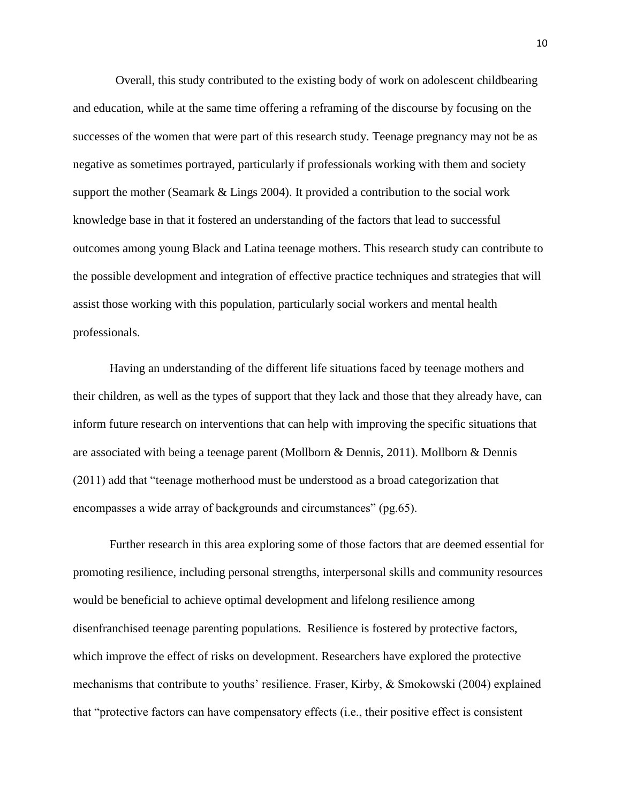Overall, this study contributed to the existing body of work on adolescent childbearing and education, while at the same time offering a reframing of the discourse by focusing on the successes of the women that were part of this research study. Teenage pregnancy may not be as negative as sometimes portrayed, particularly if professionals working with them and society support the mother (Seamark & Lings 2004). It provided a contribution to the social work knowledge base in that it fostered an understanding of the factors that lead to successful outcomes among young Black and Latina teenage mothers. This research study can contribute to the possible development and integration of effective practice techniques and strategies that will assist those working with this population, particularly social workers and mental health professionals.

Having an understanding of the different life situations faced by teenage mothers and their children, as well as the types of support that they lack and those that they already have, can inform future research on interventions that can help with improving the specific situations that are associated with being a teenage parent (Mollborn & Dennis, 2011). Mollborn & Dennis (2011) add that "teenage motherhood must be understood as a broad categorization that encompasses a wide array of backgrounds and circumstances" (pg.65).

Further research in this area exploring some of those factors that are deemed essential for promoting resilience, including personal strengths, interpersonal skills and community resources would be beneficial to achieve optimal development and lifelong resilience among disenfranchised teenage parenting populations. Resilience is fostered by protective factors, which improve the effect of risks on development. Researchers have explored the protective mechanisms that contribute to youths' resilience. Fraser, Kirby, & Smokowski (2004) explained that "protective factors can have compensatory effects (i.e., their positive effect is consistent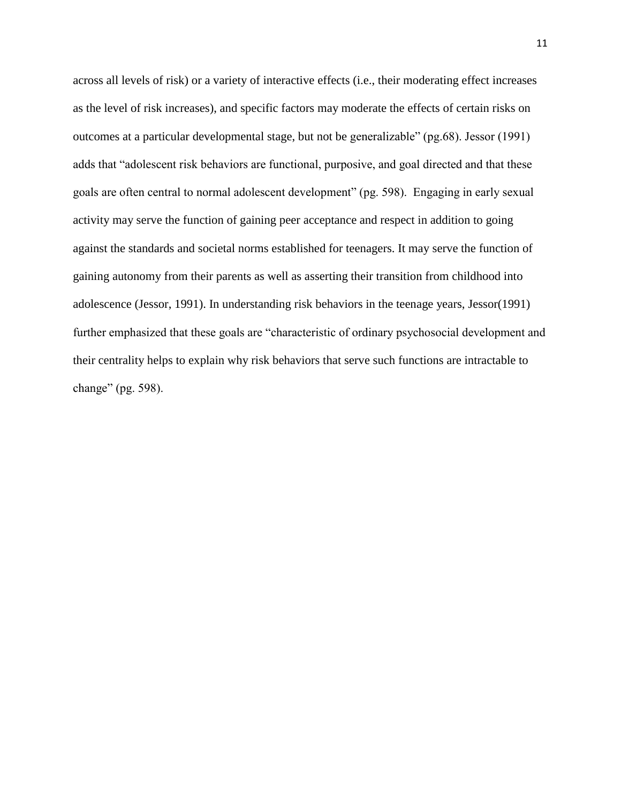across all levels of risk) or a variety of interactive effects (i.e., their moderating effect increases as the level of risk increases), and specific factors may moderate the effects of certain risks on outcomes at a particular developmental stage, but not be generalizable" (pg.68). Jessor (1991) adds that "adolescent risk behaviors are functional, purposive, and goal directed and that these goals are often central to normal adolescent development" (pg. 598). Engaging in early sexual activity may serve the function of gaining peer acceptance and respect in addition to going against the standards and societal norms established for teenagers. It may serve the function of gaining autonomy from their parents as well as asserting their transition from childhood into adolescence (Jessor, 1991). In understanding risk behaviors in the teenage years, Jessor(1991) further emphasized that these goals are "characteristic of ordinary psychosocial development and their centrality helps to explain why risk behaviors that serve such functions are intractable to change" (pg. 598).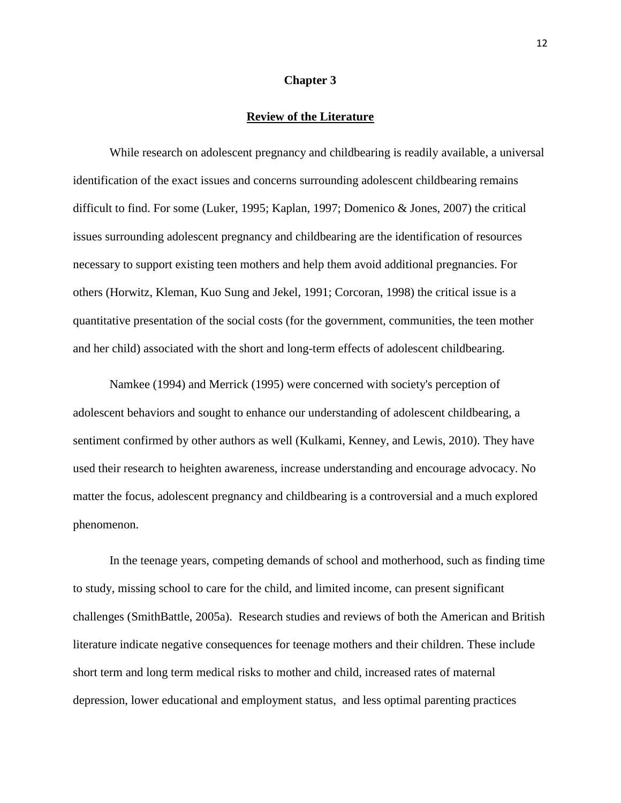### **Chapter 3**

### **Review of the Literature**

While research on adolescent pregnancy and childbearing is readily available, a universal identification of the exact issues and concerns surrounding adolescent childbearing remains difficult to find. For some (Luker, 1995; Kaplan, 1997; Domenico & Jones, 2007) the critical issues surrounding adolescent pregnancy and childbearing are the identification of resources necessary to support existing teen mothers and help them avoid additional pregnancies. For others (Horwitz, Kleman, Kuo Sung and Jekel, 1991; Corcoran, 1998) the critical issue is a quantitative presentation of the social costs (for the government, communities, the teen mother and her child) associated with the short and long-term effects of adolescent childbearing.

Namkee (1994) and Merrick (1995) were concerned with society's perception of adolescent behaviors and sought to enhance our understanding of adolescent childbearing, a sentiment confirmed by other authors as well (Kulkami, Kenney, and Lewis, 2010). They have used their research to heighten awareness, increase understanding and encourage advocacy. No matter the focus, adolescent pregnancy and childbearing is a controversial and a much explored phenomenon.

In the teenage years, competing demands of school and motherhood, such as finding time to study, missing school to care for the child, and limited income, can present significant challenges (SmithBattle, 2005a). Research studies and reviews of both the American and British literature indicate negative consequences for teenage mothers and their children. These include short term and long term medical risks to mother and child, increased rates of maternal depression, lower educational and employment status, and less optimal parenting practices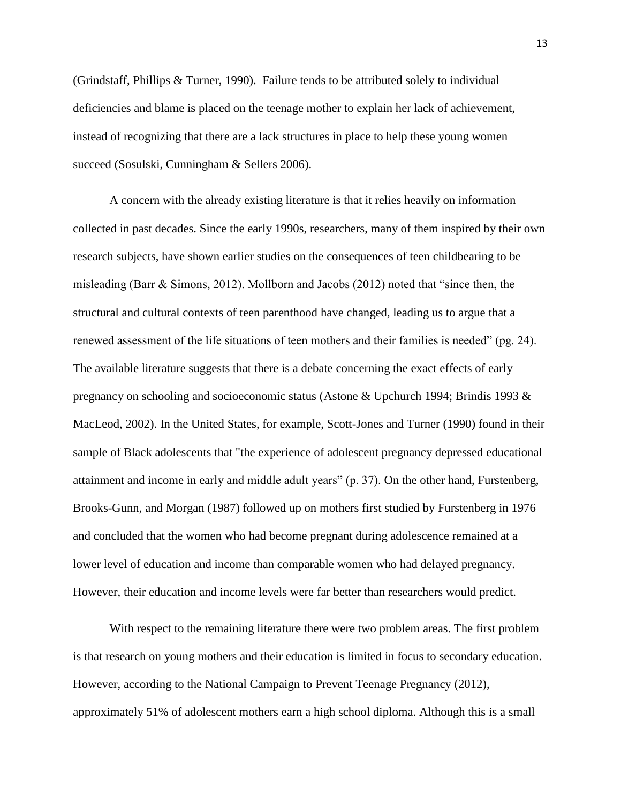(Grindstaff, Phillips & Turner, 1990). Failure tends to be attributed solely to individual deficiencies and blame is placed on the teenage mother to explain her lack of achievement, instead of recognizing that there are a lack structures in place to help these young women succeed (Sosulski, Cunningham & Sellers 2006).

A concern with the already existing literature is that it relies heavily on information collected in past decades. Since the early 1990s, researchers, many of them inspired by their own research subjects, have shown earlier studies on the consequences of teen childbearing to be misleading (Barr & Simons, 2012). Mollborn and Jacobs (2012) noted that "since then, the structural and cultural contexts of teen parenthood have changed, leading us to argue that a renewed assessment of the life situations of teen mothers and their families is needed" (pg. 24). The available literature suggests that there is a debate concerning the exact effects of early pregnancy on schooling and socioeconomic status (Astone & Upchurch 1994; Brindis 1993 & MacLeod, 2002). In the United States, for example, Scott-Jones and Turner (1990) found in their sample of Black adolescents that "the experience of adolescent pregnancy depressed educational attainment and income in early and middle adult years" (p. 37). On the other hand, Furstenberg, Brooks-Gunn, and Morgan (1987) followed up on mothers first studied by Furstenberg in 1976 and concluded that the women who had become pregnant during adolescence remained at a lower level of education and income than comparable women who had delayed pregnancy. However, their education and income levels were far better than researchers would predict.

With respect to the remaining literature there were two problem areas. The first problem is that research on young mothers and their education is limited in focus to secondary education. However, according to the National Campaign to Prevent Teenage Pregnancy (2012), approximately 51% of adolescent mothers earn a high school diploma. Although this is a small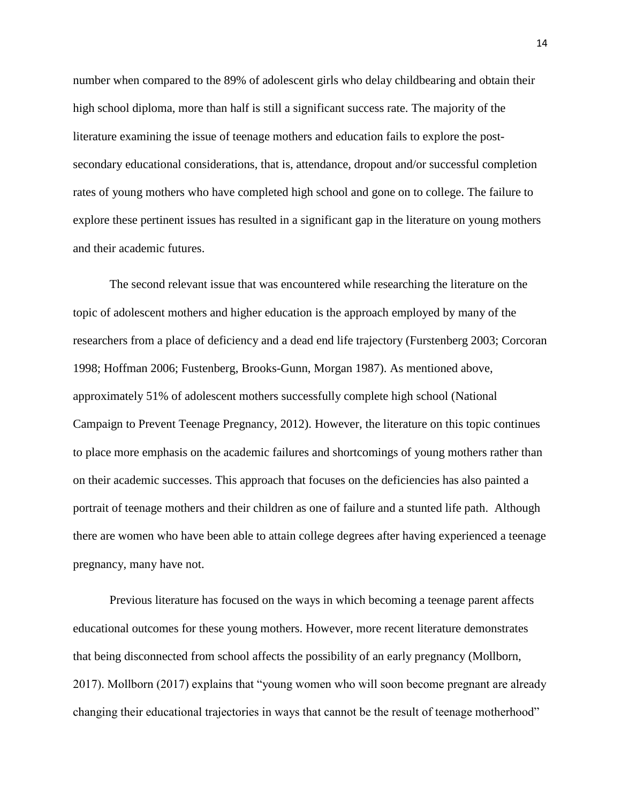number when compared to the 89% of adolescent girls who delay childbearing and obtain their high school diploma, more than half is still a significant success rate. The majority of the literature examining the issue of teenage mothers and education fails to explore the postsecondary educational considerations, that is, attendance, dropout and/or successful completion rates of young mothers who have completed high school and gone on to college. The failure to explore these pertinent issues has resulted in a significant gap in the literature on young mothers and their academic futures.

The second relevant issue that was encountered while researching the literature on the topic of adolescent mothers and higher education is the approach employed by many of the researchers from a place of deficiency and a dead end life trajectory (Furstenberg 2003; Corcoran 1998; Hoffman 2006; Fustenberg, Brooks-Gunn, Morgan 1987). As mentioned above, approximately 51% of adolescent mothers successfully complete high school (National Campaign to Prevent Teenage Pregnancy, 2012). However, the literature on this topic continues to place more emphasis on the academic failures and shortcomings of young mothers rather than on their academic successes. This approach that focuses on the deficiencies has also painted a portrait of teenage mothers and their children as one of failure and a stunted life path. Although there are women who have been able to attain college degrees after having experienced a teenage pregnancy, many have not.

Previous literature has focused on the ways in which becoming a teenage parent affects educational outcomes for these young mothers. However, more recent literature demonstrates that being disconnected from school affects the possibility of an early pregnancy (Mollborn, 2017). Mollborn (2017) explains that "young women who will soon become pregnant are already changing their educational trajectories in ways that cannot be the result of teenage motherhood"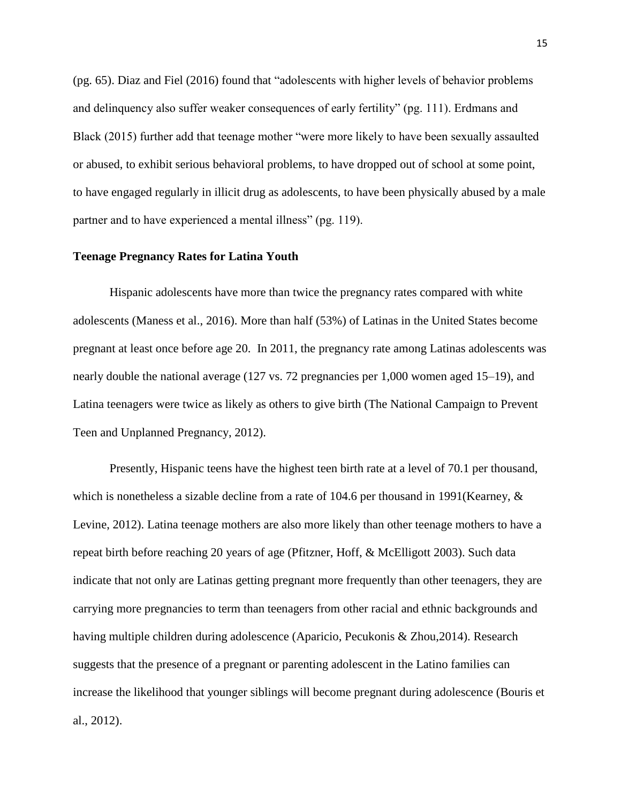(pg. 65). Diaz and Fiel (2016) found that "adolescents with higher levels of behavior problems and delinquency also suffer weaker consequences of early fertility" (pg. 111). Erdmans and Black (2015) further add that teenage mother "were more likely to have been sexually assaulted or abused, to exhibit serious behavioral problems, to have dropped out of school at some point, to have engaged regularly in illicit drug as adolescents, to have been physically abused by a male partner and to have experienced a mental illness" (pg. 119).

### **Teenage Pregnancy Rates for Latina Youth**

Hispanic adolescents have more than twice the pregnancy rates compared with white adolescents (Maness et al., 2016). More than half (53%) of Latinas in the United States become pregnant at least once before age 20. In 2011, the pregnancy rate among Latinas adolescents was nearly double the national average (127 vs. 72 pregnancies per 1,000 women aged 15–19), and Latina teenagers were twice as likely as others to give birth (The National Campaign to Prevent Teen and Unplanned Pregnancy, 2012).

Presently, Hispanic teens have the highest teen birth rate at a level of 70.1 per thousand, which is nonetheless a sizable decline from a rate of 104.6 per thousand in 1991(Kearney,  $\&$ Levine, 2012). Latina teenage mothers are also more likely than other teenage mothers to have a repeat birth before reaching 20 years of age (Pfitzner, Hoff, & McElligott 2003). Such data indicate that not only are Latinas getting pregnant more frequently than other teenagers, they are carrying more pregnancies to term than teenagers from other racial and ethnic backgrounds and having multiple children during adolescence (Aparicio, Pecukonis & Zhou,2014). Research suggests that the presence of a pregnant or parenting adolescent in the Latino families can increase the likelihood that younger siblings will become pregnant during adolescence (Bouris et al., 2012).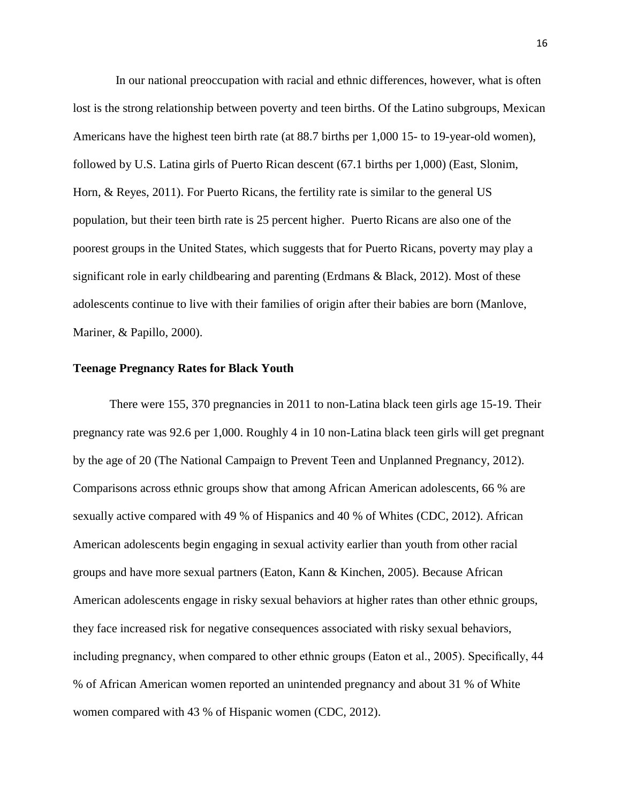In our national preoccupation with racial and ethnic differences, however, what is often lost is the strong relationship between poverty and teen births. Of the Latino subgroups, Mexican Americans have the highest teen birth rate (at 88.7 births per 1,000 15- to 19-year-old women), followed by U.S. Latina girls of Puerto Rican descent (67.1 births per 1,000) (East, Slonim, Horn, & Reyes, 2011). For Puerto Ricans, the fertility rate is similar to the general US population, but their teen birth rate is 25 percent higher. Puerto Ricans are also one of the poorest groups in the United States, which suggests that for Puerto Ricans, poverty may play a significant role in early childbearing and parenting (Erdmans & Black, 2012). Most of these adolescents continue to live with their families of origin after their babies are born (Manlove, Mariner, & Papillo, 2000).

### **Teenage Pregnancy Rates for Black Youth**

There were 155, 370 pregnancies in 2011 to non-Latina black teen girls age 15-19. Their pregnancy rate was 92.6 per 1,000. Roughly 4 in 10 non-Latina black teen girls will get pregnant by the age of 20 (The National Campaign to Prevent Teen and Unplanned Pregnancy, 2012). Comparisons across ethnic groups show that among African American adolescents, 66 % are sexually active compared with 49 % of Hispanics and 40 % of Whites (CDC, 2012). African American adolescents begin engaging in sexual activity earlier than youth from other racial groups and have more sexual partners (Eaton, Kann & Kinchen, 2005). Because African American adolescents engage in risky sexual behaviors at higher rates than other ethnic groups, they face increased risk for negative consequences associated with risky sexual behaviors, including pregnancy, when compared to other ethnic groups (Eaton et al., 2005). Specifically, 44 % of African American women reported an unintended pregnancy and about 31 % of White women compared with 43 % of Hispanic women (CDC, 2012).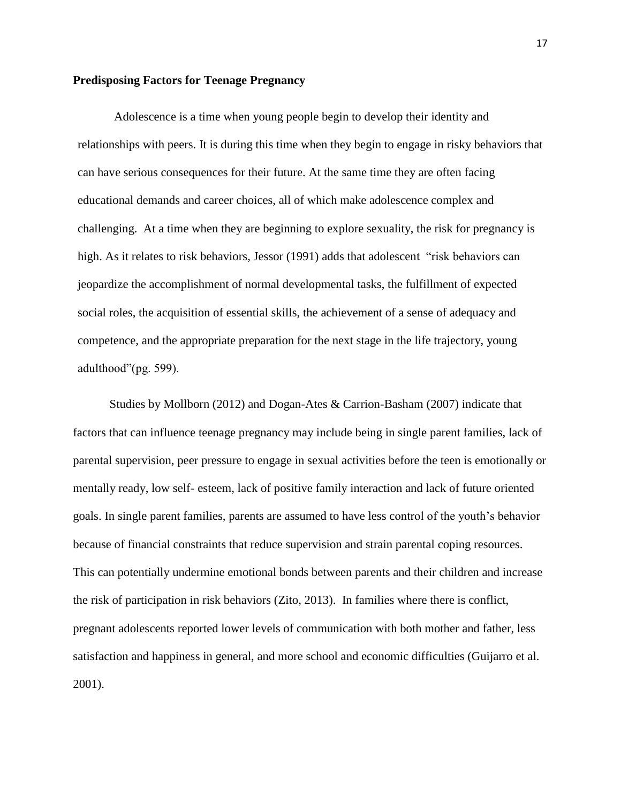### **Predisposing Factors for Teenage Pregnancy**

Adolescence is a time when young people begin to develop their identity and relationships with peers. It is during this time when they begin to engage in risky behaviors that can have serious consequences for their future. At the same time they are often facing educational demands and career choices, all of which make adolescence complex and challenging. At a time when they are beginning to explore sexuality, the risk for pregnancy is high. As it relates to risk behaviors, Jessor (1991) adds that adolescent "risk behaviors can jeopardize the accomplishment of normal developmental tasks, the fulfillment of expected social roles, the acquisition of essential skills, the achievement of a sense of adequacy and competence, and the appropriate preparation for the next stage in the life trajectory, young adulthood"(pg. 599).

Studies by Mollborn (2012) and Dogan-Ates & Carrion-Basham (2007) indicate that factors that can influence teenage pregnancy may include being in single parent families, lack of parental supervision, peer pressure to engage in sexual activities before the teen is emotionally or mentally ready, low self- esteem, lack of positive family interaction and lack of future oriented goals. In single parent families, parents are assumed to have less control of the youth's behavior because of financial constraints that reduce supervision and strain parental coping resources. This can potentially undermine emotional bonds between parents and their children and increase the risk of participation in risk behaviors (Zito, 2013). In families where there is conflict, pregnant adolescents reported lower levels of communication with both mother and father, less satisfaction and happiness in general, and more school and economic difficulties (Guijarro et al. 2001).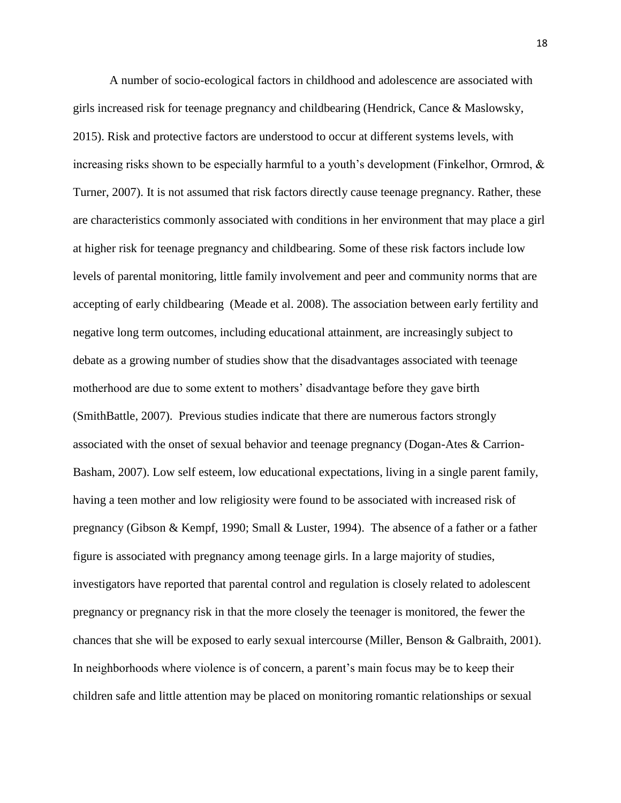A number of socio-ecological factors in childhood and adolescence are associated with girls increased risk for teenage pregnancy and childbearing (Hendrick, Cance & Maslowsky, 2015). Risk and protective factors are understood to occur at different systems levels, with increasing risks shown to be especially harmful to a youth's development (Finkelhor, Ormrod, & Turner, 2007). It is not assumed that risk factors directly cause teenage pregnancy. Rather, these are characteristics commonly associated with conditions in her environment that may place a girl at higher risk for teenage pregnancy and childbearing. Some of these risk factors include low levels of parental monitoring, little family involvement and peer and community norms that are accepting of early childbearing (Meade et al. 2008). The association between early fertility and negative long term outcomes, including educational attainment, are increasingly subject to debate as a growing number of studies show that the disadvantages associated with teenage motherhood are due to some extent to mothers' disadvantage before they gave birth (SmithBattle, 2007). Previous studies indicate that there are numerous factors strongly associated with the onset of sexual behavior and teenage pregnancy (Dogan-Ates & Carrion-Basham, 2007). Low self esteem, low educational expectations, living in a single parent family, having a teen mother and low religiosity were found to be associated with increased risk of pregnancy (Gibson & Kempf, 1990; Small & Luster, 1994). The absence of a father or a father figure is associated with pregnancy among teenage girls. In a large majority of studies, investigators have reported that parental control and regulation is closely related to adolescent pregnancy or pregnancy risk in that the more closely the teenager is monitored, the fewer the chances that she will be exposed to early sexual intercourse (Miller, Benson & Galbraith, 2001). In neighborhoods where violence is of concern, a parent's main focus may be to keep their children safe and little attention may be placed on monitoring romantic relationships or sexual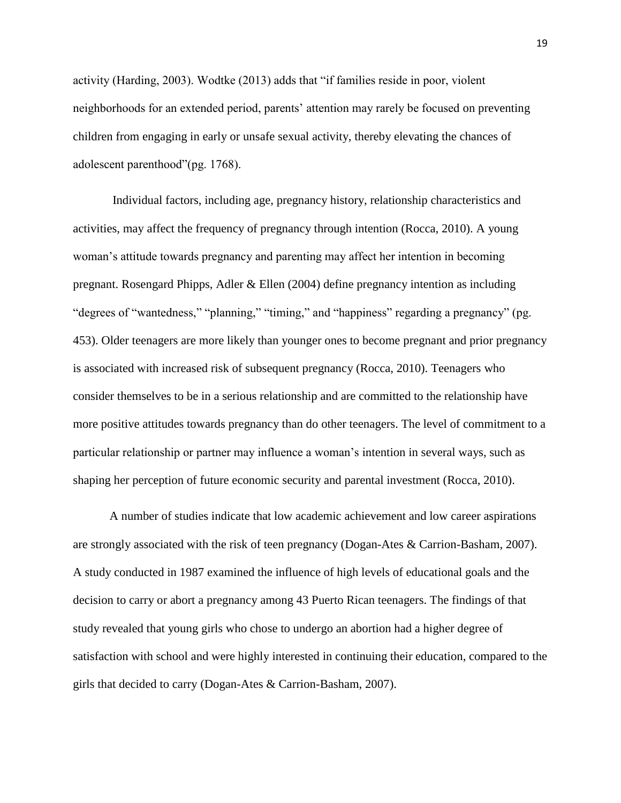activity (Harding, 2003). Wodtke (2013) adds that "if families reside in poor, violent neighborhoods for an extended period, parents' attention may rarely be focused on preventing children from engaging in early or unsafe sexual activity, thereby elevating the chances of adolescent parenthood"(pg. 1768).

Individual factors, including age, pregnancy history, relationship characteristics and activities, may affect the frequency of pregnancy through intention (Rocca, 2010). A young woman's attitude towards pregnancy and parenting may affect her intention in becoming pregnant. Rosengard Phipps, Adler & Ellen (2004) define pregnancy intention as including "degrees of "wantedness," "planning," "timing," and "happiness" regarding a pregnancy" (pg. 453). Older teenagers are more likely than younger ones to become pregnant and prior pregnancy is associated with increased risk of subsequent pregnancy (Rocca, 2010). Teenagers who consider themselves to be in a serious relationship and are committed to the relationship have more positive attitudes towards pregnancy than do other teenagers. The level of commitment to a particular relationship or partner may influence a woman's intention in several ways, such as shaping her perception of future economic security and parental investment (Rocca, 2010).

A number of studies indicate that low academic achievement and low career aspirations are strongly associated with the risk of teen pregnancy (Dogan-Ates & Carrion-Basham, 2007). A study conducted in 1987 examined the influence of high levels of educational goals and the decision to carry or abort a pregnancy among 43 Puerto Rican teenagers. The findings of that study revealed that young girls who chose to undergo an abortion had a higher degree of satisfaction with school and were highly interested in continuing their education, compared to the girls that decided to carry (Dogan-Ates & Carrion-Basham, 2007).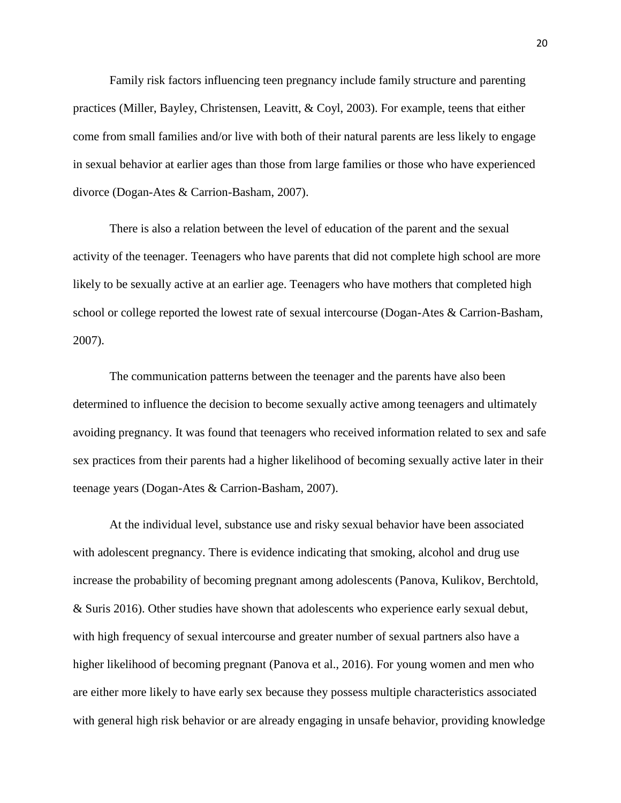Family risk factors influencing teen pregnancy include family structure and parenting practices (Miller, Bayley, Christensen, Leavitt, & Coyl, 2003). For example, teens that either come from small families and/or live with both of their natural parents are less likely to engage in sexual behavior at earlier ages than those from large families or those who have experienced divorce (Dogan-Ates & Carrion-Basham, 2007).

There is also a relation between the level of education of the parent and the sexual activity of the teenager. Teenagers who have parents that did not complete high school are more likely to be sexually active at an earlier age. Teenagers who have mothers that completed high school or college reported the lowest rate of sexual intercourse (Dogan-Ates & Carrion-Basham, 2007).

The communication patterns between the teenager and the parents have also been determined to influence the decision to become sexually active among teenagers and ultimately avoiding pregnancy. It was found that teenagers who received information related to sex and safe sex practices from their parents had a higher likelihood of becoming sexually active later in their teenage years (Dogan-Ates & Carrion-Basham, 2007).

At the individual level, substance use and risky sexual behavior have been associated with adolescent pregnancy. There is evidence indicating that smoking, alcohol and drug use increase the probability of becoming pregnant among adolescents (Panova, Kulikov, Berchtold, & Suris 2016). Other studies have shown that adolescents who experience early sexual debut, with high frequency of sexual intercourse and greater number of sexual partners also have a higher likelihood of becoming pregnant (Panova et al., 2016). For young women and men who are either more likely to have early sex because they possess multiple characteristics associated with general high risk behavior or are already engaging in unsafe behavior, providing knowledge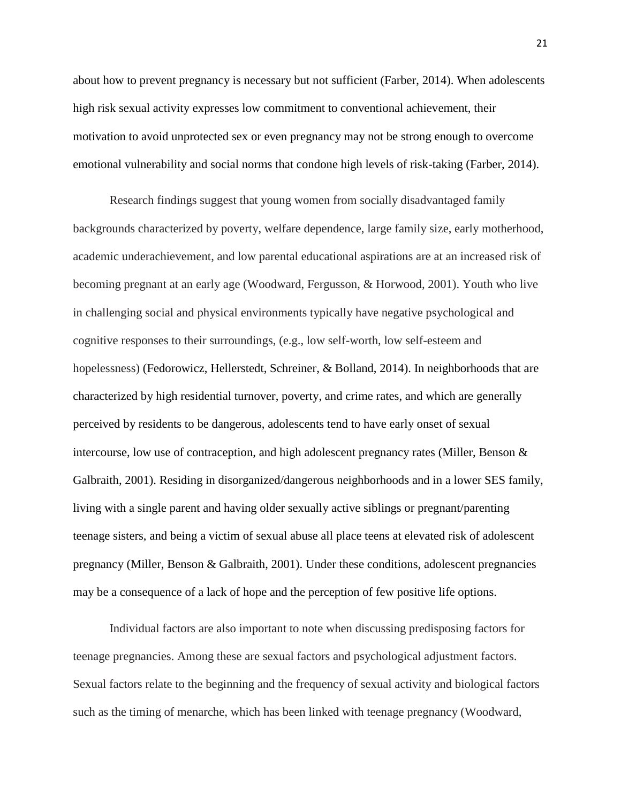about how to prevent pregnancy is necessary but not sufficient (Farber, 2014). When adolescents high risk sexual activity expresses low commitment to conventional achievement, their motivation to avoid unprotected sex or even pregnancy may not be strong enough to overcome emotional vulnerability and social norms that condone high levels of risk-taking (Farber, 2014).

Research findings suggest that young women from socially disadvantaged family backgrounds characterized by poverty, welfare dependence, large family size, early motherhood, academic underachievement, and low parental educational aspirations are at an increased risk of becoming pregnant at an early age (Woodward, Fergusson, & Horwood, 2001). Youth who live in challenging social and physical environments typically have negative psychological and cognitive responses to their surroundings, (e.g., low self-worth, low self-esteem and hopelessness) (Fedorowicz, Hellerstedt, Schreiner, & Bolland, 2014). In neighborhoods that are characterized by high residential turnover, poverty, and crime rates, and which are generally perceived by residents to be dangerous, adolescents tend to have early onset of sexual intercourse, low use of contraception, and high adolescent pregnancy rates (Miller, Benson & Galbraith, 2001). Residing in disorganized/dangerous neighborhoods and in a lower SES family, living with a single parent and having older sexually active siblings or pregnant/parenting teenage sisters, and being a victim of sexual abuse all place teens at elevated risk of adolescent pregnancy (Miller, Benson & Galbraith, 2001). Under these conditions, adolescent pregnancies may be a consequence of a lack of hope and the perception of few positive life options.

Individual factors are also important to note when discussing predisposing factors for teenage pregnancies. Among these are sexual factors and psychological adjustment factors. Sexual factors relate to the beginning and the frequency of sexual activity and biological factors such as the timing of menarche, which has been linked with teenage pregnancy (Woodward,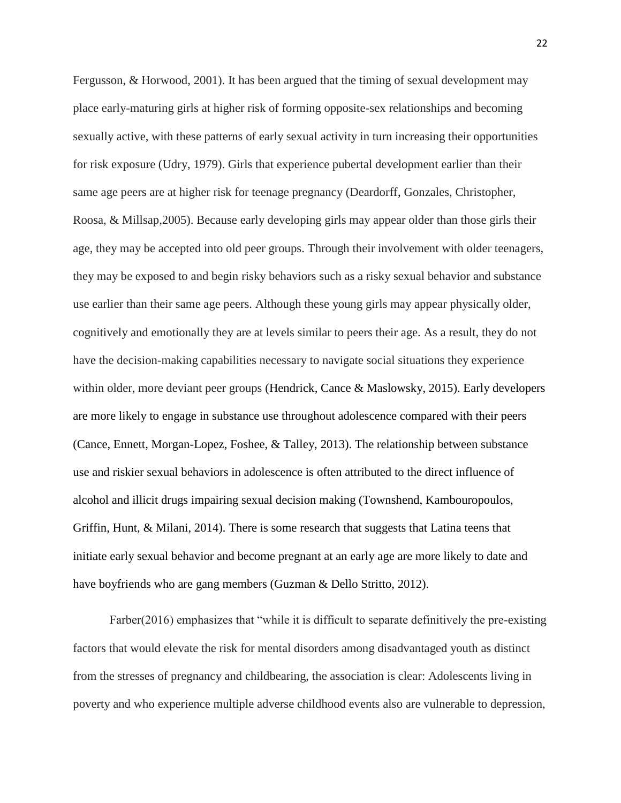Fergusson, & Horwood, 2001). It has been argued that the timing of sexual development may place early-maturing girls at higher risk of forming opposite-sex relationships and becoming sexually active, with these patterns of early sexual activity in turn increasing their opportunities for risk exposure (Udry, 1979). Girls that experience pubertal development earlier than their same age peers are at higher risk for teenage pregnancy (Deardorff, Gonzales, Christopher, Roosa, & Millsap,2005). Because early developing girls may appear older than those girls their age, they may be accepted into old peer groups. Through their involvement with older teenagers, they may be exposed to and begin risky behaviors such as a risky sexual behavior and substance use earlier than their same age peers. Although these young girls may appear physically older, cognitively and emotionally they are at levels similar to peers their age. As a result, they do not have the decision-making capabilities necessary to navigate social situations they experience within older, more deviant peer groups (Hendrick, Cance & Maslowsky, 2015). Early developers are more likely to engage in substance use throughout adolescence compared with their peers (Cance, Ennett, Morgan-Lopez, Foshee, & Talley, 2013). The relationship between substance use and riskier sexual behaviors in adolescence is often attributed to the direct influence of alcohol and illicit drugs impairing sexual decision making (Townshend, Kambouropoulos, Griffin, Hunt, & Milani, 2014). There is some research that suggests that Latina teens that initiate early sexual behavior and become pregnant at an early age are more likely to date and have boyfriends who are gang members (Guzman & Dello Stritto, 2012).

Farber(2016) emphasizes that "while it is difficult to separate definitively the pre-existing factors that would elevate the risk for mental disorders among disadvantaged youth as distinct from the stresses of pregnancy and childbearing, the association is clear: Adolescents living in poverty and who experience multiple adverse childhood events also are vulnerable to depression,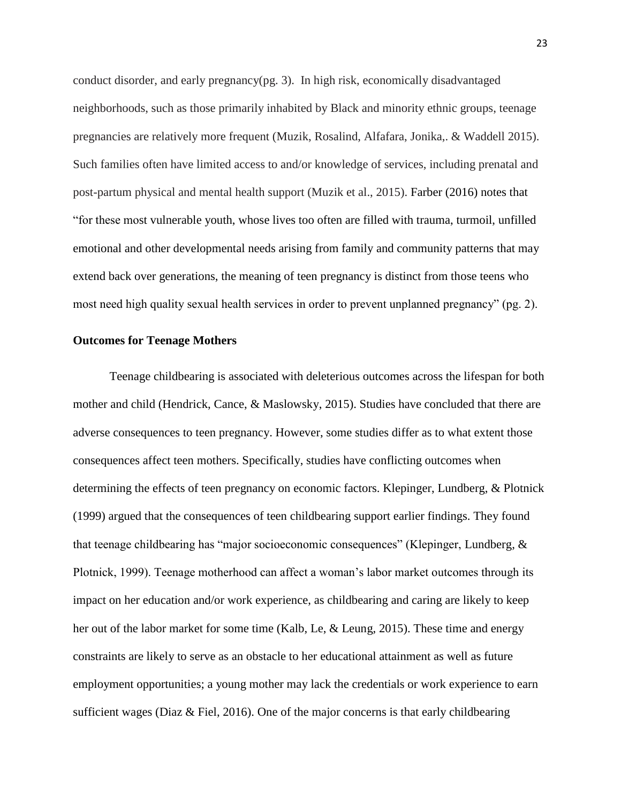conduct disorder, and early pregnancy(pg. 3). In high risk, economically disadvantaged neighborhoods, such as those primarily inhabited by Black and minority ethnic groups, teenage pregnancies are relatively more frequent (Muzik, Rosalind, Alfafara, Jonika,. & Waddell 2015). Such families often have limited access to and/or knowledge of services, including prenatal and post-partum physical and mental health support (Muzik et al., 2015). Farber (2016) notes that "for these most vulnerable youth, whose lives too often are filled with trauma, turmoil, unfilled emotional and other developmental needs arising from family and community patterns that may extend back over generations, the meaning of teen pregnancy is distinct from those teens who most need high quality sexual health services in order to prevent unplanned pregnancy" (pg. 2).

### **Outcomes for Teenage Mothers**

Teenage childbearing is associated with deleterious outcomes across the lifespan for both mother and child (Hendrick, Cance, & Maslowsky, 2015). Studies have concluded that there are adverse consequences to teen pregnancy. However, some studies differ as to what extent those consequences affect teen mothers. Specifically, studies have conflicting outcomes when determining the effects of teen pregnancy on economic factors. Klepinger, Lundberg, & Plotnick (1999) argued that the consequences of teen childbearing support earlier findings. They found that teenage childbearing has "major socioeconomic consequences" (Klepinger, Lundberg, & Plotnick, 1999). Teenage motherhood can affect a woman's labor market outcomes through its impact on her education and/or work experience, as childbearing and caring are likely to keep her out of the labor market for some time (Kalb, Le, & Leung, 2015). These time and energy constraints are likely to serve as an obstacle to her educational attainment as well as future employment opportunities; a young mother may lack the credentials or work experience to earn sufficient wages (Diaz & Fiel, 2016). One of the major concerns is that early childbearing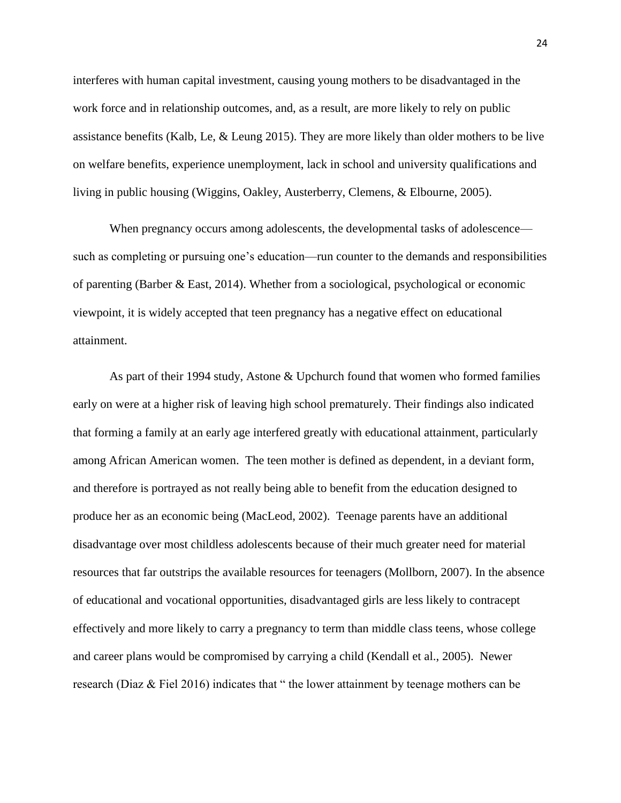interferes with human capital investment, causing young mothers to be disadvantaged in the work force and in relationship outcomes, and, as a result, are more likely to rely on public assistance benefits (Kalb, Le, & Leung 2015). They are more likely than older mothers to be live on welfare benefits, experience unemployment, lack in school and university qualifications and living in public housing (Wiggins, Oakley, Austerberry, Clemens, & Elbourne, 2005).

When pregnancy occurs among adolescents, the developmental tasks of adolescence such as completing or pursuing one's education—run counter to the demands and responsibilities of parenting (Barber & East, 2014). Whether from a sociological, psychological or economic viewpoint, it is widely accepted that teen pregnancy has a negative effect on educational attainment.

As part of their 1994 study, Astone & Upchurch found that women who formed families early on were at a higher risk of leaving high school prematurely. Their findings also indicated that forming a family at an early age interfered greatly with educational attainment, particularly among African American women. The teen mother is defined as dependent, in a deviant form, and therefore is portrayed as not really being able to benefit from the education designed to produce her as an economic being (MacLeod, 2002). Teenage parents have an additional disadvantage over most childless adolescents because of their much greater need for material resources that far outstrips the available resources for teenagers (Mollborn, 2007). In the absence of educational and vocational opportunities, disadvantaged girls are less likely to contracept effectively and more likely to carry a pregnancy to term than middle class teens, whose college and career plans would be compromised by carrying a child (Kendall et al., 2005). Newer research (Diaz & Fiel 2016) indicates that " the lower attainment by teenage mothers can be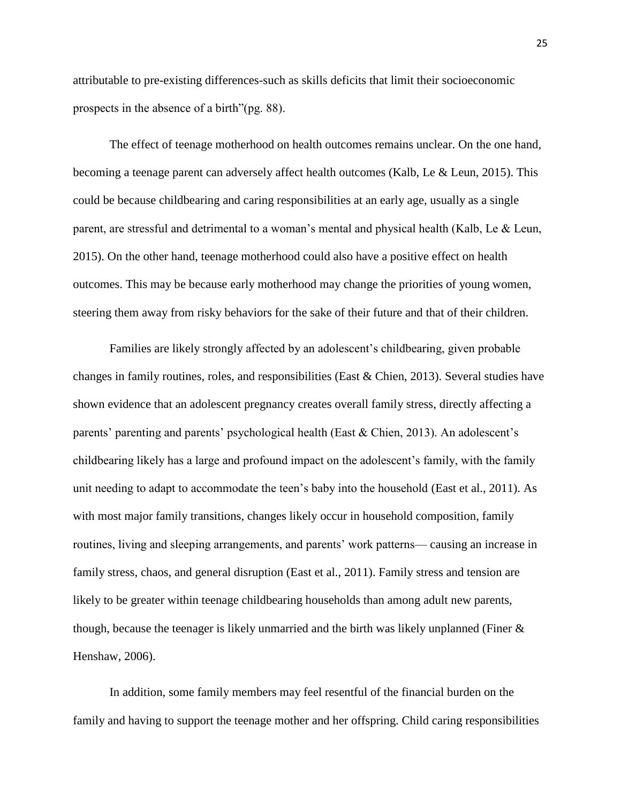attributable to pre-existing differences-such as skills deficits that limit their socioeconomic prospects in the absence of a birth"(pg. 88).

The effect of teenage motherhood on health outcomes remains unclear. On the one hand, becoming a teenage parent can adversely affect health outcomes (Kalb, Le & Leun, 2015). This could be because childbearing and caring responsibilities at an early age, usually as a single parent, are stressful and detrimental to a woman's mental and physical health (Kalb, Le & Leun, 2015). On the other hand, teenage motherhood could also have a positive effect on health outcomes. This may be because early motherhood may change the priorities of young women, steering them away from risky behaviors for the sake of their future and that of their children.

Families are likely strongly affected by an adolescent's childbearing, given probable changes in family routines, roles, and responsibilities (East & Chien, 2013). Several studies have shown evidence that an adolescent pregnancy creates overall family stress, directly affecting a parents' parenting and parents' psychological health (East & Chien, 2013). An adolescent's childbearing likely has a large and profound impact on the adolescent's family, with the family unit needing to adapt to accommodate the teen's baby into the household (East et al., 2011). As with most major family transitions, changes likely occur in household composition, family routines, living and sleeping arrangements, and parents' work patterns— causing an increase in family stress, chaos, and general disruption (East et al., 2011). Family stress and tension are likely to be greater within teenage childbearing households than among adult new parents, though, because the teenager is likely unmarried and the birth was likely unplanned (Finer & Henshaw, 2006).

In addition, some family members may feel resentful of the financial burden on the family and having to support the teenage mother and her offspring. Child caring responsibilities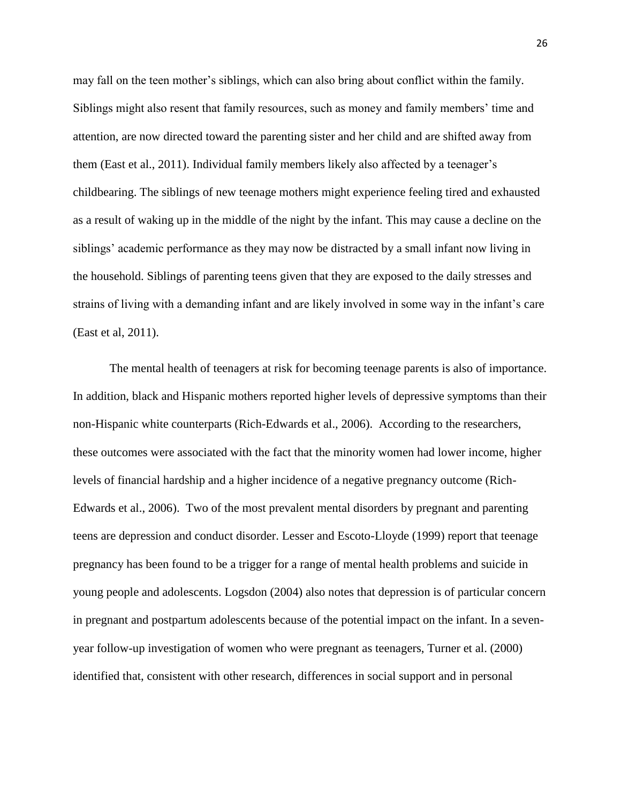may fall on the teen mother's siblings, which can also bring about conflict within the family. Siblings might also resent that family resources, such as money and family members' time and attention, are now directed toward the parenting sister and her child and are shifted away from them (East et al., 2011). Individual family members likely also affected by a teenager's childbearing. The siblings of new teenage mothers might experience feeling tired and exhausted as a result of waking up in the middle of the night by the infant. This may cause a decline on the siblings' academic performance as they may now be distracted by a small infant now living in the household. Siblings of parenting teens given that they are exposed to the daily stresses and strains of living with a demanding infant and are likely involved in some way in the infant's care (East et al, 2011).

The mental health of teenagers at risk for becoming teenage parents is also of importance. In addition, black and Hispanic mothers reported higher levels of depressive symptoms than their non-Hispanic white counterparts (Rich-Edwards et al., 2006). According to the researchers, these outcomes were associated with the fact that the minority women had lower income, higher levels of financial hardship and a higher incidence of a negative pregnancy outcome (Rich-Edwards et al., 2006). Two of the most prevalent mental disorders by pregnant and parenting teens are depression and conduct disorder. Lesser and Escoto-Lloyde (1999) report that teenage pregnancy has been found to be a trigger for a range of mental health problems and suicide in young people and adolescents. Logsdon (2004) also notes that depression is of particular concern in pregnant and postpartum adolescents because of the potential impact on the infant. In a sevenyear follow-up investigation of women who were pregnant as teenagers, Turner et al. (2000) identified that, consistent with other research, differences in social support and in personal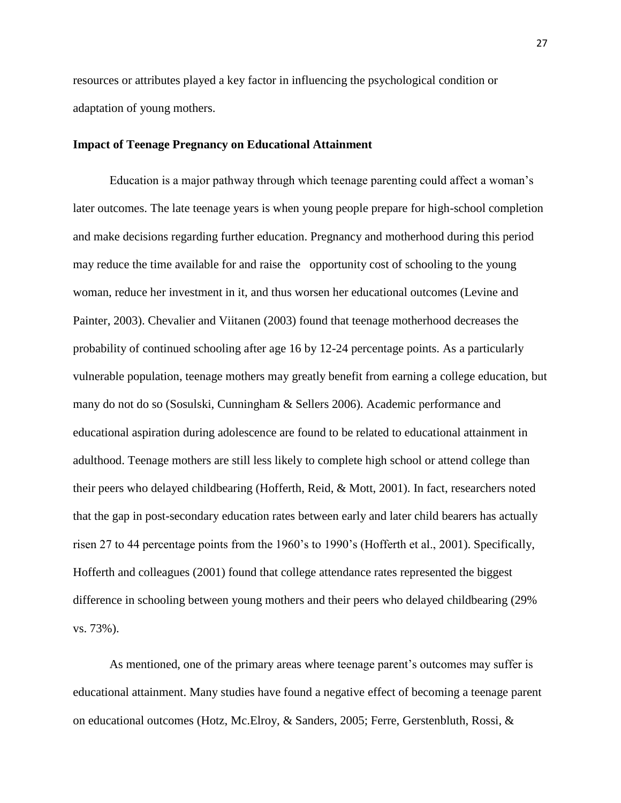resources or attributes played a key factor in influencing the psychological condition or adaptation of young mothers.

# **Impact of Teenage Pregnancy on Educational Attainment**

Education is a major pathway through which teenage parenting could affect a woman's later outcomes. The late teenage years is when young people prepare for high-school completion and make decisions regarding further education. Pregnancy and motherhood during this period may reduce the time available for and raise the opportunity cost of schooling to the young woman, reduce her investment in it, and thus worsen her educational outcomes (Levine and Painter, 2003). Chevalier and Viitanen (2003) found that teenage motherhood decreases the probability of continued schooling after age 16 by 12-24 percentage points. As a particularly vulnerable population, teenage mothers may greatly benefit from earning a college education, but many do not do so (Sosulski, Cunningham & Sellers 2006). Academic performance and educational aspiration during adolescence are found to be related to educational attainment in adulthood. Teenage mothers are still less likely to complete high school or attend college than their peers who delayed childbearing (Hofferth, Reid, & Mott, 2001). In fact, researchers noted that the gap in post-secondary education rates between early and later child bearers has actually risen 27 to 44 percentage points from the 1960's to 1990's (Hofferth et al., 2001). Specifically, Hofferth and colleagues (2001) found that college attendance rates represented the biggest difference in schooling between young mothers and their peers who delayed childbearing (29% vs. 73%).

As mentioned, one of the primary areas where teenage parent's outcomes may suffer is educational attainment. Many studies have found a negative effect of becoming a teenage parent on educational outcomes (Hotz, Mc.Elroy, & Sanders, 2005; Ferre, Gerstenbluth, Rossi, &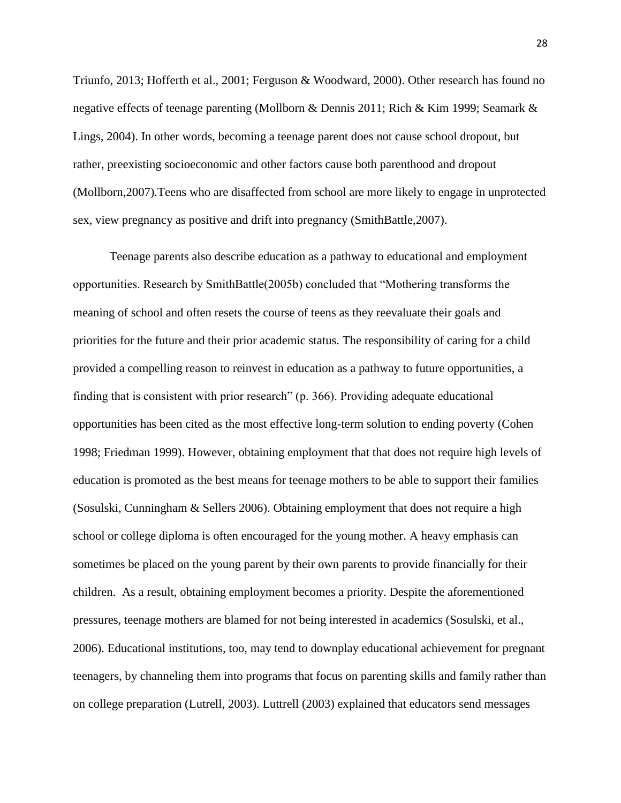Triunfo, 2013; Hofferth et al., 2001; Ferguson & Woodward, 2000). Other research has found no negative effects of teenage parenting (Mollborn & Dennis 2011; Rich & Kim 1999; Seamark & Lings, 2004). In other words, becoming a teenage parent does not cause school dropout, but rather, preexisting socioeconomic and other factors cause both parenthood and dropout (Mollborn,2007).Teens who are disaffected from school are more likely to engage in unprotected sex, view pregnancy as positive and drift into pregnancy (SmithBattle,2007).

Teenage parents also describe education as a pathway to educational and employment opportunities. Research by SmithBattle(2005b) concluded that "Mothering transforms the meaning of school and often resets the course of teens as they reevaluate their goals and priorities for the future and their prior academic status. The responsibility of caring for a child provided a compelling reason to reinvest in education as a pathway to future opportunities, a finding that is consistent with prior research" (p. 366). Providing adequate educational opportunities has been cited as the most effective long-term solution to ending poverty (Cohen 1998; Friedman 1999). However, obtaining employment that that does not require high levels of education is promoted as the best means for teenage mothers to be able to support their families (Sosulski, Cunningham & Sellers 2006). Obtaining employment that does not require a high school or college diploma is often encouraged for the young mother. A heavy emphasis can sometimes be placed on the young parent by their own parents to provide financially for their children. As a result, obtaining employment becomes a priority. Despite the aforementioned pressures, teenage mothers are blamed for not being interested in academics (Sosulski, et al., 2006). Educational institutions, too, may tend to downplay educational achievement for pregnant teenagers, by channeling them into programs that focus on parenting skills and family rather than on college preparation (Lutrell, 2003). Luttrell (2003) explained that educators send messages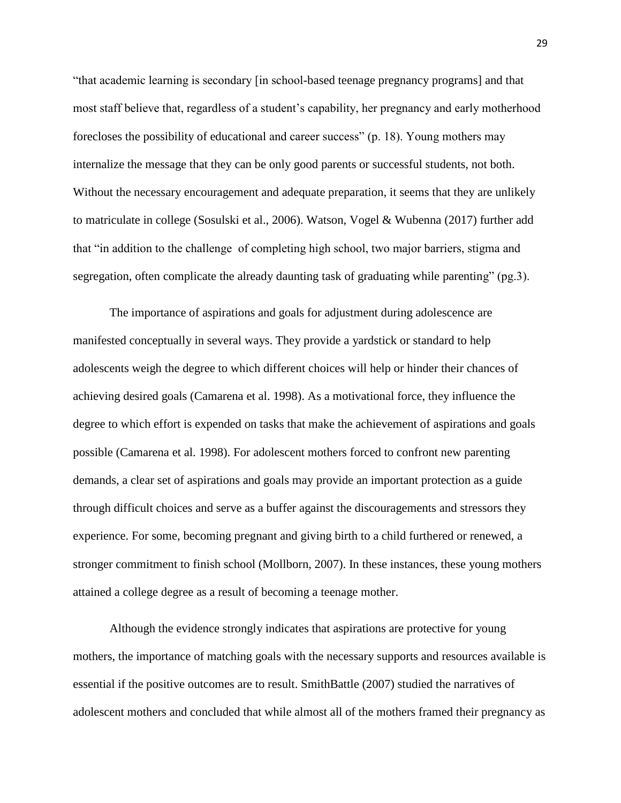"that academic learning is secondary [in school-based teenage pregnancy programs] and that most staff believe that, regardless of a student's capability, her pregnancy and early motherhood forecloses the possibility of educational and career success" (p. 18). Young mothers may internalize the message that they can be only good parents or successful students, not both. Without the necessary encouragement and adequate preparation, it seems that they are unlikely to matriculate in college (Sosulski et al., 2006). Watson, Vogel & Wubenna (2017) further add that "in addition to the challenge of completing high school, two major barriers, stigma and segregation, often complicate the already daunting task of graduating while parenting" (pg.3).

The importance of aspirations and goals for adjustment during adolescence are manifested conceptually in several ways. They provide a yardstick or standard to help adolescents weigh the degree to which different choices will help or hinder their chances of achieving desired goals (Camarena et al. 1998). As a motivational force, they influence the degree to which effort is expended on tasks that make the achievement of aspirations and goals possible (Camarena et al. 1998). For adolescent mothers forced to confront new parenting demands, a clear set of aspirations and goals may provide an important protection as a guide through difficult choices and serve as a buffer against the discouragements and stressors they experience. For some, becoming pregnant and giving birth to a child furthered or renewed, a stronger commitment to finish school (Mollborn, 2007). In these instances, these young mothers attained a college degree as a result of becoming a teenage mother.

Although the evidence strongly indicates that aspirations are protective for young mothers, the importance of matching goals with the necessary supports and resources available is essential if the positive outcomes are to result. SmithBattle (2007) studied the narratives of adolescent mothers and concluded that while almost all of the mothers framed their pregnancy as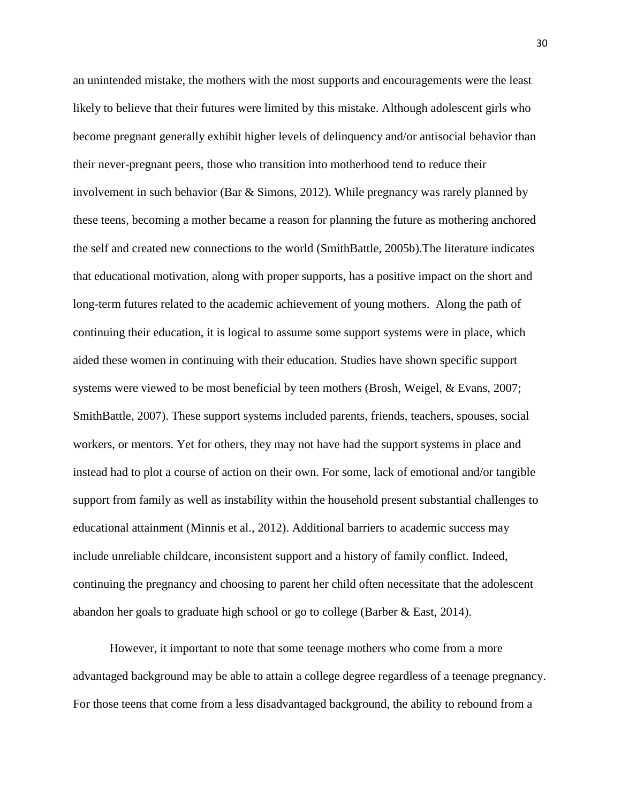an unintended mistake, the mothers with the most supports and encouragements were the least likely to believe that their futures were limited by this mistake. Although adolescent girls who become pregnant generally exhibit higher levels of delinquency and/or antisocial behavior than their never-pregnant peers, those who transition into motherhood tend to reduce their involvement in such behavior (Bar & Simons, 2012). While pregnancy was rarely planned by these teens, becoming a mother became a reason for planning the future as mothering anchored the self and created new connections to the world (SmithBattle, 2005b).The literature indicates that educational motivation, along with proper supports, has a positive impact on the short and long-term futures related to the academic achievement of young mothers. Along the path of continuing their education, it is logical to assume some support systems were in place, which aided these women in continuing with their education. Studies have shown specific support systems were viewed to be most beneficial by teen mothers (Brosh, Weigel, & Evans, 2007; SmithBattle, 2007). These support systems included parents, friends, teachers, spouses, social workers, or mentors. Yet for others, they may not have had the support systems in place and instead had to plot a course of action on their own. For some, lack of emotional and/or tangible support from family as well as instability within the household present substantial challenges to educational attainment (Minnis et al., 2012). Additional barriers to academic success may include unreliable childcare, inconsistent support and a history of family conflict. Indeed, continuing the pregnancy and choosing to parent her child often necessitate that the adolescent abandon her goals to graduate high school or go to college (Barber & East, 2014).

However, it important to note that some teenage mothers who come from a more advantaged background may be able to attain a college degree regardless of a teenage pregnancy. For those teens that come from a less disadvantaged background, the ability to rebound from a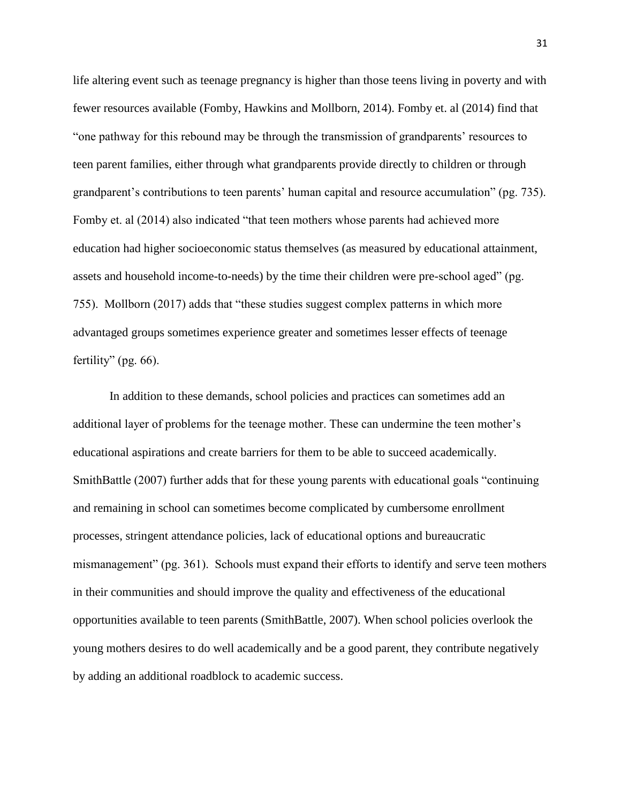life altering event such as teenage pregnancy is higher than those teens living in poverty and with fewer resources available (Fomby, Hawkins and Mollborn, 2014). Fomby et. al (2014) find that "one pathway for this rebound may be through the transmission of grandparents' resources to teen parent families, either through what grandparents provide directly to children or through grandparent's contributions to teen parents' human capital and resource accumulation" (pg. 735). Fomby et. al (2014) also indicated "that teen mothers whose parents had achieved more education had higher socioeconomic status themselves (as measured by educational attainment, assets and household income-to-needs) by the time their children were pre-school aged" (pg. 755). Mollborn (2017) adds that "these studies suggest complex patterns in which more advantaged groups sometimes experience greater and sometimes lesser effects of teenage fertility" (pg. 66).

In addition to these demands, school policies and practices can sometimes add an additional layer of problems for the teenage mother. These can undermine the teen mother's educational aspirations and create barriers for them to be able to succeed academically. SmithBattle (2007) further adds that for these young parents with educational goals "continuing and remaining in school can sometimes become complicated by cumbersome enrollment processes, stringent attendance policies, lack of educational options and bureaucratic mismanagement" (pg. 361). Schools must expand their efforts to identify and serve teen mothers in their communities and should improve the quality and effectiveness of the educational opportunities available to teen parents (SmithBattle, 2007). When school policies overlook the young mothers desires to do well academically and be a good parent, they contribute negatively by adding an additional roadblock to academic success.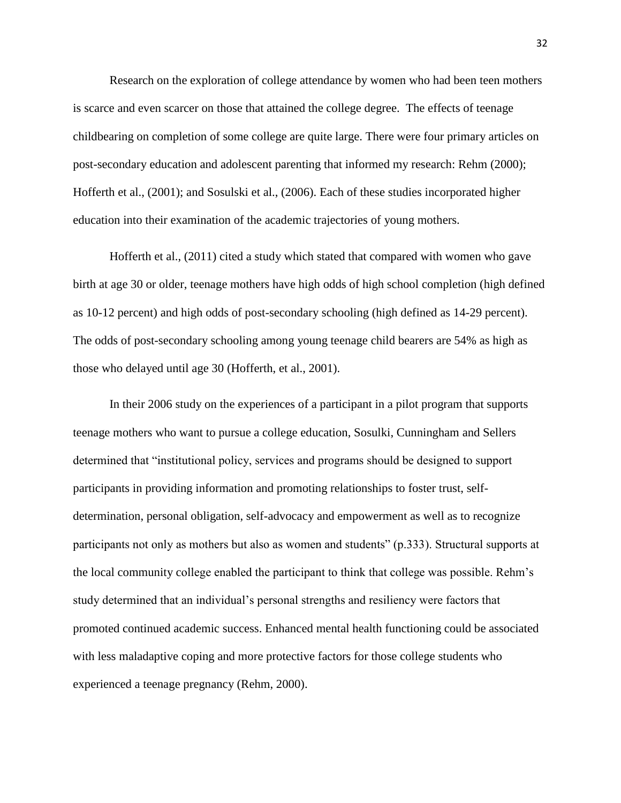Research on the exploration of college attendance by women who had been teen mothers is scarce and even scarcer on those that attained the college degree. The effects of teenage childbearing on completion of some college are quite large. There were four primary articles on post-secondary education and adolescent parenting that informed my research: Rehm (2000); Hofferth et al., (2001); and Sosulski et al., (2006). Each of these studies incorporated higher education into their examination of the academic trajectories of young mothers.

Hofferth et al., (2011) cited a study which stated that compared with women who gave birth at age 30 or older, teenage mothers have high odds of high school completion (high defined as 10-12 percent) and high odds of post-secondary schooling (high defined as 14-29 percent). The odds of post-secondary schooling among young teenage child bearers are 54% as high as those who delayed until age 30 (Hofferth, et al., 2001).

In their 2006 study on the experiences of a participant in a pilot program that supports teenage mothers who want to pursue a college education, Sosulki, Cunningham and Sellers determined that "institutional policy, services and programs should be designed to support participants in providing information and promoting relationships to foster trust, selfdetermination, personal obligation, self-advocacy and empowerment as well as to recognize participants not only as mothers but also as women and students" (p.333). Structural supports at the local community college enabled the participant to think that college was possible. Rehm's study determined that an individual's personal strengths and resiliency were factors that promoted continued academic success. Enhanced mental health functioning could be associated with less maladaptive coping and more protective factors for those college students who experienced a teenage pregnancy (Rehm, 2000).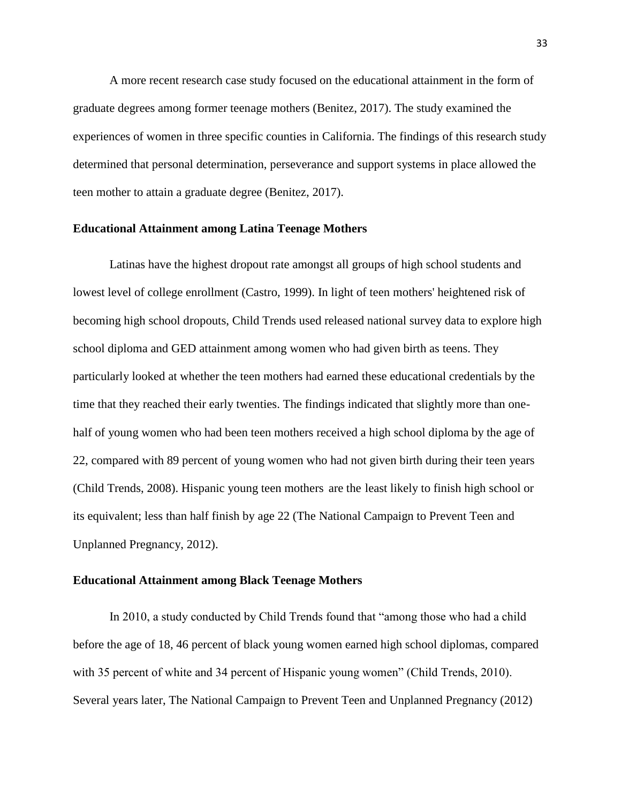A more recent research case study focused on the educational attainment in the form of graduate degrees among former teenage mothers (Benitez, 2017). The study examined the experiences of women in three specific counties in California. The findings of this research study determined that personal determination, perseverance and support systems in place allowed the teen mother to attain a graduate degree (Benitez, 2017).

#### **Educational Attainment among Latina Teenage Mothers**

Latinas have the highest dropout rate amongst all groups of high school students and lowest level of college enrollment (Castro, 1999). In light of teen mothers' heightened risk of becoming high school dropouts, Child Trends used released national survey data to explore high school diploma and GED attainment among women who had given birth as teens. They particularly looked at whether the teen mothers had earned these educational credentials by the time that they reached their early twenties. The findings indicated that slightly more than onehalf of young women who had been teen mothers received a high school diploma by the age of 22, compared with 89 percent of young women who had not given birth during their teen years (Child Trends, 2008). Hispanic young teen mothers are the least likely to finish high school or its equivalent; less than half finish by age 22 (The National Campaign to Prevent Teen and Unplanned Pregnancy, 2012).

#### **Educational Attainment among Black Teenage Mothers**

In 2010, a study conducted by Child Trends found that "among those who had a child before the age of 18, 46 percent of black young women earned high school diplomas, compared with 35 percent of white and 34 percent of Hispanic young women" (Child Trends, 2010). Several years later, The National Campaign to Prevent Teen and Unplanned Pregnancy (2012)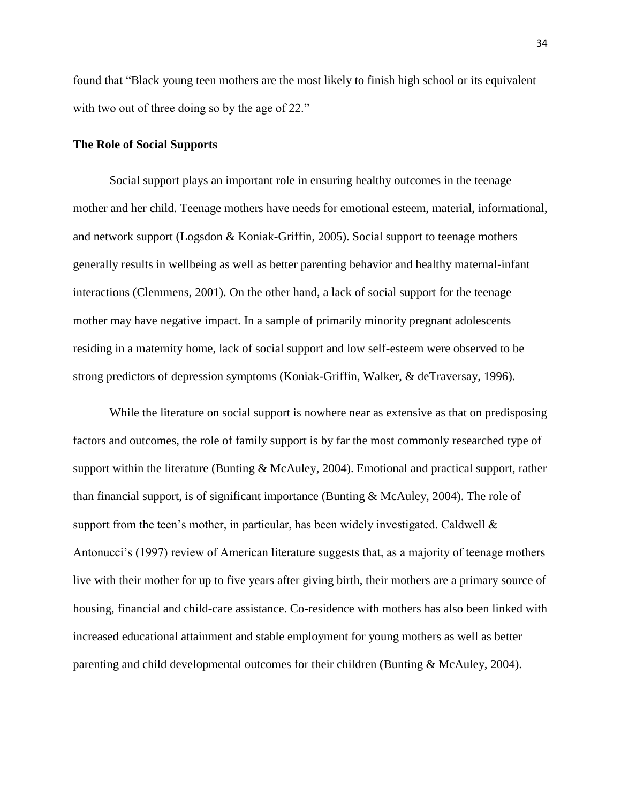found that "Black young teen mothers are the most likely to finish high school or its equivalent with two out of three doing so by the age of 22."

## **The Role of Social Supports**

Social support plays an important role in ensuring healthy outcomes in the teenage mother and her child. Teenage mothers have needs for emotional esteem, material, informational, and network support (Logsdon & Koniak-Griffin, 2005). Social support to teenage mothers generally results in wellbeing as well as better parenting behavior and healthy maternal-infant interactions (Clemmens, 2001). On the other hand, a lack of social support for the teenage mother may have negative impact. In a sample of primarily minority pregnant adolescents residing in a maternity home, lack of social support and low self-esteem were observed to be strong predictors of depression symptoms (Koniak-Griffin, Walker, & deTraversay, 1996).

While the literature on social support is nowhere near as extensive as that on predisposing factors and outcomes, the role of family support is by far the most commonly researched type of support within the literature (Bunting & McAuley, 2004). Emotional and practical support, rather than financial support, is of significant importance (Bunting & McAuley, 2004). The role of support from the teen's mother, in particular, has been widely investigated. Caldwell  $\&$ Antonucci's (1997) review of American literature suggests that, as a majority of teenage mothers live with their mother for up to five years after giving birth, their mothers are a primary source of housing, financial and child-care assistance. Co-residence with mothers has also been linked with increased educational attainment and stable employment for young mothers as well as better parenting and child developmental outcomes for their children (Bunting & McAuley, 2004).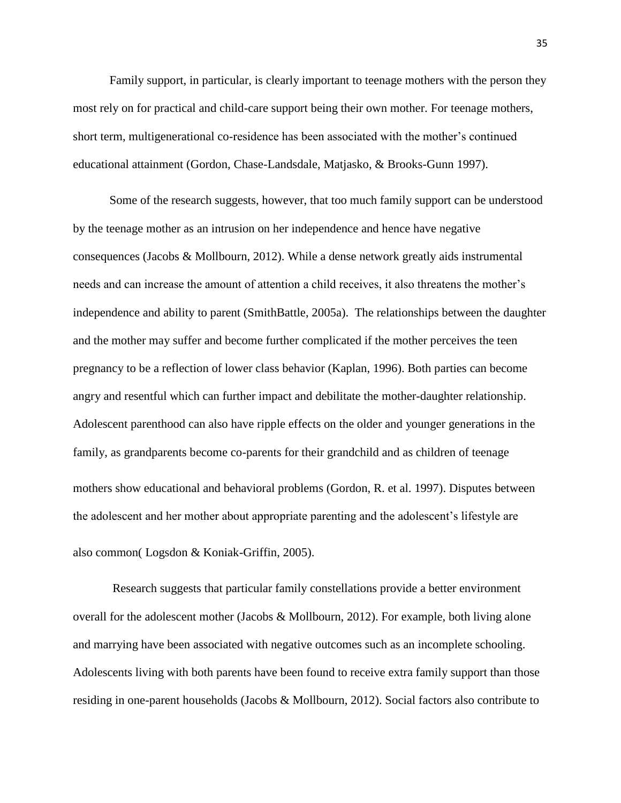Family support, in particular, is clearly important to teenage mothers with the person they most rely on for practical and child-care support being their own mother. For teenage mothers, short term, multigenerational co-residence has been associated with the mother's continued educational attainment (Gordon, Chase-Landsdale, Matjasko, & Brooks-Gunn 1997).

Some of the research suggests, however, that too much family support can be understood by the teenage mother as an intrusion on her independence and hence have negative consequences (Jacobs & Mollbourn, 2012). While a dense network greatly aids instrumental needs and can increase the amount of attention a child receives, it also threatens the mother's independence and ability to parent (SmithBattle, 2005a). The relationships between the daughter and the mother may suffer and become further complicated if the mother perceives the teen pregnancy to be a reflection of lower class behavior (Kaplan, 1996). Both parties can become angry and resentful which can further impact and debilitate the mother-daughter relationship. Adolescent parenthood can also have ripple effects on the older and younger generations in the family, as grandparents become co-parents for their grandchild and as children of teenage mothers show educational and behavioral problems (Gordon, R. et al. 1997). Disputes between the adolescent and her mother about appropriate parenting and the adolescent's lifestyle are also common( Logsdon & Koniak-Griffin, 2005).

Research suggests that particular family constellations provide a better environment overall for the adolescent mother (Jacobs & Mollbourn, 2012). For example, both living alone and marrying have been associated with negative outcomes such as an incomplete schooling. Adolescents living with both parents have been found to receive extra family support than those residing in one-parent households (Jacobs & Mollbourn, 2012). Social factors also contribute to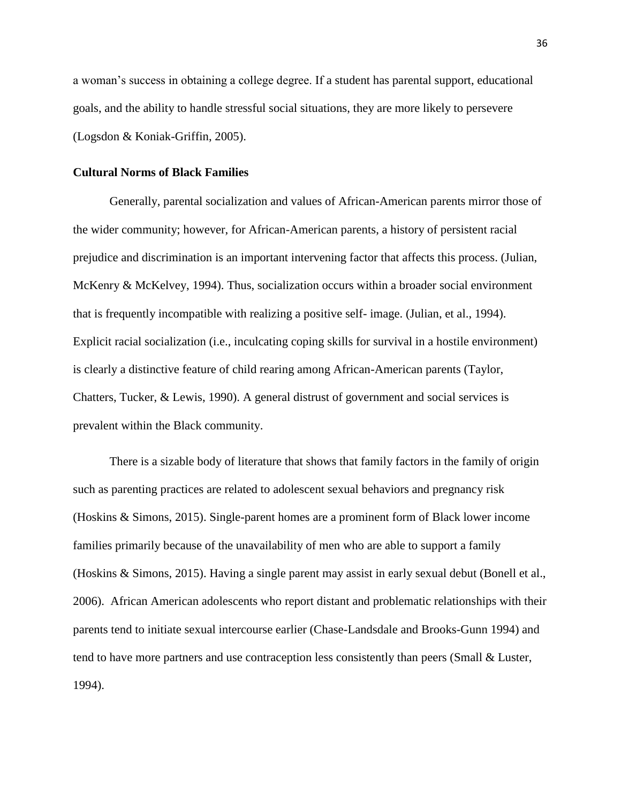a woman's success in obtaining a college degree. If a student has parental support, educational goals, and the ability to handle stressful social situations, they are more likely to persevere (Logsdon & Koniak-Griffin, 2005).

## **Cultural Norms of Black Families**

Generally, parental socialization and values of African-American parents mirror those of the wider community; however, for African-American parents, a history of persistent racial prejudice and discrimination is an important intervening factor that affects this process. (Julian, McKenry & McKelvey, 1994). Thus, socialization occurs within a broader social environment that is frequently incompatible with realizing a positive self- image. (Julian, et al., 1994). Explicit racial socialization (i.e., inculcating coping skills for survival in a hostile environment) is clearly a distinctive feature of child rearing among African-American parents (Taylor, Chatters, Tucker, & Lewis, 1990). A general distrust of government and social services is prevalent within the Black community.

There is a sizable body of literature that shows that family factors in the family of origin such as parenting practices are related to adolescent sexual behaviors and pregnancy risk (Hoskins & Simons, 2015). Single-parent homes are a prominent form of Black lower income families primarily because of the unavailability of men who are able to support a family (Hoskins & Simons, 2015). Having a single parent may assist in early sexual debut (Bonell et al., 2006). African American adolescents who report distant and problematic relationships with their parents tend to initiate sexual intercourse earlier (Chase-Landsdale and Brooks-Gunn 1994) and tend to have more partners and use contraception less consistently than peers (Small & Luster, 1994).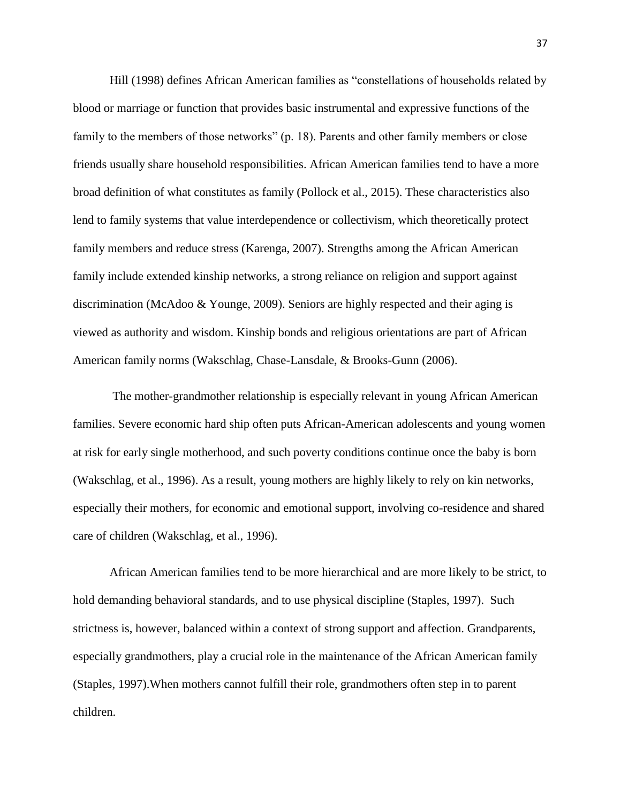Hill (1998) defines African American families as "constellations of households related by blood or marriage or function that provides basic instrumental and expressive functions of the family to the members of those networks" (p. 18). Parents and other family members or close friends usually share household responsibilities. African American families tend to have a more broad definition of what constitutes as family (Pollock et al., 2015). These characteristics also lend to family systems that value interdependence or collectivism, which theoretically protect family members and reduce stress (Karenga, 2007). Strengths among the African American family include extended kinship networks, a strong reliance on religion and support against discrimination (McAdoo & Younge, 2009). Seniors are highly respected and their aging is viewed as authority and wisdom. Kinship bonds and religious orientations are part of African American family norms (Wakschlag, Chase-Lansdale, & Brooks-Gunn (2006).

The mother-grandmother relationship is especially relevant in young African American families. Severe economic hard ship often puts African-American adolescents and young women at risk for early single motherhood, and such poverty conditions continue once the baby is born (Wakschlag, et al., 1996). As a result, young mothers are highly likely to rely on kin networks, especially their mothers, for economic and emotional support, involving co-residence and shared care of children (Wakschlag, et al., 1996).

African American families tend to be more hierarchical and are more likely to be strict, to hold demanding behavioral standards, and to use physical discipline (Staples, 1997). Such strictness is, however, balanced within a context of strong support and affection. Grandparents, especially grandmothers, play a crucial role in the maintenance of the African American family (Staples, 1997).When mothers cannot fulfill their role, grandmothers often step in to parent children.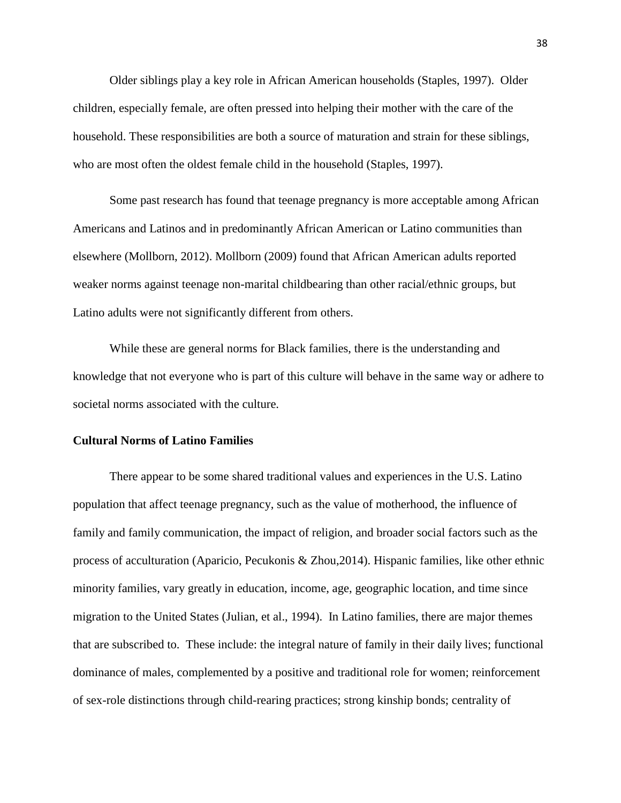Older siblings play a key role in African American households (Staples, 1997). Older children, especially female, are often pressed into helping their mother with the care of the household. These responsibilities are both a source of maturation and strain for these siblings, who are most often the oldest female child in the household (Staples, 1997).

Some past research has found that teenage pregnancy is more acceptable among African Americans and Latinos and in predominantly African American or Latino communities than elsewhere (Mollborn, 2012). Mollborn (2009) found that African American adults reported weaker norms against teenage non-marital childbearing than other racial/ethnic groups, but Latino adults were not significantly different from others.

While these are general norms for Black families, there is the understanding and knowledge that not everyone who is part of this culture will behave in the same way or adhere to societal norms associated with the culture.

# **Cultural Norms of Latino Families**

There appear to be some shared traditional values and experiences in the U.S. Latino population that affect teenage pregnancy, such as the value of motherhood, the influence of family and family communication, the impact of religion, and broader social factors such as the process of acculturation (Aparicio, Pecukonis & Zhou,2014). Hispanic families, like other ethnic minority families, vary greatly in education, income, age, geographic location, and time since migration to the United States (Julian, et al., 1994). In Latino families, there are major themes that are subscribed to. These include: the integral nature of family in their daily lives; functional dominance of males, complemented by a positive and traditional role for women; reinforcement of sex-role distinctions through child-rearing practices; strong kinship bonds; centrality of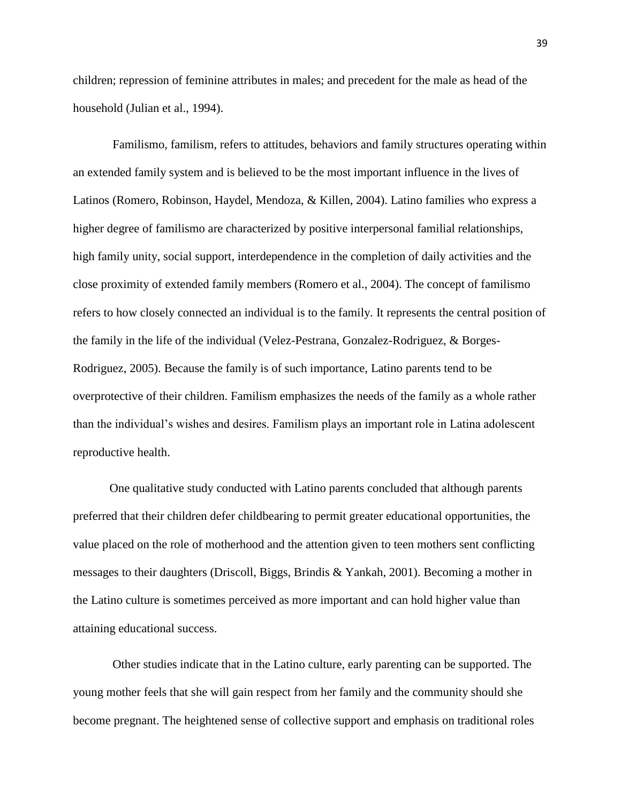children; repression of feminine attributes in males; and precedent for the male as head of the household (Julian et al., 1994).

Familismo, familism, refers to attitudes, behaviors and family structures operating within an extended family system and is believed to be the most important influence in the lives of Latinos (Romero, Robinson, Haydel, Mendoza, & Killen, 2004). Latino families who express a higher degree of familismo are characterized by positive interpersonal familial relationships, high family unity, social support, interdependence in the completion of daily activities and the close proximity of extended family members (Romero et al., 2004). The concept of familismo refers to how closely connected an individual is to the family. It represents the central position of the family in the life of the individual (Velez-Pestrana, Gonzalez-Rodriguez, & Borges-Rodriguez, 2005). Because the family is of such importance, Latino parents tend to be overprotective of their children. Familism emphasizes the needs of the family as a whole rather than the individual's wishes and desires. Familism plays an important role in Latina adolescent reproductive health.

One qualitative study conducted with Latino parents concluded that although parents preferred that their children defer childbearing to permit greater educational opportunities, the value placed on the role of motherhood and the attention given to teen mothers sent conflicting messages to their daughters (Driscoll, Biggs, Brindis & Yankah, 2001). Becoming a mother in the Latino culture is sometimes perceived as more important and can hold higher value than attaining educational success.

Other studies indicate that in the Latino culture, early parenting can be supported. The young mother feels that she will gain respect from her family and the community should she become pregnant. The heightened sense of collective support and emphasis on traditional roles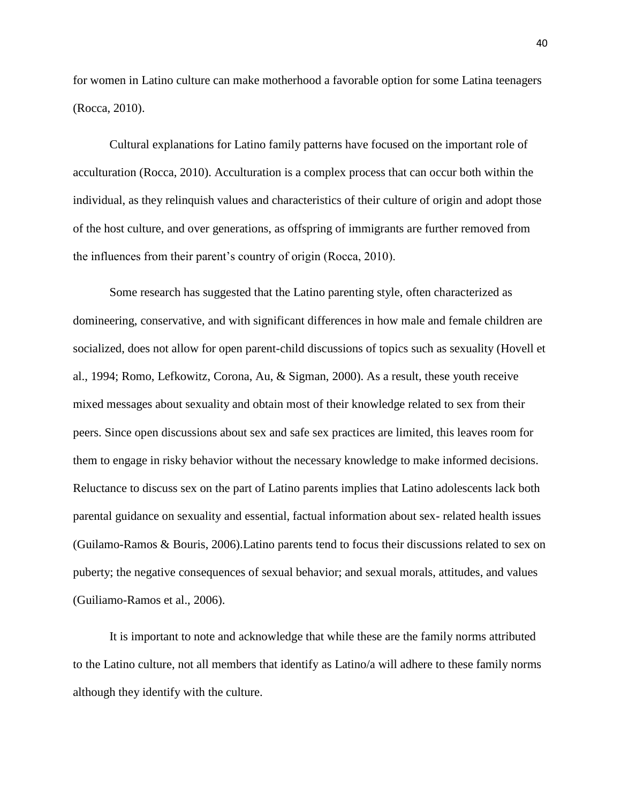for women in Latino culture can make motherhood a favorable option for some Latina teenagers (Rocca, 2010).

Cultural explanations for Latino family patterns have focused on the important role of acculturation (Rocca, 2010). Acculturation is a complex process that can occur both within the individual, as they relinquish values and characteristics of their culture of origin and adopt those of the host culture, and over generations, as offspring of immigrants are further removed from the influences from their parent's country of origin (Rocca, 2010).

Some research has suggested that the Latino parenting style, often characterized as domineering, conservative, and with significant differences in how male and female children are socialized, does not allow for open parent-child discussions of topics such as sexuality (Hovell et al., 1994; Romo, Lefkowitz, Corona, Au, & Sigman, 2000). As a result, these youth receive mixed messages about sexuality and obtain most of their knowledge related to sex from their peers. Since open discussions about sex and safe sex practices are limited, this leaves room for them to engage in risky behavior without the necessary knowledge to make informed decisions. Reluctance to discuss sex on the part of Latino parents implies that Latino adolescents lack both parental guidance on sexuality and essential, factual information about sex- related health issues (Guilamo-Ramos & Bouris, 2006).Latino parents tend to focus their discussions related to sex on puberty; the negative consequences of sexual behavior; and sexual morals, attitudes, and values (Guiliamo-Ramos et al., 2006).

It is important to note and acknowledge that while these are the family norms attributed to the Latino culture, not all members that identify as Latino/a will adhere to these family norms although they identify with the culture.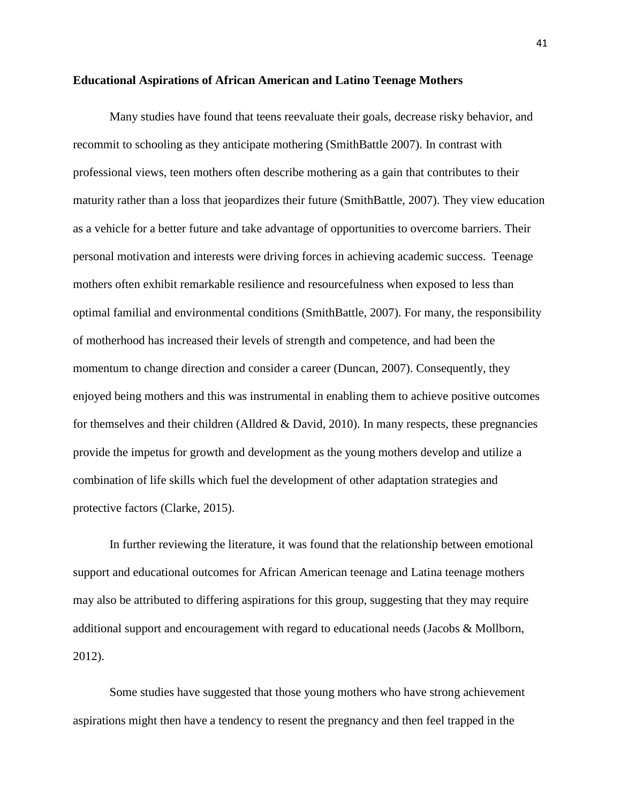#### **Educational Aspirations of African American and Latino Teenage Mothers**

Many studies have found that teens reevaluate their goals, decrease risky behavior, and recommit to schooling as they anticipate mothering (SmithBattle 2007). In contrast with professional views, teen mothers often describe mothering as a gain that contributes to their maturity rather than a loss that jeopardizes their future (SmithBattle, 2007). They view education as a vehicle for a better future and take advantage of opportunities to overcome barriers. Their personal motivation and interests were driving forces in achieving academic success. Teenage mothers often exhibit remarkable resilience and resourcefulness when exposed to less than optimal familial and environmental conditions (SmithBattle, 2007). For many, the responsibility of motherhood has increased their levels of strength and competence, and had been the momentum to change direction and consider a career (Duncan, 2007). Consequently, they enjoyed being mothers and this was instrumental in enabling them to achieve positive outcomes for themselves and their children (Alldred  $& David, 2010$ ). In many respects, these pregnancies provide the impetus for growth and development as the young mothers develop and utilize a combination of life skills which fuel the development of other adaptation strategies and protective factors (Clarke, 2015).

In further reviewing the literature, it was found that the relationship between emotional support and educational outcomes for African American teenage and Latina teenage mothers may also be attributed to differing aspirations for this group, suggesting that they may require additional support and encouragement with regard to educational needs (Jacobs & Mollborn, 2012).

Some studies have suggested that those young mothers who have strong achievement aspirations might then have a tendency to resent the pregnancy and then feel trapped in the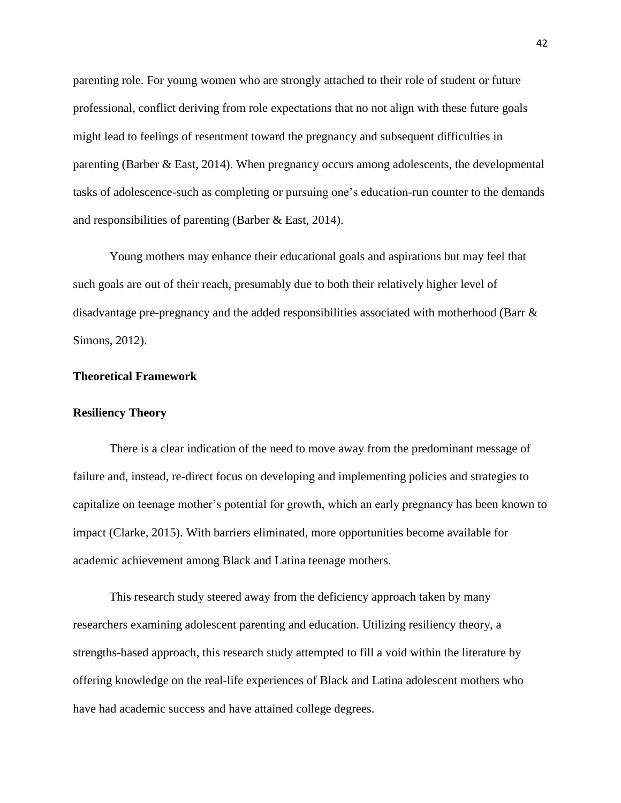parenting role. For young women who are strongly attached to their role of student or future professional, conflict deriving from role expectations that no not align with these future goals might lead to feelings of resentment toward the pregnancy and subsequent difficulties in parenting (Barber & East, 2014). When pregnancy occurs among adolescents, the developmental tasks of adolescence-such as completing or pursuing one's education-run counter to the demands and responsibilities of parenting (Barber & East, 2014).

Young mothers may enhance their educational goals and aspirations but may feel that such goals are out of their reach, presumably due to both their relatively higher level of disadvantage pre-pregnancy and the added responsibilities associated with motherhood (Barr & Simons, 2012).

## **Theoretical Framework**

## **Resiliency Theory**

There is a clear indication of the need to move away from the predominant message of failure and, instead, re-direct focus on developing and implementing policies and strategies to capitalize on teenage mother's potential for growth, which an early pregnancy has been known to impact (Clarke, 2015). With barriers eliminated, more opportunities become available for academic achievement among Black and Latina teenage mothers.

This research study steered away from the deficiency approach taken by many researchers examining adolescent parenting and education. Utilizing resiliency theory, a strengths-based approach, this research study attempted to fill a void within the literature by offering knowledge on the real-life experiences of Black and Latina adolescent mothers who have had academic success and have attained college degrees.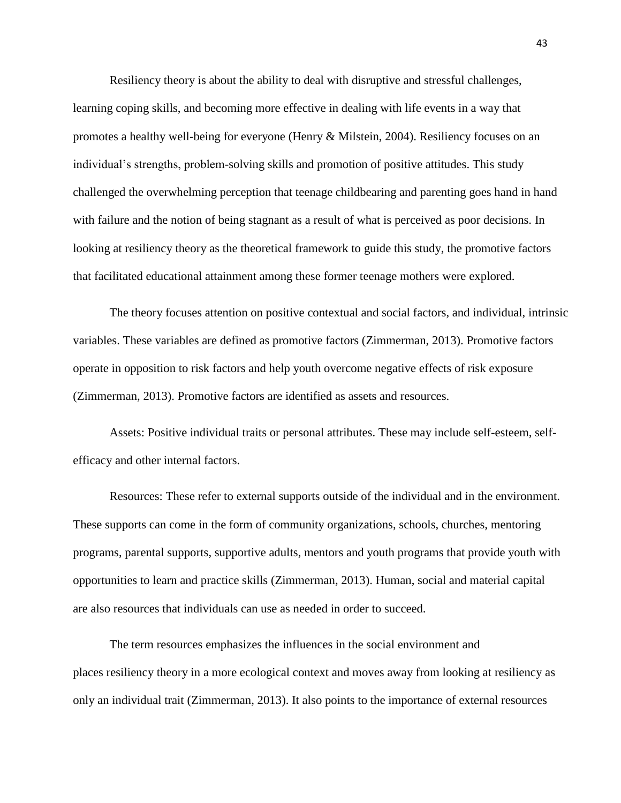Resiliency theory is about the ability to deal with disruptive and stressful challenges, learning coping skills, and becoming more effective in dealing with life events in a way that promotes a healthy well-being for everyone (Henry & Milstein, 2004). Resiliency focuses on an individual's strengths, problem-solving skills and promotion of positive attitudes. This study challenged the overwhelming perception that teenage childbearing and parenting goes hand in hand with failure and the notion of being stagnant as a result of what is perceived as poor decisions. In looking at resiliency theory as the theoretical framework to guide this study, the promotive factors that facilitated educational attainment among these former teenage mothers were explored.

The theory focuses attention on positive contextual and social factors, and individual, intrinsic variables. These variables are defined as promotive factors (Zimmerman, 2013). Promotive factors operate in opposition to risk factors and help youth overcome negative effects of risk exposure (Zimmerman, 2013). Promotive factors are identified as assets and resources.

Assets: Positive individual traits or personal attributes. These may include self-esteem, selfefficacy and other internal factors.

Resources: These refer to external supports outside of the individual and in the environment. These supports can come in the form of community organizations, schools, churches, mentoring programs, parental supports, supportive adults, mentors and youth programs that provide youth with opportunities to learn and practice skills (Zimmerman, 2013). Human, social and material capital are also resources that individuals can use as needed in order to succeed.

The term resources emphasizes the influences in the social environment and places resiliency theory in a more ecological context and moves away from looking at resiliency as only an individual trait (Zimmerman, 2013). It also points to the importance of external resources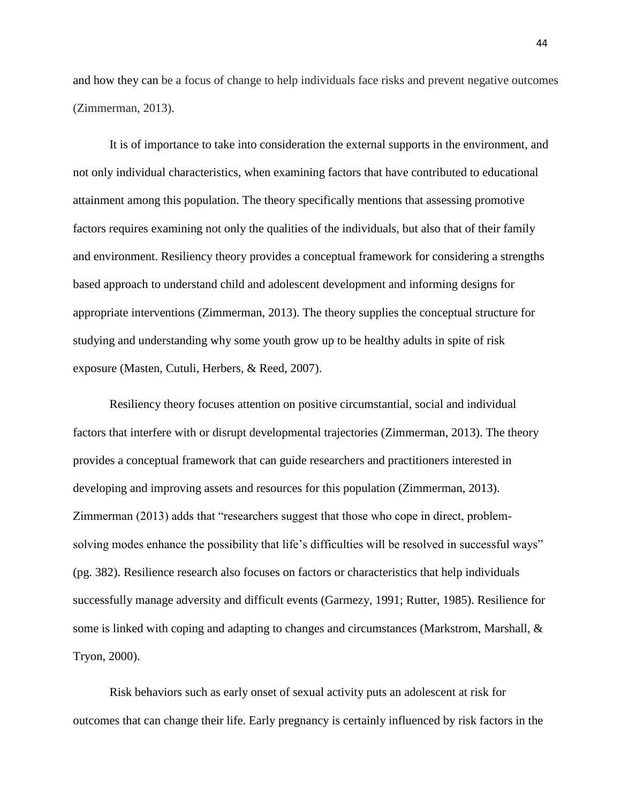and how they can be a focus of change to help individuals face risks and prevent negative outcomes (Zimmerman, 2013).

It is of importance to take into consideration the external supports in the environment, and not only individual characteristics, when examining factors that have contributed to educational attainment among this population. The theory specifically mentions that assessing promotive factors requires examining not only the qualities of the individuals, but also that of their family and environment. Resiliency theory provides a conceptual framework for considering a strengths based approach to understand child and adolescent development and informing designs for appropriate interventions (Zimmerman, 2013). The theory supplies the conceptual structure for studying and understanding why some youth grow up to be healthy adults in spite of risk exposure (Masten, Cutuli, Herbers, & Reed, 2007).

Resiliency theory focuses attention on positive circumstantial, social and individual factors that interfere with or disrupt developmental trajectories (Zimmerman, 2013). The theory provides a conceptual framework that can guide researchers and practitioners interested in developing and improving assets and resources for this population (Zimmerman, 2013). Zimmerman (2013) adds that "researchers suggest that those who cope in direct, problemsolving modes enhance the possibility that life's difficulties will be resolved in successful ways" (pg. 382). Resilience research also focuses on factors or characteristics that help individuals successfully manage adversity and difficult events (Garmezy, 1991; Rutter, 1985). Resilience for some is linked with coping and adapting to changes and circumstances (Markstrom, Marshall, & Tryon, 2000).

Risk behaviors such as early onset of sexual activity puts an adolescent at risk for outcomes that can change their life. Early pregnancy is certainly influenced by risk factors in the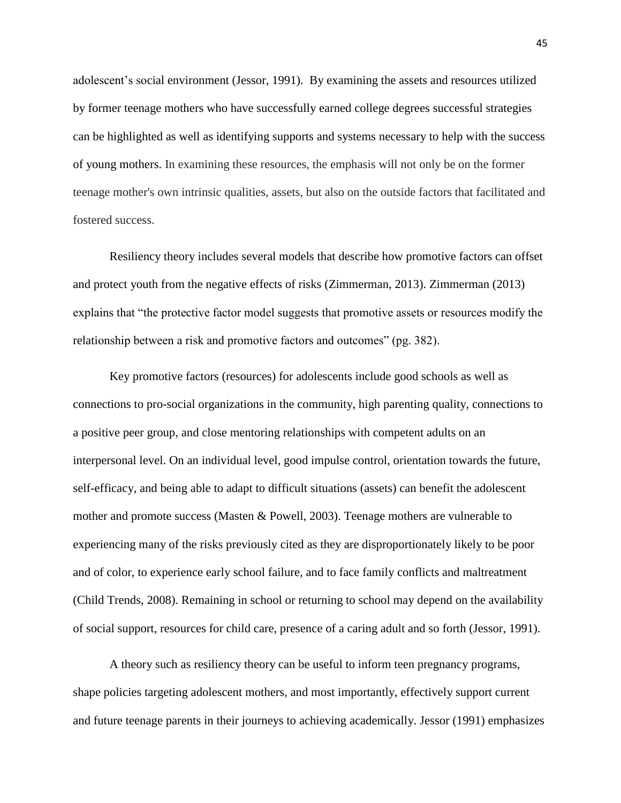adolescent's social environment (Jessor, 1991). By examining the assets and resources utilized by former teenage mothers who have successfully earned college degrees successful strategies can be highlighted as well as identifying supports and systems necessary to help with the success of young mothers. In examining these resources, the emphasis will not only be on the former teenage mother's own intrinsic qualities, assets, but also on the outside factors that facilitated and fostered success.

Resiliency theory includes several models that describe how promotive factors can offset and protect youth from the negative effects of risks (Zimmerman, 2013). Zimmerman (2013) explains that "the protective factor model suggests that promotive assets or resources modify the relationship between a risk and promotive factors and outcomes" (pg. 382).

Key promotive factors (resources) for adolescents include good schools as well as connections to pro-social organizations in the community, high parenting quality, connections to a positive peer group, and close mentoring relationships with competent adults on an interpersonal level. On an individual level, good impulse control, orientation towards the future, self-efficacy, and being able to adapt to difficult situations (assets) can benefit the adolescent mother and promote success (Masten & Powell, 2003). Teenage mothers are vulnerable to experiencing many of the risks previously cited as they are disproportionately likely to be poor and of color, to experience early school failure, and to face family conflicts and maltreatment (Child Trends, 2008). Remaining in school or returning to school may depend on the availability of social support, resources for child care, presence of a caring adult and so forth (Jessor, 1991).

A theory such as resiliency theory can be useful to inform teen pregnancy programs, shape policies targeting adolescent mothers, and most importantly, effectively support current and future teenage parents in their journeys to achieving academically. Jessor (1991) emphasizes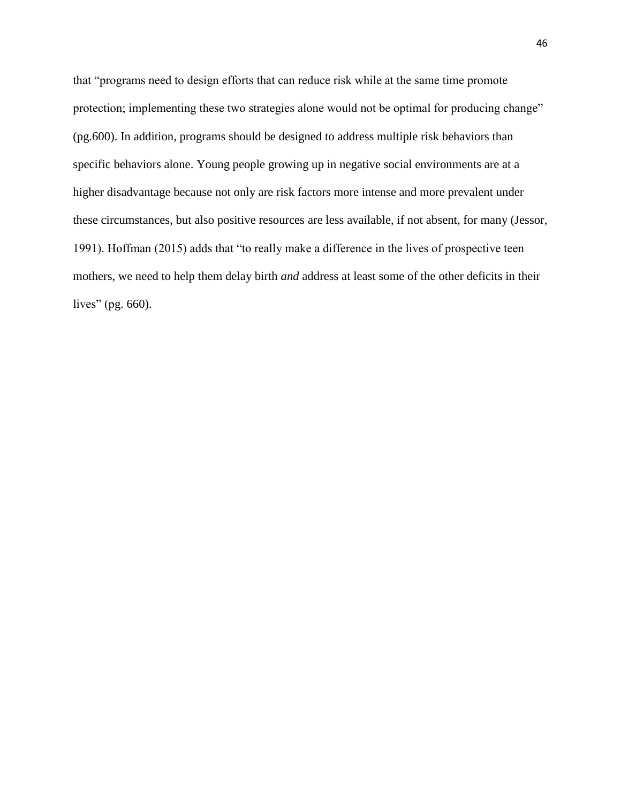that "programs need to design efforts that can reduce risk while at the same time promote protection; implementing these two strategies alone would not be optimal for producing change" (pg.600). In addition, programs should be designed to address multiple risk behaviors than specific behaviors alone. Young people growing up in negative social environments are at a higher disadvantage because not only are risk factors more intense and more prevalent under these circumstances, but also positive resources are less available, if not absent, for many (Jessor, 1991). Hoffman (2015) adds that "to really make a difference in the lives of prospective teen mothers, we need to help them delay birth *and* address at least some of the other deficits in their lives" (pg. 660).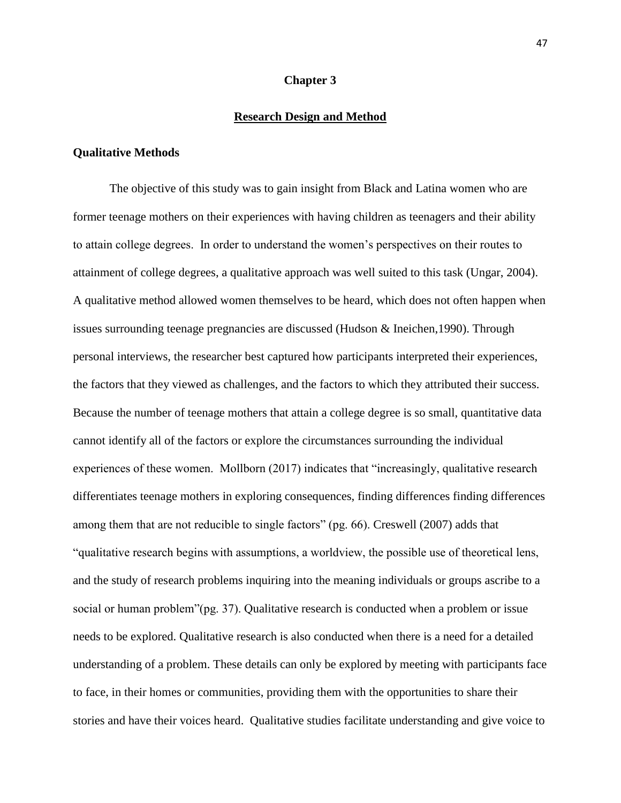## **Chapter 3**

# **Research Design and Method**

## **Qualitative Methods**

The objective of this study was to gain insight from Black and Latina women who are former teenage mothers on their experiences with having children as teenagers and their ability to attain college degrees. In order to understand the women's perspectives on their routes to attainment of college degrees, a qualitative approach was well suited to this task (Ungar, 2004). A qualitative method allowed women themselves to be heard, which does not often happen when issues surrounding teenage pregnancies are discussed (Hudson & Ineichen,1990). Through personal interviews, the researcher best captured how participants interpreted their experiences, the factors that they viewed as challenges, and the factors to which they attributed their success. Because the number of teenage mothers that attain a college degree is so small, quantitative data cannot identify all of the factors or explore the circumstances surrounding the individual experiences of these women. Mollborn (2017) indicates that "increasingly, qualitative research differentiates teenage mothers in exploring consequences, finding differences finding differences among them that are not reducible to single factors" (pg. 66). Creswell (2007) adds that "qualitative research begins with assumptions, a worldview, the possible use of theoretical lens, and the study of research problems inquiring into the meaning individuals or groups ascribe to a social or human problem" (pg. 37). Qualitative research is conducted when a problem or issue needs to be explored. Qualitative research is also conducted when there is a need for a detailed understanding of a problem. These details can only be explored by meeting with participants face to face, in their homes or communities, providing them with the opportunities to share their stories and have their voices heard. Qualitative studies facilitate understanding and give voice to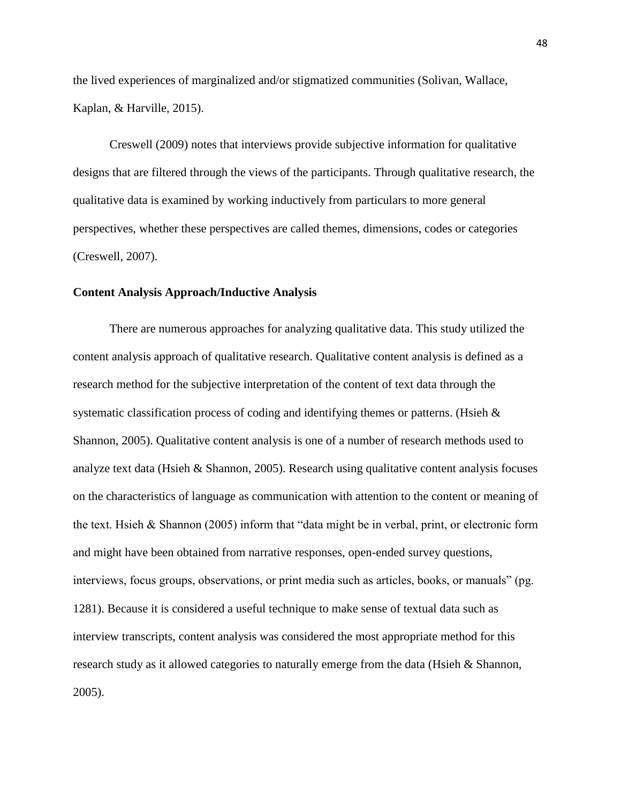the lived experiences of marginalized and/or stigmatized communities (Solivan, Wallace, Kaplan, & Harville, 2015).

Creswell (2009) notes that interviews provide subjective information for qualitative designs that are filtered through the views of the participants. Through qualitative research, the qualitative data is examined by working inductively from particulars to more general perspectives, whether these perspectives are called themes, dimensions, codes or categories (Creswell, 2007).

#### **Content Analysis Approach/Inductive Analysis**

There are numerous approaches for analyzing qualitative data. This study utilized the content analysis approach of qualitative research. Qualitative content analysis is defined as a research method for the subjective interpretation of the content of text data through the systematic classification process of coding and identifying themes or patterns. (Hsieh & Shannon, 2005). Qualitative content analysis is one of a number of research methods used to analyze text data (Hsieh & Shannon, 2005). Research using qualitative content analysis focuses on the characteristics of language as communication with attention to the content or meaning of the text. Hsieh & Shannon (2005) inform that "data might be in verbal, print, or electronic form and might have been obtained from narrative responses, open-ended survey questions, interviews, focus groups, observations, or print media such as articles, books, or manuals" (pg. 1281). Because it is considered a useful technique to make sense of textual data such as interview transcripts, content analysis was considered the most appropriate method for this research study as it allowed categories to naturally emerge from the data (Hsieh & Shannon, 2005).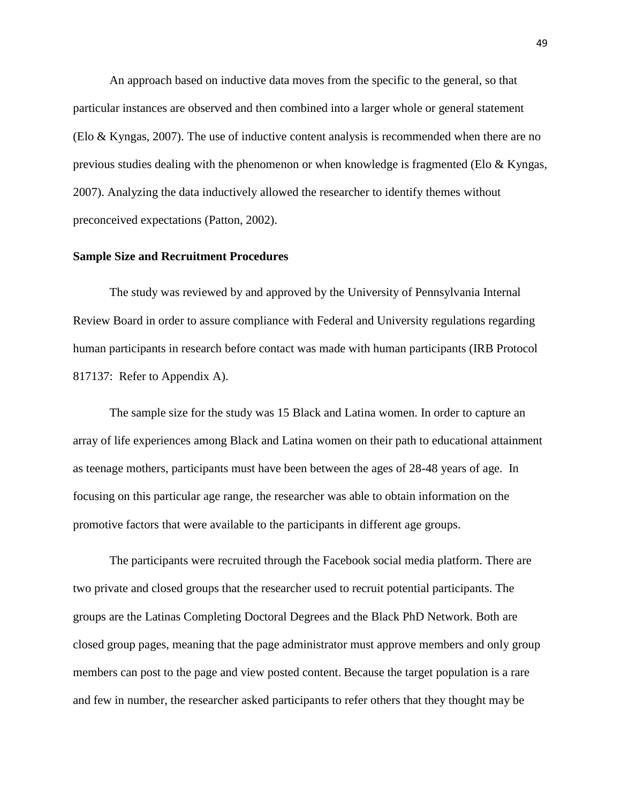An approach based on inductive data moves from the specific to the general, so that particular instances are observed and then combined into a larger whole or general statement (Elo & Kyngas, 2007). The use of inductive content analysis is recommended when there are no previous studies dealing with the phenomenon or when knowledge is fragmented (Elo & Kyngas, 2007). Analyzing the data inductively allowed the researcher to identify themes without preconceived expectations (Patton, 2002).

## **Sample Size and Recruitment Procedures**

The study was reviewed by and approved by the University of Pennsylvania Internal Review Board in order to assure compliance with Federal and University regulations regarding human participants in research before contact was made with human participants (IRB Protocol 817137: Refer to Appendix A).

The sample size for the study was 15 Black and Latina women. In order to capture an array of life experiences among Black and Latina women on their path to educational attainment as teenage mothers, participants must have been between the ages of 28-48 years of age. In focusing on this particular age range, the researcher was able to obtain information on the promotive factors that were available to the participants in different age groups.

The participants were recruited through the Facebook social media platform. There are two private and closed groups that the researcher used to recruit potential participants. The groups are the Latinas Completing Doctoral Degrees and the Black PhD Network. Both are closed group pages, meaning that the page administrator must approve members and only group members can post to the page and view posted content. Because the target population is a rare and few in number, the researcher asked participants to refer others that they thought may be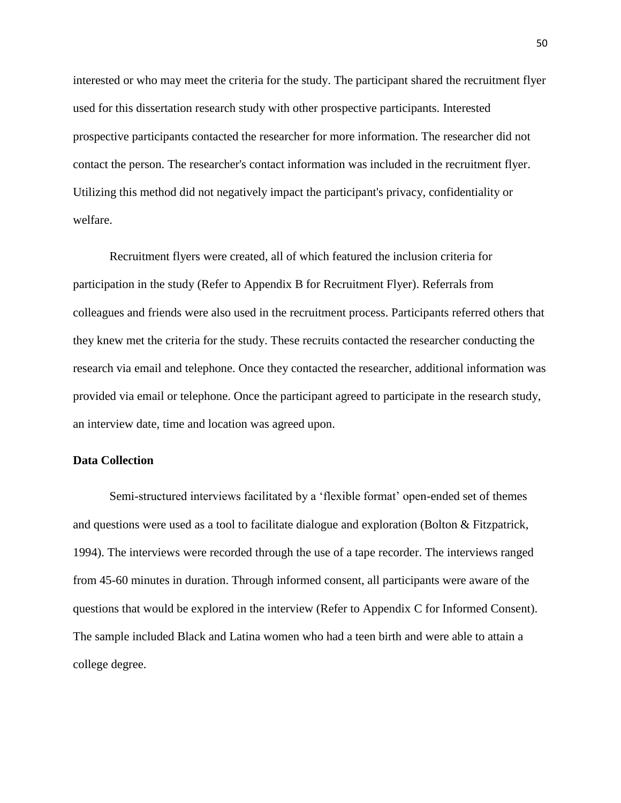interested or who may meet the criteria for the study. The participant shared the recruitment flyer used for this dissertation research study with other prospective participants. Interested prospective participants contacted the researcher for more information. The researcher did not contact the person. The researcher's contact information was included in the recruitment flyer. Utilizing this method did not negatively impact the participant's privacy, confidentiality or welfare.

Recruitment flyers were created, all of which featured the inclusion criteria for participation in the study (Refer to Appendix B for Recruitment Flyer). Referrals from colleagues and friends were also used in the recruitment process. Participants referred others that they knew met the criteria for the study. These recruits contacted the researcher conducting the research via email and telephone. Once they contacted the researcher, additional information was provided via email or telephone. Once the participant agreed to participate in the research study, an interview date, time and location was agreed upon.

## **Data Collection**

Semi-structured interviews facilitated by a 'flexible format' open-ended set of themes and questions were used as a tool to facilitate dialogue and exploration (Bolton & Fitzpatrick, 1994). The interviews were recorded through the use of a tape recorder. The interviews ranged from 45-60 minutes in duration. Through informed consent, all participants were aware of the questions that would be explored in the interview (Refer to Appendix C for Informed Consent). The sample included Black and Latina women who had a teen birth and were able to attain a college degree.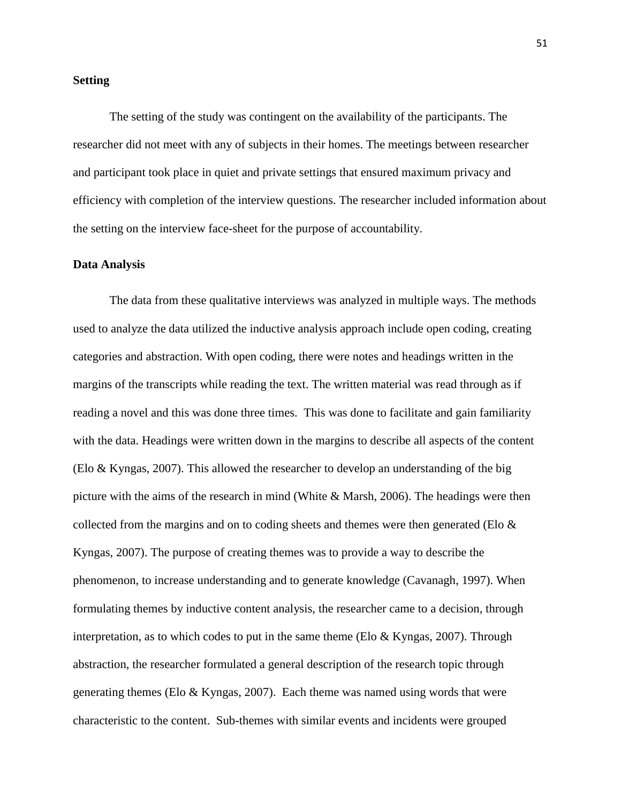## **Setting**

The setting of the study was contingent on the availability of the participants. The researcher did not meet with any of subjects in their homes. The meetings between researcher and participant took place in quiet and private settings that ensured maximum privacy and efficiency with completion of the interview questions. The researcher included information about the setting on the interview face-sheet for the purpose of accountability.

#### **Data Analysis**

The data from these qualitative interviews was analyzed in multiple ways. The methods used to analyze the data utilized the inductive analysis approach include open coding, creating categories and abstraction. With open coding, there were notes and headings written in the margins of the transcripts while reading the text. The written material was read through as if reading a novel and this was done three times. This was done to facilitate and gain familiarity with the data. Headings were written down in the margins to describe all aspects of the content (Elo & Kyngas, 2007). This allowed the researcher to develop an understanding of the big picture with the aims of the research in mind (White & Marsh, 2006). The headings were then collected from the margins and on to coding sheets and themes were then generated (Elo  $\&$ Kyngas, 2007). The purpose of creating themes was to provide a way to describe the phenomenon, to increase understanding and to generate knowledge (Cavanagh, 1997). When formulating themes by inductive content analysis, the researcher came to a decision, through interpretation, as to which codes to put in the same theme (Elo  $&$  Kyngas, 2007). Through abstraction, the researcher formulated a general description of the research topic through generating themes (Elo & Kyngas, 2007). Each theme was named using words that were characteristic to the content. Sub-themes with similar events and incidents were grouped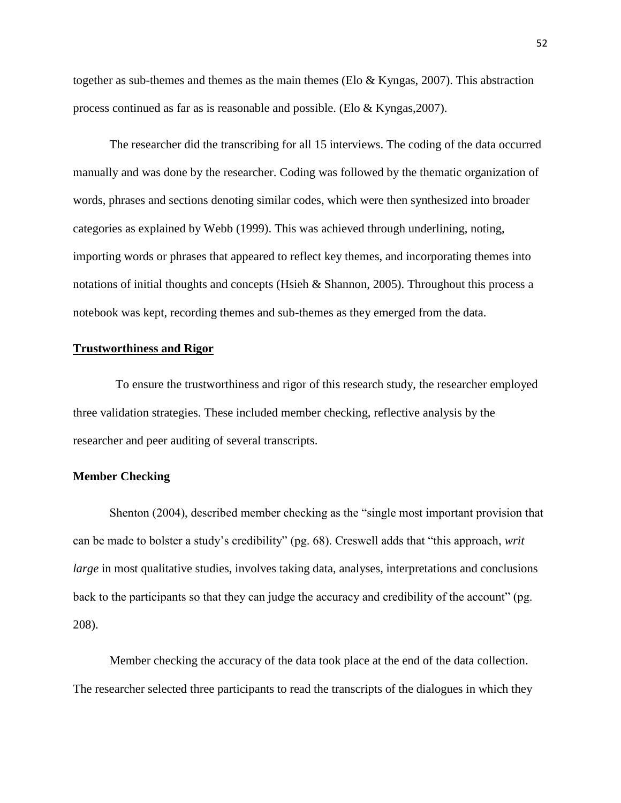together as sub-themes and themes as the main themes (Elo  $\&$  Kyngas, 2007). This abstraction process continued as far as is reasonable and possible. (Elo & Kyngas,2007).

The researcher did the transcribing for all 15 interviews. The coding of the data occurred manually and was done by the researcher. Coding was followed by the thematic organization of words, phrases and sections denoting similar codes, which were then synthesized into broader categories as explained by Webb (1999). This was achieved through underlining, noting, importing words or phrases that appeared to reflect key themes, and incorporating themes into notations of initial thoughts and concepts (Hsieh & Shannon, 2005). Throughout this process a notebook was kept, recording themes and sub-themes as they emerged from the data.

# **Trustworthiness and Rigor**

To ensure the trustworthiness and rigor of this research study, the researcher employed three validation strategies. These included member checking, reflective analysis by the researcher and peer auditing of several transcripts.

#### **Member Checking**

Shenton (2004), described member checking as the "single most important provision that can be made to bolster a study's credibility" (pg. 68). Creswell adds that "this approach, *writ large* in most qualitative studies, involves taking data, analyses, interpretations and conclusions back to the participants so that they can judge the accuracy and credibility of the account" (pg. 208).

Member checking the accuracy of the data took place at the end of the data collection. The researcher selected three participants to read the transcripts of the dialogues in which they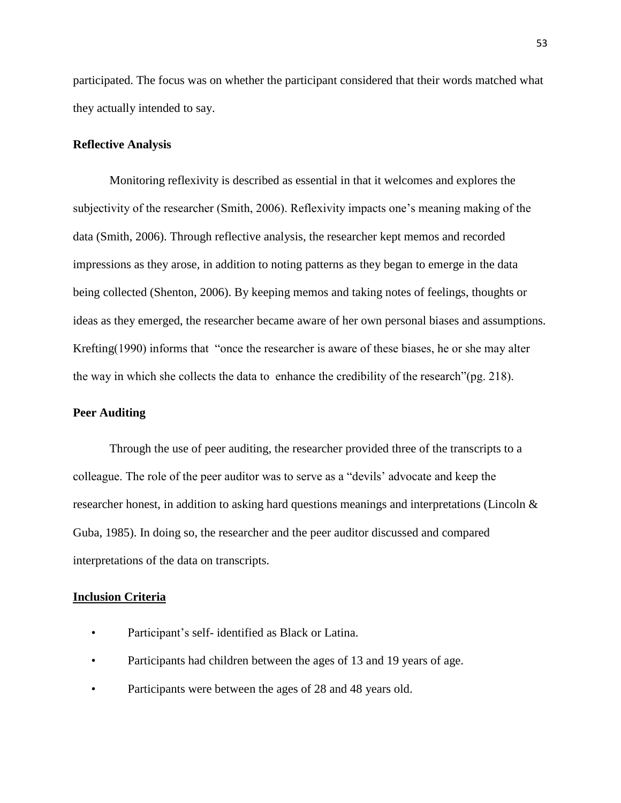participated. The focus was on whether the participant considered that their words matched what they actually intended to say.

# **Reflective Analysis**

Monitoring reflexivity is described as essential in that it welcomes and explores the subjectivity of the researcher (Smith, 2006). Reflexivity impacts one's meaning making of the data (Smith, 2006). Through reflective analysis, the researcher kept memos and recorded impressions as they arose, in addition to noting patterns as they began to emerge in the data being collected (Shenton, 2006). By keeping memos and taking notes of feelings, thoughts or ideas as they emerged, the researcher became aware of her own personal biases and assumptions. Krefting(1990) informs that "once the researcher is aware of these biases, he or she may alter the way in which she collects the data to enhance the credibility of the research"(pg. 218).

## **Peer Auditing**

Through the use of peer auditing, the researcher provided three of the transcripts to a colleague. The role of the peer auditor was to serve as a "devils' advocate and keep the researcher honest, in addition to asking hard questions meanings and interpretations (Lincoln & Guba, 1985). In doing so, the researcher and the peer auditor discussed and compared interpretations of the data on transcripts.

# **Inclusion Criteria**

- Participant's self- identified as Black or Latina.
- Participants had children between the ages of 13 and 19 years of age.
- Participants were between the ages of 28 and 48 years old.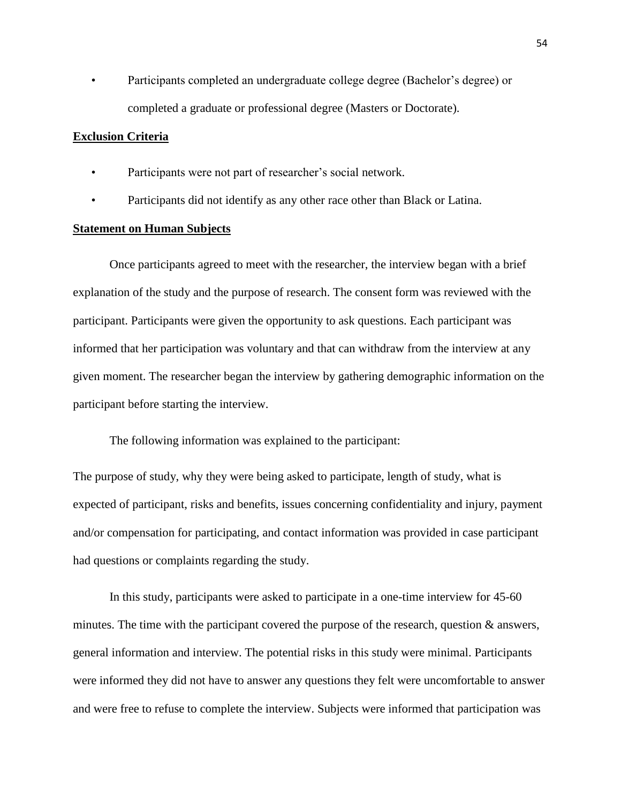• Participants completed an undergraduate college degree (Bachelor's degree) or completed a graduate or professional degree (Masters or Doctorate).

## **Exclusion Criteria**

- Participants were not part of researcher's social network.
- Participants did not identify as any other race other than Black or Latina.

# **Statement on Human Subjects**

Once participants agreed to meet with the researcher, the interview began with a brief explanation of the study and the purpose of research. The consent form was reviewed with the participant. Participants were given the opportunity to ask questions. Each participant was informed that her participation was voluntary and that can withdraw from the interview at any given moment. The researcher began the interview by gathering demographic information on the participant before starting the interview.

The following information was explained to the participant:

The purpose of study, why they were being asked to participate, length of study, what is expected of participant, risks and benefits, issues concerning confidentiality and injury, payment and/or compensation for participating, and contact information was provided in case participant had questions or complaints regarding the study.

In this study, participants were asked to participate in a one-time interview for 45-60 minutes. The time with the participant covered the purpose of the research, question  $\&$  answers, general information and interview. The potential risks in this study were minimal. Participants were informed they did not have to answer any questions they felt were uncomfortable to answer and were free to refuse to complete the interview. Subjects were informed that participation was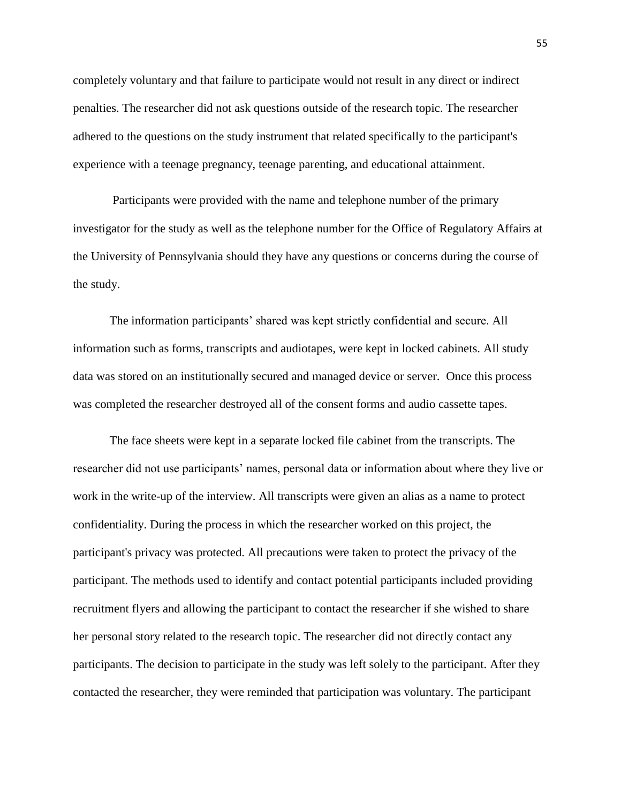completely voluntary and that failure to participate would not result in any direct or indirect penalties. The researcher did not ask questions outside of the research topic. The researcher adhered to the questions on the study instrument that related specifically to the participant's experience with a teenage pregnancy, teenage parenting, and educational attainment.

Participants were provided with the name and telephone number of the primary investigator for the study as well as the telephone number for the Office of Regulatory Affairs at the University of Pennsylvania should they have any questions or concerns during the course of the study.

The information participants' shared was kept strictly confidential and secure. All information such as forms, transcripts and audiotapes, were kept in locked cabinets. All study data was stored on an institutionally secured and managed device or server. Once this process was completed the researcher destroyed all of the consent forms and audio cassette tapes.

The face sheets were kept in a separate locked file cabinet from the transcripts. The researcher did not use participants' names, personal data or information about where they live or work in the write-up of the interview. All transcripts were given an alias as a name to protect confidentiality. During the process in which the researcher worked on this project, the participant's privacy was protected. All precautions were taken to protect the privacy of the participant. The methods used to identify and contact potential participants included providing recruitment flyers and allowing the participant to contact the researcher if she wished to share her personal story related to the research topic. The researcher did not directly contact any participants. The decision to participate in the study was left solely to the participant. After they contacted the researcher, they were reminded that participation was voluntary. The participant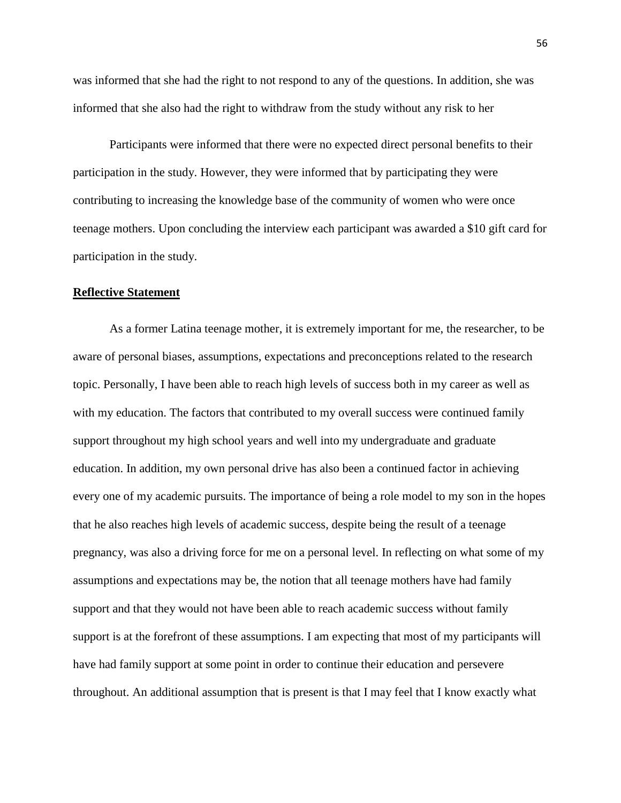was informed that she had the right to not respond to any of the questions. In addition, she was informed that she also had the right to withdraw from the study without any risk to her

Participants were informed that there were no expected direct personal benefits to their participation in the study. However, they were informed that by participating they were contributing to increasing the knowledge base of the community of women who were once teenage mothers. Upon concluding the interview each participant was awarded a \$10 gift card for participation in the study.

#### **Reflective Statement**

As a former Latina teenage mother, it is extremely important for me, the researcher, to be aware of personal biases, assumptions, expectations and preconceptions related to the research topic. Personally, I have been able to reach high levels of success both in my career as well as with my education. The factors that contributed to my overall success were continued family support throughout my high school years and well into my undergraduate and graduate education. In addition, my own personal drive has also been a continued factor in achieving every one of my academic pursuits. The importance of being a role model to my son in the hopes that he also reaches high levels of academic success, despite being the result of a teenage pregnancy, was also a driving force for me on a personal level. In reflecting on what some of my assumptions and expectations may be, the notion that all teenage mothers have had family support and that they would not have been able to reach academic success without family support is at the forefront of these assumptions. I am expecting that most of my participants will have had family support at some point in order to continue their education and persevere throughout. An additional assumption that is present is that I may feel that I know exactly what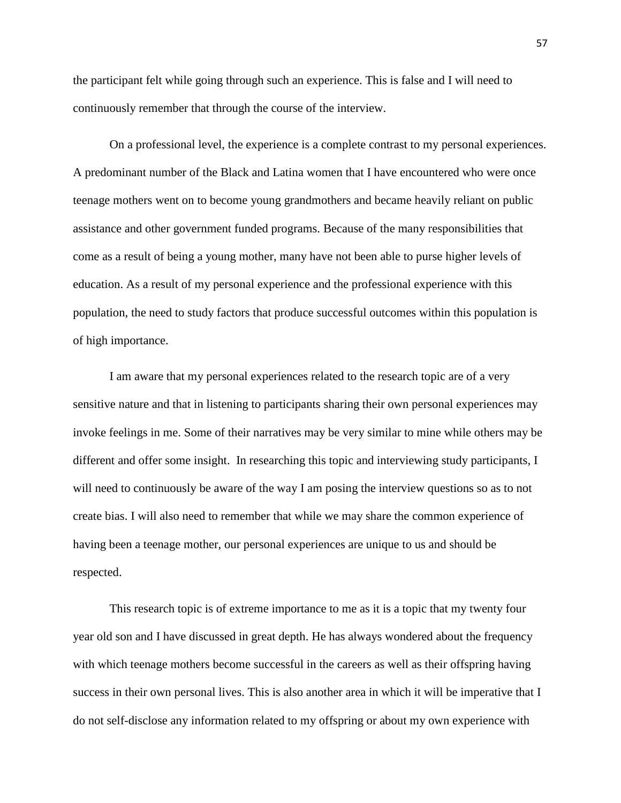the participant felt while going through such an experience. This is false and I will need to continuously remember that through the course of the interview.

On a professional level, the experience is a complete contrast to my personal experiences. A predominant number of the Black and Latina women that I have encountered who were once teenage mothers went on to become young grandmothers and became heavily reliant on public assistance and other government funded programs. Because of the many responsibilities that come as a result of being a young mother, many have not been able to purse higher levels of education. As a result of my personal experience and the professional experience with this population, the need to study factors that produce successful outcomes within this population is of high importance.

I am aware that my personal experiences related to the research topic are of a very sensitive nature and that in listening to participants sharing their own personal experiences may invoke feelings in me. Some of their narratives may be very similar to mine while others may be different and offer some insight. In researching this topic and interviewing study participants, I will need to continuously be aware of the way I am posing the interview questions so as to not create bias. I will also need to remember that while we may share the common experience of having been a teenage mother, our personal experiences are unique to us and should be respected.

This research topic is of extreme importance to me as it is a topic that my twenty four year old son and I have discussed in great depth. He has always wondered about the frequency with which teenage mothers become successful in the careers as well as their offspring having success in their own personal lives. This is also another area in which it will be imperative that I do not self-disclose any information related to my offspring or about my own experience with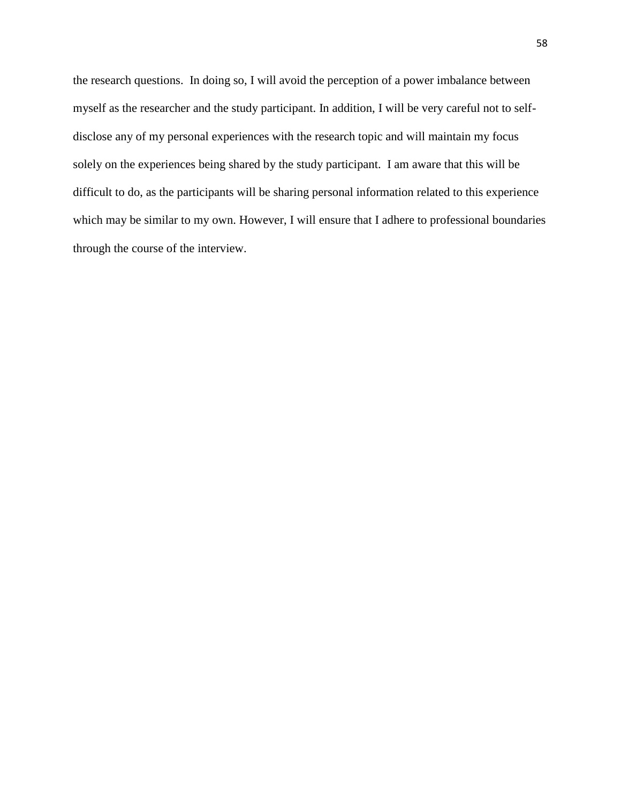the research questions. In doing so, I will avoid the perception of a power imbalance between myself as the researcher and the study participant. In addition, I will be very careful not to selfdisclose any of my personal experiences with the research topic and will maintain my focus solely on the experiences being shared by the study participant. I am aware that this will be difficult to do, as the participants will be sharing personal information related to this experience which may be similar to my own. However, I will ensure that I adhere to professional boundaries through the course of the interview.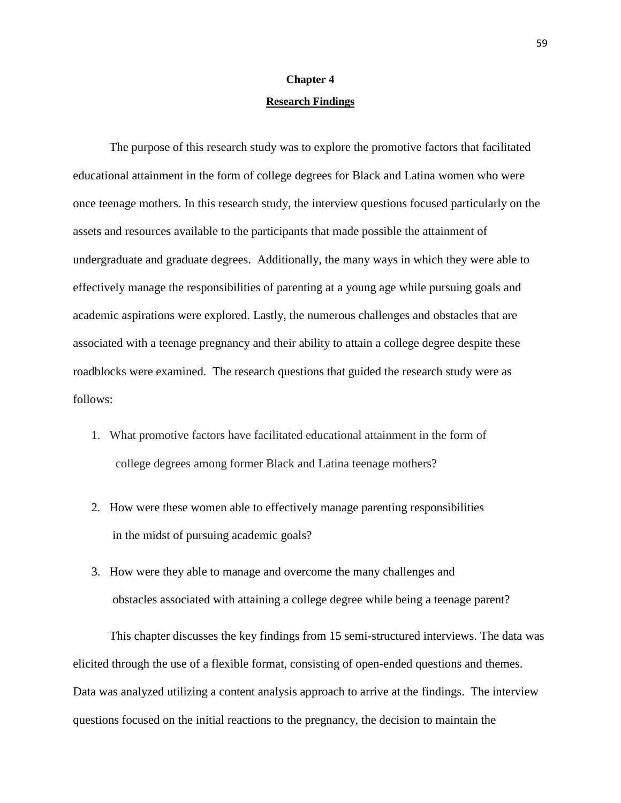# **Chapter 4 Research Findings**

The purpose of this research study was to explore the promotive factors that facilitated educational attainment in the form of college degrees for Black and Latina women who were once teenage mothers. In this research study, the interview questions focused particularly on the assets and resources available to the participants that made possible the attainment of undergraduate and graduate degrees. Additionally, the many ways in which they were able to effectively manage the responsibilities of parenting at a young age while pursuing goals and academic aspirations were explored. Lastly, the numerous challenges and obstacles that are associated with a teenage pregnancy and their ability to attain a college degree despite these roadblocks were examined. The research questions that guided the research study were as follows:

- 1. What promotive factors have facilitated educational attainment in the form of college degrees among former Black and Latina teenage mothers?
- 2. How were these women able to effectively manage parenting responsibilities in the midst of pursuing academic goals?
- 3. How were they able to manage and overcome the many challenges and obstacles associated with attaining a college degree while being a teenage parent?

This chapter discusses the key findings from 15 semi-structured interviews. The data was elicited through the use of a flexible format, consisting of open-ended questions and themes. Data was analyzed utilizing a content analysis approach to arrive at the findings. The interview questions focused on the initial reactions to the pregnancy, the decision to maintain the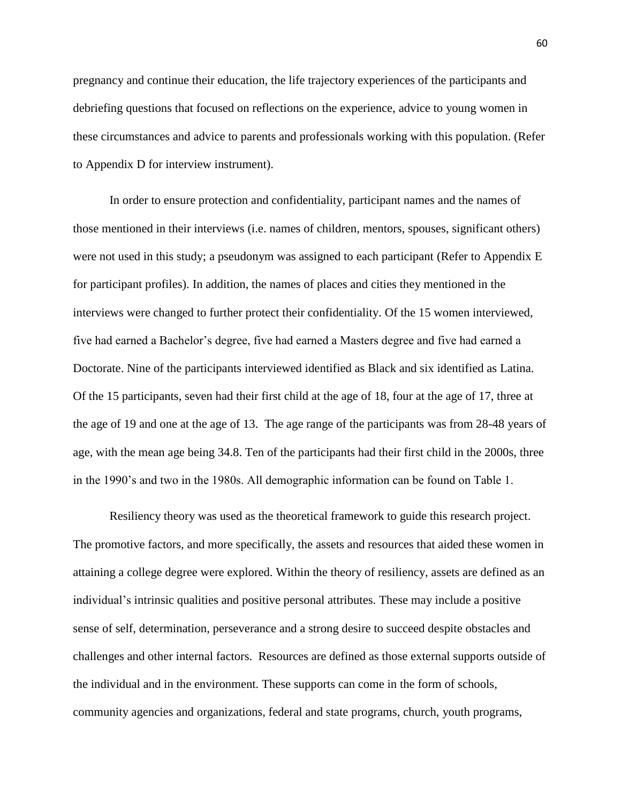pregnancy and continue their education, the life trajectory experiences of the participants and debriefing questions that focused on reflections on the experience, advice to young women in these circumstances and advice to parents and professionals working with this population. (Refer to Appendix D for interview instrument).

In order to ensure protection and confidentiality, participant names and the names of those mentioned in their interviews (i.e. names of children, mentors, spouses, significant others) were not used in this study; a pseudonym was assigned to each participant (Refer to Appendix E for participant profiles). In addition, the names of places and cities they mentioned in the interviews were changed to further protect their confidentiality. Of the 15 women interviewed, five had earned a Bachelor's degree, five had earned a Masters degree and five had earned a Doctorate. Nine of the participants interviewed identified as Black and six identified as Latina. Of the 15 participants, seven had their first child at the age of 18, four at the age of 17, three at the age of 19 and one at the age of 13. The age range of the participants was from 28-48 years of age, with the mean age being 34.8. Ten of the participants had their first child in the 2000s, three in the 1990's and two in the 1980s. All demographic information can be found on Table 1.

Resiliency theory was used as the theoretical framework to guide this research project. The promotive factors, and more specifically, the assets and resources that aided these women in attaining a college degree were explored. Within the theory of resiliency, assets are defined as an individual's intrinsic qualities and positive personal attributes. These may include a positive sense of self, determination, perseverance and a strong desire to succeed despite obstacles and challenges and other internal factors. Resources are defined as those external supports outside of the individual and in the environment. These supports can come in the form of schools, community agencies and organizations, federal and state programs, church, youth programs,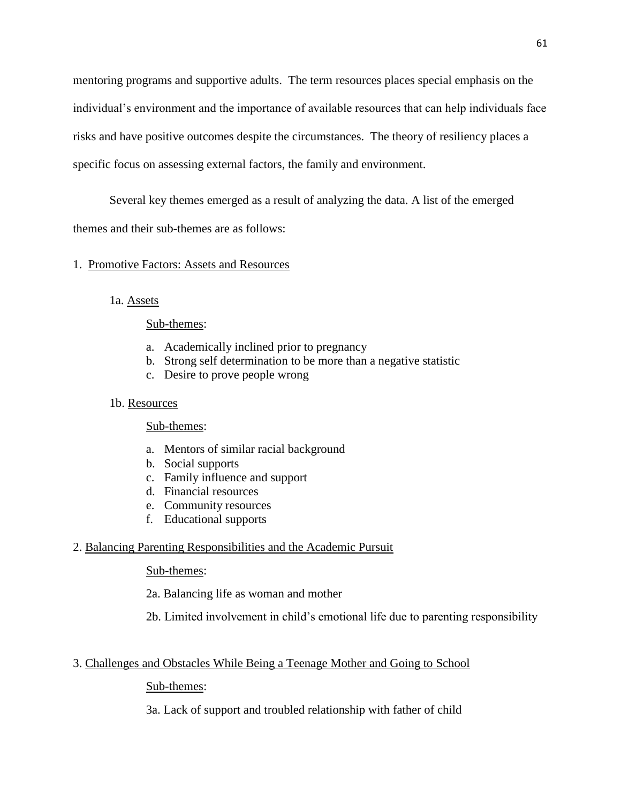mentoring programs and supportive adults. The term resources places special emphasis on the individual's environment and the importance of available resources that can help individuals face risks and have positive outcomes despite the circumstances. The theory of resiliency places a specific focus on assessing external factors, the family and environment.

Several key themes emerged as a result of analyzing the data. A list of the emerged

themes and their sub-themes are as follows:

# 1. Promotive Factors: Assets and Resources

1a. Assets

## Sub-themes:

- a. Academically inclined prior to pregnancy
- b. Strong self determination to be more than a negative statistic
- c. Desire to prove people wrong

## 1b. Resources

Sub-themes:

- a. Mentors of similar racial background
- b. Social supports
- c. Family influence and support
- d. Financial resources
- e. Community resources
- f. Educational supports

# 2. Balancing Parenting Responsibilities and the Academic Pursuit

## Sub-themes:

2a. Balancing life as woman and mother

2b. Limited involvement in child's emotional life due to parenting responsibility

# 3. Challenges and Obstacles While Being a Teenage Mother and Going to School

# Sub-themes:

3a. Lack of support and troubled relationship with father of child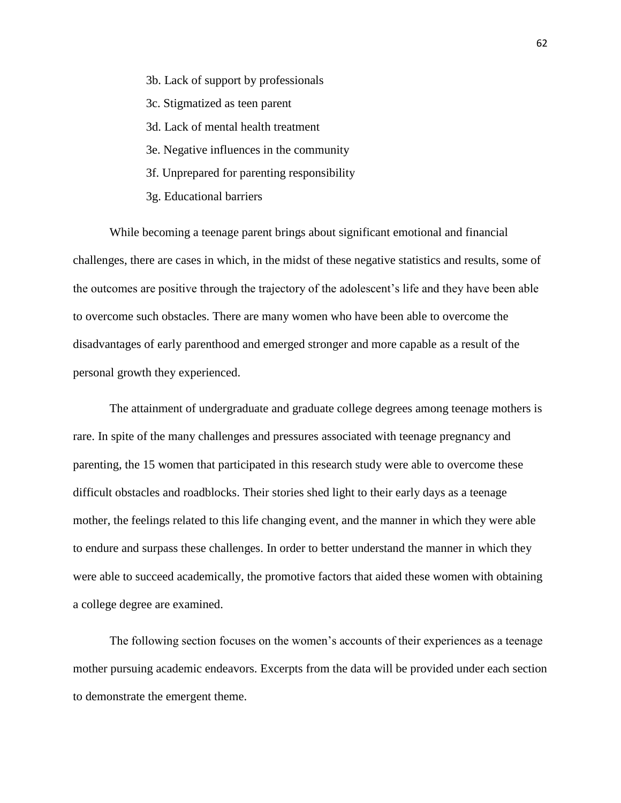- 3b. Lack of support by professionals
- 3c. Stigmatized as teen parent
- 3d. Lack of mental health treatment
- 3e. Negative influences in the community
- 3f. Unprepared for parenting responsibility
- 3g. Educational barriers

While becoming a teenage parent brings about significant emotional and financial challenges, there are cases in which, in the midst of these negative statistics and results, some of the outcomes are positive through the trajectory of the adolescent's life and they have been able to overcome such obstacles. There are many women who have been able to overcome the disadvantages of early parenthood and emerged stronger and more capable as a result of the personal growth they experienced.

The attainment of undergraduate and graduate college degrees among teenage mothers is rare. In spite of the many challenges and pressures associated with teenage pregnancy and parenting, the 15 women that participated in this research study were able to overcome these difficult obstacles and roadblocks. Their stories shed light to their early days as a teenage mother, the feelings related to this life changing event, and the manner in which they were able to endure and surpass these challenges. In order to better understand the manner in which they were able to succeed academically, the promotive factors that aided these women with obtaining a college degree are examined.

The following section focuses on the women's accounts of their experiences as a teenage mother pursuing academic endeavors. Excerpts from the data will be provided under each section to demonstrate the emergent theme.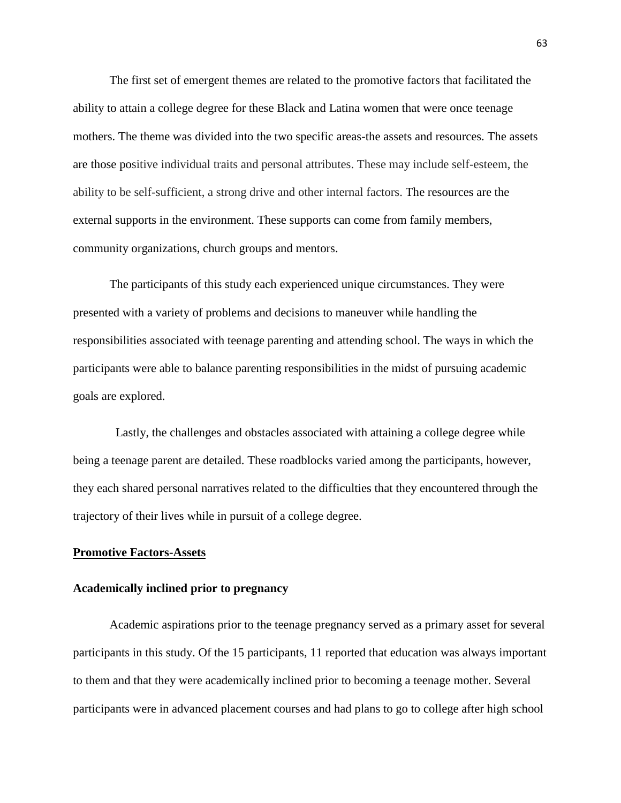The first set of emergent themes are related to the promotive factors that facilitated the ability to attain a college degree for these Black and Latina women that were once teenage mothers. The theme was divided into the two specific areas-the assets and resources. The assets are those positive individual traits and personal attributes. These may include self-esteem, the ability to be self-sufficient, a strong drive and other internal factors. The resources are the external supports in the environment. These supports can come from family members, community organizations, church groups and mentors.

The participants of this study each experienced unique circumstances. They were presented with a variety of problems and decisions to maneuver while handling the responsibilities associated with teenage parenting and attending school. The ways in which the participants were able to balance parenting responsibilities in the midst of pursuing academic goals are explored.

 Lastly, the challenges and obstacles associated with attaining a college degree while being a teenage parent are detailed. These roadblocks varied among the participants, however, they each shared personal narratives related to the difficulties that they encountered through the trajectory of their lives while in pursuit of a college degree.

### **Promotive Factors-Assets**

### **Academically inclined prior to pregnancy**

Academic aspirations prior to the teenage pregnancy served as a primary asset for several participants in this study. Of the 15 participants, 11 reported that education was always important to them and that they were academically inclined prior to becoming a teenage mother. Several participants were in advanced placement courses and had plans to go to college after high school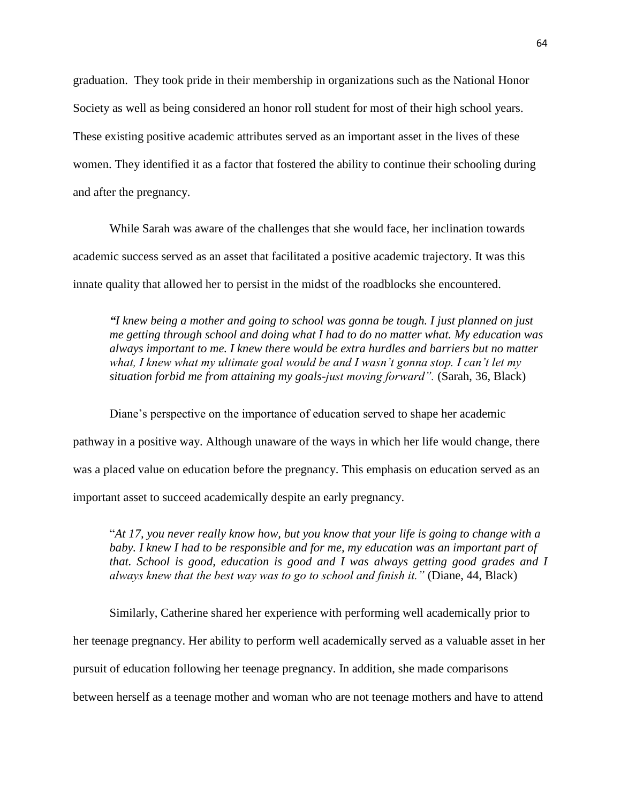graduation. They took pride in their membership in organizations such as the National Honor Society as well as being considered an honor roll student for most of their high school years. These existing positive academic attributes served as an important asset in the lives of these women. They identified it as a factor that fostered the ability to continue their schooling during and after the pregnancy.

While Sarah was aware of the challenges that she would face, her inclination towards academic success served as an asset that facilitated a positive academic trajectory. It was this innate quality that allowed her to persist in the midst of the roadblocks she encountered.

*"I knew being a mother and going to school was gonna be tough. I just planned on just me getting through school and doing what I had to do no matter what. My education was always important to me. I knew there would be extra hurdles and barriers but no matter what, I knew what my ultimate goal would be and I wasn't gonna stop. I can't let my situation forbid me from attaining my goals-just moving forward".* (Sarah, 36, Black)

Diane's perspective on the importance of education served to shape her academic pathway in a positive way. Although unaware of the ways in which her life would change, there was a placed value on education before the pregnancy. This emphasis on education served as an important asset to succeed academically despite an early pregnancy.

"*At 17, you never really know how, but you know that your life is going to change with a* baby. I knew I had to be responsible and for me, my education was an important part of *that. School is good, education is good and I was always getting good grades and I always knew that the best way was to go to school and finish it."* (Diane, 44, Black)

Similarly, Catherine shared her experience with performing well academically prior to her teenage pregnancy. Her ability to perform well academically served as a valuable asset in her pursuit of education following her teenage pregnancy. In addition, she made comparisons between herself as a teenage mother and woman who are not teenage mothers and have to attend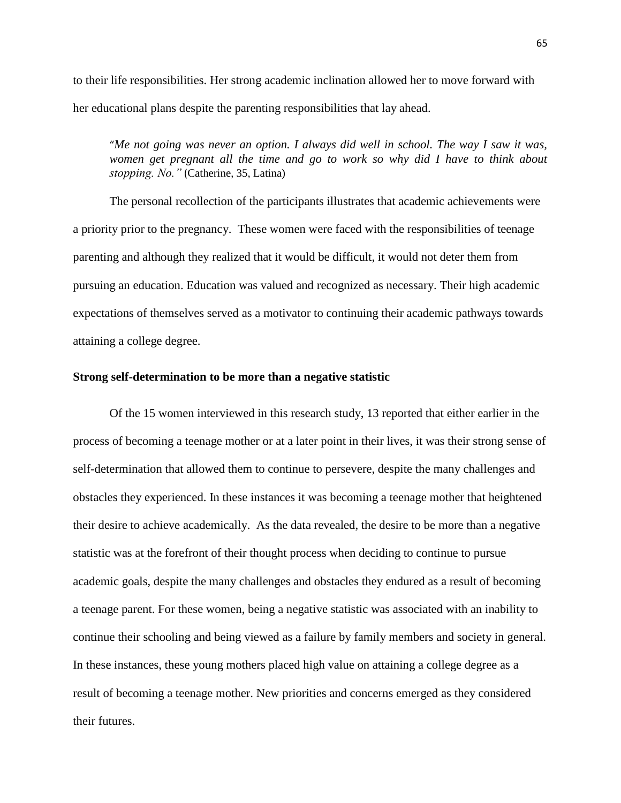to their life responsibilities. Her strong academic inclination allowed her to move forward with her educational plans despite the parenting responsibilities that lay ahead.

"*Me not going was never an option. I always did well in school. The way I saw it was,*  women get pregnant all the time and go to work so why did I have to think about *stopping. No."* (Catherine, 35, Latina)

The personal recollection of the participants illustrates that academic achievements were a priority prior to the pregnancy. These women were faced with the responsibilities of teenage parenting and although they realized that it would be difficult, it would not deter them from pursuing an education. Education was valued and recognized as necessary. Their high academic expectations of themselves served as a motivator to continuing their academic pathways towards attaining a college degree.

#### **Strong self-determination to be more than a negative statistic**

Of the 15 women interviewed in this research study, 13 reported that either earlier in the process of becoming a teenage mother or at a later point in their lives, it was their strong sense of self-determination that allowed them to continue to persevere, despite the many challenges and obstacles they experienced. In these instances it was becoming a teenage mother that heightened their desire to achieve academically. As the data revealed, the desire to be more than a negative statistic was at the forefront of their thought process when deciding to continue to pursue academic goals, despite the many challenges and obstacles they endured as a result of becoming a teenage parent. For these women, being a negative statistic was associated with an inability to continue their schooling and being viewed as a failure by family members and society in general. In these instances, these young mothers placed high value on attaining a college degree as a result of becoming a teenage mother. New priorities and concerns emerged as they considered their futures.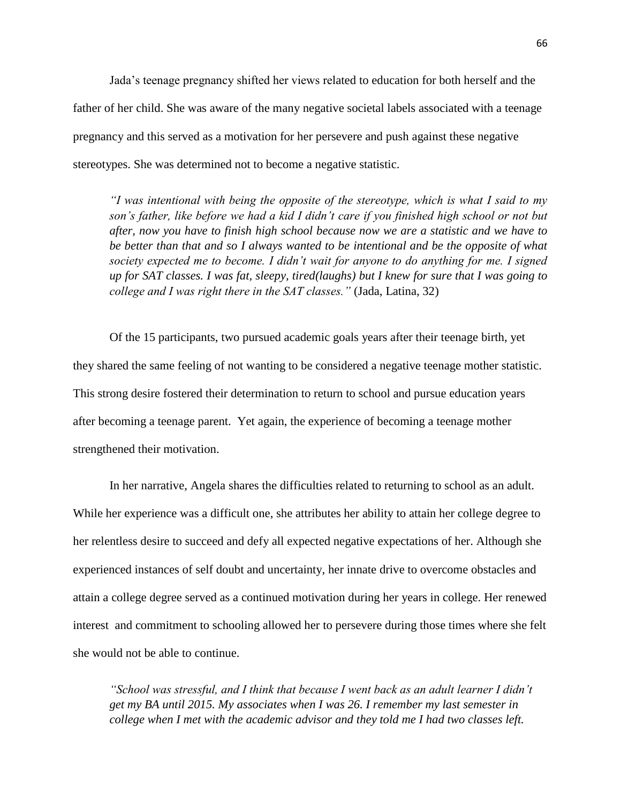Jada's teenage pregnancy shifted her views related to education for both herself and the father of her child. She was aware of the many negative societal labels associated with a teenage pregnancy and this served as a motivation for her persevere and push against these negative stereotypes. She was determined not to become a negative statistic.

*"I was intentional with being the opposite of the stereotype, which is what I said to my*  son's father, like before we had a kid I didn't care if you finished high school or not but *after, now you have to finish high school because now we are a statistic and we have to be better than that and so I always wanted to be intentional and be the opposite of what society expected me to become. I didn't wait for anyone to do anything for me. I signed up for SAT classes. I was fat, sleepy, tired(laughs) but I knew for sure that I was going to college and I was right there in the SAT classes."* (Jada, Latina, 32)

Of the 15 participants, two pursued academic goals years after their teenage birth, yet they shared the same feeling of not wanting to be considered a negative teenage mother statistic. This strong desire fostered their determination to return to school and pursue education years after becoming a teenage parent. Yet again, the experience of becoming a teenage mother strengthened their motivation.

In her narrative, Angela shares the difficulties related to returning to school as an adult. While her experience was a difficult one, she attributes her ability to attain her college degree to her relentless desire to succeed and defy all expected negative expectations of her. Although she experienced instances of self doubt and uncertainty, her innate drive to overcome obstacles and attain a college degree served as a continued motivation during her years in college. Her renewed interest and commitment to schooling allowed her to persevere during those times where she felt she would not be able to continue.

*"School was stressful, and I think that because I went back as an adult learner I didn't get my BA until 2015. My associates when I was 26. I remember my last semester in college when I met with the academic advisor and they told me I had two classes left.*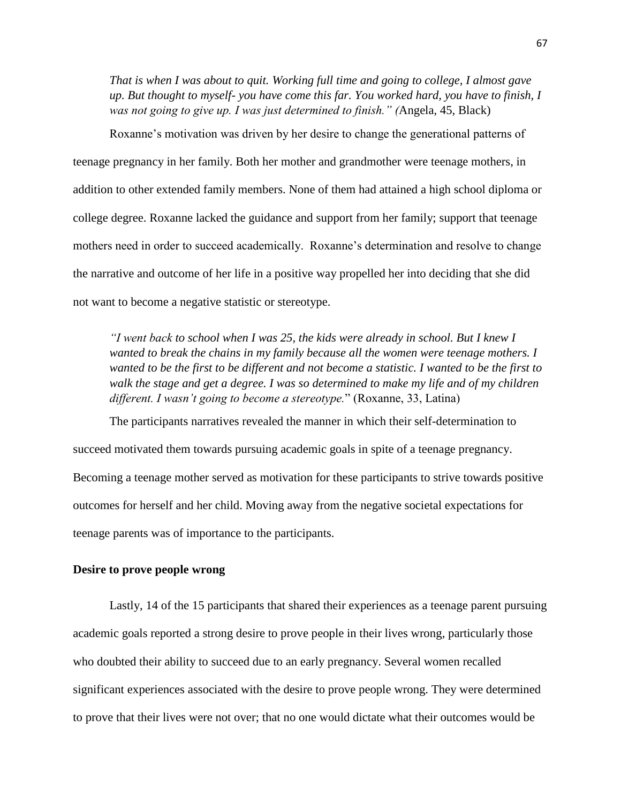*That is when I was about to quit. Working full time and going to college, I almost gave up. But thought to myself- you have come this far. You worked hard, you have to finish, I was not going to give up. I was just determined to finish." (*Angela, 45, Black)

Roxanne's motivation was driven by her desire to change the generational patterns of teenage pregnancy in her family. Both her mother and grandmother were teenage mothers, in addition to other extended family members. None of them had attained a high school diploma or college degree. Roxanne lacked the guidance and support from her family; support that teenage mothers need in order to succeed academically. Roxanne's determination and resolve to change the narrative and outcome of her life in a positive way propelled her into deciding that she did not want to become a negative statistic or stereotype.

*"I went back to school when I was 25, the kids were already in school. But I knew I wanted to break the chains in my family because all the women were teenage mothers. I wanted to be the first to be different and not become a statistic. I wanted to be the first to*  walk the stage and get a degree. I was so determined to make my life and of my children *different. I wasn't going to become a stereotype.*" (Roxanne, 33, Latina)

The participants narratives revealed the manner in which their self-determination to succeed motivated them towards pursuing academic goals in spite of a teenage pregnancy. Becoming a teenage mother served as motivation for these participants to strive towards positive outcomes for herself and her child. Moving away from the negative societal expectations for teenage parents was of importance to the participants.

## **Desire to prove people wrong**

Lastly, 14 of the 15 participants that shared their experiences as a teenage parent pursuing academic goals reported a strong desire to prove people in their lives wrong, particularly those who doubted their ability to succeed due to an early pregnancy. Several women recalled significant experiences associated with the desire to prove people wrong. They were determined to prove that their lives were not over; that no one would dictate what their outcomes would be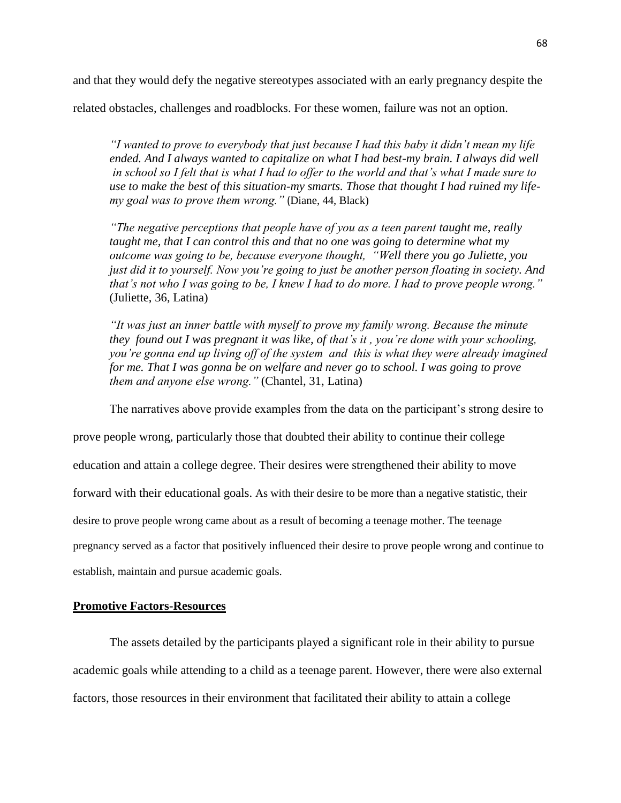and that they would defy the negative stereotypes associated with an early pregnancy despite the

related obstacles, challenges and roadblocks. For these women, failure was not an option.

*"I wanted to prove to everybody that just because I had this baby it didn't mean my life ended. And I always wanted to capitalize on what I had best-my brain. I always did well in school so I felt that is what I had to offer to the world and that's what I made sure to use to make the best of this situation-my smarts. Those that thought I had ruined my lifemy goal was to prove them wrong."* (Diane, 44, Black)

*"The negative perceptions that people have of you as a teen parent taught me, really taught me, that I can control this and that no one was going to determine what my outcome was going to be, because everyone thought, "Well there you go Juliette, you just did it to yourself. Now you're going to just be another person floating in society. And that's not who I was going to be, I knew I had to do more. I had to prove people wrong."* (Juliette, 36, Latina)

*"It was just an inner battle with myself to prove my family wrong. Because the minute they found out I was pregnant it was like, of that's it , you're done with your schooling, you're gonna end up living off of the system and this is what they were already imagined for me. That I was gonna be on welfare and never go to school. I was going to prove them and anyone else wrong."* (Chantel, 31, Latina)

The narratives above provide examples from the data on the participant's strong desire to

prove people wrong, particularly those that doubted their ability to continue their college education and attain a college degree. Their desires were strengthened their ability to move forward with their educational goals. As with their desire to be more than a negative statistic, their desire to prove people wrong came about as a result of becoming a teenage mother. The teenage pregnancy served as a factor that positively influenced their desire to prove people wrong and continue to establish, maintain and pursue academic goals.

## **Promotive Factors-Resources**

The assets detailed by the participants played a significant role in their ability to pursue academic goals while attending to a child as a teenage parent. However, there were also external factors, those resources in their environment that facilitated their ability to attain a college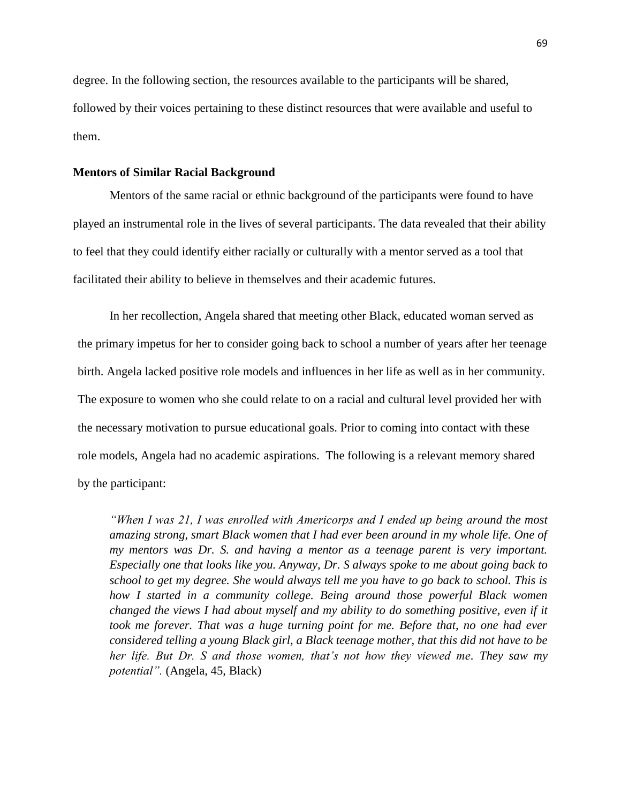degree. In the following section, the resources available to the participants will be shared, followed by their voices pertaining to these distinct resources that were available and useful to them.

### **Mentors of Similar Racial Background**

Mentors of the same racial or ethnic background of the participants were found to have played an instrumental role in the lives of several participants. The data revealed that their ability to feel that they could identify either racially or culturally with a mentor served as a tool that facilitated their ability to believe in themselves and their academic futures.

In her recollection, Angela shared that meeting other Black, educated woman served as the primary impetus for her to consider going back to school a number of years after her teenage birth. Angela lacked positive role models and influences in her life as well as in her community. The exposure to women who she could relate to on a racial and cultural level provided her with the necessary motivation to pursue educational goals. Prior to coming into contact with these role models, Angela had no academic aspirations. The following is a relevant memory shared by the participant:

*"When I was 21, I was enrolled with Americorps and I ended up being around the most amazing strong, smart Black women that I had ever been around in my whole life. One of my mentors was Dr. S. and having a mentor as a teenage parent is very important. Especially one that looks like you. Anyway, Dr. S always spoke to me about going back to school to get my degree. She would always tell me you have to go back to school. This is how I started in a community college. Being around those powerful Black women changed the views I had about myself and my ability to do something positive, even if it took me forever. That was a huge turning point for me. Before that, no one had ever considered telling a young Black girl, a Black teenage mother, that this did not have to be her life. But Dr. S and those women, that's not how they viewed me. They saw my potential".* (Angela, 45, Black)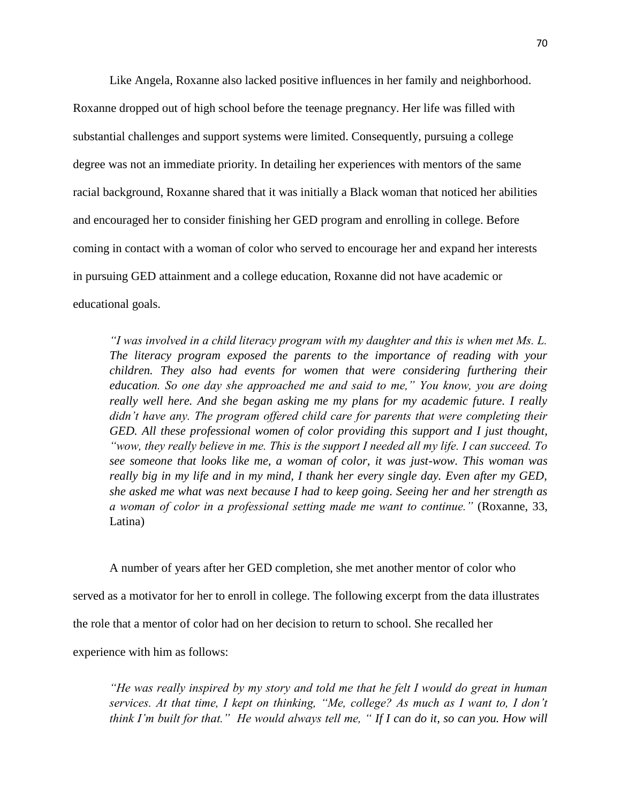Like Angela, Roxanne also lacked positive influences in her family and neighborhood. Roxanne dropped out of high school before the teenage pregnancy. Her life was filled with substantial challenges and support systems were limited. Consequently, pursuing a college degree was not an immediate priority. In detailing her experiences with mentors of the same racial background, Roxanne shared that it was initially a Black woman that noticed her abilities and encouraged her to consider finishing her GED program and enrolling in college. Before coming in contact with a woman of color who served to encourage her and expand her interests in pursuing GED attainment and a college education, Roxanne did not have academic or educational goals.

*"I was involved in a child literacy program with my daughter and this is when met Ms. L. The literacy program exposed the parents to the importance of reading with your children. They also had events for women that were considering furthering their education. So one day she approached me and said to me," You know, you are doing really well here. And she began asking me my plans for my academic future. I really didn't have any. The program offered child care for parents that were completing their GED. All these professional women of color providing this support and I just thought, "wow, they really believe in me. This is the support I needed all my life. I can succeed. To see someone that looks like me, a woman of color, it was just-wow. This woman was really big in my life and in my mind, I thank her every single day. Even after my GED, she asked me what was next because I had to keep going. Seeing her and her strength as a woman of color in a professional setting made me want to continue."* (Roxanne, 33, Latina)

A number of years after her GED completion, she met another mentor of color who served as a motivator for her to enroll in college. The following excerpt from the data illustrates the role that a mentor of color had on her decision to return to school. She recalled her experience with him as follows:

*"He was really inspired by my story and told me that he felt I would do great in human services. At that time, I kept on thinking, "Me, college? As much as I want to, I don't think I'm built for that." He would always tell me, " If I can do it, so can you. How will*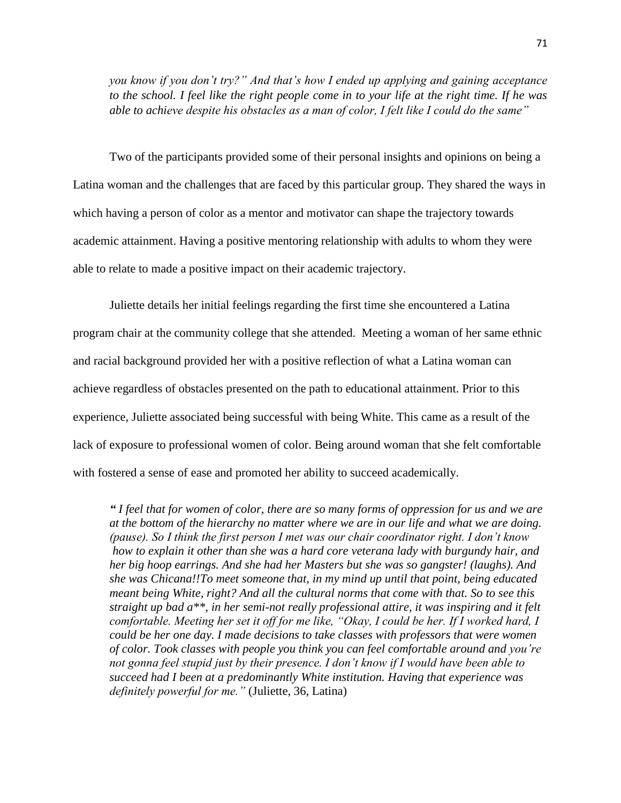*you know if you don't try?" And that's how I ended up applying and gaining acceptance to the school. I feel like the right people come in to your life at the right time. If he was able to achieve despite his obstacles as a man of color, I felt like I could do the same"*

Two of the participants provided some of their personal insights and opinions on being a Latina woman and the challenges that are faced by this particular group. They shared the ways in which having a person of color as a mentor and motivator can shape the trajectory towards academic attainment. Having a positive mentoring relationship with adults to whom they were able to relate to made a positive impact on their academic trajectory.

Juliette details her initial feelings regarding the first time she encountered a Latina program chair at the community college that she attended. Meeting a woman of her same ethnic and racial background provided her with a positive reflection of what a Latina woman can achieve regardless of obstacles presented on the path to educational attainment. Prior to this experience, Juliette associated being successful with being White. This came as a result of the lack of exposure to professional women of color. Being around woman that she felt comfortable with fostered a sense of ease and promoted her ability to succeed academically.

*" I feel that for women of color, there are so many forms of oppression for us and we are at the bottom of the hierarchy no matter where we are in our life and what we are doing. (pause). So I think the first person I met was our chair coordinator right. I don't know how to explain it other than she was a hard core veterana lady with burgundy hair, and her big hoop earrings. And she had her Masters but she was so gangster! (laughs). And she was Chicana!!To meet someone that, in my mind up until that point, being educated meant being White, right? And all the cultural norms that come with that. So to see this straight up bad a\*\*, in her semi-not really professional attire, it was inspiring and it felt comfortable. Meeting her set it off for me like, "Okay, I could be her. If I worked hard, I could be her one day. I made decisions to take classes with professors that were women of color. Took classes with people you think you can feel comfortable around and you're not gonna feel stupid just by their presence. I don't know if I would have been able to succeed had I been at a predominantly White institution. Having that experience was definitely powerful for me."* (Juliette, 36, Latina)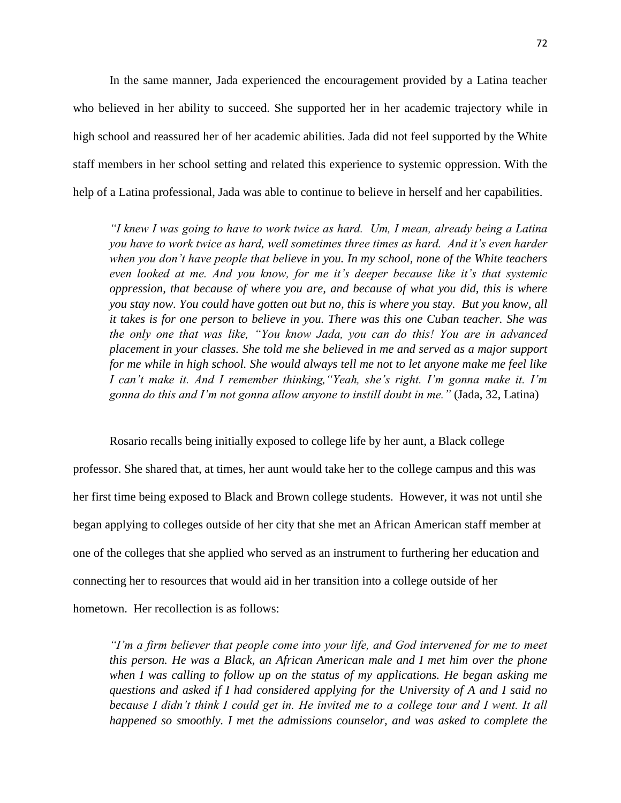In the same manner, Jada experienced the encouragement provided by a Latina teacher who believed in her ability to succeed. She supported her in her academic trajectory while in high school and reassured her of her academic abilities. Jada did not feel supported by the White staff members in her school setting and related this experience to systemic oppression. With the help of a Latina professional, Jada was able to continue to believe in herself and her capabilities.

*"I knew I was going to have to work twice as hard. Um, I mean, already being a Latina you have to work twice as hard, well sometimes three times as hard. And it's even harder when you don't have people that believe in you. In my school, none of the White teachers even looked at me. And you know, for me it's deeper because like it's that systemic oppression, that because of where you are, and because of what you did, this is where you stay now. You could have gotten out but no, this is where you stay. But you know, all it takes is for one person to believe in you. There was this one Cuban teacher. She was the only one that was like, "You know Jada, you can do this! You are in advanced placement in your classes. She told me she believed in me and served as a major support for me while in high school. She would always tell me not to let anyone make me feel like I can't make it. And I remember thinking,"Yeah, she's right. I'm gonna make it. I'm gonna do this and I'm not gonna allow anyone to instill doubt in me."* (Jada, 32, Latina)

Rosario recalls being initially exposed to college life by her aunt, a Black college

professor. She shared that, at times, her aunt would take her to the college campus and this was her first time being exposed to Black and Brown college students. However, it was not until she began applying to colleges outside of her city that she met an African American staff member at one of the colleges that she applied who served as an instrument to furthering her education and connecting her to resources that would aid in her transition into a college outside of her hometown. Her recollection is as follows:

*"I'm a firm believer that people come into your life, and God intervened for me to meet this person. He was a Black, an African American male and I met him over the phone when I was calling to follow up on the status of my applications. He began asking me questions and asked if I had considered applying for the University of A and I said no because I didn't think I could get in. He invited me to a college tour and I went. It all happened so smoothly. I met the admissions counselor, and was asked to complete the*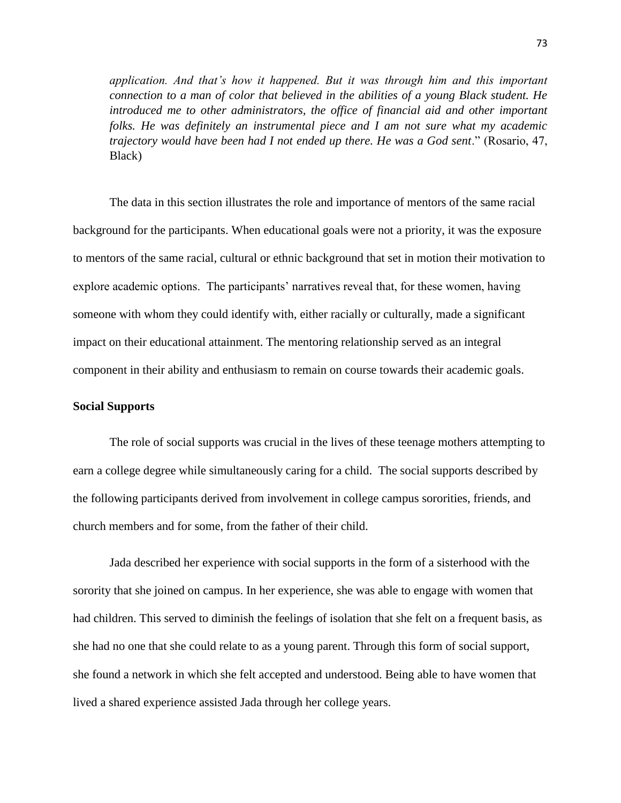*application. And that's how it happened. But it was through him and this important connection to a man of color that believed in the abilities of a young Black student. He*  introduced me to other administrators, the office of financial aid and other important *folks. He was definitely an instrumental piece and I am not sure what my academic trajectory would have been had I not ended up there. He was a God sent*." (Rosario, 47, Black)

The data in this section illustrates the role and importance of mentors of the same racial background for the participants. When educational goals were not a priority, it was the exposure to mentors of the same racial, cultural or ethnic background that set in motion their motivation to explore academic options. The participants' narratives reveal that, for these women, having someone with whom they could identify with, either racially or culturally, made a significant impact on their educational attainment. The mentoring relationship served as an integral component in their ability and enthusiasm to remain on course towards their academic goals.

## **Social Supports**

The role of social supports was crucial in the lives of these teenage mothers attempting to earn a college degree while simultaneously caring for a child. The social supports described by the following participants derived from involvement in college campus sororities, friends, and church members and for some, from the father of their child.

Jada described her experience with social supports in the form of a sisterhood with the sorority that she joined on campus. In her experience, she was able to engage with women that had children. This served to diminish the feelings of isolation that she felt on a frequent basis, as she had no one that she could relate to as a young parent. Through this form of social support, she found a network in which she felt accepted and understood. Being able to have women that lived a shared experience assisted Jada through her college years.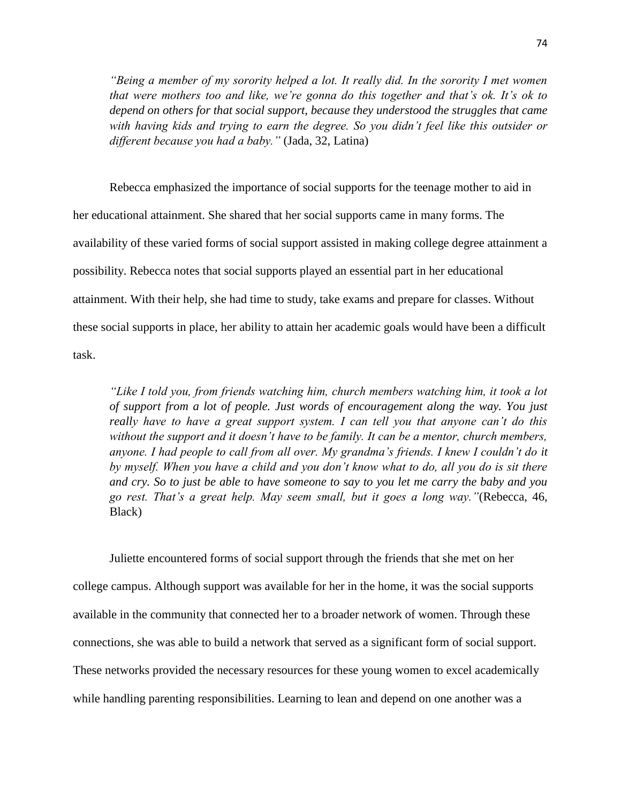*"Being a member of my sorority helped a lot. It really did. In the sorority I met women that were mothers too and like, we're gonna do this together and that's ok. It's ok to depend on others for that social support, because they understood the struggles that came with having kids and trying to earn the degree. So you didn't feel like this outsider or different because you had a baby."* (Jada, 32, Latina)

Rebecca emphasized the importance of social supports for the teenage mother to aid in her educational attainment. She shared that her social supports came in many forms. The availability of these varied forms of social support assisted in making college degree attainment a possibility. Rebecca notes that social supports played an essential part in her educational attainment. With their help, she had time to study, take exams and prepare for classes. Without these social supports in place, her ability to attain her academic goals would have been a difficult task.

*"Like I told you, from friends watching him, church members watching him, it took a lot of support from a lot of people. Just words of encouragement along the way. You just really have to have a great support system. I can tell you that anyone can't do this without the support and it doesn't have to be family. It can be a mentor, church members, anyone. I had people to call from all over. My grandma's friends. I knew I couldn't do it by myself. When you have a child and you don't know what to do, all you do is sit there and cry. So to just be able to have someone to say to you let me carry the baby and you go rest. That's a great help. May seem small, but it goes a long way."*(Rebecca, 46, Black)

Juliette encountered forms of social support through the friends that she met on her college campus. Although support was available for her in the home, it was the social supports available in the community that connected her to a broader network of women. Through these connections, she was able to build a network that served as a significant form of social support. These networks provided the necessary resources for these young women to excel academically while handling parenting responsibilities. Learning to lean and depend on one another was a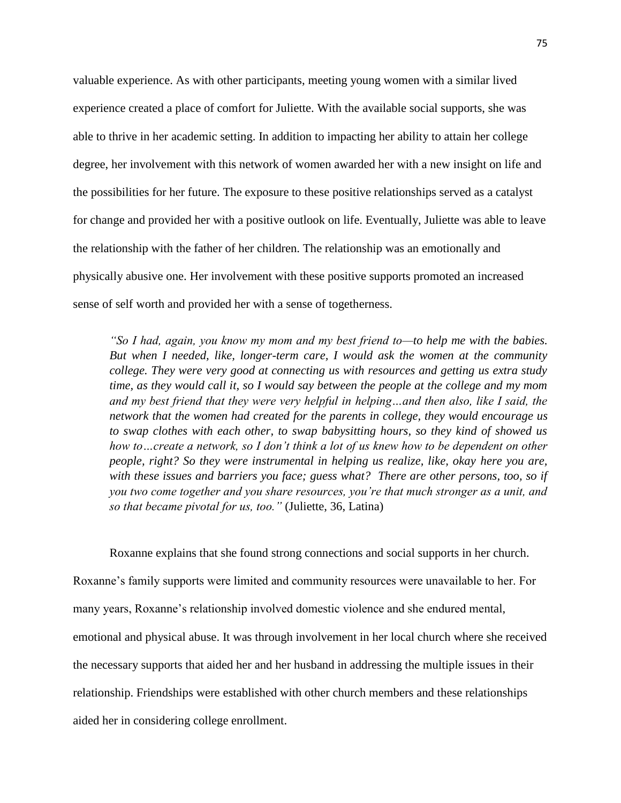valuable experience. As with other participants, meeting young women with a similar lived experience created a place of comfort for Juliette. With the available social supports, she was able to thrive in her academic setting. In addition to impacting her ability to attain her college degree, her involvement with this network of women awarded her with a new insight on life and the possibilities for her future. The exposure to these positive relationships served as a catalyst for change and provided her with a positive outlook on life. Eventually, Juliette was able to leave the relationship with the father of her children. The relationship was an emotionally and physically abusive one. Her involvement with these positive supports promoted an increased sense of self worth and provided her with a sense of togetherness.

*"So I had, again, you know my mom and my best friend to—to help me with the babies. But when I needed, like, longer-term care, I would ask the women at the community college. They were very good at connecting us with resources and getting us extra study time, as they would call it, so I would say between the people at the college and my mom and my best friend that they were very helpful in helping…and then also, like I said, the network that the women had created for the parents in college, they would encourage us to swap clothes with each other, to swap babysitting hours, so they kind of showed us how to…create a network, so I don't think a lot of us knew how to be dependent on other people, right? So they were instrumental in helping us realize, like, okay here you are, with these issues and barriers you face; guess what? There are other persons, too, so if you two come together and you share resources, you're that much stronger as a unit, and so that became pivotal for us, too."* (Juliette, 36, Latina)

Roxanne explains that she found strong connections and social supports in her church. Roxanne's family supports were limited and community resources were unavailable to her. For many years, Roxanne's relationship involved domestic violence and she endured mental, emotional and physical abuse. It was through involvement in her local church where she received the necessary supports that aided her and her husband in addressing the multiple issues in their relationship. Friendships were established with other church members and these relationships aided her in considering college enrollment.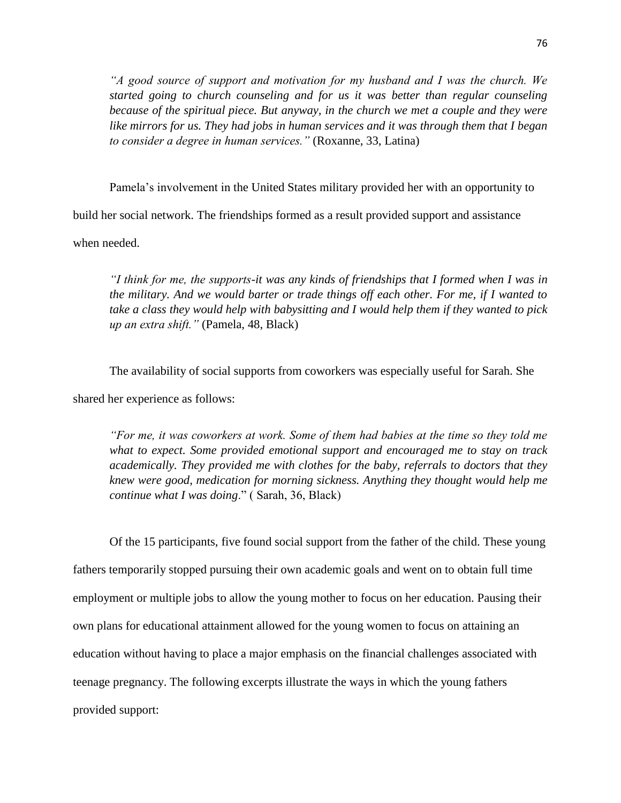*"A good source of support and motivation for my husband and I was the church. We started going to church counseling and for us it was better than regular counseling because of the spiritual piece. But anyway, in the church we met a couple and they were like mirrors for us. They had jobs in human services and it was through them that I began to consider a degree in human services."* (Roxanne, 33, Latina)

Pamela's involvement in the United States military provided her with an opportunity to

build her social network. The friendships formed as a result provided support and assistance

when needed.

*"I think for me, the supports-it was any kinds of friendships that I formed when I was in the military. And we would barter or trade things off each other. For me, if I wanted to take a class they would help with babysitting and I would help them if they wanted to pick up an extra shift."* (Pamela, 48, Black)

The availability of social supports from coworkers was especially useful for Sarah. She shared her experience as follows:

*"For me, it was coworkers at work. Some of them had babies at the time so they told me what to expect. Some provided emotional support and encouraged me to stay on track academically. They provided me with clothes for the baby, referrals to doctors that they knew were good, medication for morning sickness. Anything they thought would help me continue what I was doing*." ( Sarah, 36, Black)

Of the 15 participants, five found social support from the father of the child. These young fathers temporarily stopped pursuing their own academic goals and went on to obtain full time employment or multiple jobs to allow the young mother to focus on her education. Pausing their own plans for educational attainment allowed for the young women to focus on attaining an education without having to place a major emphasis on the financial challenges associated with teenage pregnancy. The following excerpts illustrate the ways in which the young fathers provided support: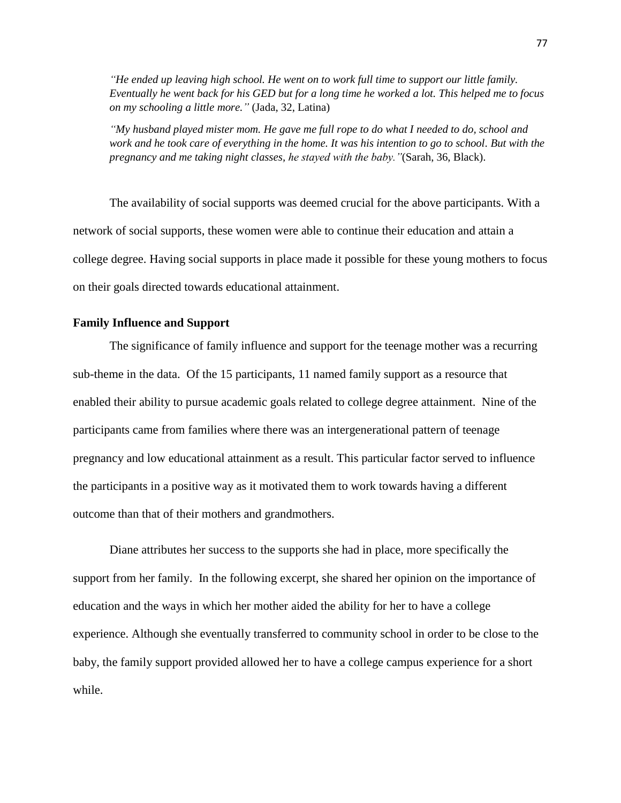*"He ended up leaving high school. He went on to work full time to support our little family. Eventually he went back for his GED but for a long time he worked a lot. This helped me to focus on my schooling a little more."* (Jada, 32, Latina)

*"My husband played mister mom. He gave me full rope to do what I needed to do, school and work and he took care of everything in the home. It was his intention to go to school. But with the pregnancy and me taking night classes, he stayed with the baby."*(Sarah, 36, Black).

The availability of social supports was deemed crucial for the above participants. With a network of social supports, these women were able to continue their education and attain a college degree. Having social supports in place made it possible for these young mothers to focus on their goals directed towards educational attainment.

# **Family Influence and Support**

The significance of family influence and support for the teenage mother was a recurring sub-theme in the data. Of the 15 participants, 11 named family support as a resource that enabled their ability to pursue academic goals related to college degree attainment. Nine of the participants came from families where there was an intergenerational pattern of teenage pregnancy and low educational attainment as a result. This particular factor served to influence the participants in a positive way as it motivated them to work towards having a different outcome than that of their mothers and grandmothers.

Diane attributes her success to the supports she had in place, more specifically the support from her family. In the following excerpt, she shared her opinion on the importance of education and the ways in which her mother aided the ability for her to have a college experience. Although she eventually transferred to community school in order to be close to the baby, the family support provided allowed her to have a college campus experience for a short while.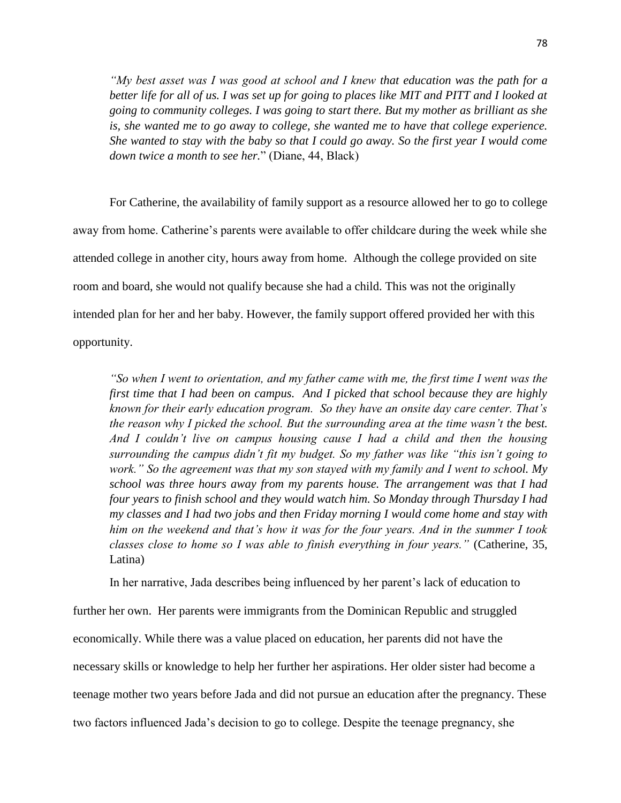*"My best asset was I was good at school and I knew that education was the path for a*  better life for all of us. I was set up for going to places like MIT and PITT and I looked at *going to community colleges. I was going to start there. But my mother as brilliant as she is, she wanted me to go away to college, she wanted me to have that college experience. She wanted to stay with the baby so that I could go away. So the first year I would come down twice a month to see her.*" (Diane, 44, Black)

For Catherine, the availability of family support as a resource allowed her to go to college away from home. Catherine's parents were available to offer childcare during the week while she attended college in another city, hours away from home. Although the college provided on site room and board, she would not qualify because she had a child. This was not the originally intended plan for her and her baby. However, the family support offered provided her with this opportunity.

*"So when I went to orientation, and my father came with me, the first time I went was the first time that I had been on campus. And I picked that school because they are highly known for their early education program. So they have an onsite day care center. That's the reason why I picked the school. But the surrounding area at the time wasn't the best. And I couldn't live on campus housing cause I had a child and then the housing surrounding the campus didn't fit my budget. So my father was like "this isn't going to work." So the agreement was that my son stayed with my family and I went to school. My school was three hours away from my parents house. The arrangement was that I had four years to finish school and they would watch him. So Monday through Thursday I had my classes and I had two jobs and then Friday morning I would come home and stay with him on the weekend and that's how it was for the four years. And in the summer I took classes close to home so I was able to finish everything in four years."* (Catherine, 35, Latina)

In her narrative, Jada describes being influenced by her parent's lack of education to

further her own. Her parents were immigrants from the Dominican Republic and struggled economically. While there was a value placed on education, her parents did not have the necessary skills or knowledge to help her further her aspirations. Her older sister had become a teenage mother two years before Jada and did not pursue an education after the pregnancy. These two factors influenced Jada's decision to go to college. Despite the teenage pregnancy, she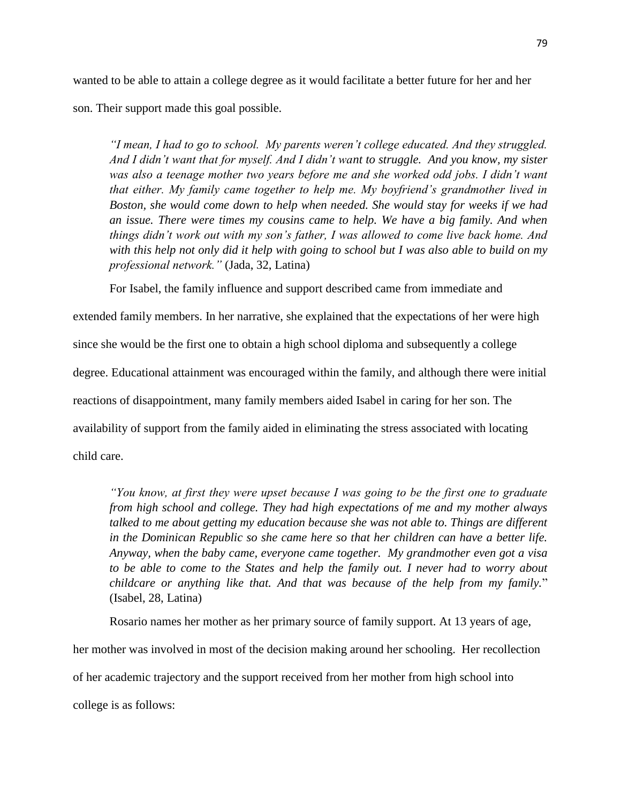wanted to be able to attain a college degree as it would facilitate a better future for her and her son. Their support made this goal possible.

*"I mean, I had to go to school. My parents weren't college educated. And they struggled. And I didn't want that for myself. And I didn't want to struggle. And you know, my sister*  was also a teenage mother two years before me and she worked odd jobs. I didn't want *that either. My family came together to help me. My boyfriend's grandmother lived in Boston, she would come down to help when needed. She would stay for weeks if we had an issue. There were times my cousins came to help. We have a big family. And when things didn't work out with my son's father, I was allowed to come live back home. And with this help not only did it help with going to school but I was also able to build on my professional network."* (Jada, 32, Latina)

For Isabel, the family influence and support described came from immediate and

extended family members. In her narrative, she explained that the expectations of her were high since she would be the first one to obtain a high school diploma and subsequently a college degree. Educational attainment was encouraged within the family, and although there were initial reactions of disappointment, many family members aided Isabel in caring for her son. The availability of support from the family aided in eliminating the stress associated with locating child care.

*"You know, at first they were upset because I was going to be the first one to graduate from high school and college. They had high expectations of me and my mother always talked to me about getting my education because she was not able to. Things are different in the Dominican Republic so she came here so that her children can have a better life. Anyway, when the baby came, everyone came together. My grandmother even got a visa*  to be able to come to the States and help the family out. I never had to worry about *childcare or anything like that. And that was because of the help from my family.*" (Isabel, 28, Latina)

Rosario names her mother as her primary source of family support. At 13 years of age,

her mother was involved in most of the decision making around her schooling. Her recollection of her academic trajectory and the support received from her mother from high school into college is as follows: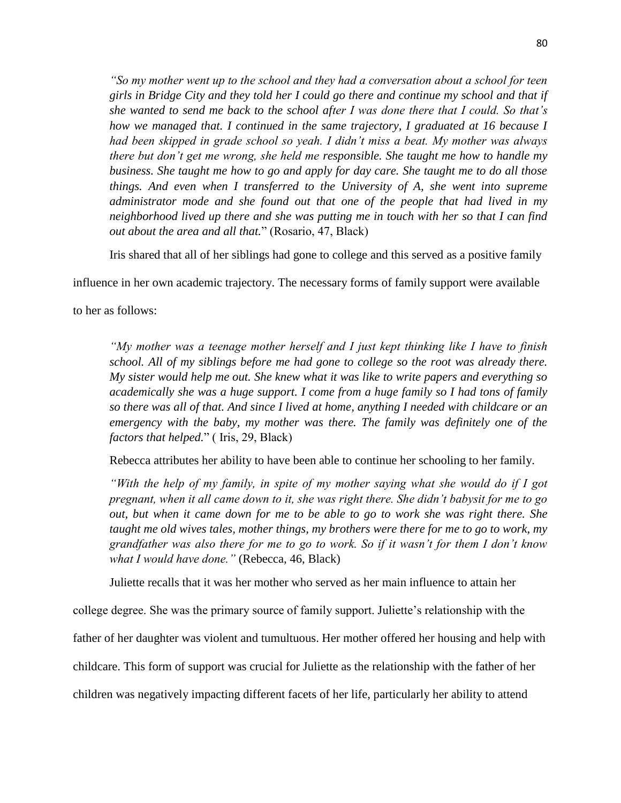*"So my mother went up to the school and they had a conversation about a school for teen girls in Bridge City and they told her I could go there and continue my school and that if she wanted to send me back to the school after I was done there that I could. So that's how we managed that. I continued in the same trajectory, I graduated at 16 because I had been skipped in grade school so yeah. I didn't miss a beat. My mother was always there but don't get me wrong, she held me responsible. She taught me how to handle my business. She taught me how to go and apply for day care. She taught me to do all those things. And even when I transferred to the University of A, she went into supreme administrator mode and she found out that one of the people that had lived in my neighborhood lived up there and she was putting me in touch with her so that I can find out about the area and all that.*" (Rosario, 47, Black)

Iris shared that all of her siblings had gone to college and this served as a positive family

influence in her own academic trajectory. The necessary forms of family support were available

to her as follows:

*"My mother was a teenage mother herself and I just kept thinking like I have to finish school. All of my siblings before me had gone to college so the root was already there. My sister would help me out. She knew what it was like to write papers and everything so academically she was a huge support. I come from a huge family so I had tons of family so there was all of that. And since I lived at home, anything I needed with childcare or an emergency with the baby, my mother was there. The family was definitely one of the factors that helped.*" ( Iris, 29, Black)

Rebecca attributes her ability to have been able to continue her schooling to her family.

*"With the help of my family, in spite of my mother saying what she would do if I got pregnant, when it all came down to it, she was right there. She didn't babysit for me to go out, but when it came down for me to be able to go to work she was right there. She taught me old wives tales, mother things, my brothers were there for me to go to work, my grandfather was also there for me to go to work. So if it wasn't for them I don't know what I would have done."* (Rebecca, 46, Black)

Juliette recalls that it was her mother who served as her main influence to attain her

college degree. She was the primary source of family support. Juliette's relationship with the

father of her daughter was violent and tumultuous. Her mother offered her housing and help with

childcare. This form of support was crucial for Juliette as the relationship with the father of her

children was negatively impacting different facets of her life, particularly her ability to attend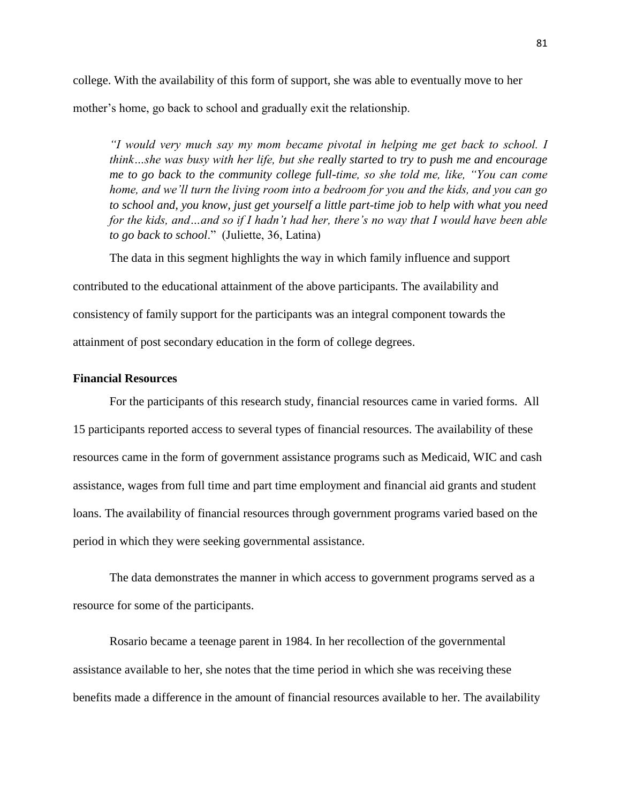college. With the availability of this form of support, she was able to eventually move to her mother's home, go back to school and gradually exit the relationship.

*"I would very much say my mom became pivotal in helping me get back to school. I think…she was busy with her life, but she really started to try to push me and encourage me to go back to the community college full-time, so she told me, like, "You can come home, and we'll turn the living room into a bedroom for you and the kids, and you can go to school and, you know, just get yourself a little part-time job to help with what you need for the kids, and…and so if I hadn't had her, there's no way that I would have been able to go back to school*." (Juliette, 36, Latina)

The data in this segment highlights the way in which family influence and support contributed to the educational attainment of the above participants. The availability and consistency of family support for the participants was an integral component towards the attainment of post secondary education in the form of college degrees.

## **Financial Resources**

For the participants of this research study, financial resources came in varied forms. All 15 participants reported access to several types of financial resources. The availability of these resources came in the form of government assistance programs such as Medicaid, WIC and cash assistance, wages from full time and part time employment and financial aid grants and student loans. The availability of financial resources through government programs varied based on the period in which they were seeking governmental assistance.

The data demonstrates the manner in which access to government programs served as a resource for some of the participants.

Rosario became a teenage parent in 1984. In her recollection of the governmental assistance available to her, she notes that the time period in which she was receiving these benefits made a difference in the amount of financial resources available to her. The availability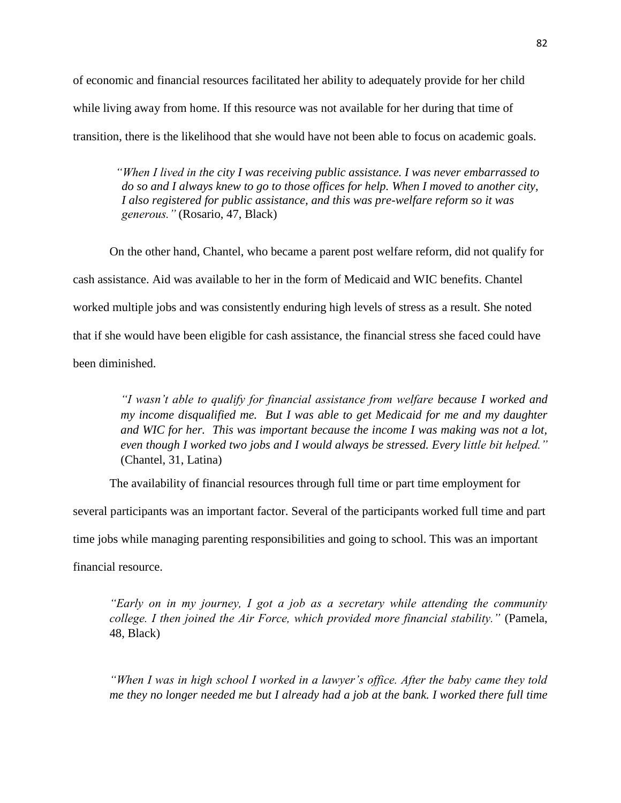of economic and financial resources facilitated her ability to adequately provide for her child while living away from home. If this resource was not available for her during that time of transition, there is the likelihood that she would have not been able to focus on academic goals.

 *"When I lived in the city I was receiving public assistance. I was never embarrassed to do so and I always knew to go to those offices for help. When I moved to another city, I also registered for public assistance, and this was pre-welfare reform so it was generous."* (Rosario, 47, Black)

On the other hand, Chantel, who became a parent post welfare reform, did not qualify for cash assistance. Aid was available to her in the form of Medicaid and WIC benefits. Chantel worked multiple jobs and was consistently enduring high levels of stress as a result. She noted that if she would have been eligible for cash assistance, the financial stress she faced could have been diminished.

> *"I wasn't able to qualify for financial assistance from welfare because I worked and my income disqualified me. But I was able to get Medicaid for me and my daughter and WIC for her. This was important because the income I was making was not a lot, even though I worked two jobs and I would always be stressed. Every little bit helped."*  (Chantel, 31, Latina)

The availability of financial resources through full time or part time employment for

several participants was an important factor. Several of the participants worked full time and part

time jobs while managing parenting responsibilities and going to school. This was an important

financial resource.

*"Early on in my journey, I got a job as a secretary while attending the community college. I then joined the Air Force, which provided more financial stability."* (Pamela, 48, Black)

*"When I was in high school I worked in a lawyer's office. After the baby came they told me they no longer needed me but I already had a job at the bank. I worked there full time*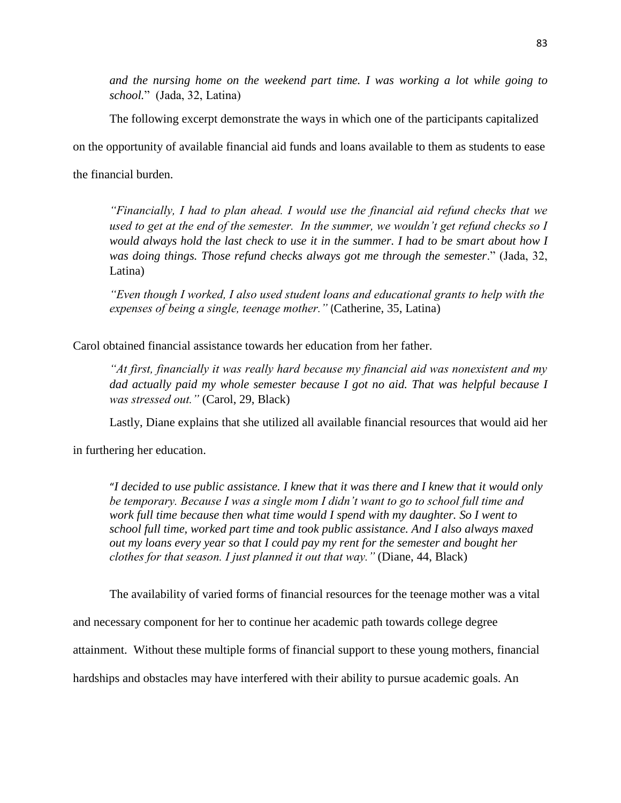*and the nursing home on the weekend part time. I was working a lot while going to school.*" (Jada, 32, Latina)

The following excerpt demonstrate the ways in which one of the participants capitalized

on the opportunity of available financial aid funds and loans available to them as students to ease

the financial burden.

*"Financially, I had to plan ahead. I would use the financial aid refund checks that we used to get at the end of the semester. In the summer, we wouldn't get refund checks so I would always hold the last check to use it in the summer. I had to be smart about how I was doing things. Those refund checks always got me through the semester*." (Jada, 32, Latina)

*"Even though I worked, I also used student loans and educational grants to help with the expenses of being a single, teenage mother."* (Catherine, 35, Latina)

Carol obtained financial assistance towards her education from her father.

*"At first, financially it was really hard because my financial aid was nonexistent and my dad actually paid my whole semester because I got no aid. That was helpful because I was stressed out."* (Carol, 29, Black)

Lastly, Diane explains that she utilized all available financial resources that would aid her

in furthering her education.

"*I decided to use public assistance. I knew that it was there and I knew that it would only be temporary. Because I was a single mom I didn't want to go to school full time and work full time because then what time would I spend with my daughter. So I went to school full time, worked part time and took public assistance. And I also always maxed out my loans every year so that I could pay my rent for the semester and bought her clothes for that season. I just planned it out that way."* (Diane, 44, Black)

The availability of varied forms of financial resources for the teenage mother was a vital

and necessary component for her to continue her academic path towards college degree

attainment. Without these multiple forms of financial support to these young mothers, financial

hardships and obstacles may have interfered with their ability to pursue academic goals. An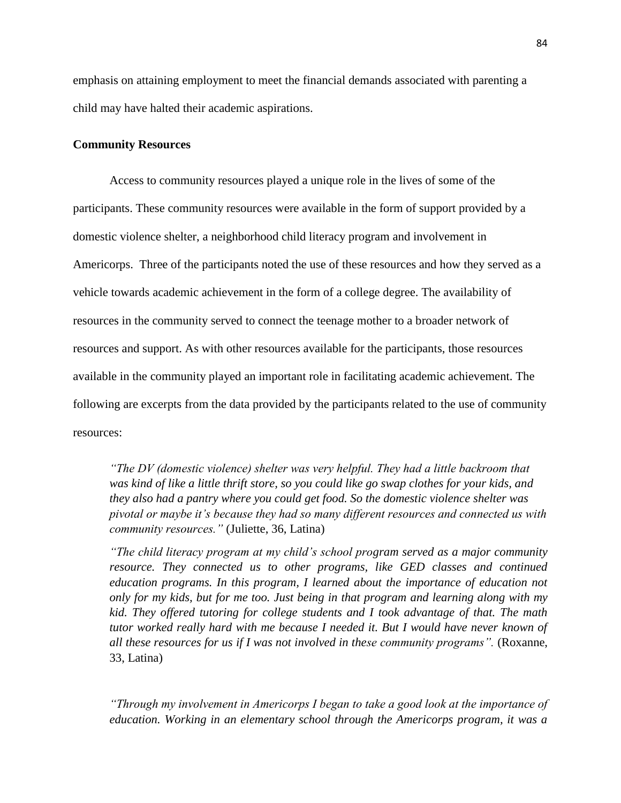emphasis on attaining employment to meet the financial demands associated with parenting a child may have halted their academic aspirations.

### **Community Resources**

Access to community resources played a unique role in the lives of some of the participants. These community resources were available in the form of support provided by a domestic violence shelter, a neighborhood child literacy program and involvement in Americorps. Three of the participants noted the use of these resources and how they served as a vehicle towards academic achievement in the form of a college degree. The availability of resources in the community served to connect the teenage mother to a broader network of resources and support. As with other resources available for the participants, those resources available in the community played an important role in facilitating academic achievement. The following are excerpts from the data provided by the participants related to the use of community resources:

*"The DV (domestic violence) shelter was very helpful. They had a little backroom that was kind of like a little thrift store, so you could like go swap clothes for your kids, and they also had a pantry where you could get food. So the domestic violence shelter was pivotal or maybe it's because they had so many different resources and connected us with community resources."* (Juliette, 36, Latina)

*"The child literacy program at my child's school program served as a major community resource. They connected us to other programs, like GED classes and continued education programs. In this program, I learned about the importance of education not only for my kids, but for me too. Just being in that program and learning along with my kid. They offered tutoring for college students and I took advantage of that. The math tutor worked really hard with me because I needed it. But I would have never known of all these resources for us if I was not involved in these community programs".* (Roxanne, 33, Latina)

*"Through my involvement in Americorps I began to take a good look at the importance of education. Working in an elementary school through the Americorps program, it was a*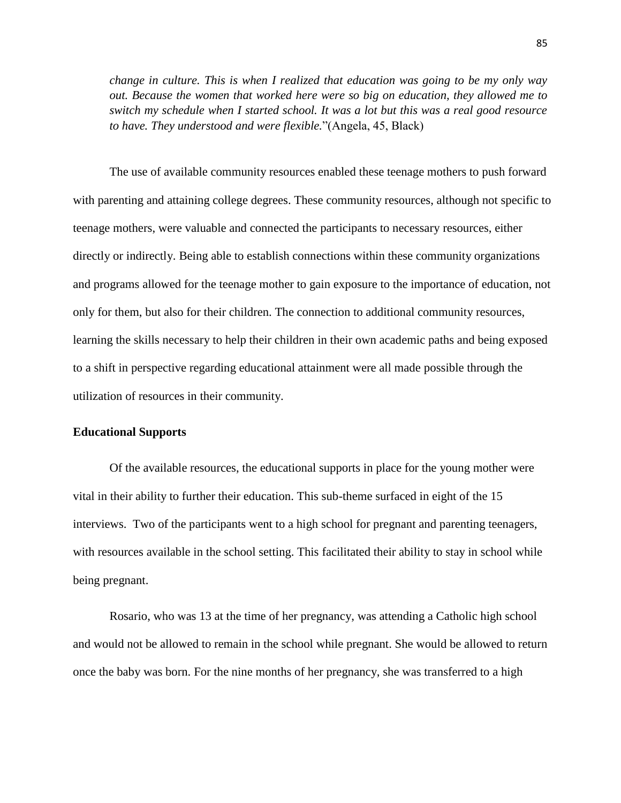*change in culture. This is when I realized that education was going to be my only way out. Because the women that worked here were so big on education, they allowed me to switch my schedule when I started school. It was a lot but this was a real good resource to have. They understood and were flexible.*"(Angela, 45, Black)

The use of available community resources enabled these teenage mothers to push forward with parenting and attaining college degrees. These community resources, although not specific to teenage mothers, were valuable and connected the participants to necessary resources, either directly or indirectly. Being able to establish connections within these community organizations and programs allowed for the teenage mother to gain exposure to the importance of education, not only for them, but also for their children. The connection to additional community resources, learning the skills necessary to help their children in their own academic paths and being exposed to a shift in perspective regarding educational attainment were all made possible through the utilization of resources in their community.

### **Educational Supports**

Of the available resources, the educational supports in place for the young mother were vital in their ability to further their education. This sub-theme surfaced in eight of the 15 interviews. Two of the participants went to a high school for pregnant and parenting teenagers, with resources available in the school setting. This facilitated their ability to stay in school while being pregnant.

Rosario, who was 13 at the time of her pregnancy, was attending a Catholic high school and would not be allowed to remain in the school while pregnant. She would be allowed to return once the baby was born. For the nine months of her pregnancy, she was transferred to a high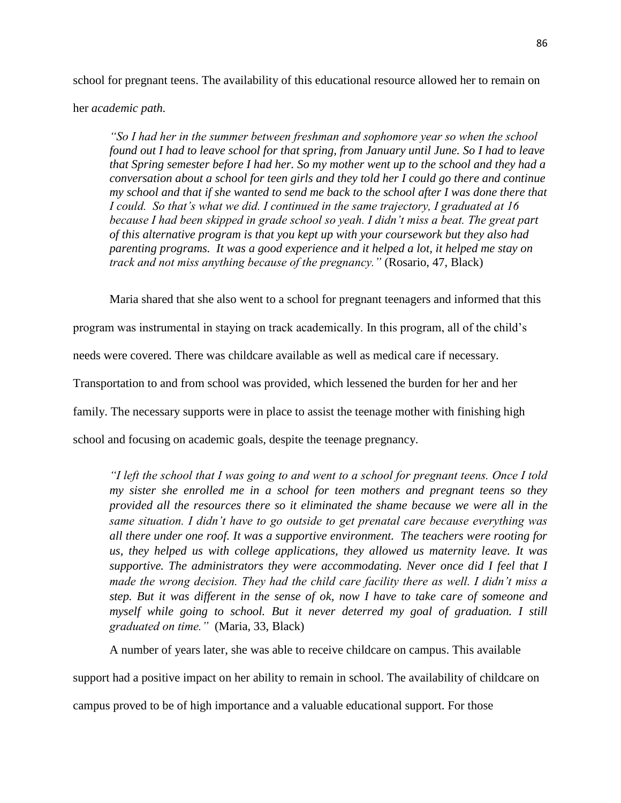school for pregnant teens. The availability of this educational resource allowed her to remain on

her *academic path.* 

*"So I had her in the summer between freshman and sophomore year so when the school found out I had to leave school for that spring, from January until June. So I had to leave that Spring semester before I had her. So my mother went up to the school and they had a conversation about a school for teen girls and they told her I could go there and continue my school and that if she wanted to send me back to the school after I was done there that I could. So that's what we did. I continued in the same trajectory, I graduated at 16 because I had been skipped in grade school so yeah. I didn't miss a beat. The great part of this alternative program is that you kept up with your coursework but they also had parenting programs. It was a good experience and it helped a lot, it helped me stay on track and not miss anything because of the pregnancy."* (Rosario, 47, Black)

Maria shared that she also went to a school for pregnant teenagers and informed that this

program was instrumental in staying on track academically. In this program, all of the child's

needs were covered. There was childcare available as well as medical care if necessary.

Transportation to and from school was provided, which lessened the burden for her and her

family. The necessary supports were in place to assist the teenage mother with finishing high

school and focusing on academic goals, despite the teenage pregnancy.

*"I left the school that I was going to and went to a school for pregnant teens. Once I told my sister she enrolled me in a school for teen mothers and pregnant teens so they provided all the resources there so it eliminated the shame because we were all in the same situation. I didn't have to go outside to get prenatal care because everything was all there under one roof. It was a supportive environment. The teachers were rooting for us, they helped us with college applications, they allowed us maternity leave. It was supportive. The administrators they were accommodating. Never once did I feel that I made the wrong decision. They had the child care facility there as well. I didn't miss a step. But it was different in the sense of ok, now I have to take care of someone and myself while going to school. But it never deterred my goal of graduation. I still graduated on time."* (Maria, 33, Black)

A number of years later, she was able to receive childcare on campus. This available

support had a positive impact on her ability to remain in school. The availability of childcare on

campus proved to be of high importance and a valuable educational support. For those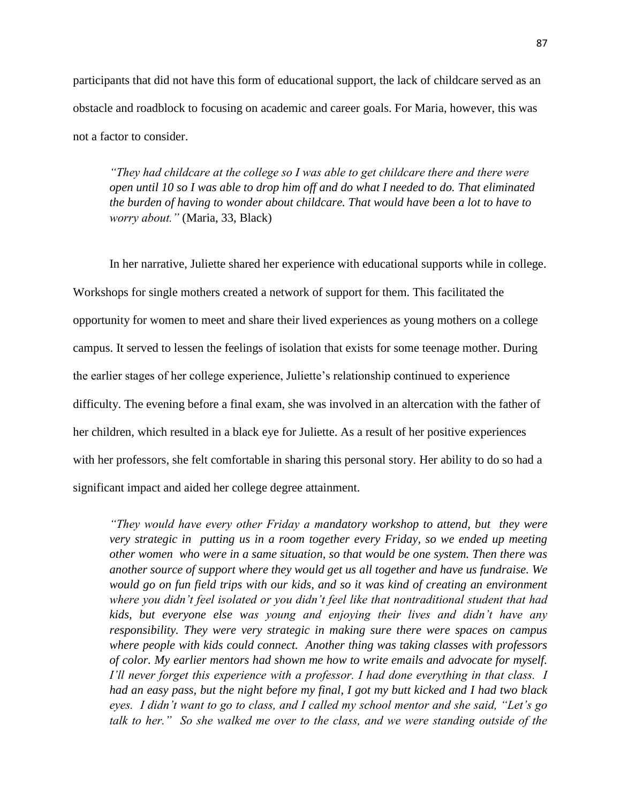participants that did not have this form of educational support, the lack of childcare served as an obstacle and roadblock to focusing on academic and career goals. For Maria, however, this was not a factor to consider.

*"They had childcare at the college so I was able to get childcare there and there were open until 10 so I was able to drop him off and do what I needed to do. That eliminated the burden of having to wonder about childcare. That would have been a lot to have to worry about."* (Maria, 33, Black)

In her narrative, Juliette shared her experience with educational supports while in college. Workshops for single mothers created a network of support for them. This facilitated the opportunity for women to meet and share their lived experiences as young mothers on a college campus. It served to lessen the feelings of isolation that exists for some teenage mother. During the earlier stages of her college experience, Juliette's relationship continued to experience difficulty. The evening before a final exam, she was involved in an altercation with the father of her children, which resulted in a black eye for Juliette. As a result of her positive experiences with her professors, she felt comfortable in sharing this personal story. Her ability to do so had a significant impact and aided her college degree attainment.

*"They would have every other Friday a mandatory workshop to attend, but they were very strategic in putting us in a room together every Friday, so we ended up meeting other women who were in a same situation, so that would be one system. Then there was another source of support where they would get us all together and have us fundraise. We would go on fun field trips with our kids, and so it was kind of creating an environment where you didn't feel isolated or you didn't feel like that nontraditional student that had kids, but everyone else was young and enjoying their lives and didn't have any responsibility. They were very strategic in making sure there were spaces on campus where people with kids could connect. Another thing was taking classes with professors of color. My earlier mentors had shown me how to write emails and advocate for myself. I'll never forget this experience with a professor. I had done everything in that class. I had an easy pass, but the night before my final, I got my butt kicked and I had two black eyes. I didn't want to go to class, and I called my school mentor and she said, "Let's go talk to her." So she walked me over to the class, and we were standing outside of the*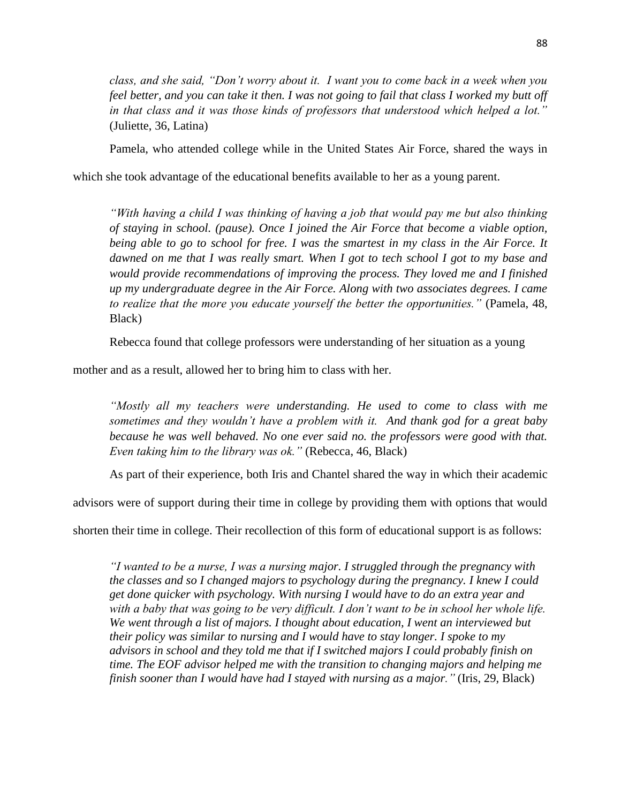*class, and she said, "Don't worry about it. I want you to come back in a week when you feel better, and you can take it then. I was not going to fail that class I worked my butt off in that class and it was those kinds of professors that understood which helped a lot."* (Juliette, 36, Latina)

Pamela, who attended college while in the United States Air Force, shared the ways in

which she took advantage of the educational benefits available to her as a young parent.

*"With having a child I was thinking of having a job that would pay me but also thinking of staying in school. (pause). Once I joined the Air Force that become a viable option, being able to go to school for free. I was the smartest in my class in the Air Force. It dawned on me that I was really smart. When I got to tech school I got to my base and would provide recommendations of improving the process. They loved me and I finished up my undergraduate degree in the Air Force. Along with two associates degrees. I came to realize that the more you educate yourself the better the opportunities."* (Pamela, 48, Black)

Rebecca found that college professors were understanding of her situation as a young

mother and as a result, allowed her to bring him to class with her.

*"Mostly all my teachers were understanding. He used to come to class with me sometimes and they wouldn't have a problem with it. And thank god for a great baby because he was well behaved. No one ever said no. the professors were good with that. Even taking him to the library was ok."* (Rebecca, 46, Black)

As part of their experience, both Iris and Chantel shared the way in which their academic

advisors were of support during their time in college by providing them with options that would

shorten their time in college. Their recollection of this form of educational support is as follows:

*"I wanted to be a nurse, I was a nursing major. I struggled through the pregnancy with the classes and so I changed majors to psychology during the pregnancy. I knew I could get done quicker with psychology. With nursing I would have to do an extra year and*  with a baby that was going to be very difficult. I don't want to be in school her whole life. *We went through a list of majors. I thought about education, I went an interviewed but their policy was similar to nursing and I would have to stay longer. I spoke to my advisors in school and they told me that if I switched majors I could probably finish on time. The EOF advisor helped me with the transition to changing majors and helping me finish sooner than I would have had I stayed with nursing as a major."* (Iris, 29, Black)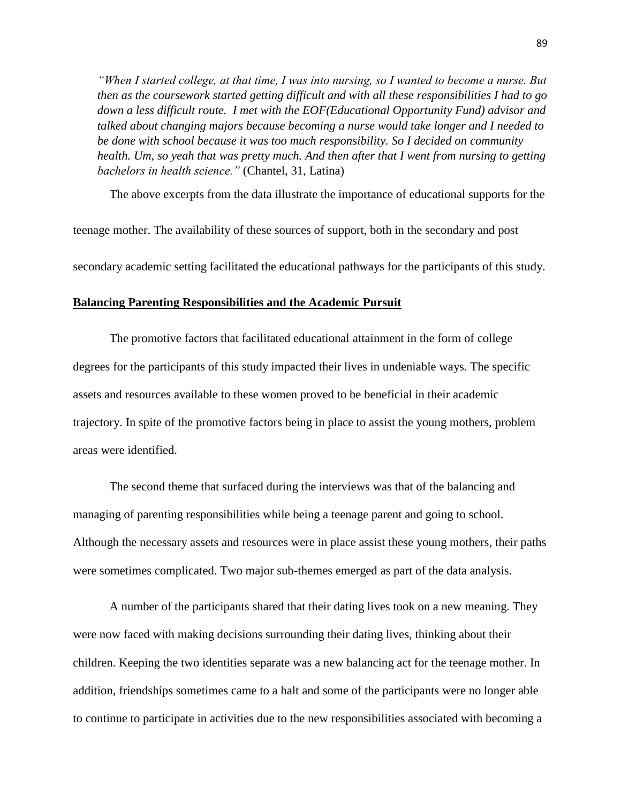*"When I started college, at that time, I was into nursing, so I wanted to become a nurse. But then as the coursework started getting difficult and with all these responsibilities I had to go down a less difficult route. I met with the EOF(Educational Opportunity Fund) advisor and talked about changing majors because becoming a nurse would take longer and I needed to be done with school because it was too much responsibility. So I decided on community health. Um, so yeah that was pretty much. And then after that I went from nursing to getting bachelors in health science."* (Chantel, 31, Latina)

The above excerpts from the data illustrate the importance of educational supports for the

teenage mother. The availability of these sources of support, both in the secondary and post

secondary academic setting facilitated the educational pathways for the participants of this study.

### **Balancing Parenting Responsibilities and the Academic Pursuit**

The promotive factors that facilitated educational attainment in the form of college degrees for the participants of this study impacted their lives in undeniable ways. The specific assets and resources available to these women proved to be beneficial in their academic trajectory. In spite of the promotive factors being in place to assist the young mothers, problem areas were identified.

The second theme that surfaced during the interviews was that of the balancing and managing of parenting responsibilities while being a teenage parent and going to school. Although the necessary assets and resources were in place assist these young mothers, their paths were sometimes complicated. Two major sub-themes emerged as part of the data analysis.

A number of the participants shared that their dating lives took on a new meaning. They were now faced with making decisions surrounding their dating lives, thinking about their children. Keeping the two identities separate was a new balancing act for the teenage mother. In addition, friendships sometimes came to a halt and some of the participants were no longer able to continue to participate in activities due to the new responsibilities associated with becoming a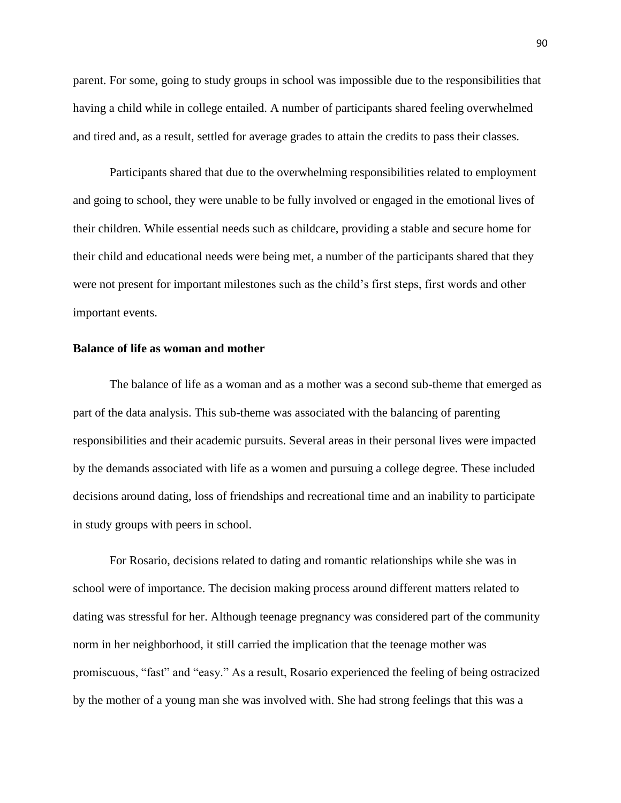parent. For some, going to study groups in school was impossible due to the responsibilities that having a child while in college entailed. A number of participants shared feeling overwhelmed and tired and, as a result, settled for average grades to attain the credits to pass their classes.

Participants shared that due to the overwhelming responsibilities related to employment and going to school, they were unable to be fully involved or engaged in the emotional lives of their children. While essential needs such as childcare, providing a stable and secure home for their child and educational needs were being met, a number of the participants shared that they were not present for important milestones such as the child's first steps, first words and other important events.

### **Balance of life as woman and mother**

The balance of life as a woman and as a mother was a second sub-theme that emerged as part of the data analysis. This sub-theme was associated with the balancing of parenting responsibilities and their academic pursuits. Several areas in their personal lives were impacted by the demands associated with life as a women and pursuing a college degree. These included decisions around dating, loss of friendships and recreational time and an inability to participate in study groups with peers in school.

For Rosario, decisions related to dating and romantic relationships while she was in school were of importance. The decision making process around different matters related to dating was stressful for her. Although teenage pregnancy was considered part of the community norm in her neighborhood, it still carried the implication that the teenage mother was promiscuous, "fast" and "easy." As a result, Rosario experienced the feeling of being ostracized by the mother of a young man she was involved with. She had strong feelings that this was a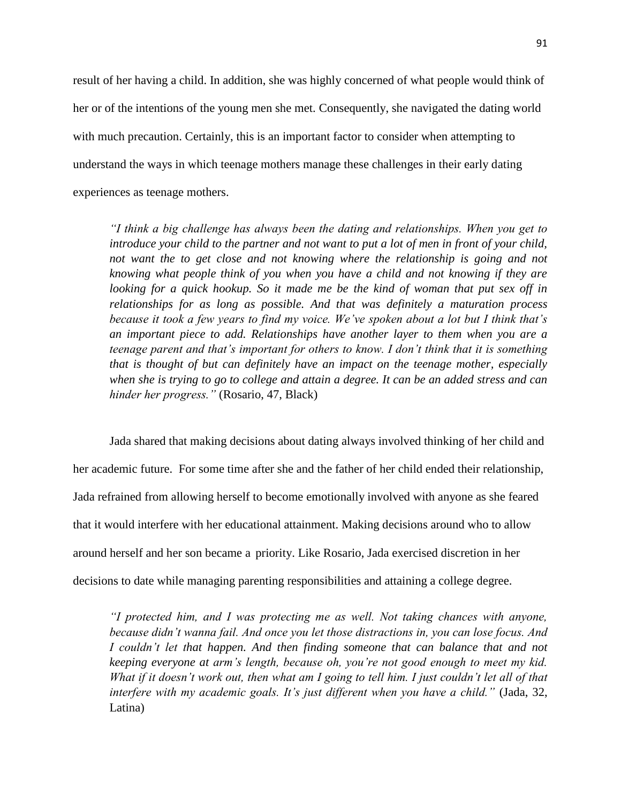result of her having a child. In addition, she was highly concerned of what people would think of her or of the intentions of the young men she met. Consequently, she navigated the dating world with much precaution. Certainly, this is an important factor to consider when attempting to understand the ways in which teenage mothers manage these challenges in their early dating experiences as teenage mothers.

*"I think a big challenge has always been the dating and relationships. When you get to introduce your child to the partner and not want to put a lot of men in front of your child, not want the to get close and not knowing where the relationship is going and not knowing what people think of you when you have a child and not knowing if they are looking for a quick hookup. So it made me be the kind of woman that put sex off in relationships for as long as possible. And that was definitely a maturation process because it took a few years to find my voice. We've spoken about a lot but I think that's an important piece to add. Relationships have another layer to them when you are a teenage parent and that's important for others to know. I don't think that it is something that is thought of but can definitely have an impact on the teenage mother, especially when she is trying to go to college and attain a degree. It can be an added stress and can hinder her progress."* (Rosario, 47, Black)

Jada shared that making decisions about dating always involved thinking of her child and her academic future. For some time after she and the father of her child ended their relationship, Jada refrained from allowing herself to become emotionally involved with anyone as she feared that it would interfere with her educational attainment. Making decisions around who to allow around herself and her son became a priority. Like Rosario, Jada exercised discretion in her decisions to date while managing parenting responsibilities and attaining a college degree.

*"I protected him, and I was protecting me as well. Not taking chances with anyone, because didn't wanna fail. And once you let those distractions in, you can lose focus. And I couldn't let that happen. And then finding someone that can balance that and not keeping everyone at arm's length, because oh, you're not good enough to meet my kid. What if it doesn't work out, then what am I going to tell him. I just couldn't let all of that interfere with my academic goals. It's just different when you have a child."* (Jada, 32, Latina)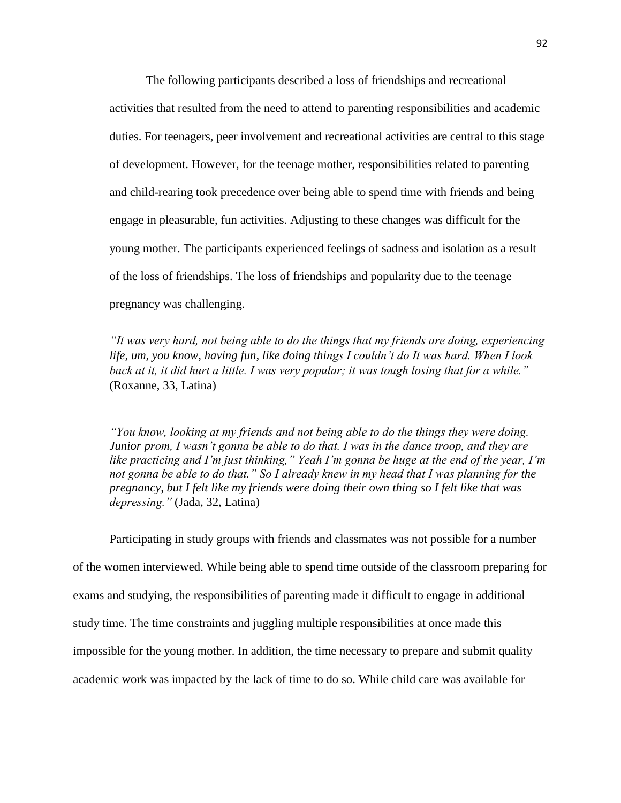The following participants described a loss of friendships and recreational activities that resulted from the need to attend to parenting responsibilities and academic duties. For teenagers, peer involvement and recreational activities are central to this stage of development. However, for the teenage mother, responsibilities related to parenting and child-rearing took precedence over being able to spend time with friends and being engage in pleasurable, fun activities. Adjusting to these changes was difficult for the young mother. The participants experienced feelings of sadness and isolation as a result of the loss of friendships. The loss of friendships and popularity due to the teenage pregnancy was challenging.

*"It was very hard, not being able to do the things that my friends are doing, experiencing life, um, you know, having fun, like doing things I couldn't do It was hard. When I look back at it, it did hurt a little. I was very popular; it was tough losing that for a while."*  (Roxanne, 33, Latina)

*"You know, looking at my friends and not being able to do the things they were doing. Junior prom, I wasn't gonna be able to do that. I was in the dance troop, and they are like practicing and I'm just thinking," Yeah I'm gonna be huge at the end of the year, I'm not gonna be able to do that." So I already knew in my head that I was planning for the pregnancy, but I felt like my friends were doing their own thing so I felt like that was depressing."* (Jada, 32, Latina)

Participating in study groups with friends and classmates was not possible for a number of the women interviewed. While being able to spend time outside of the classroom preparing for exams and studying, the responsibilities of parenting made it difficult to engage in additional study time. The time constraints and juggling multiple responsibilities at once made this impossible for the young mother. In addition, the time necessary to prepare and submit quality academic work was impacted by the lack of time to do so. While child care was available for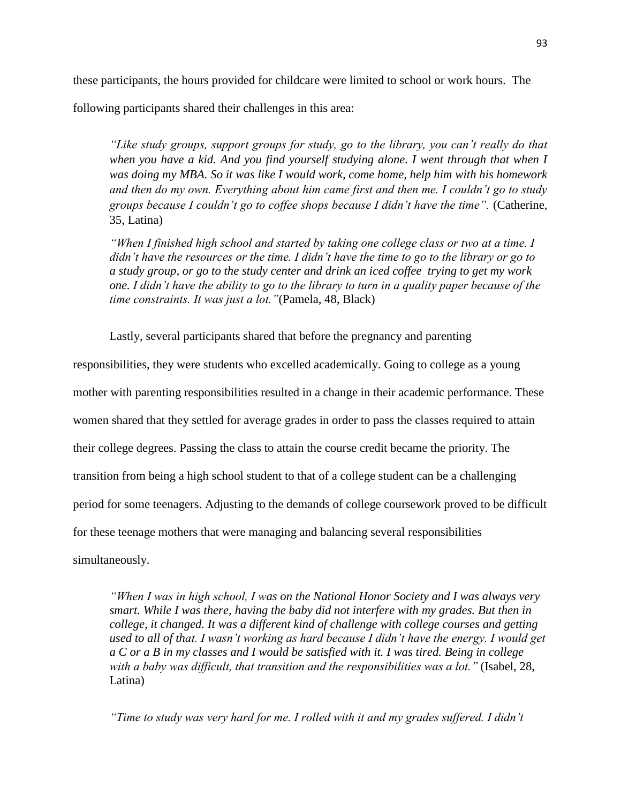these participants, the hours provided for childcare were limited to school or work hours. The

following participants shared their challenges in this area:

*"Like study groups, support groups for study, go to the library, you can't really do that when you have a kid. And you find yourself studying alone. I went through that when I was doing my MBA. So it was like I would work, come home, help him with his homework and then do my own. Everything about him came first and then me. I couldn't go to study groups because I couldn't go to coffee shops because I didn't have the time".* (Catherine, 35, Latina)

*"When I finished high school and started by taking one college class or two at a time. I didn't have the resources or the time. I didn't have the time to go to the library or go to a study group, or go to the study center and drink an iced coffee trying to get my work one. I didn't have the ability to go to the library to turn in a quality paper because of the time constraints. It was just a lot."*(Pamela, 48, Black)

Lastly, several participants shared that before the pregnancy and parenting

responsibilities, they were students who excelled academically. Going to college as a young mother with parenting responsibilities resulted in a change in their academic performance. These women shared that they settled for average grades in order to pass the classes required to attain their college degrees. Passing the class to attain the course credit became the priority. The transition from being a high school student to that of a college student can be a challenging period for some teenagers. Adjusting to the demands of college coursework proved to be difficult for these teenage mothers that were managing and balancing several responsibilities simultaneously.

*"When I was in high school, I was on the National Honor Society and I was always very smart. While I was there, having the baby did not interfere with my grades. But then in college, it changed. It was a different kind of challenge with college courses and getting used to all of that. I wasn't working as hard because I didn't have the energy. I would get a C or a B in my classes and I would be satisfied with it. I was tired. Being in college with a baby was difficult, that transition and the responsibilities was a lot."* (Isabel, 28, Latina)

*"Time to study was very hard for me. I rolled with it and my grades suffered. I didn't*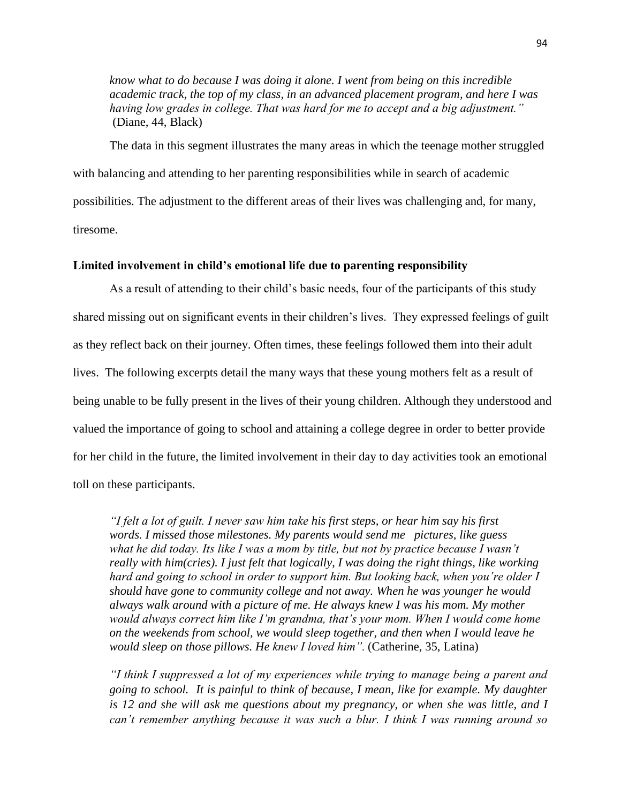*know what to do because I was doing it alone. I went from being on this incredible academic track, the top of my class, in an advanced placement program, and here I was having low grades in college. That was hard for me to accept and a big adjustment."* (Diane, 44, Black)

The data in this segment illustrates the many areas in which the teenage mother struggled with balancing and attending to her parenting responsibilities while in search of academic possibilities. The adjustment to the different areas of their lives was challenging and, for many, tiresome.

## **Limited involvement in child's emotional life due to parenting responsibility**

As a result of attending to their child's basic needs, four of the participants of this study shared missing out on significant events in their children's lives. They expressed feelings of guilt as they reflect back on their journey. Often times, these feelings followed them into their adult lives. The following excerpts detail the many ways that these young mothers felt as a result of being unable to be fully present in the lives of their young children. Although they understood and valued the importance of going to school and attaining a college degree in order to better provide for her child in the future, the limited involvement in their day to day activities took an emotional toll on these participants.

*"I felt a lot of guilt. I never saw him take his first steps, or hear him say his first words. I missed those milestones. My parents would send me pictures, like guess what he did today. Its like I was a mom by title, but not by practice because I wasn't really with him(cries). I just felt that logically, I was doing the right things, like working hard and going to school in order to support him. But looking back, when you're older I should have gone to community college and not away. When he was younger he would always walk around with a picture of me. He always knew I was his mom. My mother*  would always correct him like I'm grandma, that's your mom. When I would come home *on the weekends from school, we would sleep together, and then when I would leave he would sleep on those pillows. He knew I loved him".* (Catherine, 35, Latina)

*"I think I suppressed a lot of my experiences while trying to manage being a parent and going to school. It is painful to think of because, I mean, like for example. My daughter is 12 and she will ask me questions about my pregnancy, or when she was little, and I can't remember anything because it was such a blur. I think I was running around so*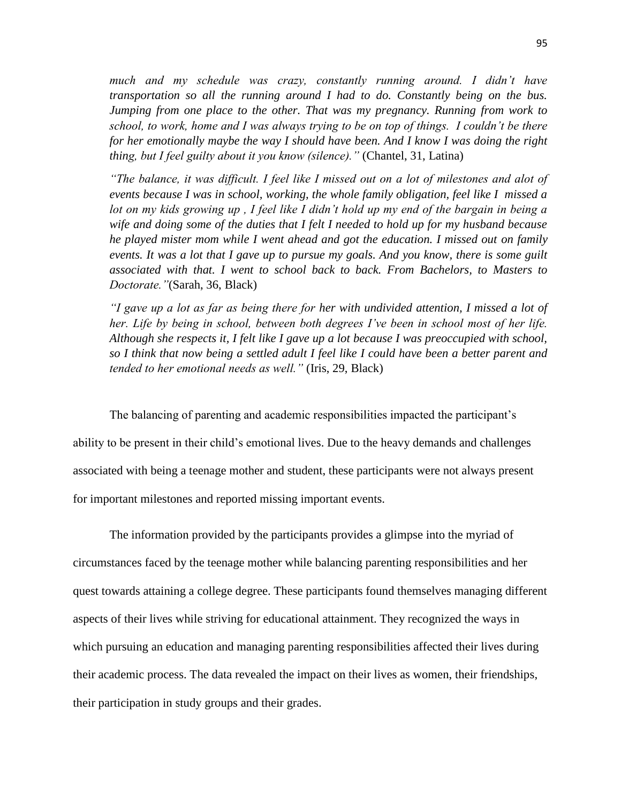*much and my schedule was crazy, constantly running around. I didn't have transportation so all the running around I had to do. Constantly being on the bus. Jumping from one place to the other. That was my pregnancy. Running from work to school, to work, home and I was always trying to be on top of things. I couldn't be there for her emotionally maybe the way I should have been. And I know I was doing the right thing, but I feel guilty about it you know (silence)."* (Chantel, 31, Latina)

*"The balance, it was difficult. I feel like I missed out on a lot of milestones and alot of events because I was in school, working, the whole family obligation, feel like I missed a lot on my kids growing up , I feel like I didn't hold up my end of the bargain in being a wife and doing some of the duties that I felt I needed to hold up for my husband because he played mister mom while I went ahead and got the education. I missed out on family events. It was a lot that I gave up to pursue my goals. And you know, there is some guilt associated with that. I went to school back to back. From Bachelors, to Masters to Doctorate."*(Sarah, 36, Black)

*"I gave up a lot as far as being there for her with undivided attention, I missed a lot of her. Life by being in school, between both degrees I've been in school most of her life. Although she respects it, I felt like I gave up a lot because I was preoccupied with school, so I think that now being a settled adult I feel like I could have been a better parent and tended to her emotional needs as well."* (Iris, 29, Black)

The balancing of parenting and academic responsibilities impacted the participant's

ability to be present in their child's emotional lives. Due to the heavy demands and challenges associated with being a teenage mother and student, these participants were not always present for important milestones and reported missing important events.

The information provided by the participants provides a glimpse into the myriad of circumstances faced by the teenage mother while balancing parenting responsibilities and her quest towards attaining a college degree. These participants found themselves managing different aspects of their lives while striving for educational attainment. They recognized the ways in which pursuing an education and managing parenting responsibilities affected their lives during their academic process. The data revealed the impact on their lives as women, their friendships, their participation in study groups and their grades.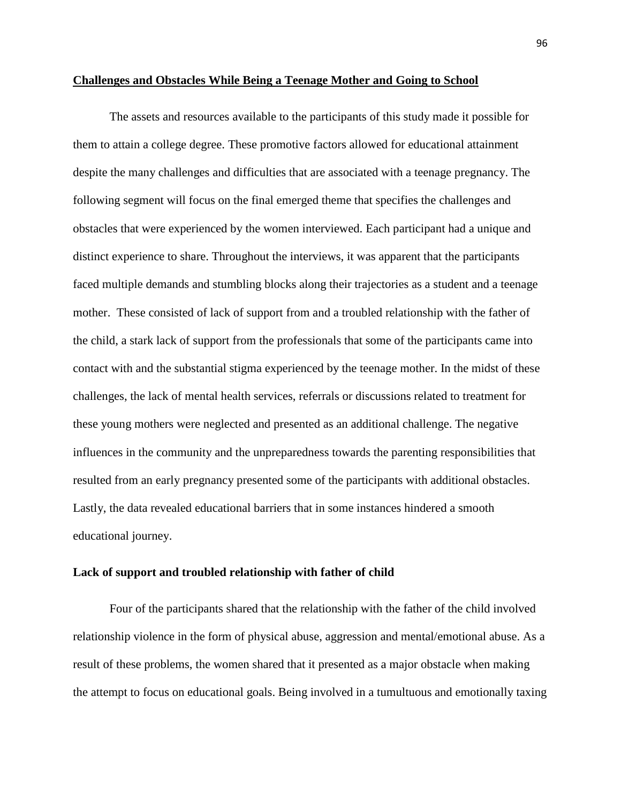### **Challenges and Obstacles While Being a Teenage Mother and Going to School**

The assets and resources available to the participants of this study made it possible for them to attain a college degree. These promotive factors allowed for educational attainment despite the many challenges and difficulties that are associated with a teenage pregnancy. The following segment will focus on the final emerged theme that specifies the challenges and obstacles that were experienced by the women interviewed. Each participant had a unique and distinct experience to share. Throughout the interviews, it was apparent that the participants faced multiple demands and stumbling blocks along their trajectories as a student and a teenage mother. These consisted of lack of support from and a troubled relationship with the father of the child, a stark lack of support from the professionals that some of the participants came into contact with and the substantial stigma experienced by the teenage mother. In the midst of these challenges, the lack of mental health services, referrals or discussions related to treatment for these young mothers were neglected and presented as an additional challenge. The negative influences in the community and the unpreparedness towards the parenting responsibilities that resulted from an early pregnancy presented some of the participants with additional obstacles. Lastly, the data revealed educational barriers that in some instances hindered a smooth educational journey.

#### **Lack of support and troubled relationship with father of child**

Four of the participants shared that the relationship with the father of the child involved relationship violence in the form of physical abuse, aggression and mental/emotional abuse. As a result of these problems, the women shared that it presented as a major obstacle when making the attempt to focus on educational goals. Being involved in a tumultuous and emotionally taxing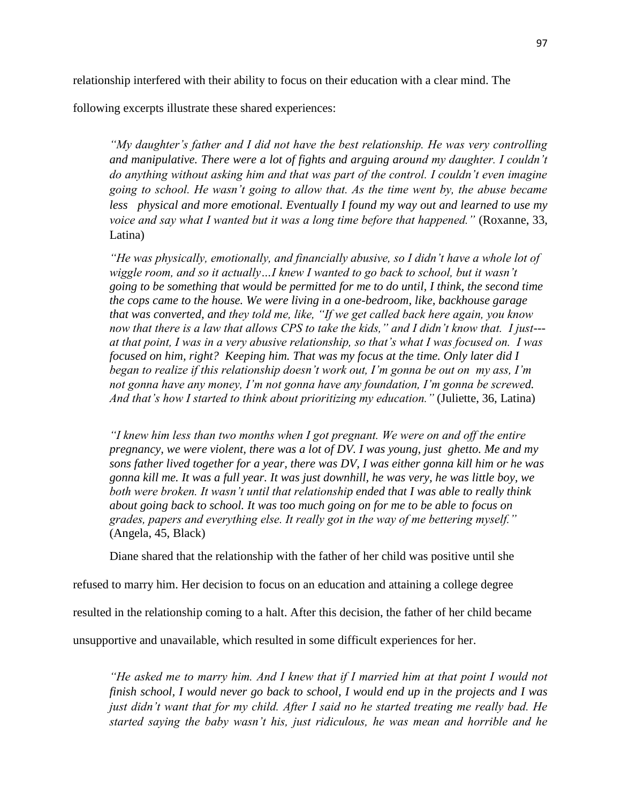following excerpts illustrate these shared experiences:

*"My daughter's father and I did not have the best relationship. He was very controlling and manipulative. There were a lot of fights and arguing around my daughter. I couldn't do anything without asking him and that was part of the control. I couldn't even imagine going to school. He wasn't going to allow that. As the time went by, the abuse became less physical and more emotional. Eventually I found my way out and learned to use my voice and say what I wanted but it was a long time before that happened."* (Roxanne, 33, Latina)

*"He was physically, emotionally, and financially abusive, so I didn't have a whole lot of wiggle room, and so it actually…I knew I wanted to go back to school, but it wasn't going to be something that would be permitted for me to do until, I think, the second time the cops came to the house. We were living in a one-bedroom, like, backhouse garage that was converted, and they told me, like, "If we get called back here again, you know now that there is a law that allows CPS to take the kids," and I didn't know that. I just-- at that point, I was in a very abusive relationship, so that's what I was focused on. I was focused on him, right? Keeping him. That was my focus at the time. Only later did I began to realize if this relationship doesn't work out, I'm gonna be out on my ass, I'm not gonna have any money, I'm not gonna have any foundation, I'm gonna be screwed. And that's how I started to think about prioritizing my education."* (Juliette, 36, Latina)

*"I knew him less than two months when I got pregnant. We were on and off the entire pregnancy, we were violent, there was a lot of DV. I was young, just ghetto. Me and my sons father lived together for a year, there was DV, I was either gonna kill him or he was gonna kill me. It was a full year. It was just downhill, he was very, he was little boy, we both were broken. It wasn't until that relationship ended that I was able to really think about going back to school. It was too much going on for me to be able to focus on grades, papers and everything else. It really got in the way of me bettering myself."* (Angela, 45, Black)

Diane shared that the relationship with the father of her child was positive until she

refused to marry him. Her decision to focus on an education and attaining a college degree

resulted in the relationship coming to a halt. After this decision, the father of her child became

unsupportive and unavailable, which resulted in some difficult experiences for her.

*"He asked me to marry him. And I knew that if I married him at that point I would not finish school, I would never go back to school, I would end up in the projects and I was just didn't want that for my child. After I said no he started treating me really bad. He started saying the baby wasn't his, just ridiculous, he was mean and horrible and he*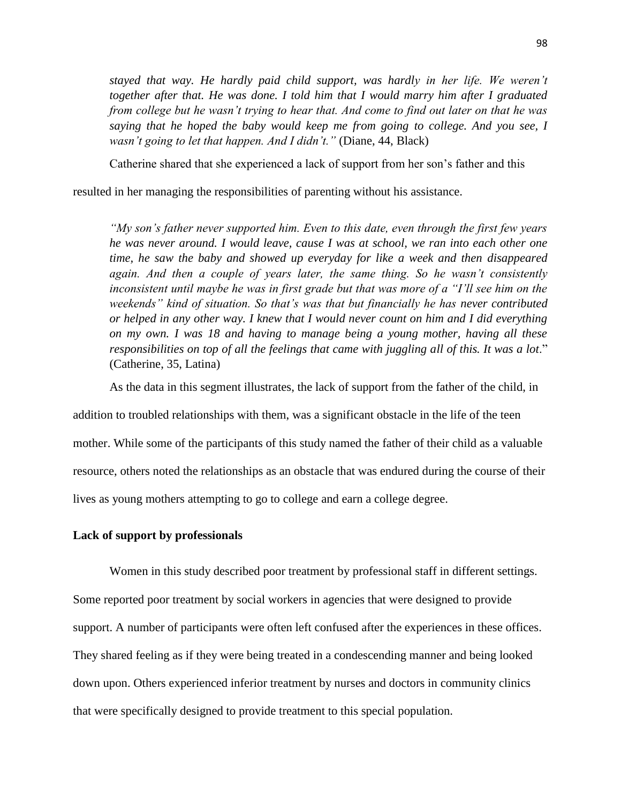*stayed that way. He hardly paid child support, was hardly in her life. We weren't together after that. He was done. I told him that I would marry him after I graduated from college but he wasn't trying to hear that. And come to find out later on that he was saying that he hoped the baby would keep me from going to college. And you see, I wasn't going to let that happen. And I didn't."* (Diane, 44, Black)

Catherine shared that she experienced a lack of support from her son's father and this

resulted in her managing the responsibilities of parenting without his assistance.

*"My son's father never supported him. Even to this date, even through the first few years he was never around. I would leave, cause I was at school, we ran into each other one time, he saw the baby and showed up everyday for like a week and then disappeared again. And then a couple of years later, the same thing. So he wasn't consistently inconsistent until maybe he was in first grade but that was more of a "I'll see him on the weekends" kind of situation. So that's was that but financially he has never contributed or helped in any other way. I knew that I would never count on him and I did everything on my own. I was 18 and having to manage being a young mother, having all these responsibilities on top of all the feelings that came with juggling all of this. It was a lot*." (Catherine, 35, Latina)

As the data in this segment illustrates, the lack of support from the father of the child, in

addition to troubled relationships with them, was a significant obstacle in the life of the teen mother. While some of the participants of this study named the father of their child as a valuable resource, others noted the relationships as an obstacle that was endured during the course of their lives as young mothers attempting to go to college and earn a college degree.

## **Lack of support by professionals**

Women in this study described poor treatment by professional staff in different settings. Some reported poor treatment by social workers in agencies that were designed to provide support. A number of participants were often left confused after the experiences in these offices. They shared feeling as if they were being treated in a condescending manner and being looked down upon. Others experienced inferior treatment by nurses and doctors in community clinics that were specifically designed to provide treatment to this special population.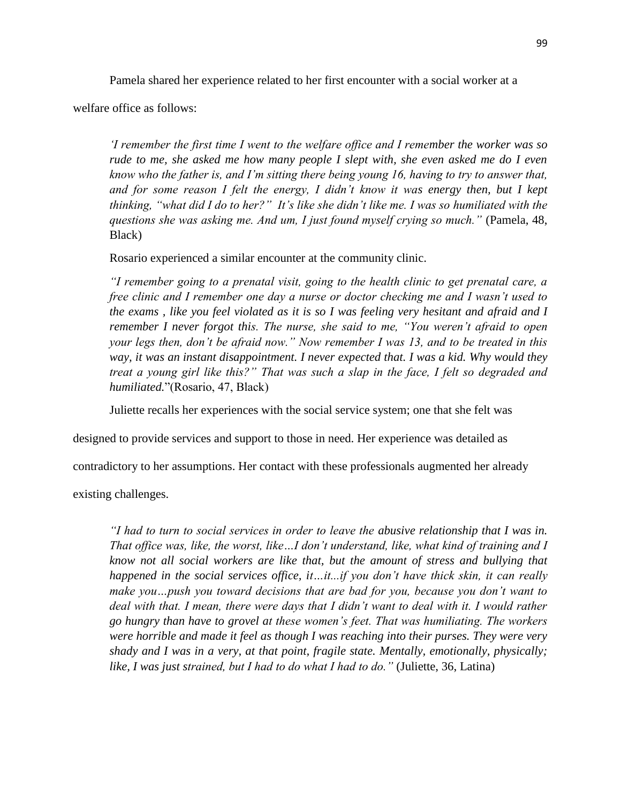Pamela shared her experience related to her first encounter with a social worker at a

welfare office as follows:

*'I remember the first time I went to the welfare office and I remember the worker was so rude to me, she asked me how many people I slept with, she even asked me do I even know who the father is, and I'm sitting there being young 16, having to try to answer that,*  and for some reason I felt the energy, I didn't know it was energy then, but I kept *thinking, "what did I do to her?" It's like she didn't like me. I was so humiliated with the questions she was asking me. And um, I just found myself crying so much."* (Pamela, 48, Black)

Rosario experienced a similar encounter at the community clinic.

*"I remember going to a prenatal visit, going to the health clinic to get prenatal care, a free clinic and I remember one day a nurse or doctor checking me and I wasn't used to the exams , like you feel violated as it is so I was feeling very hesitant and afraid and I remember I never forgot this. The nurse, she said to me, "You weren't afraid to open your legs then, don't be afraid now." Now remember I was 13, and to be treated in this way, it was an instant disappointment. I never expected that. I was a kid. Why would they treat a young girl like this?" That was such a slap in the face, I felt so degraded and humiliated.*"(Rosario, 47, Black)

Juliette recalls her experiences with the social service system; one that she felt was

designed to provide services and support to those in need. Her experience was detailed as

contradictory to her assumptions. Her contact with these professionals augmented her already

existing challenges.

*"I had to turn to social services in order to leave the abusive relationship that I was in. That office was, like, the worst, like…I don't understand, like, what kind of training and I know not all social workers are like that, but the amount of stress and bullying that happened in the social services office, it…it...if you don't have thick skin, it can really make you…push you toward decisions that are bad for you, because you don't want to deal with that. I mean, there were days that I didn't want to deal with it. I would rather go hungry than have to grovel at these women's feet. That was humiliating. The workers were horrible and made it feel as though I was reaching into their purses. They were very shady and I was in a very, at that point, fragile state. Mentally, emotionally, physically; like, I was just strained, but I had to do what I had to do."* (Juliette, 36, Latina)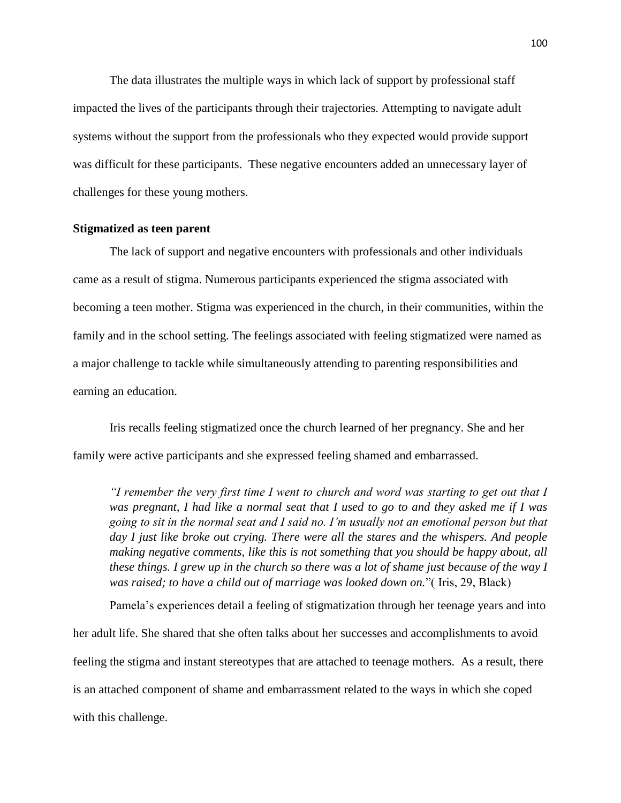The data illustrates the multiple ways in which lack of support by professional staff impacted the lives of the participants through their trajectories. Attempting to navigate adult systems without the support from the professionals who they expected would provide support was difficult for these participants. These negative encounters added an unnecessary layer of challenges for these young mothers.

# **Stigmatized as teen parent**

The lack of support and negative encounters with professionals and other individuals came as a result of stigma. Numerous participants experienced the stigma associated with becoming a teen mother. Stigma was experienced in the church, in their communities, within the family and in the school setting. The feelings associated with feeling stigmatized were named as a major challenge to tackle while simultaneously attending to parenting responsibilities and earning an education.

Iris recalls feeling stigmatized once the church learned of her pregnancy. She and her family were active participants and she expressed feeling shamed and embarrassed.

*"I remember the very first time I went to church and word was starting to get out that I was pregnant, I had like a normal seat that I used to go to and they asked me if I was going to sit in the normal seat and I said no. I'm usually not an emotional person but that day I just like broke out crying. There were all the stares and the whispers. And people making negative comments, like this is not something that you should be happy about, all these things. I grew up in the church so there was a lot of shame just because of the way I was raised; to have a child out of marriage was looked down on.*"( Iris, 29, Black)

Pamela's experiences detail a feeling of stigmatization through her teenage years and into her adult life. She shared that she often talks about her successes and accomplishments to avoid feeling the stigma and instant stereotypes that are attached to teenage mothers. As a result, there is an attached component of shame and embarrassment related to the ways in which she coped with this challenge.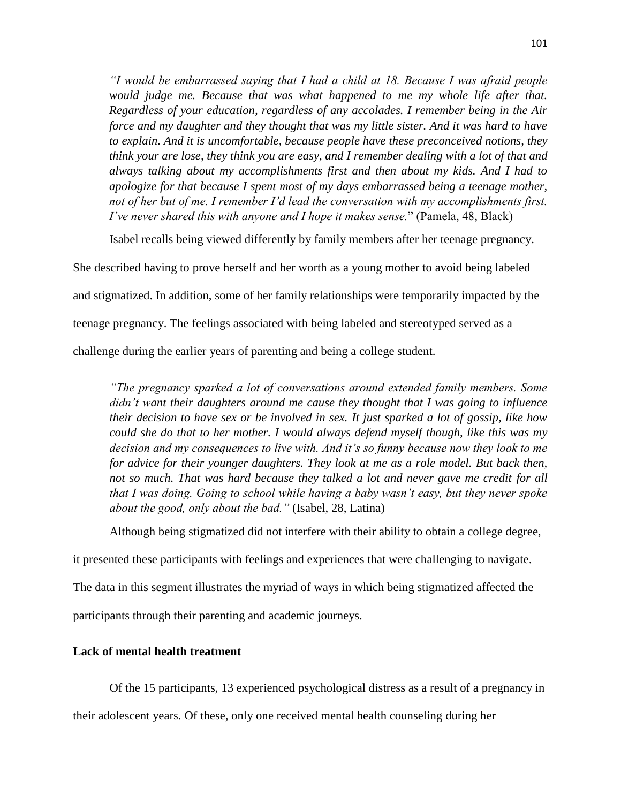*"I would be embarrassed saying that I had a child at 18. Because I was afraid people would judge me. Because that was what happened to me my whole life after that. Regardless of your education, regardless of any accolades. I remember being in the Air force and my daughter and they thought that was my little sister. And it was hard to have to explain. And it is uncomfortable, because people have these preconceived notions, they think your are lose, they think you are easy, and I remember dealing with a lot of that and always talking about my accomplishments first and then about my kids. And I had to apologize for that because I spent most of my days embarrassed being a teenage mother, not of her but of me. I remember I'd lead the conversation with my accomplishments first. I've never shared this with anyone and I hope it makes sense.*" (Pamela, 48, Black)

Isabel recalls being viewed differently by family members after her teenage pregnancy.

She described having to prove herself and her worth as a young mother to avoid being labeled and stigmatized. In addition, some of her family relationships were temporarily impacted by the teenage pregnancy. The feelings associated with being labeled and stereotyped served as a challenge during the earlier years of parenting and being a college student.

*"The pregnancy sparked a lot of conversations around extended family members. Some didn't want their daughters around me cause they thought that I was going to influence their decision to have sex or be involved in sex. It just sparked a lot of gossip, like how could she do that to her mother. I would always defend myself though, like this was my decision and my consequences to live with. And it's so funny because now they look to me for advice for their younger daughters. They look at me as a role model. But back then, not so much. That was hard because they talked a lot and never gave me credit for all that I was doing. Going to school while having a baby wasn't easy, but they never spoke about the good, only about the bad."* (Isabel, 28, Latina)

Although being stigmatized did not interfere with their ability to obtain a college degree,

it presented these participants with feelings and experiences that were challenging to navigate.

The data in this segment illustrates the myriad of ways in which being stigmatized affected the

participants through their parenting and academic journeys.

# **Lack of mental health treatment**

Of the 15 participants, 13 experienced psychological distress as a result of a pregnancy in

their adolescent years. Of these, only one received mental health counseling during her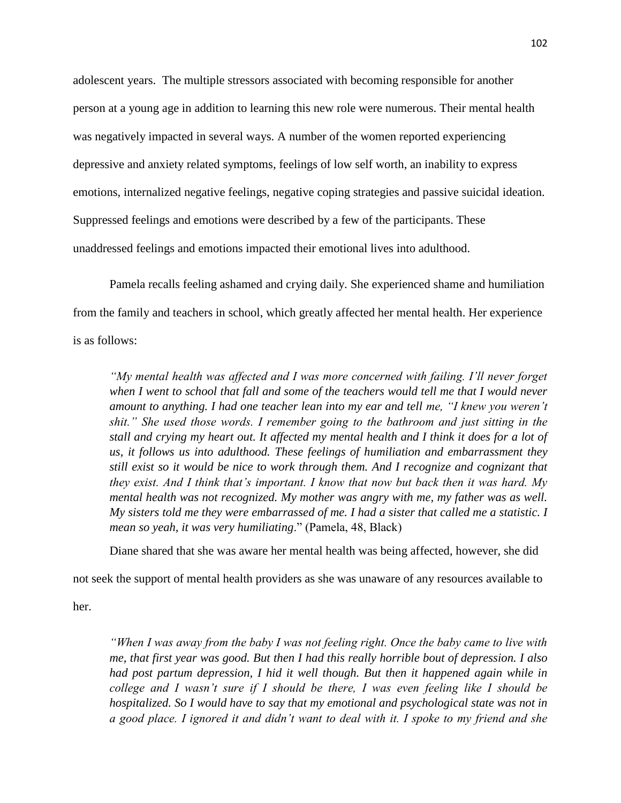adolescent years. The multiple stressors associated with becoming responsible for another person at a young age in addition to learning this new role were numerous. Their mental health was negatively impacted in several ways. A number of the women reported experiencing depressive and anxiety related symptoms, feelings of low self worth, an inability to express emotions, internalized negative feelings, negative coping strategies and passive suicidal ideation. Suppressed feelings and emotions were described by a few of the participants. These unaddressed feelings and emotions impacted their emotional lives into adulthood.

Pamela recalls feeling ashamed and crying daily. She experienced shame and humiliation from the family and teachers in school, which greatly affected her mental health. Her experience is as follows:

*"My mental health was affected and I was more concerned with failing. I'll never forget when I went to school that fall and some of the teachers would tell me that I would never amount to anything. I had one teacher lean into my ear and tell me, "I knew you weren't shit." She used those words. I remember going to the bathroom and just sitting in the stall and crying my heart out. It affected my mental health and I think it does for a lot of us, it follows us into adulthood. These feelings of humiliation and embarrassment they still exist so it would be nice to work through them. And I recognize and cognizant that they exist. And I think that's important. I know that now but back then it was hard. My mental health was not recognized. My mother was angry with me, my father was as well. My sisters told me they were embarrassed of me. I had a sister that called me a statistic. I mean so yeah, it was very humiliating*." (Pamela, 48, Black)

Diane shared that she was aware her mental health was being affected, however, she did

not seek the support of mental health providers as she was unaware of any resources available to

her.

*"When I was away from the baby I was not feeling right. Once the baby came to live with me, that first year was good. But then I had this really horrible bout of depression. I also had post partum depression, I hid it well though. But then it happened again while in college and I wasn't sure if I should be there, I was even feeling like I should be hospitalized. So I would have to say that my emotional and psychological state was not in a good place. I ignored it and didn't want to deal with it. I spoke to my friend and she*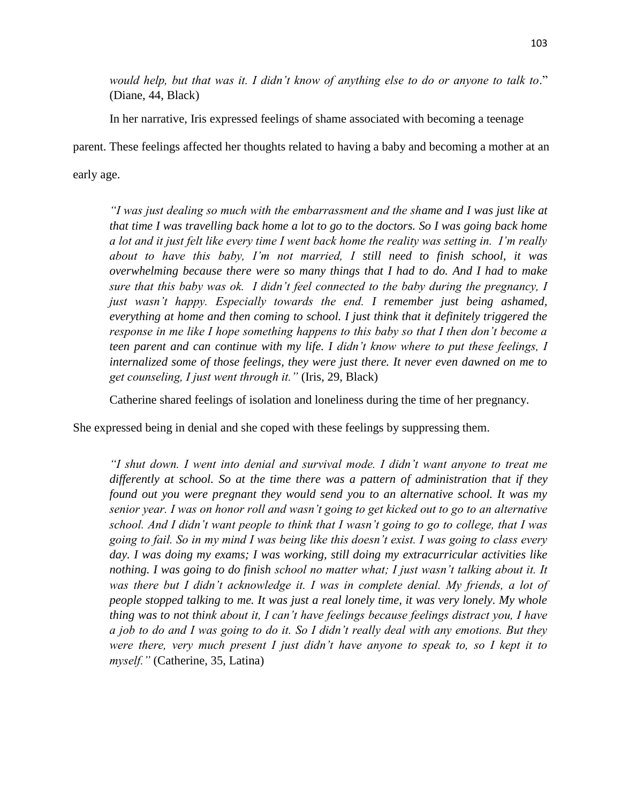*would help, but that was it. I didn't know of anything else to do or anyone to talk to*." (Diane, 44, Black)

In her narrative, Iris expressed feelings of shame associated with becoming a teenage

parent. These feelings affected her thoughts related to having a baby and becoming a mother at an early age.

*"I was just dealing so much with the embarrassment and the shame and I was just like at that time I was travelling back home a lot to go to the doctors. So I was going back home a lot and it just felt like every time I went back home the reality was setting in. I'm really about to have this baby, I'm not married, I still need to finish school, it was overwhelming because there were so many things that I had to do. And I had to make sure that this baby was ok. I didn't feel connected to the baby during the pregnancy, I just wasn't happy. Especially towards the end. I remember just being ashamed, everything at home and then coming to school. I just think that it definitely triggered the response in me like I hope something happens to this baby so that I then don't become a teen parent and can continue with my life. I didn't know where to put these feelings, I internalized some of those feelings, they were just there. It never even dawned on me to get counseling, I just went through it."* (Iris, 29, Black)

Catherine shared feelings of isolation and loneliness during the time of her pregnancy.

She expressed being in denial and she coped with these feelings by suppressing them.

*"I shut down. I went into denial and survival mode. I didn't want anyone to treat me differently at school. So at the time there was a pattern of administration that if they found out you were pregnant they would send you to an alternative school. It was my senior year. I was on honor roll and wasn't going to get kicked out to go to an alternative school. And I didn't want people to think that I wasn't going to go to college, that I was going to fail. So in my mind I was being like this doesn't exist. I was going to class every day. I was doing my exams; I was working, still doing my extracurricular activities like nothing. I was going to do finish school no matter what; I just wasn't talking about it. It*  was there but I didn't acknowledge it. I was in complete denial. My friends, a lot of *people stopped talking to me. It was just a real lonely time, it was very lonely. My whole thing was to not think about it, I can't have feelings because feelings distract you, I have a job to do and I was going to do it. So I didn't really deal with any emotions. But they were there, very much present I just didn't have anyone to speak to, so I kept it to myself."* (Catherine, 35, Latina)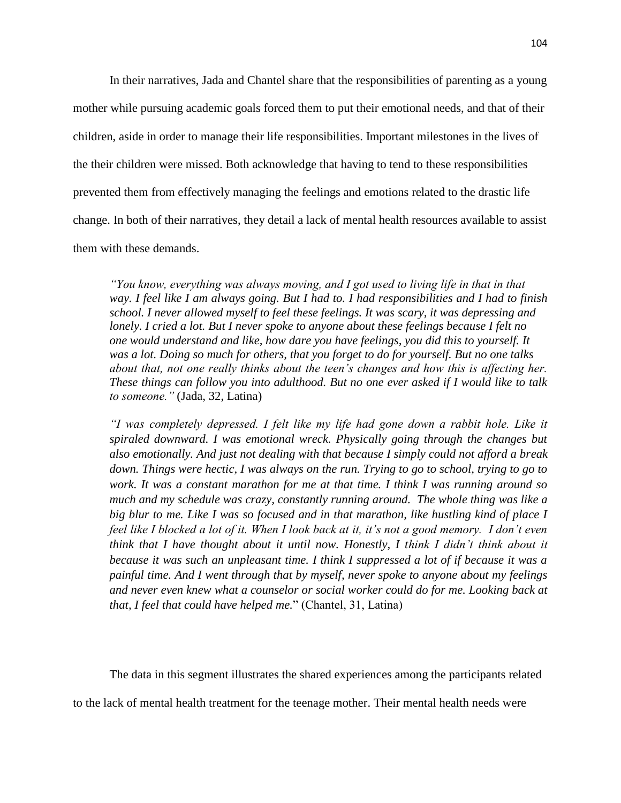In their narratives, Jada and Chantel share that the responsibilities of parenting as a young mother while pursuing academic goals forced them to put their emotional needs, and that of their children, aside in order to manage their life responsibilities. Important milestones in the lives of the their children were missed. Both acknowledge that having to tend to these responsibilities prevented them from effectively managing the feelings and emotions related to the drastic life change. In both of their narratives, they detail a lack of mental health resources available to assist them with these demands.

*"You know, everything was always moving, and I got used to living life in that in that way. I feel like I am always going. But I had to. I had responsibilities and I had to finish school. I never allowed myself to feel these feelings. It was scary, it was depressing and lonely. I cried a lot. But I never spoke to anyone about these feelings because I felt no one would understand and like, how dare you have feelings, you did this to yourself. It was a lot. Doing so much for others, that you forget to do for yourself. But no one talks about that, not one really thinks about the teen's changes and how this is affecting her. These things can follow you into adulthood. But no one ever asked if I would like to talk to someone."* (Jada, 32, Latina)

*I* was completely depressed. I felt like my life had gone down a rabbit hole. Like it *spiraled downward. I was emotional wreck. Physically going through the changes but also emotionally. And just not dealing with that because I simply could not afford a break down. Things were hectic, I was always on the run. Trying to go to school, trying to go to work. It was a constant marathon for me at that time. I think I was running around so much and my schedule was crazy, constantly running around. The whole thing was like a big blur to me. Like I was so focused and in that marathon, like hustling kind of place I feel like I blocked a lot of it. When I look back at it, it's not a good memory. I don't even think that I have thought about it until now. Honestly, I think I didn't think about it because it was such an unpleasant time. I think I suppressed a lot of if because it was a painful time. And I went through that by myself, never spoke to anyone about my feelings and never even knew what a counselor or social worker could do for me. Looking back at that, I feel that could have helped me.*" (Chantel, 31, Latina)

The data in this segment illustrates the shared experiences among the participants related

to the lack of mental health treatment for the teenage mother. Their mental health needs were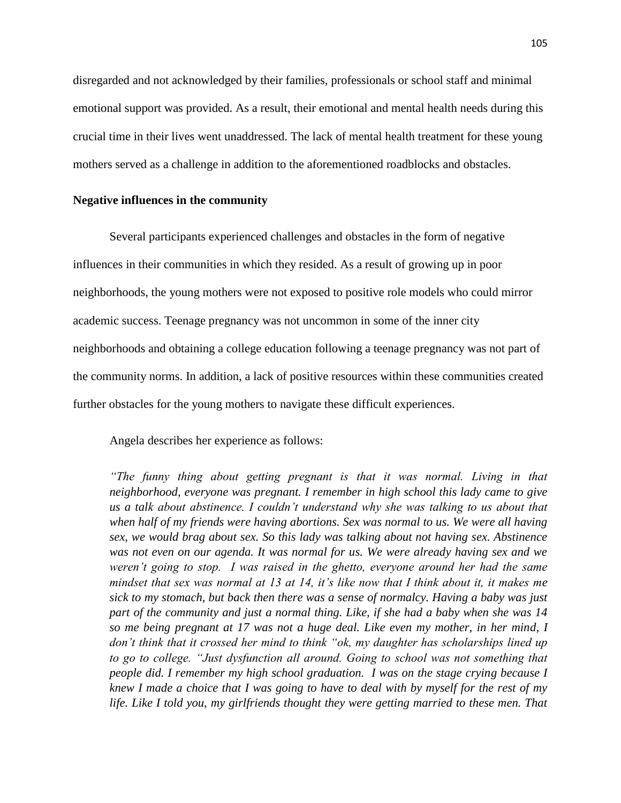disregarded and not acknowledged by their families, professionals or school staff and minimal emotional support was provided. As a result, their emotional and mental health needs during this crucial time in their lives went unaddressed. The lack of mental health treatment for these young mothers served as a challenge in addition to the aforementioned roadblocks and obstacles.

## **Negative influences in the community**

Several participants experienced challenges and obstacles in the form of negative influences in their communities in which they resided. As a result of growing up in poor neighborhoods, the young mothers were not exposed to positive role models who could mirror academic success. Teenage pregnancy was not uncommon in some of the inner city neighborhoods and obtaining a college education following a teenage pregnancy was not part of the community norms. In addition, a lack of positive resources within these communities created further obstacles for the young mothers to navigate these difficult experiences.

Angela describes her experience as follows:

*"The funny thing about getting pregnant is that it was normal. Living in that neighborhood, everyone was pregnant. I remember in high school this lady came to give us a talk about abstinence. I couldn't understand why she was talking to us about that when half of my friends were having abortions. Sex was normal to us. We were all having sex, we would brag about sex. So this lady was talking about not having sex. Abstinence was not even on our agenda. It was normal for us. We were already having sex and we weren't going to stop. I was raised in the ghetto, everyone around her had the same mindset that sex was normal at 13 at 14, it's like now that I think about it, it makes me sick to my stomach, but back then there was a sense of normalcy. Having a baby was just part of the community and just a normal thing. Like, if she had a baby when she was 14 so me being pregnant at 17 was not a huge deal. Like even my mother, in her mind, I don't think that it crossed her mind to think "ok, my daughter has scholarships lined up*  to go to college. "Just dysfunction all around. Going to school was not something that *people did. I remember my high school graduation. I was on the stage crying because I knew I made a choice that I was going to have to deal with by myself for the rest of my life. Like I told you, my girlfriends thought they were getting married to these men. That*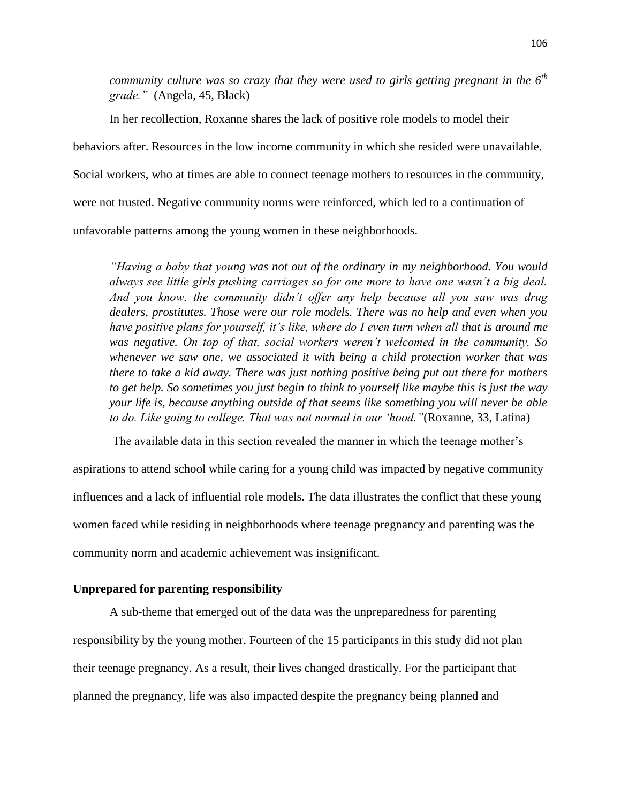*community culture was so crazy that they were used to girls getting pregnant in the 6th grade."* (Angela, 45, Black)

In her recollection, Roxanne shares the lack of positive role models to model their

behaviors after. Resources in the low income community in which she resided were unavailable.

Social workers, who at times are able to connect teenage mothers to resources in the community,

were not trusted. Negative community norms were reinforced, which led to a continuation of

unfavorable patterns among the young women in these neighborhoods.

*"Having a baby that young was not out of the ordinary in my neighborhood. You would always see little girls pushing carriages so for one more to have one wasn't a big deal. And you know, the community didn't offer any help because all you saw was drug dealers, prostitutes. Those were our role models. There was no help and even when you have positive plans for yourself, it's like, where do I even turn when all that is around me was negative. On top of that, social workers weren't welcomed in the community. So whenever we saw one, we associated it with being a child protection worker that was there to take a kid away. There was just nothing positive being put out there for mothers to get help. So sometimes you just begin to think to yourself like maybe this is just the way your life is, because anything outside of that seems like something you will never be able to do. Like going to college. That was not normal in our 'hood."*(Roxanne, 33, Latina)

The available data in this section revealed the manner in which the teenage mother's

aspirations to attend school while caring for a young child was impacted by negative community influences and a lack of influential role models. The data illustrates the conflict that these young women faced while residing in neighborhoods where teenage pregnancy and parenting was the community norm and academic achievement was insignificant.

## **Unprepared for parenting responsibility**

A sub-theme that emerged out of the data was the unpreparedness for parenting responsibility by the young mother. Fourteen of the 15 participants in this study did not plan their teenage pregnancy. As a result, their lives changed drastically. For the participant that planned the pregnancy, life was also impacted despite the pregnancy being planned and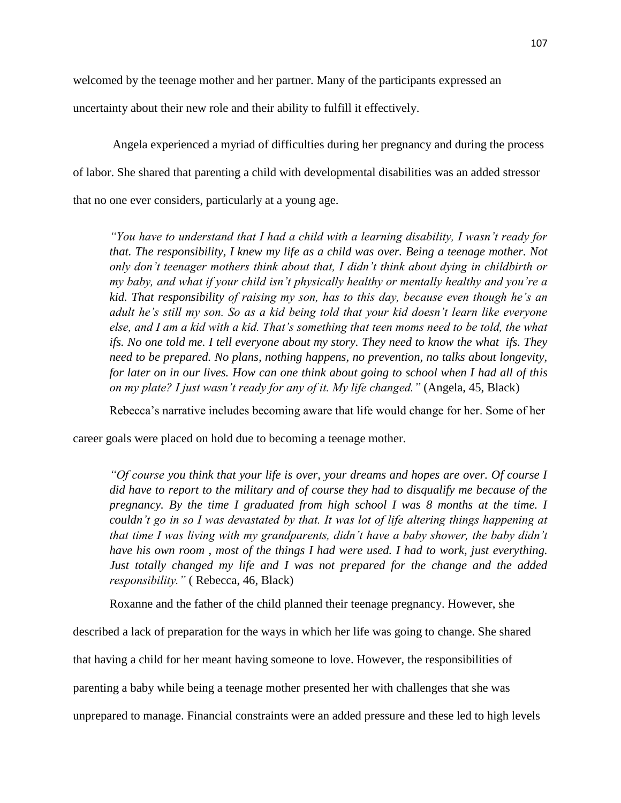welcomed by the teenage mother and her partner. Many of the participants expressed an

uncertainty about their new role and their ability to fulfill it effectively.

Angela experienced a myriad of difficulties during her pregnancy and during the process of labor. She shared that parenting a child with developmental disabilities was an added stressor that no one ever considers, particularly at a young age.

*"You have to understand that I had a child with a learning disability, I wasn't ready for that. The responsibility, I knew my life as a child was over. Being a teenage mother. Not only don't teenager mothers think about that, I didn't think about dying in childbirth or my baby, and what if your child isn't physically healthy or mentally healthy and you're a kid. That responsibility of raising my son, has to this day, because even though he's an adult he's still my son. So as a kid being told that your kid doesn't learn like everyone else, and I am a kid with a kid. That's something that teen moms need to be told, the what ifs. No one told me. I tell everyone about my story. They need to know the what ifs. They need to be prepared. No plans, nothing happens, no prevention, no talks about longevity, for later on in our lives. How can one think about going to school when I had all of this on my plate? I just wasn't ready for any of it. My life changed."* (Angela, 45, Black)

Rebecca's narrative includes becoming aware that life would change for her. Some of her

career goals were placed on hold due to becoming a teenage mother.

*"Of course you think that your life is over, your dreams and hopes are over. Of course I did have to report to the military and of course they had to disqualify me because of the pregnancy. By the time I graduated from high school I was 8 months at the time. I couldn't go in so I was devastated by that. It was lot of life altering things happening at that time I was living with my grandparents, didn't have a baby shower, the baby didn't have his own room , most of the things I had were used. I had to work, just everything. Just totally changed my life and I was not prepared for the change and the added responsibility."* ( Rebecca, 46, Black)

Roxanne and the father of the child planned their teenage pregnancy. However, she

described a lack of preparation for the ways in which her life was going to change. She shared

that having a child for her meant having someone to love. However, the responsibilities of

parenting a baby while being a teenage mother presented her with challenges that she was

unprepared to manage. Financial constraints were an added pressure and these led to high levels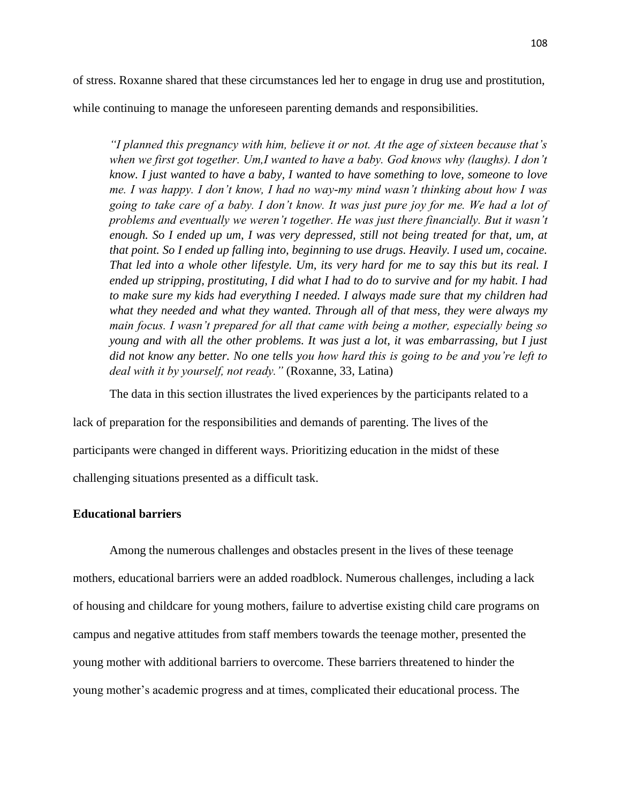of stress. Roxanne shared that these circumstances led her to engage in drug use and prostitution,

while continuing to manage the unforeseen parenting demands and responsibilities.

*"I planned this pregnancy with him, believe it or not. At the age of sixteen because that's when we first got together. Um,I wanted to have a baby. God knows why (laughs). I don't know. I just wanted to have a baby, I wanted to have something to love, someone to love me. I was happy. I don't know, I had no way-my mind wasn't thinking about how I was going to take care of a baby. I don't know. It was just pure joy for me. We had a lot of problems and eventually we weren't together. He was just there financially. But it wasn't enough. So I ended up um, I was very depressed, still not being treated for that, um, at that point. So I ended up falling into, beginning to use drugs. Heavily. I used um, cocaine. That led into a whole other lifestyle. Um, its very hard for me to say this but its real. I ended up stripping, prostituting, I did what I had to do to survive and for my habit. I had to make sure my kids had everything I needed. I always made sure that my children had what they needed and what they wanted. Through all of that mess, they were always my main focus. I wasn't prepared for all that came with being a mother, especially being so young and with all the other problems. It was just a lot, it was embarrassing, but I just did not know any better. No one tells you how hard this is going to be and you're left to deal with it by yourself, not ready."* (Roxanne, 33, Latina)

The data in this section illustrates the lived experiences by the participants related to a

lack of preparation for the responsibilities and demands of parenting. The lives of the

participants were changed in different ways. Prioritizing education in the midst of these

challenging situations presented as a difficult task.

#### **Educational barriers**

Among the numerous challenges and obstacles present in the lives of these teenage mothers, educational barriers were an added roadblock. Numerous challenges, including a lack of housing and childcare for young mothers, failure to advertise existing child care programs on campus and negative attitudes from staff members towards the teenage mother, presented the young mother with additional barriers to overcome. These barriers threatened to hinder the young mother's academic progress and at times, complicated their educational process. The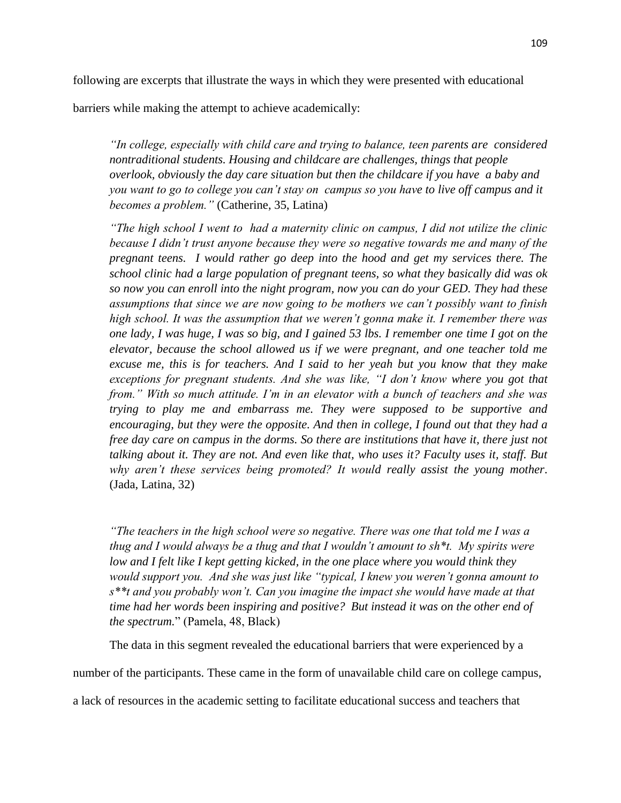barriers while making the attempt to achieve academically:

*"In college, especially with child care and trying to balance, teen parents are considered nontraditional students. Housing and childcare are challenges, things that people overlook, obviously the day care situation but then the childcare if you have a baby and you want to go to college you can't stay on campus so you have to live off campus and it becomes a problem."* (Catherine, 35, Latina)

*"The high school I went to had a maternity clinic on campus, I did not utilize the clinic because I didn't trust anyone because they were so negative towards me and many of the pregnant teens. I would rather go deep into the hood and get my services there. The school clinic had a large population of pregnant teens, so what they basically did was ok so now you can enroll into the night program, now you can do your GED. They had these assumptions that since we are now going to be mothers we can't possibly want to finish high school. It was the assumption that we weren't gonna make it. I remember there was one lady, I was huge, I was so big, and I gained 53 lbs. I remember one time I got on the elevator, because the school allowed us if we were pregnant, and one teacher told me excuse me, this is for teachers. And I said to her yeah but you know that they make exceptions for pregnant students. And she was like, "I don't know where you got that from." With so much attitude. I'm in an elevator with a bunch of teachers and she was trying to play me and embarrass me. They were supposed to be supportive and encouraging, but they were the opposite. And then in college, I found out that they had a free day care on campus in the dorms. So there are institutions that have it, there just not talking about it. They are not. And even like that, who uses it? Faculty uses it, staff. But why aren't these services being promoted? It would really assist the young mother*. (Jada, Latina, 32)

*"The teachers in the high school were so negative. There was one that told me I was a thug and I would always be a thug and that I wouldn't amount to sh\*t. My spirits were low and I felt like I kept getting kicked, in the one place where you would think they would support you. And she was just like "typical, I knew you weren't gonna amount to s\*\*t and you probably won't. Can you imagine the impact she would have made at that time had her words been inspiring and positive? But instead it was on the other end of the spectrum.*" (Pamela, 48, Black)

The data in this segment revealed the educational barriers that were experienced by a

number of the participants. These came in the form of unavailable child care on college campus,

a lack of resources in the academic setting to facilitate educational success and teachers that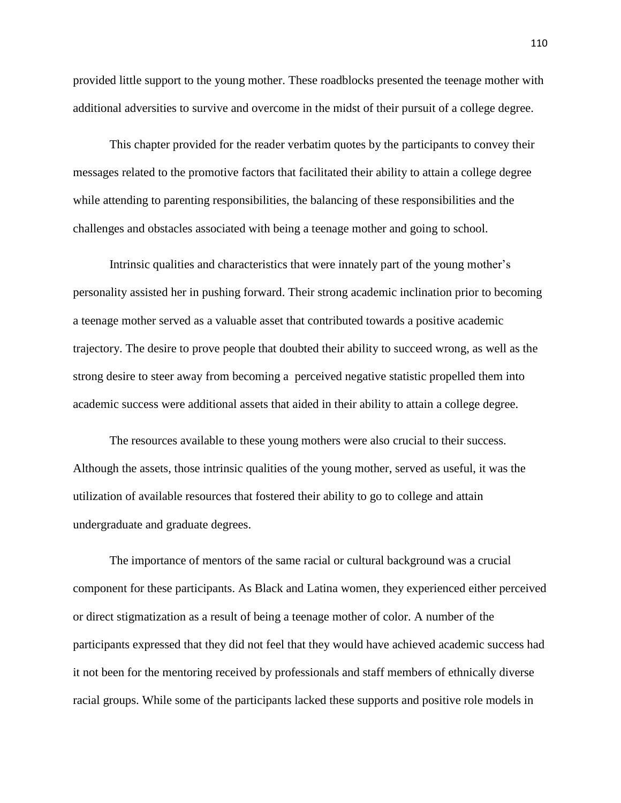provided little support to the young mother. These roadblocks presented the teenage mother with additional adversities to survive and overcome in the midst of their pursuit of a college degree.

This chapter provided for the reader verbatim quotes by the participants to convey their messages related to the promotive factors that facilitated their ability to attain a college degree while attending to parenting responsibilities, the balancing of these responsibilities and the challenges and obstacles associated with being a teenage mother and going to school.

Intrinsic qualities and characteristics that were innately part of the young mother's personality assisted her in pushing forward. Their strong academic inclination prior to becoming a teenage mother served as a valuable asset that contributed towards a positive academic trajectory. The desire to prove people that doubted their ability to succeed wrong, as well as the strong desire to steer away from becoming a perceived negative statistic propelled them into academic success were additional assets that aided in their ability to attain a college degree.

The resources available to these young mothers were also crucial to their success. Although the assets, those intrinsic qualities of the young mother, served as useful, it was the utilization of available resources that fostered their ability to go to college and attain undergraduate and graduate degrees.

The importance of mentors of the same racial or cultural background was a crucial component for these participants. As Black and Latina women, they experienced either perceived or direct stigmatization as a result of being a teenage mother of color. A number of the participants expressed that they did not feel that they would have achieved academic success had it not been for the mentoring received by professionals and staff members of ethnically diverse racial groups. While some of the participants lacked these supports and positive role models in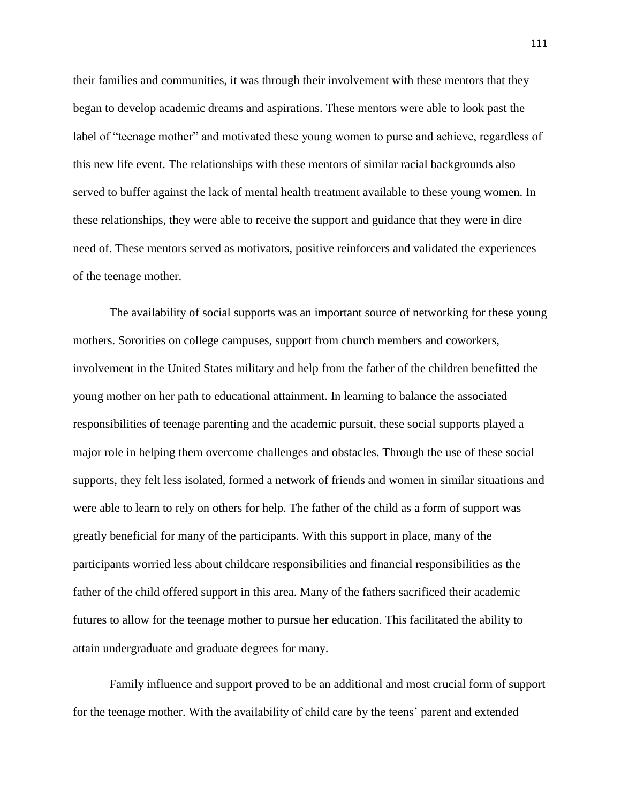their families and communities, it was through their involvement with these mentors that they began to develop academic dreams and aspirations. These mentors were able to look past the label of "teenage mother" and motivated these young women to purse and achieve, regardless of this new life event. The relationships with these mentors of similar racial backgrounds also served to buffer against the lack of mental health treatment available to these young women. In these relationships, they were able to receive the support and guidance that they were in dire need of. These mentors served as motivators, positive reinforcers and validated the experiences of the teenage mother.

The availability of social supports was an important source of networking for these young mothers. Sororities on college campuses, support from church members and coworkers, involvement in the United States military and help from the father of the children benefitted the young mother on her path to educational attainment. In learning to balance the associated responsibilities of teenage parenting and the academic pursuit, these social supports played a major role in helping them overcome challenges and obstacles. Through the use of these social supports, they felt less isolated, formed a network of friends and women in similar situations and were able to learn to rely on others for help. The father of the child as a form of support was greatly beneficial for many of the participants. With this support in place, many of the participants worried less about childcare responsibilities and financial responsibilities as the father of the child offered support in this area. Many of the fathers sacrificed their academic futures to allow for the teenage mother to pursue her education. This facilitated the ability to attain undergraduate and graduate degrees for many.

Family influence and support proved to be an additional and most crucial form of support for the teenage mother. With the availability of child care by the teens' parent and extended

111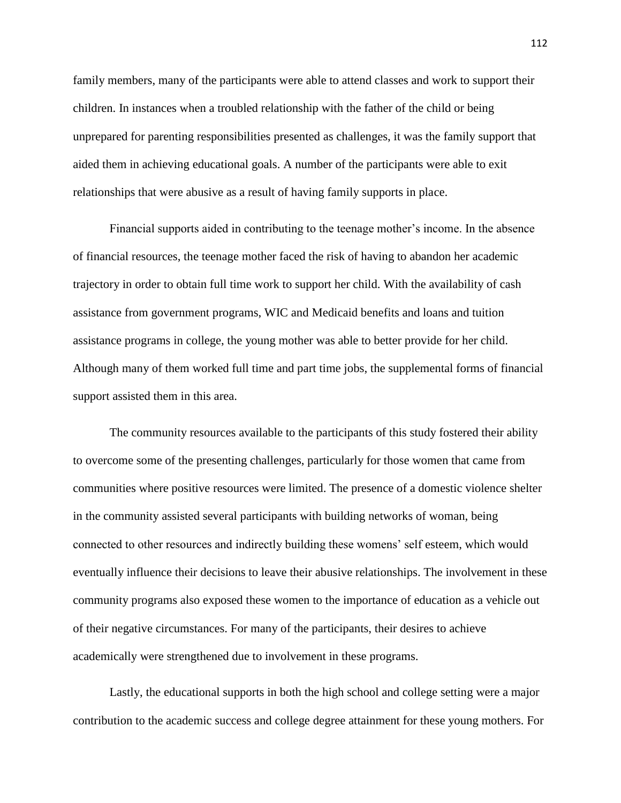family members, many of the participants were able to attend classes and work to support their children. In instances when a troubled relationship with the father of the child or being unprepared for parenting responsibilities presented as challenges, it was the family support that aided them in achieving educational goals. A number of the participants were able to exit relationships that were abusive as a result of having family supports in place.

Financial supports aided in contributing to the teenage mother's income. In the absence of financial resources, the teenage mother faced the risk of having to abandon her academic trajectory in order to obtain full time work to support her child. With the availability of cash assistance from government programs, WIC and Medicaid benefits and loans and tuition assistance programs in college, the young mother was able to better provide for her child. Although many of them worked full time and part time jobs, the supplemental forms of financial support assisted them in this area.

The community resources available to the participants of this study fostered their ability to overcome some of the presenting challenges, particularly for those women that came from communities where positive resources were limited. The presence of a domestic violence shelter in the community assisted several participants with building networks of woman, being connected to other resources and indirectly building these womens' self esteem, which would eventually influence their decisions to leave their abusive relationships. The involvement in these community programs also exposed these women to the importance of education as a vehicle out of their negative circumstances. For many of the participants, their desires to achieve academically were strengthened due to involvement in these programs.

Lastly, the educational supports in both the high school and college setting were a major contribution to the academic success and college degree attainment for these young mothers. For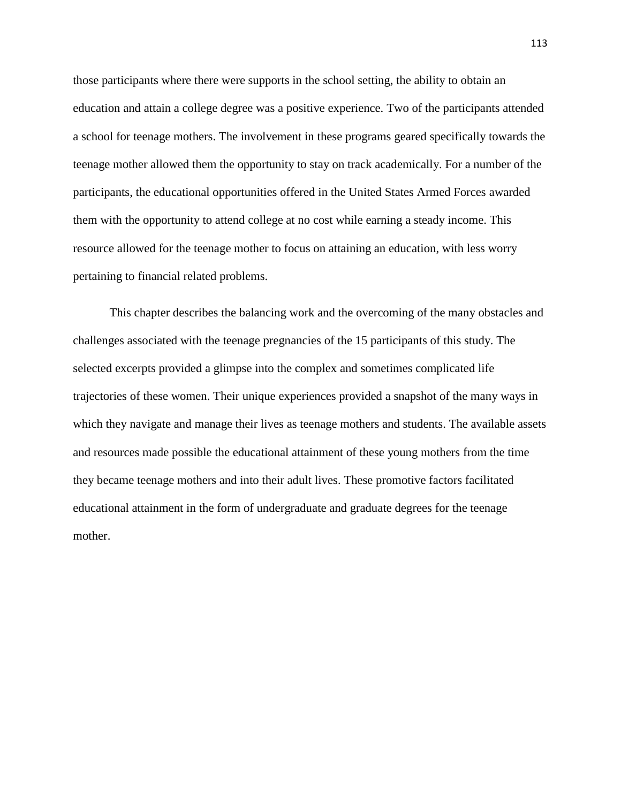those participants where there were supports in the school setting, the ability to obtain an education and attain a college degree was a positive experience. Two of the participants attended a school for teenage mothers. The involvement in these programs geared specifically towards the teenage mother allowed them the opportunity to stay on track academically. For a number of the participants, the educational opportunities offered in the United States Armed Forces awarded them with the opportunity to attend college at no cost while earning a steady income. This resource allowed for the teenage mother to focus on attaining an education, with less worry pertaining to financial related problems.

This chapter describes the balancing work and the overcoming of the many obstacles and challenges associated with the teenage pregnancies of the 15 participants of this study. The selected excerpts provided a glimpse into the complex and sometimes complicated life trajectories of these women. Their unique experiences provided a snapshot of the many ways in which they navigate and manage their lives as teenage mothers and students. The available assets and resources made possible the educational attainment of these young mothers from the time they became teenage mothers and into their adult lives. These promotive factors facilitated educational attainment in the form of undergraduate and graduate degrees for the teenage mother.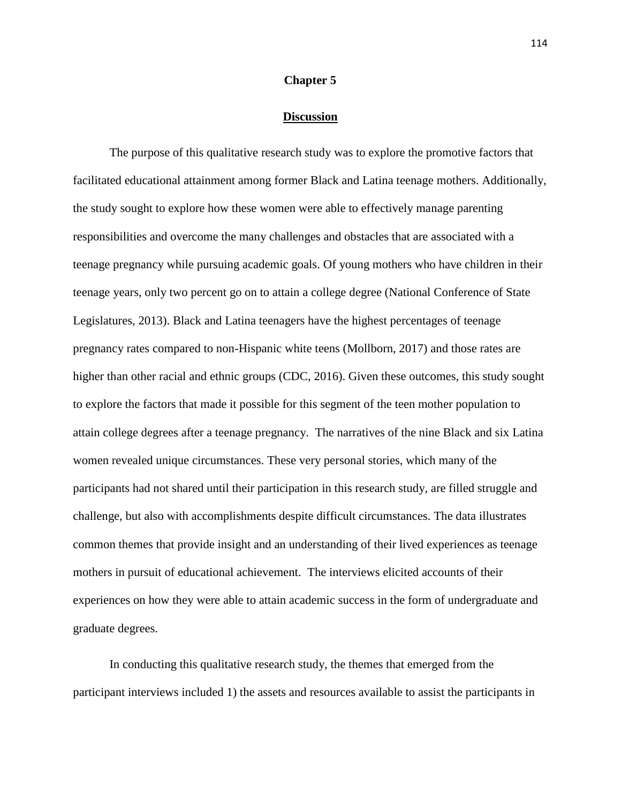#### **Chapter 5**

#### **Discussion**

The purpose of this qualitative research study was to explore the promotive factors that facilitated educational attainment among former Black and Latina teenage mothers. Additionally, the study sought to explore how these women were able to effectively manage parenting responsibilities and overcome the many challenges and obstacles that are associated with a teenage pregnancy while pursuing academic goals. Of young mothers who have children in their teenage years, only two percent go on to attain a college degree (National Conference of State Legislatures, 2013). Black and Latina teenagers have the highest percentages of teenage pregnancy rates compared to non-Hispanic white teens (Mollborn, 2017) and those rates are higher than other racial and ethnic groups (CDC, 2016). Given these outcomes, this study sought to explore the factors that made it possible for this segment of the teen mother population to attain college degrees after a teenage pregnancy. The narratives of the nine Black and six Latina women revealed unique circumstances. These very personal stories, which many of the participants had not shared until their participation in this research study, are filled struggle and challenge, but also with accomplishments despite difficult circumstances. The data illustrates common themes that provide insight and an understanding of their lived experiences as teenage mothers in pursuit of educational achievement. The interviews elicited accounts of their experiences on how they were able to attain academic success in the form of undergraduate and graduate degrees.

In conducting this qualitative research study, the themes that emerged from the participant interviews included 1) the assets and resources available to assist the participants in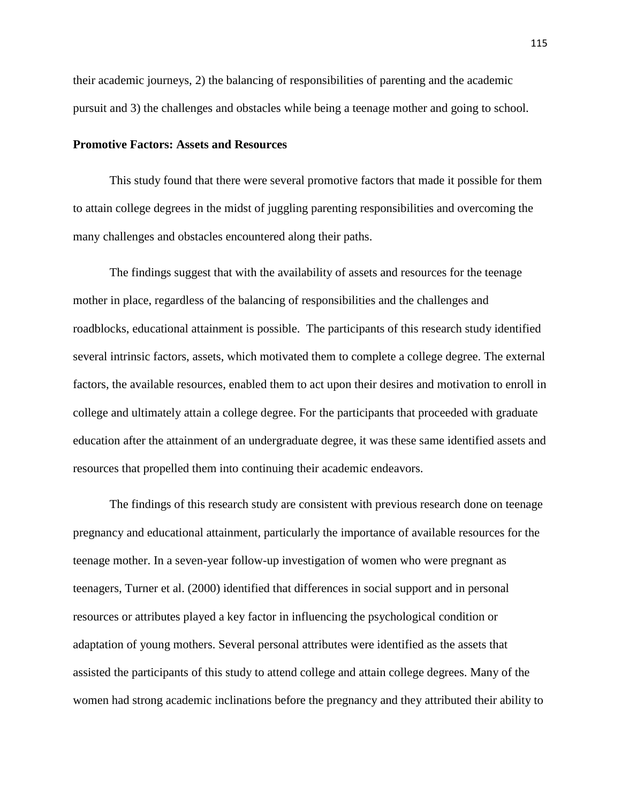their academic journeys, 2) the balancing of responsibilities of parenting and the academic pursuit and 3) the challenges and obstacles while being a teenage mother and going to school.

## **Promotive Factors: Assets and Resources**

This study found that there were several promotive factors that made it possible for them to attain college degrees in the midst of juggling parenting responsibilities and overcoming the many challenges and obstacles encountered along their paths.

The findings suggest that with the availability of assets and resources for the teenage mother in place, regardless of the balancing of responsibilities and the challenges and roadblocks, educational attainment is possible. The participants of this research study identified several intrinsic factors, assets, which motivated them to complete a college degree. The external factors, the available resources, enabled them to act upon their desires and motivation to enroll in college and ultimately attain a college degree. For the participants that proceeded with graduate education after the attainment of an undergraduate degree, it was these same identified assets and resources that propelled them into continuing their academic endeavors.

The findings of this research study are consistent with previous research done on teenage pregnancy and educational attainment, particularly the importance of available resources for the teenage mother. In a seven-year follow-up investigation of women who were pregnant as teenagers, Turner et al. (2000) identified that differences in social support and in personal resources or attributes played a key factor in influencing the psychological condition or adaptation of young mothers. Several personal attributes were identified as the assets that assisted the participants of this study to attend college and attain college degrees. Many of the women had strong academic inclinations before the pregnancy and they attributed their ability to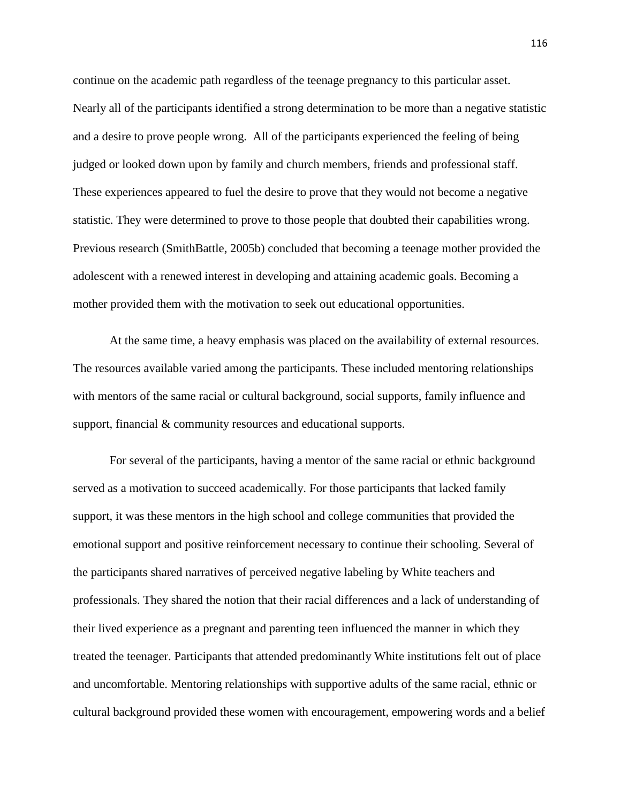continue on the academic path regardless of the teenage pregnancy to this particular asset. Nearly all of the participants identified a strong determination to be more than a negative statistic and a desire to prove people wrong. All of the participants experienced the feeling of being judged or looked down upon by family and church members, friends and professional staff. These experiences appeared to fuel the desire to prove that they would not become a negative statistic. They were determined to prove to those people that doubted their capabilities wrong. Previous research (SmithBattle, 2005b) concluded that becoming a teenage mother provided the adolescent with a renewed interest in developing and attaining academic goals. Becoming a mother provided them with the motivation to seek out educational opportunities.

At the same time, a heavy emphasis was placed on the availability of external resources. The resources available varied among the participants. These included mentoring relationships with mentors of the same racial or cultural background, social supports, family influence and support, financial  $&$  community resources and educational supports.

For several of the participants, having a mentor of the same racial or ethnic background served as a motivation to succeed academically. For those participants that lacked family support, it was these mentors in the high school and college communities that provided the emotional support and positive reinforcement necessary to continue their schooling. Several of the participants shared narratives of perceived negative labeling by White teachers and professionals. They shared the notion that their racial differences and a lack of understanding of their lived experience as a pregnant and parenting teen influenced the manner in which they treated the teenager. Participants that attended predominantly White institutions felt out of place and uncomfortable. Mentoring relationships with supportive adults of the same racial, ethnic or cultural background provided these women with encouragement, empowering words and a belief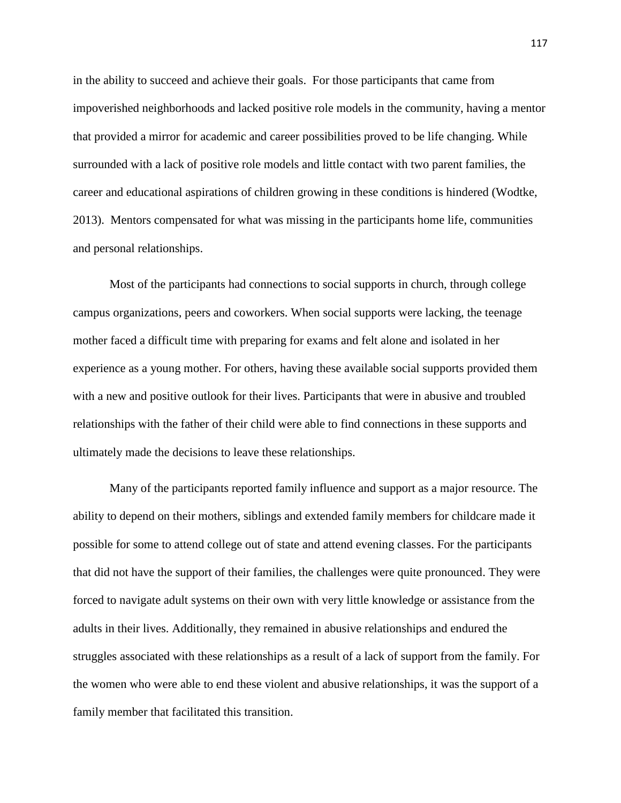in the ability to succeed and achieve their goals. For those participants that came from impoverished neighborhoods and lacked positive role models in the community, having a mentor that provided a mirror for academic and career possibilities proved to be life changing. While surrounded with a lack of positive role models and little contact with two parent families, the career and educational aspirations of children growing in these conditions is hindered (Wodtke, 2013). Mentors compensated for what was missing in the participants home life, communities and personal relationships.

Most of the participants had connections to social supports in church, through college campus organizations, peers and coworkers. When social supports were lacking, the teenage mother faced a difficult time with preparing for exams and felt alone and isolated in her experience as a young mother. For others, having these available social supports provided them with a new and positive outlook for their lives. Participants that were in abusive and troubled relationships with the father of their child were able to find connections in these supports and ultimately made the decisions to leave these relationships.

Many of the participants reported family influence and support as a major resource. The ability to depend on their mothers, siblings and extended family members for childcare made it possible for some to attend college out of state and attend evening classes. For the participants that did not have the support of their families, the challenges were quite pronounced. They were forced to navigate adult systems on their own with very little knowledge or assistance from the adults in their lives. Additionally, they remained in abusive relationships and endured the struggles associated with these relationships as a result of a lack of support from the family. For the women who were able to end these violent and abusive relationships, it was the support of a family member that facilitated this transition.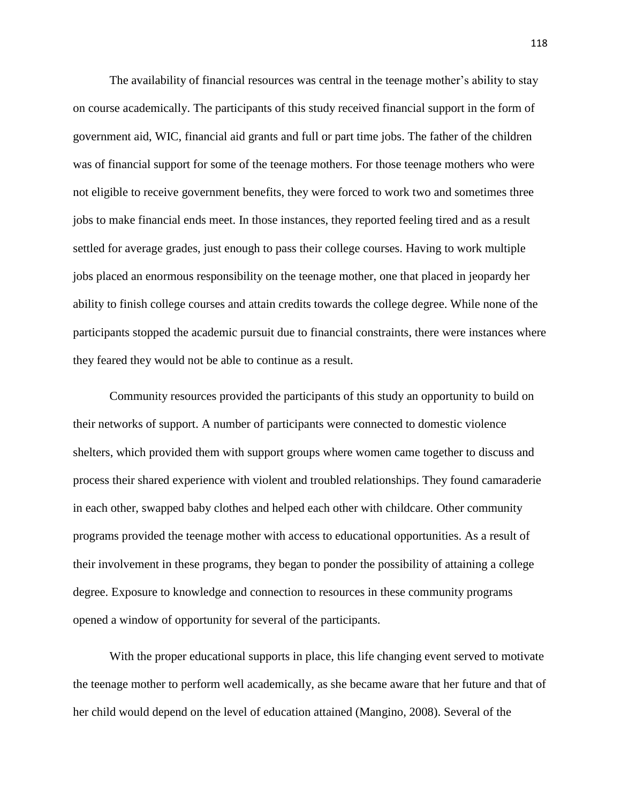The availability of financial resources was central in the teenage mother's ability to stay on course academically. The participants of this study received financial support in the form of government aid, WIC, financial aid grants and full or part time jobs. The father of the children was of financial support for some of the teenage mothers. For those teenage mothers who were not eligible to receive government benefits, they were forced to work two and sometimes three jobs to make financial ends meet. In those instances, they reported feeling tired and as a result settled for average grades, just enough to pass their college courses. Having to work multiple jobs placed an enormous responsibility on the teenage mother, one that placed in jeopardy her ability to finish college courses and attain credits towards the college degree. While none of the participants stopped the academic pursuit due to financial constraints, there were instances where they feared they would not be able to continue as a result.

Community resources provided the participants of this study an opportunity to build on their networks of support. A number of participants were connected to domestic violence shelters, which provided them with support groups where women came together to discuss and process their shared experience with violent and troubled relationships. They found camaraderie in each other, swapped baby clothes and helped each other with childcare. Other community programs provided the teenage mother with access to educational opportunities. As a result of their involvement in these programs, they began to ponder the possibility of attaining a college degree. Exposure to knowledge and connection to resources in these community programs opened a window of opportunity for several of the participants.

With the proper educational supports in place, this life changing event served to motivate the teenage mother to perform well academically, as she became aware that her future and that of her child would depend on the level of education attained (Mangino, 2008). Several of the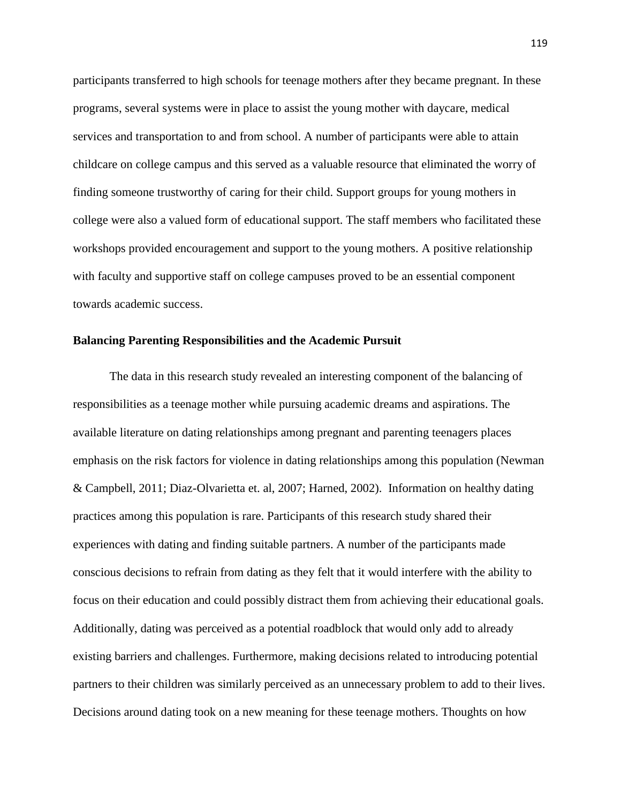participants transferred to high schools for teenage mothers after they became pregnant. In these programs, several systems were in place to assist the young mother with daycare, medical services and transportation to and from school. A number of participants were able to attain childcare on college campus and this served as a valuable resource that eliminated the worry of finding someone trustworthy of caring for their child. Support groups for young mothers in college were also a valued form of educational support. The staff members who facilitated these workshops provided encouragement and support to the young mothers. A positive relationship with faculty and supportive staff on college campuses proved to be an essential component towards academic success.

## **Balancing Parenting Responsibilities and the Academic Pursuit**

The data in this research study revealed an interesting component of the balancing of responsibilities as a teenage mother while pursuing academic dreams and aspirations. The available literature on dating relationships among pregnant and parenting teenagers places emphasis on the risk factors for violence in dating relationships among this population (Newman & Campbell, 2011; Diaz-Olvarietta et. al, 2007; Harned, 2002). Information on healthy dating practices among this population is rare. Participants of this research study shared their experiences with dating and finding suitable partners. A number of the participants made conscious decisions to refrain from dating as they felt that it would interfere with the ability to focus on their education and could possibly distract them from achieving their educational goals. Additionally, dating was perceived as a potential roadblock that would only add to already existing barriers and challenges. Furthermore, making decisions related to introducing potential partners to their children was similarly perceived as an unnecessary problem to add to their lives. Decisions around dating took on a new meaning for these teenage mothers. Thoughts on how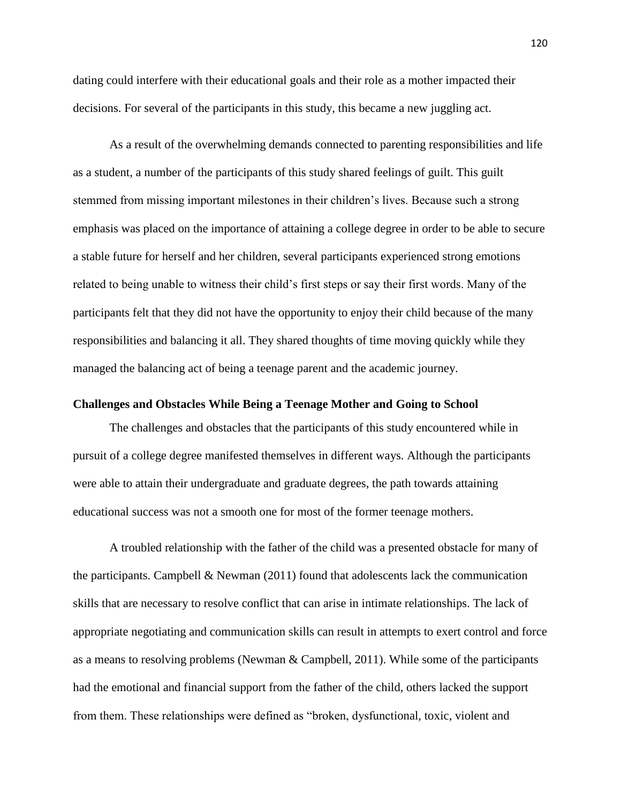dating could interfere with their educational goals and their role as a mother impacted their decisions. For several of the participants in this study, this became a new juggling act.

As a result of the overwhelming demands connected to parenting responsibilities and life as a student, a number of the participants of this study shared feelings of guilt. This guilt stemmed from missing important milestones in their children's lives. Because such a strong emphasis was placed on the importance of attaining a college degree in order to be able to secure a stable future for herself and her children, several participants experienced strong emotions related to being unable to witness their child's first steps or say their first words. Many of the participants felt that they did not have the opportunity to enjoy their child because of the many responsibilities and balancing it all. They shared thoughts of time moving quickly while they managed the balancing act of being a teenage parent and the academic journey.

## **Challenges and Obstacles While Being a Teenage Mother and Going to School**

The challenges and obstacles that the participants of this study encountered while in pursuit of a college degree manifested themselves in different ways. Although the participants were able to attain their undergraduate and graduate degrees, the path towards attaining educational success was not a smooth one for most of the former teenage mothers.

A troubled relationship with the father of the child was a presented obstacle for many of the participants. Campbell  $\&$  Newman (2011) found that adolescents lack the communication skills that are necessary to resolve conflict that can arise in intimate relationships. The lack of appropriate negotiating and communication skills can result in attempts to exert control and force as a means to resolving problems (Newman & Campbell, 2011). While some of the participants had the emotional and financial support from the father of the child, others lacked the support from them. These relationships were defined as "broken, dysfunctional, toxic, violent and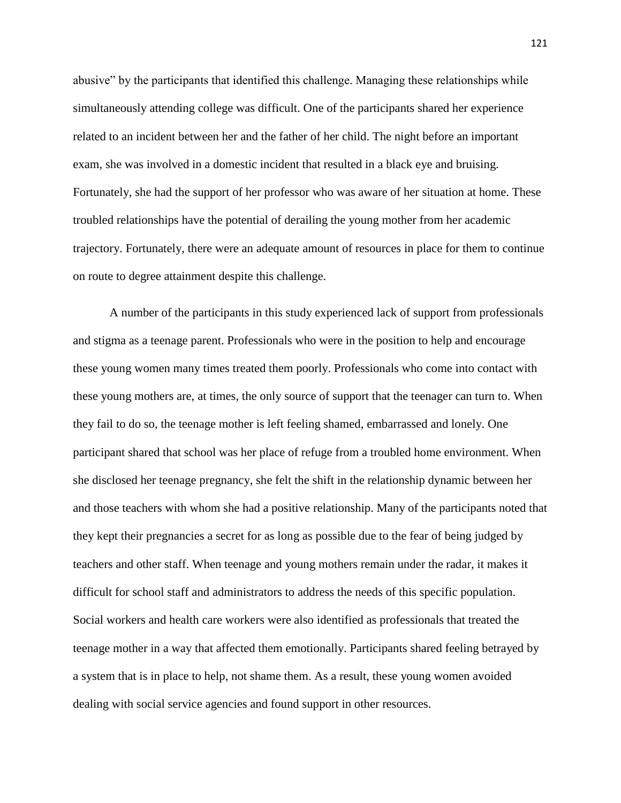abusive" by the participants that identified this challenge. Managing these relationships while simultaneously attending college was difficult. One of the participants shared her experience related to an incident between her and the father of her child. The night before an important exam, she was involved in a domestic incident that resulted in a black eye and bruising. Fortunately, she had the support of her professor who was aware of her situation at home. These troubled relationships have the potential of derailing the young mother from her academic trajectory. Fortunately, there were an adequate amount of resources in place for them to continue on route to degree attainment despite this challenge.

A number of the participants in this study experienced lack of support from professionals and stigma as a teenage parent. Professionals who were in the position to help and encourage these young women many times treated them poorly. Professionals who come into contact with these young mothers are, at times, the only source of support that the teenager can turn to. When they fail to do so, the teenage mother is left feeling shamed, embarrassed and lonely. One participant shared that school was her place of refuge from a troubled home environment. When she disclosed her teenage pregnancy, she felt the shift in the relationship dynamic between her and those teachers with whom she had a positive relationship. Many of the participants noted that they kept their pregnancies a secret for as long as possible due to the fear of being judged by teachers and other staff. When teenage and young mothers remain under the radar, it makes it difficult for school staff and administrators to address the needs of this specific population. Social workers and health care workers were also identified as professionals that treated the teenage mother in a way that affected them emotionally. Participants shared feeling betrayed by a system that is in place to help, not shame them. As a result, these young women avoided dealing with social service agencies and found support in other resources.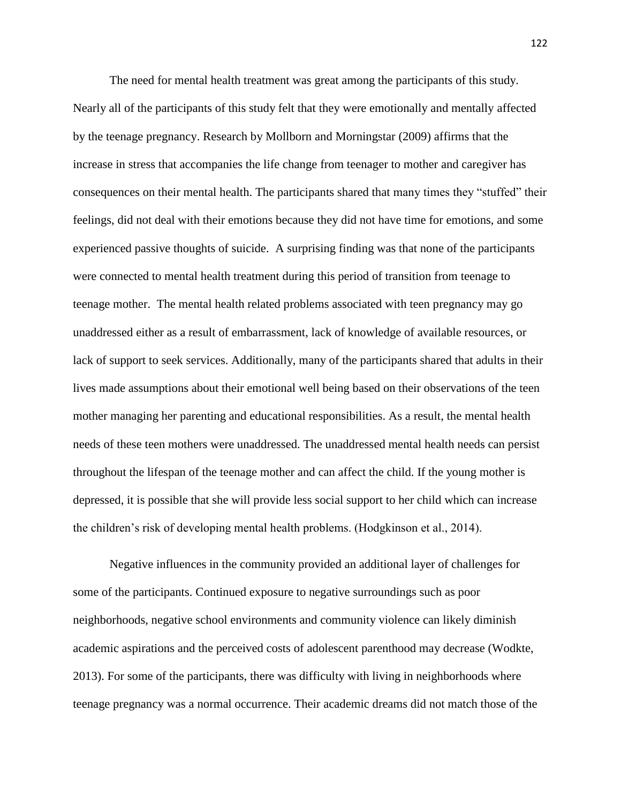The need for mental health treatment was great among the participants of this study. Nearly all of the participants of this study felt that they were emotionally and mentally affected by the teenage pregnancy. Research by Mollborn and Morningstar (2009) affirms that the increase in stress that accompanies the life change from teenager to mother and caregiver has consequences on their mental health. The participants shared that many times they "stuffed" their feelings, did not deal with their emotions because they did not have time for emotions, and some experienced passive thoughts of suicide. A surprising finding was that none of the participants were connected to mental health treatment during this period of transition from teenage to teenage mother. The mental health related problems associated with teen pregnancy may go unaddressed either as a result of embarrassment, lack of knowledge of available resources, or lack of support to seek services. Additionally, many of the participants shared that adults in their lives made assumptions about their emotional well being based on their observations of the teen mother managing her parenting and educational responsibilities. As a result, the mental health needs of these teen mothers were unaddressed. The unaddressed mental health needs can persist throughout the lifespan of the teenage mother and can affect the child. If the young mother is depressed, it is possible that she will provide less social support to her child which can increase the children's risk of developing mental health problems. (Hodgkinson et al., 2014).

Negative influences in the community provided an additional layer of challenges for some of the participants. Continued exposure to negative surroundings such as poor neighborhoods, negative school environments and community violence can likely diminish academic aspirations and the perceived costs of adolescent parenthood may decrease (Wodkte, 2013). For some of the participants, there was difficulty with living in neighborhoods where teenage pregnancy was a normal occurrence. Their academic dreams did not match those of the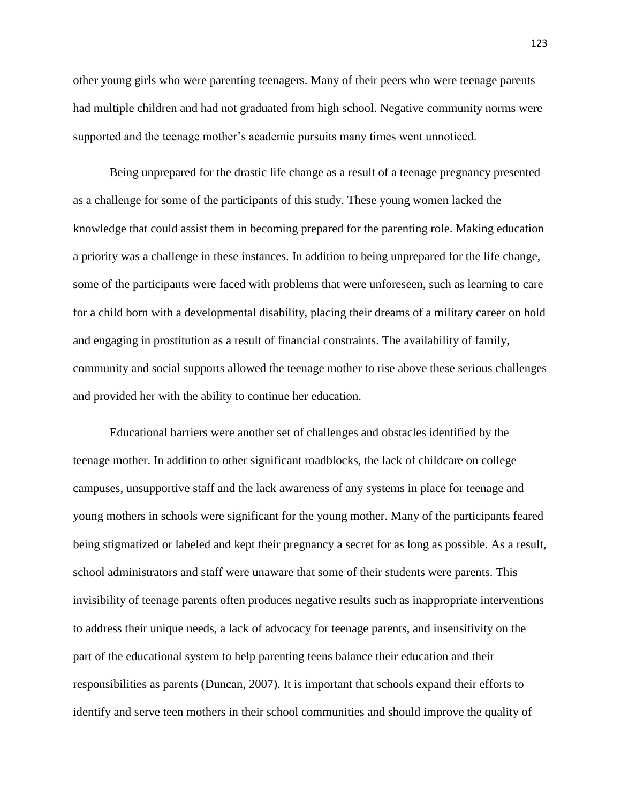other young girls who were parenting teenagers. Many of their peers who were teenage parents had multiple children and had not graduated from high school. Negative community norms were supported and the teenage mother's academic pursuits many times went unnoticed.

Being unprepared for the drastic life change as a result of a teenage pregnancy presented as a challenge for some of the participants of this study. These young women lacked the knowledge that could assist them in becoming prepared for the parenting role. Making education a priority was a challenge in these instances. In addition to being unprepared for the life change, some of the participants were faced with problems that were unforeseen, such as learning to care for a child born with a developmental disability, placing their dreams of a military career on hold and engaging in prostitution as a result of financial constraints. The availability of family, community and social supports allowed the teenage mother to rise above these serious challenges and provided her with the ability to continue her education.

Educational barriers were another set of challenges and obstacles identified by the teenage mother. In addition to other significant roadblocks, the lack of childcare on college campuses, unsupportive staff and the lack awareness of any systems in place for teenage and young mothers in schools were significant for the young mother. Many of the participants feared being stigmatized or labeled and kept their pregnancy a secret for as long as possible. As a result, school administrators and staff were unaware that some of their students were parents. This invisibility of teenage parents often produces negative results such as inappropriate interventions to address their unique needs, a lack of advocacy for teenage parents, and insensitivity on the part of the educational system to help parenting teens balance their education and their responsibilities as parents (Duncan, 2007). It is important that schools expand their efforts to identify and serve teen mothers in their school communities and should improve the quality of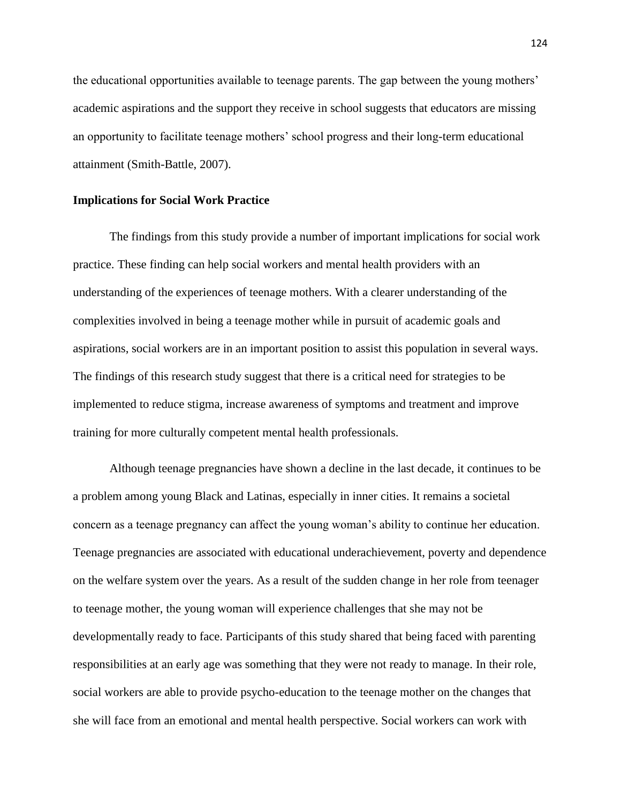the educational opportunities available to teenage parents. The gap between the young mothers' academic aspirations and the support they receive in school suggests that educators are missing an opportunity to facilitate teenage mothers' school progress and their long-term educational attainment (Smith-Battle, 2007).

## **Implications for Social Work Practice**

The findings from this study provide a number of important implications for social work practice. These finding can help social workers and mental health providers with an understanding of the experiences of teenage mothers. With a clearer understanding of the complexities involved in being a teenage mother while in pursuit of academic goals and aspirations, social workers are in an important position to assist this population in several ways. The findings of this research study suggest that there is a critical need for strategies to be implemented to reduce stigma, increase awareness of symptoms and treatment and improve training for more culturally competent mental health professionals.

Although teenage pregnancies have shown a decline in the last decade, it continues to be a problem among young Black and Latinas, especially in inner cities. It remains a societal concern as a teenage pregnancy can affect the young woman's ability to continue her education. Teenage pregnancies are associated with educational underachievement, poverty and dependence on the welfare system over the years. As a result of the sudden change in her role from teenager to teenage mother, the young woman will experience challenges that she may not be developmentally ready to face. Participants of this study shared that being faced with parenting responsibilities at an early age was something that they were not ready to manage. In their role, social workers are able to provide psycho-education to the teenage mother on the changes that she will face from an emotional and mental health perspective. Social workers can work with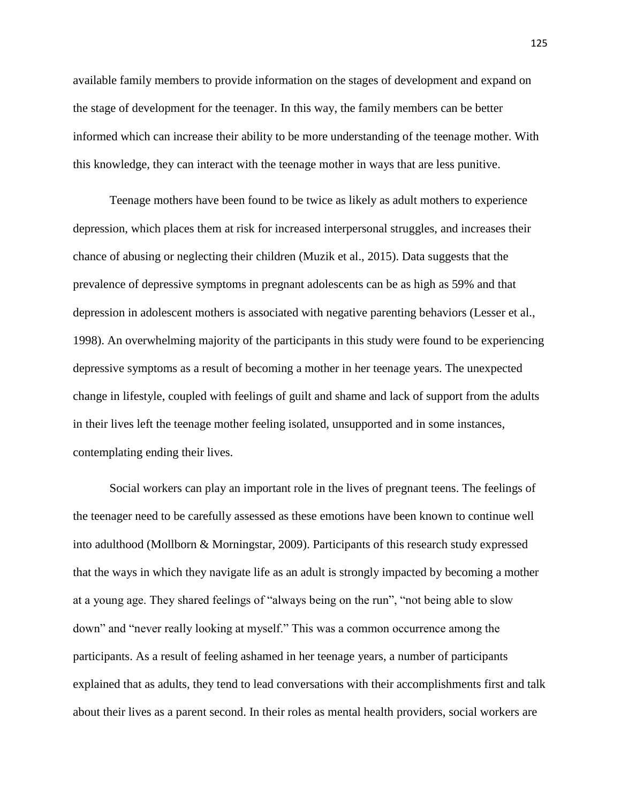available family members to provide information on the stages of development and expand on the stage of development for the teenager. In this way, the family members can be better informed which can increase their ability to be more understanding of the teenage mother. With this knowledge, they can interact with the teenage mother in ways that are less punitive.

Teenage mothers have been found to be twice as likely as adult mothers to experience depression, which places them at risk for increased interpersonal struggles, and increases their chance of abusing or neglecting their children (Muzik et al., 2015). Data suggests that the prevalence of depressive symptoms in pregnant adolescents can be as high as 59% and that depression in adolescent mothers is associated with negative parenting behaviors (Lesser et al., 1998). An overwhelming majority of the participants in this study were found to be experiencing depressive symptoms as a result of becoming a mother in her teenage years. The unexpected change in lifestyle, coupled with feelings of guilt and shame and lack of support from the adults in their lives left the teenage mother feeling isolated, unsupported and in some instances, contemplating ending their lives.

Social workers can play an important role in the lives of pregnant teens. The feelings of the teenager need to be carefully assessed as these emotions have been known to continue well into adulthood (Mollborn & Morningstar, 2009). Participants of this research study expressed that the ways in which they navigate life as an adult is strongly impacted by becoming a mother at a young age. They shared feelings of "always being on the run", "not being able to slow down" and "never really looking at myself." This was a common occurrence among the participants. As a result of feeling ashamed in her teenage years, a number of participants explained that as adults, they tend to lead conversations with their accomplishments first and talk about their lives as a parent second. In their roles as mental health providers, social workers are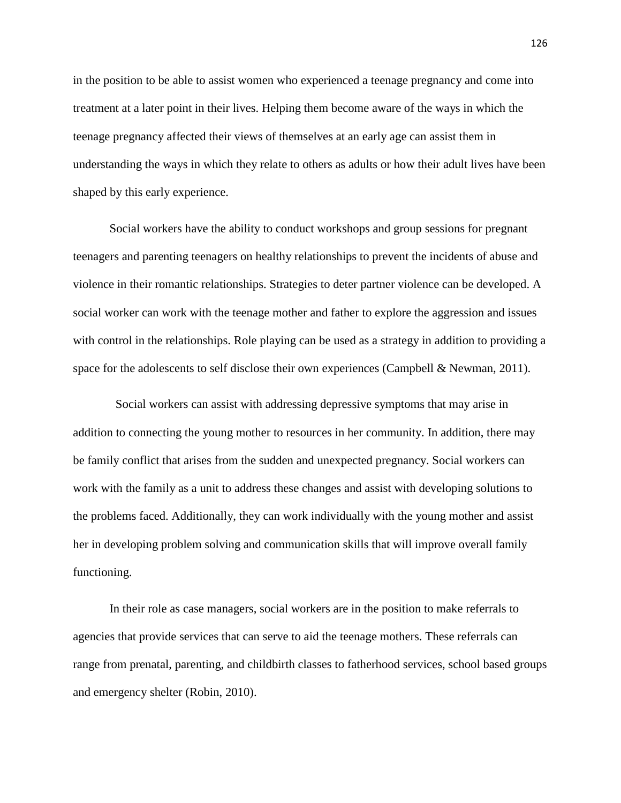in the position to be able to assist women who experienced a teenage pregnancy and come into treatment at a later point in their lives. Helping them become aware of the ways in which the teenage pregnancy affected their views of themselves at an early age can assist them in understanding the ways in which they relate to others as adults or how their adult lives have been shaped by this early experience.

Social workers have the ability to conduct workshops and group sessions for pregnant teenagers and parenting teenagers on healthy relationships to prevent the incidents of abuse and violence in their romantic relationships. Strategies to deter partner violence can be developed. A social worker can work with the teenage mother and father to explore the aggression and issues with control in the relationships. Role playing can be used as a strategy in addition to providing a space for the adolescents to self disclose their own experiences (Campbell & Newman, 2011).

 Social workers can assist with addressing depressive symptoms that may arise in addition to connecting the young mother to resources in her community. In addition, there may be family conflict that arises from the sudden and unexpected pregnancy. Social workers can work with the family as a unit to address these changes and assist with developing solutions to the problems faced. Additionally, they can work individually with the young mother and assist her in developing problem solving and communication skills that will improve overall family functioning.

In their role as case managers, social workers are in the position to make referrals to agencies that provide services that can serve to aid the teenage mothers. These referrals can range from prenatal, parenting, and childbirth classes to fatherhood services, school based groups and emergency shelter (Robin, 2010).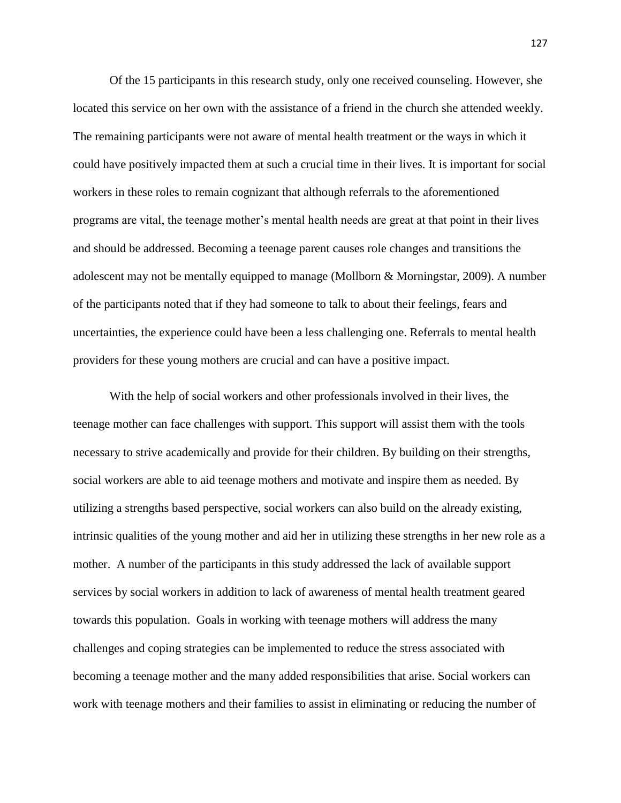Of the 15 participants in this research study, only one received counseling. However, she located this service on her own with the assistance of a friend in the church she attended weekly. The remaining participants were not aware of mental health treatment or the ways in which it could have positively impacted them at such a crucial time in their lives. It is important for social workers in these roles to remain cognizant that although referrals to the aforementioned programs are vital, the teenage mother's mental health needs are great at that point in their lives and should be addressed. Becoming a teenage parent causes role changes and transitions the adolescent may not be mentally equipped to manage (Mollborn & Morningstar, 2009). A number of the participants noted that if they had someone to talk to about their feelings, fears and uncertainties, the experience could have been a less challenging one. Referrals to mental health providers for these young mothers are crucial and can have a positive impact.

With the help of social workers and other professionals involved in their lives, the teenage mother can face challenges with support. This support will assist them with the tools necessary to strive academically and provide for their children. By building on their strengths, social workers are able to aid teenage mothers and motivate and inspire them as needed. By utilizing a strengths based perspective, social workers can also build on the already existing, intrinsic qualities of the young mother and aid her in utilizing these strengths in her new role as a mother. A number of the participants in this study addressed the lack of available support services by social workers in addition to lack of awareness of mental health treatment geared towards this population. Goals in working with teenage mothers will address the many challenges and coping strategies can be implemented to reduce the stress associated with becoming a teenage mother and the many added responsibilities that arise. Social workers can work with teenage mothers and their families to assist in eliminating or reducing the number of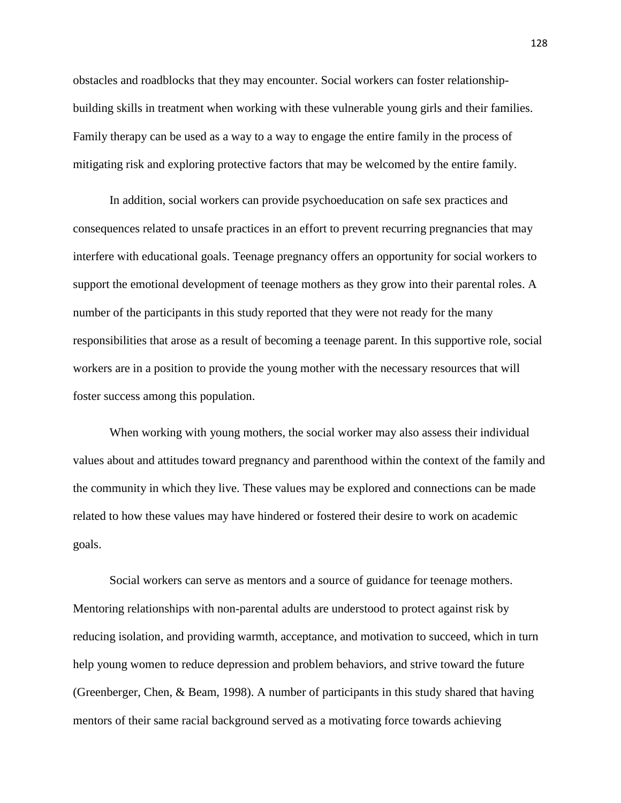obstacles and roadblocks that they may encounter. Social workers can foster relationshipbuilding skills in treatment when working with these vulnerable young girls and their families. Family therapy can be used as a way to a way to engage the entire family in the process of mitigating risk and exploring protective factors that may be welcomed by the entire family.

In addition, social workers can provide psychoeducation on safe sex practices and consequences related to unsafe practices in an effort to prevent recurring pregnancies that may interfere with educational goals. Teenage pregnancy offers an opportunity for social workers to support the emotional development of teenage mothers as they grow into their parental roles. A number of the participants in this study reported that they were not ready for the many responsibilities that arose as a result of becoming a teenage parent. In this supportive role, social workers are in a position to provide the young mother with the necessary resources that will foster success among this population.

When working with young mothers, the social worker may also assess their individual values about and attitudes toward pregnancy and parenthood within the context of the family and the community in which they live. These values may be explored and connections can be made related to how these values may have hindered or fostered their desire to work on academic goals.

Social workers can serve as mentors and a source of guidance for teenage mothers. Mentoring relationships with non-parental adults are understood to protect against risk by reducing isolation, and providing warmth, acceptance, and motivation to succeed, which in turn help young women to reduce depression and problem behaviors, and strive toward the future (Greenberger, Chen, & Beam, 1998). A number of participants in this study shared that having mentors of their same racial background served as a motivating force towards achieving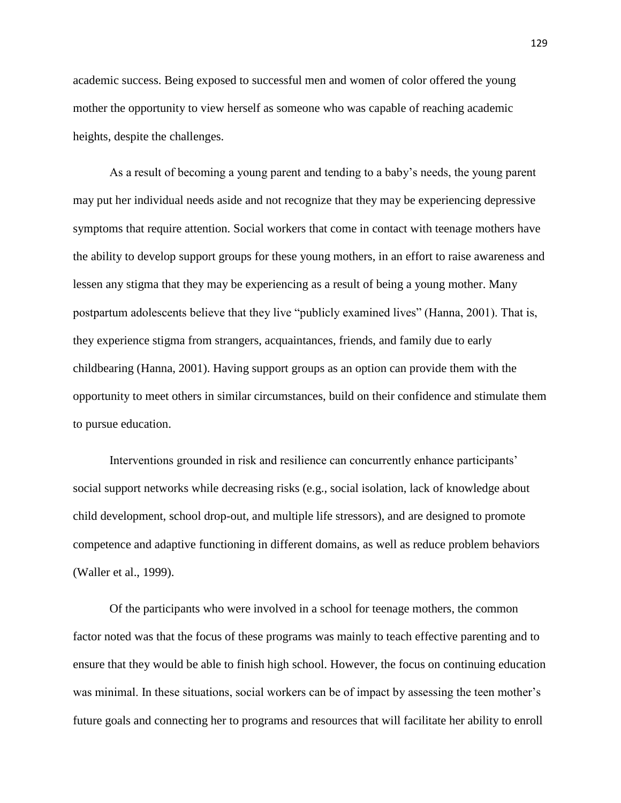academic success. Being exposed to successful men and women of color offered the young mother the opportunity to view herself as someone who was capable of reaching academic heights, despite the challenges.

As a result of becoming a young parent and tending to a baby's needs, the young parent may put her individual needs aside and not recognize that they may be experiencing depressive symptoms that require attention. Social workers that come in contact with teenage mothers have the ability to develop support groups for these young mothers, in an effort to raise awareness and lessen any stigma that they may be experiencing as a result of being a young mother. Many postpartum adolescents believe that they live "publicly examined lives" (Hanna, 2001). That is, they experience stigma from strangers, acquaintances, friends, and family due to early childbearing (Hanna, 2001). Having support groups as an option can provide them with the opportunity to meet others in similar circumstances, build on their confidence and stimulate them to pursue education.

Interventions grounded in risk and resilience can concurrently enhance participants' social support networks while decreasing risks (e.g., social isolation, lack of knowledge about child development, school drop-out, and multiple life stressors), and are designed to promote competence and adaptive functioning in different domains, as well as reduce problem behaviors (Waller et al., 1999).

Of the participants who were involved in a school for teenage mothers, the common factor noted was that the focus of these programs was mainly to teach effective parenting and to ensure that they would be able to finish high school. However, the focus on continuing education was minimal. In these situations, social workers can be of impact by assessing the teen mother's future goals and connecting her to programs and resources that will facilitate her ability to enroll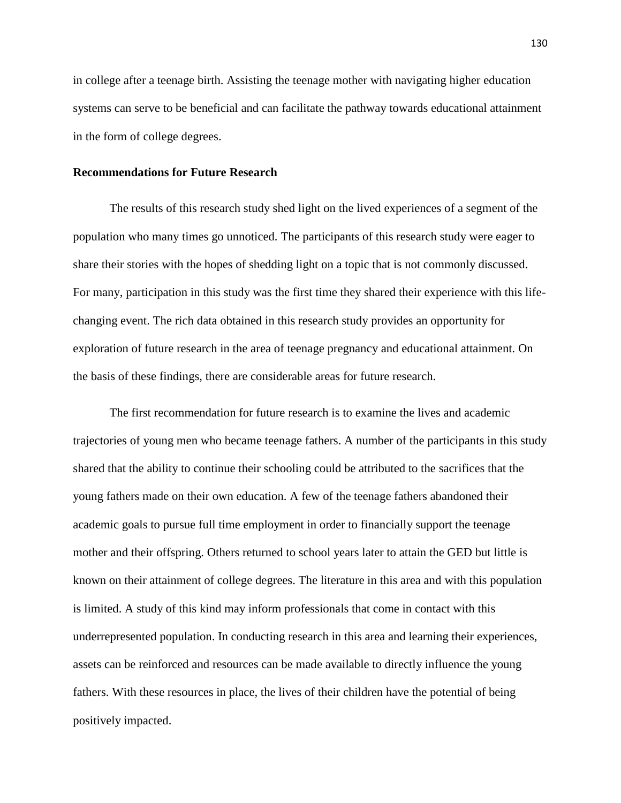in college after a teenage birth. Assisting the teenage mother with navigating higher education systems can serve to be beneficial and can facilitate the pathway towards educational attainment in the form of college degrees.

## **Recommendations for Future Research**

The results of this research study shed light on the lived experiences of a segment of the population who many times go unnoticed. The participants of this research study were eager to share their stories with the hopes of shedding light on a topic that is not commonly discussed. For many, participation in this study was the first time they shared their experience with this lifechanging event. The rich data obtained in this research study provides an opportunity for exploration of future research in the area of teenage pregnancy and educational attainment. On the basis of these findings, there are considerable areas for future research.

The first recommendation for future research is to examine the lives and academic trajectories of young men who became teenage fathers. A number of the participants in this study shared that the ability to continue their schooling could be attributed to the sacrifices that the young fathers made on their own education. A few of the teenage fathers abandoned their academic goals to pursue full time employment in order to financially support the teenage mother and their offspring. Others returned to school years later to attain the GED but little is known on their attainment of college degrees. The literature in this area and with this population is limited. A study of this kind may inform professionals that come in contact with this underrepresented population. In conducting research in this area and learning their experiences, assets can be reinforced and resources can be made available to directly influence the young fathers. With these resources in place, the lives of their children have the potential of being positively impacted.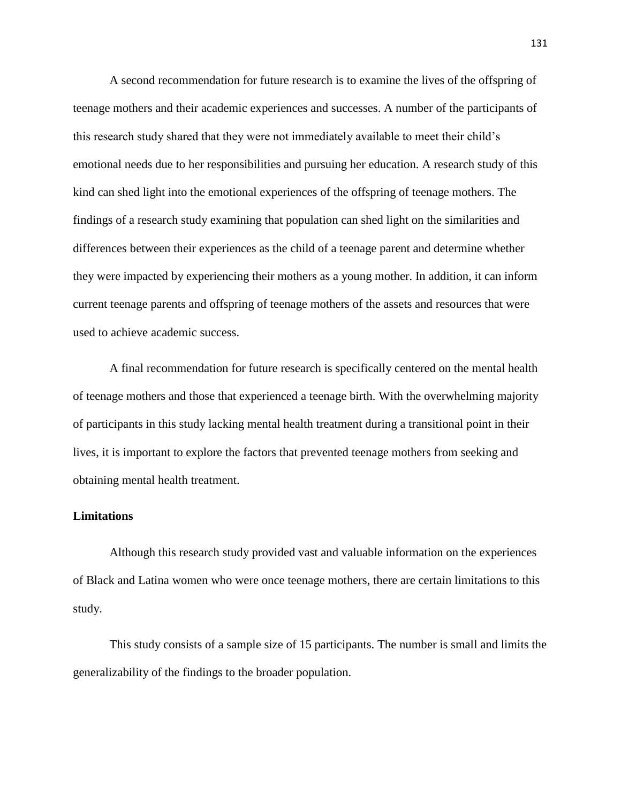A second recommendation for future research is to examine the lives of the offspring of teenage mothers and their academic experiences and successes. A number of the participants of this research study shared that they were not immediately available to meet their child's emotional needs due to her responsibilities and pursuing her education. A research study of this kind can shed light into the emotional experiences of the offspring of teenage mothers. The findings of a research study examining that population can shed light on the similarities and differences between their experiences as the child of a teenage parent and determine whether they were impacted by experiencing their mothers as a young mother. In addition, it can inform current teenage parents and offspring of teenage mothers of the assets and resources that were used to achieve academic success.

A final recommendation for future research is specifically centered on the mental health of teenage mothers and those that experienced a teenage birth. With the overwhelming majority of participants in this study lacking mental health treatment during a transitional point in their lives, it is important to explore the factors that prevented teenage mothers from seeking and obtaining mental health treatment.

#### **Limitations**

Although this research study provided vast and valuable information on the experiences of Black and Latina women who were once teenage mothers, there are certain limitations to this study.

This study consists of a sample size of 15 participants. The number is small and limits the generalizability of the findings to the broader population.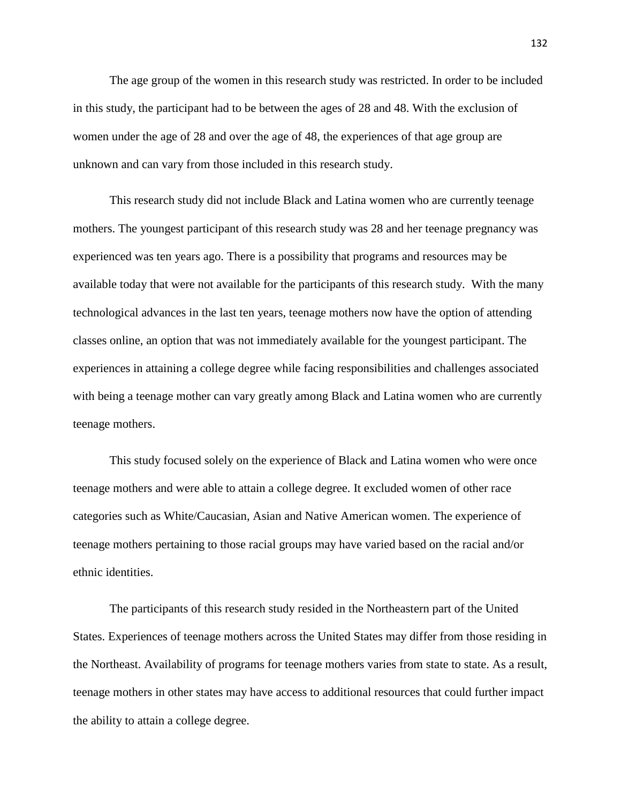The age group of the women in this research study was restricted. In order to be included in this study, the participant had to be between the ages of 28 and 48. With the exclusion of women under the age of 28 and over the age of 48, the experiences of that age group are unknown and can vary from those included in this research study.

This research study did not include Black and Latina women who are currently teenage mothers. The youngest participant of this research study was 28 and her teenage pregnancy was experienced was ten years ago. There is a possibility that programs and resources may be available today that were not available for the participants of this research study. With the many technological advances in the last ten years, teenage mothers now have the option of attending classes online, an option that was not immediately available for the youngest participant. The experiences in attaining a college degree while facing responsibilities and challenges associated with being a teenage mother can vary greatly among Black and Latina women who are currently teenage mothers.

This study focused solely on the experience of Black and Latina women who were once teenage mothers and were able to attain a college degree. It excluded women of other race categories such as White/Caucasian, Asian and Native American women. The experience of teenage mothers pertaining to those racial groups may have varied based on the racial and/or ethnic identities.

The participants of this research study resided in the Northeastern part of the United States. Experiences of teenage mothers across the United States may differ from those residing in the Northeast. Availability of programs for teenage mothers varies from state to state. As a result, teenage mothers in other states may have access to additional resources that could further impact the ability to attain a college degree.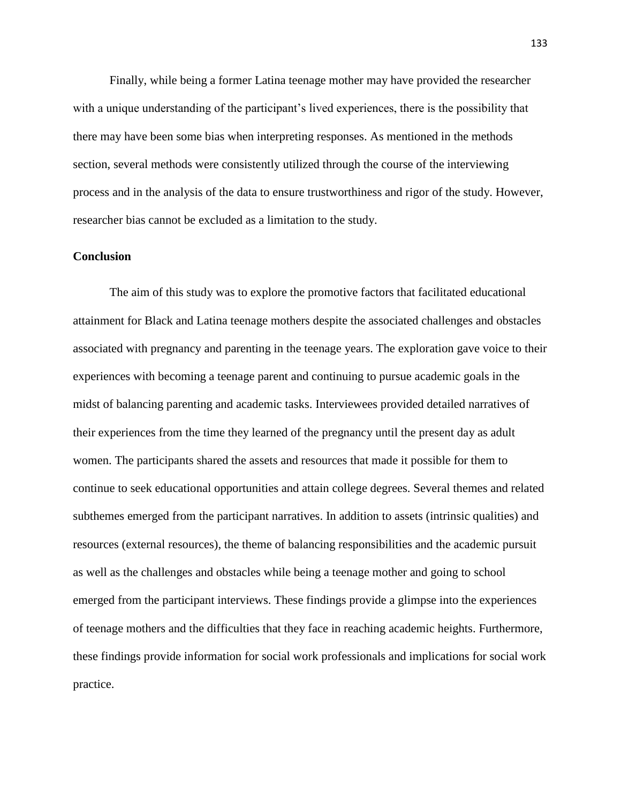Finally, while being a former Latina teenage mother may have provided the researcher with a unique understanding of the participant's lived experiences, there is the possibility that there may have been some bias when interpreting responses. As mentioned in the methods section, several methods were consistently utilized through the course of the interviewing process and in the analysis of the data to ensure trustworthiness and rigor of the study. However, researcher bias cannot be excluded as a limitation to the study.

#### **Conclusion**

The aim of this study was to explore the promotive factors that facilitated educational attainment for Black and Latina teenage mothers despite the associated challenges and obstacles associated with pregnancy and parenting in the teenage years. The exploration gave voice to their experiences with becoming a teenage parent and continuing to pursue academic goals in the midst of balancing parenting and academic tasks. Interviewees provided detailed narratives of their experiences from the time they learned of the pregnancy until the present day as adult women. The participants shared the assets and resources that made it possible for them to continue to seek educational opportunities and attain college degrees. Several themes and related subthemes emerged from the participant narratives. In addition to assets (intrinsic qualities) and resources (external resources), the theme of balancing responsibilities and the academic pursuit as well as the challenges and obstacles while being a teenage mother and going to school emerged from the participant interviews. These findings provide a glimpse into the experiences of teenage mothers and the difficulties that they face in reaching academic heights. Furthermore, these findings provide information for social work professionals and implications for social work practice.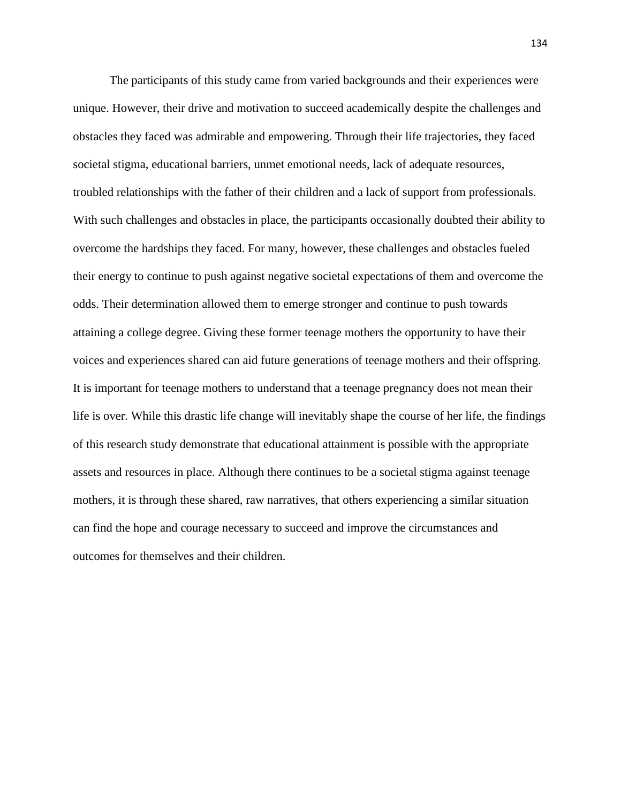The participants of this study came from varied backgrounds and their experiences were unique. However, their drive and motivation to succeed academically despite the challenges and obstacles they faced was admirable and empowering. Through their life trajectories, they faced societal stigma, educational barriers, unmet emotional needs, lack of adequate resources, troubled relationships with the father of their children and a lack of support from professionals. With such challenges and obstacles in place, the participants occasionally doubted their ability to overcome the hardships they faced. For many, however, these challenges and obstacles fueled their energy to continue to push against negative societal expectations of them and overcome the odds. Their determination allowed them to emerge stronger and continue to push towards attaining a college degree. Giving these former teenage mothers the opportunity to have their voices and experiences shared can aid future generations of teenage mothers and their offspring. It is important for teenage mothers to understand that a teenage pregnancy does not mean their life is over. While this drastic life change will inevitably shape the course of her life, the findings of this research study demonstrate that educational attainment is possible with the appropriate assets and resources in place. Although there continues to be a societal stigma against teenage mothers, it is through these shared, raw narratives, that others experiencing a similar situation can find the hope and courage necessary to succeed and improve the circumstances and outcomes for themselves and their children.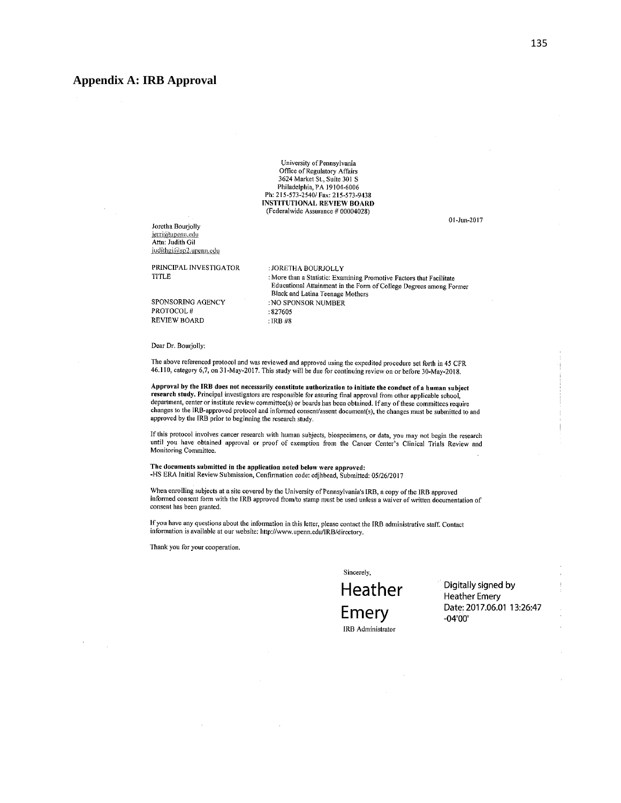#### **Appendix A: IRB Approval**

University of Pennsylvania Office of Regulatory Affairs 3624 Market St., Suite 301 S Philadelphia, PA 19104-6006 Ph: 215-573-2540/ Fax: 215-573-9438 **INSTITUTIONAL REVIEW BOARD** (Federalwide Assurance # 00004028)

Joretha Bourjolly jerri@upenn.edu Attn: Judith Gil judithgi@sp2.upenn.edu

PRINCIPAL INVESTIGATOR **TITLE** 

SPONSORING AGENCY PROTOCOL# **REVIEW BOARD** 

: JORETHA BOURJOLLY : More than a Statistic: Examining Promotive Factors that Facilitate Educational Attainment in the Form of College Degrees among Former Black and Latina Teenage Mothers : NO SPONSOR NUMBER  $:827605$ : IRB #8

Dear Dr. Bourjolly:

The above referenced protocol and was reviewed and approved using the expedited procedure set forth in 45 CFR 46.110, category 6,7, on 31-May-2017. This study will be due for continuing review on or before 30-May-2018.

Approval by the IRB does not necessarily constitute authorization to initiate the conduct of a human subject research study. Principal investigators are responsible for assuring final approval from other applicable school, department, center or institute review committee(s) or boards has been obtained. If any of these committees require changes to the IRB-approved protocol and informed consent/assent document(s), the changes must be submitted to and approved by the IRB prior to beginning the research study.

If this protocol involves cancer research with human subjects, biospecimens, or data, you may not begin the research until you have obtained approval or proof of exemption from the Cancer Center's Clinical Trials Review and Monitoring Committee.

The documents submitted in the application noted below were approved: -HS ERA Initial Review Submission, Confirmation code: cdjhbead, Submitted: 05/26/2017

When enrolling subjects at a site covered by the University of Pennsylvania's IRB, a copy of the IRB approved informed consent form with the IRB approved from/to stamp must be used unless a waiver of written documentation of consent has been granted.

If you have any questions about the information in this letter, please contact the IRB administrative staff. Contact information is available at our website: http://www.upenn.edu/IRB/directory.

Thank you for your cooperation.

Sincerely,

Heather Emery **IRB** Administrator

Digitally signed by **Heather Emery** Date: 2017.06.01 13:26:47  $-04'00'$ 

01-Jun-2017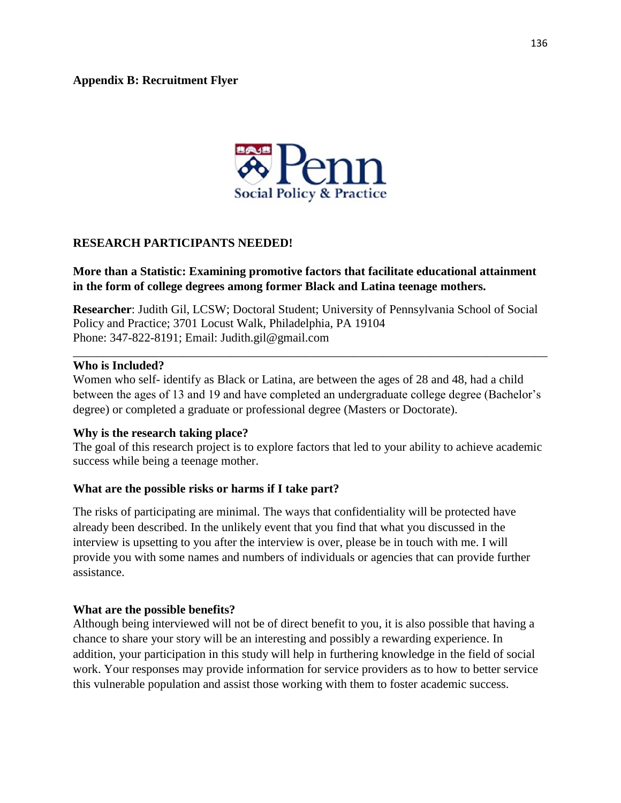

# **RESEARCH PARTICIPANTS NEEDED!**

## **More than a Statistic: Examining promotive factors that facilitate educational attainment in the form of college degrees among former Black and Latina teenage mothers.**

**Researcher**: Judith Gil, LCSW; Doctoral Student; University of Pennsylvania School of Social Policy and Practice; 3701 Locust Walk, Philadelphia, PA 19104 Phone: 347-822-8191; Email: Judith.gil@gmail.com

\_\_\_\_\_\_\_\_\_\_\_\_\_\_\_\_\_\_\_\_\_\_\_\_\_\_\_\_\_\_\_\_\_\_\_\_\_\_\_\_\_\_\_\_\_\_\_\_\_\_\_\_\_\_\_\_\_\_\_\_\_\_\_\_\_\_\_\_\_\_\_\_\_\_\_\_\_\_

#### **Who is Included?**

Women who self- identify as Black or Latina, are between the ages of 28 and 48, had a child between the ages of 13 and 19 and have completed an undergraduate college degree (Bachelor's degree) or completed a graduate or professional degree (Masters or Doctorate).

#### **Why is the research taking place?**

The goal of this research project is to explore factors that led to your ability to achieve academic success while being a teenage mother.

# **What are the possible risks or harms if I take part?**

The risks of participating are minimal. The ways that confidentiality will be protected have already been described. In the unlikely event that you find that what you discussed in the interview is upsetting to you after the interview is over, please be in touch with me. I will provide you with some names and numbers of individuals or agencies that can provide further assistance.

#### **What are the possible benefits?**

Although being interviewed will not be of direct benefit to you, it is also possible that having a chance to share your story will be an interesting and possibly a rewarding experience. In addition, your participation in this study will help in furthering knowledge in the field of social work. Your responses may provide information for service providers as to how to better service this vulnerable population and assist those working with them to foster academic success.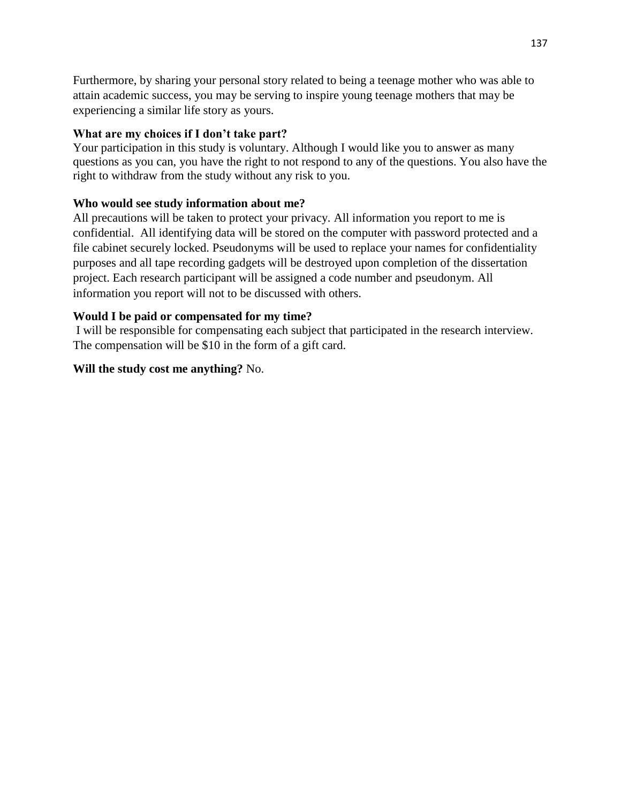Furthermore, by sharing your personal story related to being a teenage mother who was able to attain academic success, you may be serving to inspire young teenage mothers that may be experiencing a similar life story as yours.

# **What are my choices if I don't take part?**

Your participation in this study is voluntary. Although I would like you to answer as many questions as you can, you have the right to not respond to any of the questions. You also have the right to withdraw from the study without any risk to you.

# **Who would see study information about me?**

All precautions will be taken to protect your privacy. All information you report to me is confidential. All identifying data will be stored on the computer with password protected and a file cabinet securely locked. Pseudonyms will be used to replace your names for confidentiality purposes and all tape recording gadgets will be destroyed upon completion of the dissertation project. Each research participant will be assigned a code number and pseudonym. All information you report will not to be discussed with others.

# **Would I be paid or compensated for my time?**

I will be responsible for compensating each subject that participated in the research interview. The compensation will be \$10 in the form of a gift card.

# **Will the study cost me anything?** No.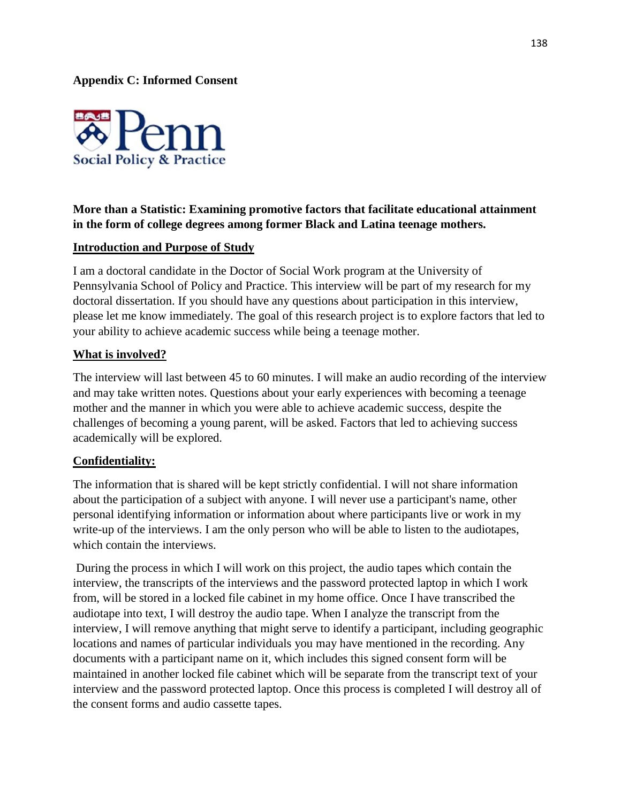**Appendix C: Informed Consent**



# **More than a Statistic: Examining promotive factors that facilitate educational attainment in the form of college degrees among former Black and Latina teenage mothers.**

### **Introduction and Purpose of Study**

I am a doctoral candidate in the Doctor of Social Work program at the University of Pennsylvania School of Policy and Practice. This interview will be part of my research for my doctoral dissertation. If you should have any questions about participation in this interview, please let me know immediately. The goal of this research project is to explore factors that led to your ability to achieve academic success while being a teenage mother.

### **What is involved?**

The interview will last between 45 to 60 minutes. I will make an audio recording of the interview and may take written notes. Questions about your early experiences with becoming a teenage mother and the manner in which you were able to achieve academic success, despite the challenges of becoming a young parent, will be asked. Factors that led to achieving success academically will be explored.

#### **Confidentiality:**

The information that is shared will be kept strictly confidential. I will not share information about the participation of a subject with anyone. I will never use a participant's name, other personal identifying information or information about where participants live or work in my write-up of the interviews. I am the only person who will be able to listen to the audiotapes, which contain the interviews.

During the process in which I will work on this project, the audio tapes which contain the interview, the transcripts of the interviews and the password protected laptop in which I work from, will be stored in a locked file cabinet in my home office. Once I have transcribed the audiotape into text, I will destroy the audio tape. When I analyze the transcript from the interview, I will remove anything that might serve to identify a participant, including geographic locations and names of particular individuals you may have mentioned in the recording. Any documents with a participant name on it, which includes this signed consent form will be maintained in another locked file cabinet which will be separate from the transcript text of your interview and the password protected laptop. Once this process is completed I will destroy all of the consent forms and audio cassette tapes.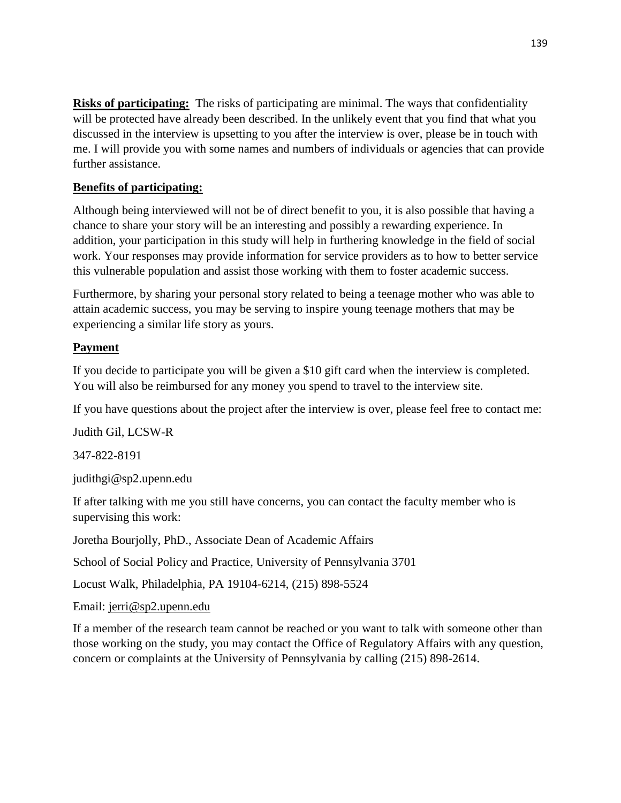**Risks of participating:** The risks of participating are minimal. The ways that confidentiality will be protected have already been described. In the unlikely event that you find that what you discussed in the interview is upsetting to you after the interview is over, please be in touch with me. I will provide you with some names and numbers of individuals or agencies that can provide further assistance.

# **Benefits of participating:**

Although being interviewed will not be of direct benefit to you, it is also possible that having a chance to share your story will be an interesting and possibly a rewarding experience. In addition, your participation in this study will help in furthering knowledge in the field of social work. Your responses may provide information for service providers as to how to better service this vulnerable population and assist those working with them to foster academic success.

Furthermore, by sharing your personal story related to being a teenage mother who was able to attain academic success, you may be serving to inspire young teenage mothers that may be experiencing a similar life story as yours.

# **Payment**

If you decide to participate you will be given a \$10 gift card when the interview is completed. You will also be reimbursed for any money you spend to travel to the interview site.

If you have questions about the project after the interview is over, please feel free to contact me:

Judith Gil, LCSW-R

347-822-8191

judithgi@sp2.upenn.edu

If after talking with me you still have concerns, you can contact the faculty member who is supervising this work:

Joretha Bourjolly, PhD., Associate Dean of Academic Affairs

School of Social Policy and Practice, University of Pennsylvania 3701

Locust Walk, Philadelphia, PA 19104-6214, (215) 898-5524

Email: [jerri@sp2.upenn.edu](mailto:jerri@sp2.upenn.edu)

If a member of the research team cannot be reached or you want to talk with someone other than those working on the study, you may contact the Office of Regulatory Affairs with any question, concern or complaints at the University of Pennsylvania by calling (215) 898-2614.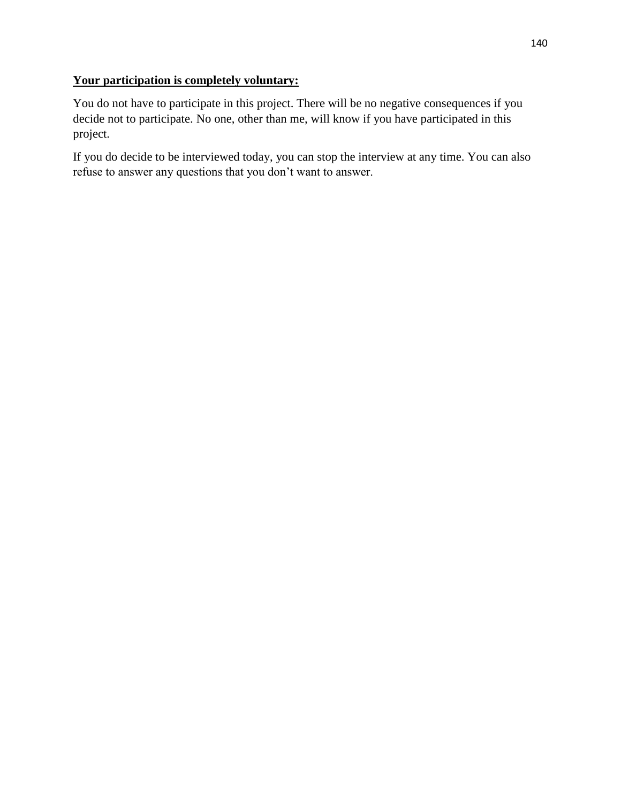# **Your participation is completely voluntary:**

You do not have to participate in this project. There will be no negative consequences if you decide not to participate. No one, other than me, will know if you have participated in this project.

If you do decide to be interviewed today, you can stop the interview at any time. You can also refuse to answer any questions that you don't want to answer.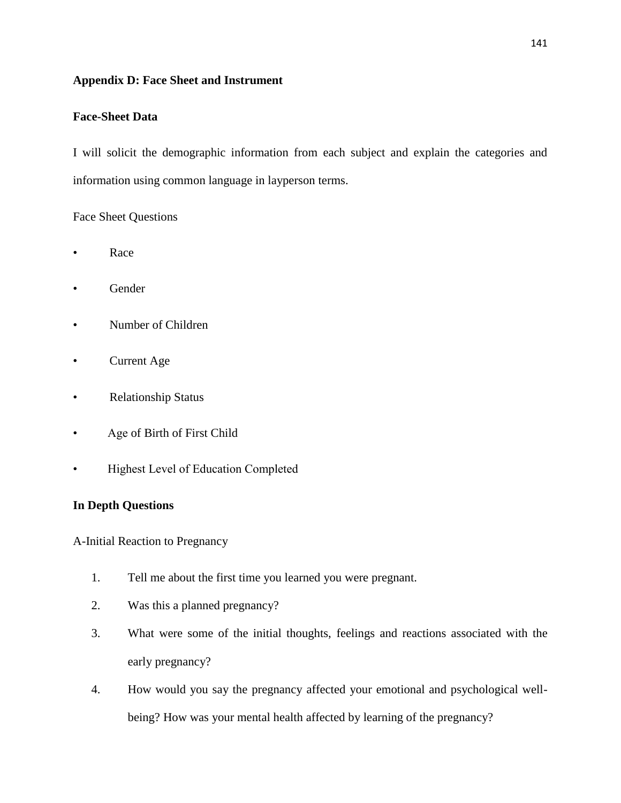## **Appendix D: Face Sheet and Instrument**

## **Face-Sheet Data**

I will solicit the demographic information from each subject and explain the categories and information using common language in layperson terms.

### Face Sheet Questions

- Race
- Gender
- Number of Children
- Current Age
- Relationship Status
- Age of Birth of First Child
- Highest Level of Education Completed

# **In Depth Questions**

A-Initial Reaction to Pregnancy

- 1. Tell me about the first time you learned you were pregnant.
- 2. Was this a planned pregnancy?
- 3. What were some of the initial thoughts, feelings and reactions associated with the early pregnancy?
- 4. How would you say the pregnancy affected your emotional and psychological wellbeing? How was your mental health affected by learning of the pregnancy?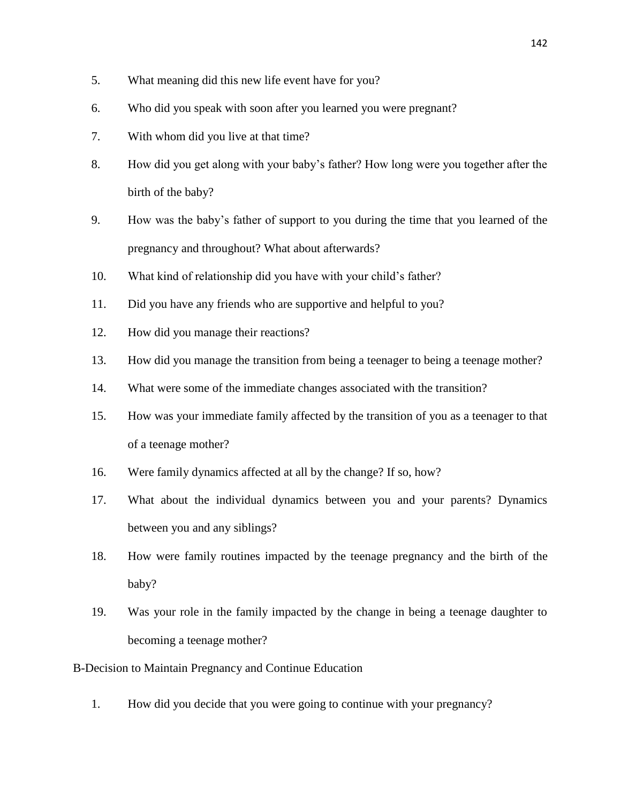- 5. What meaning did this new life event have for you?
- 6. Who did you speak with soon after you learned you were pregnant?
- 7. With whom did you live at that time?
- 8. How did you get along with your baby's father? How long were you together after the birth of the baby?
- 9. How was the baby's father of support to you during the time that you learned of the pregnancy and throughout? What about afterwards?
- 10. What kind of relationship did you have with your child's father?
- 11. Did you have any friends who are supportive and helpful to you?
- 12. How did you manage their reactions?
- 13. How did you manage the transition from being a teenager to being a teenage mother?
- 14. What were some of the immediate changes associated with the transition?
- 15. How was your immediate family affected by the transition of you as a teenager to that of a teenage mother?
- 16. Were family dynamics affected at all by the change? If so, how?
- 17. What about the individual dynamics between you and your parents? Dynamics between you and any siblings?
- 18. How were family routines impacted by the teenage pregnancy and the birth of the baby?
- 19. Was your role in the family impacted by the change in being a teenage daughter to becoming a teenage mother?
- B-Decision to Maintain Pregnancy and Continue Education
	- 1. How did you decide that you were going to continue with your pregnancy?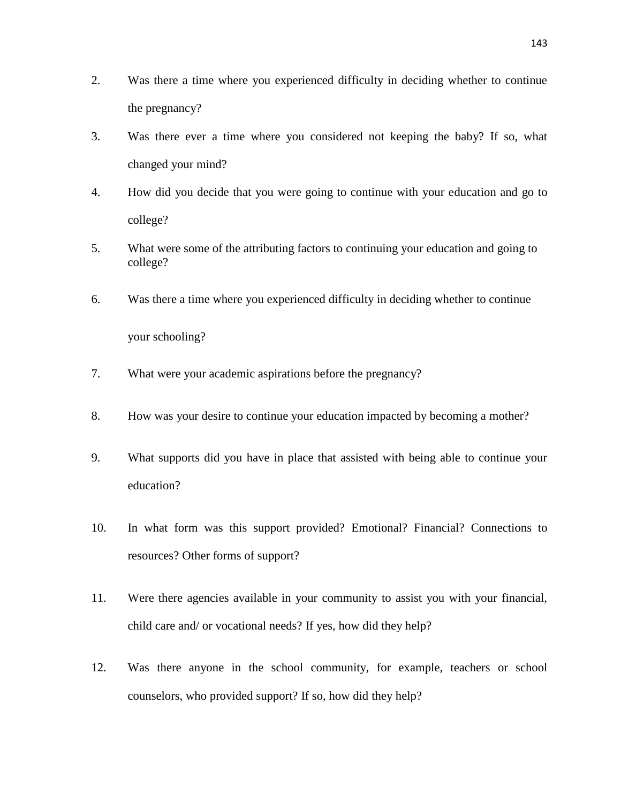- 2. Was there a time where you experienced difficulty in deciding whether to continue the pregnancy?
- 3. Was there ever a time where you considered not keeping the baby? If so, what changed your mind?
- 4. How did you decide that you were going to continue with your education and go to college?
- 5. What were some of the attributing factors to continuing your education and going to college?
- 6. Was there a time where you experienced difficulty in deciding whether to continue

your schooling?

- 7. What were your academic aspirations before the pregnancy?
- 8. How was your desire to continue your education impacted by becoming a mother?
- 9. What supports did you have in place that assisted with being able to continue your education?
- 10. In what form was this support provided? Emotional? Financial? Connections to resources? Other forms of support?
- 11. Were there agencies available in your community to assist you with your financial, child care and/ or vocational needs? If yes, how did they help?
- 12. Was there anyone in the school community, for example, teachers or school counselors, who provided support? If so, how did they help?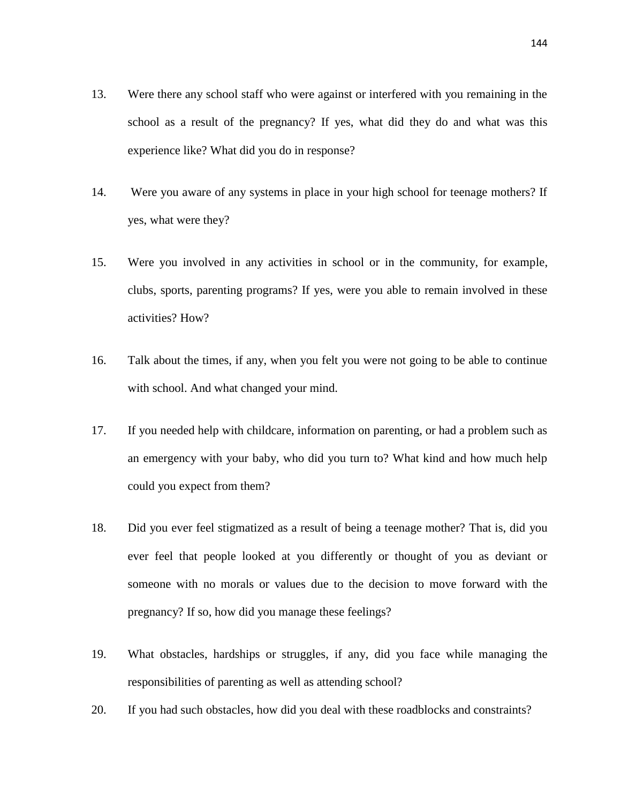- 13. Were there any school staff who were against or interfered with you remaining in the school as a result of the pregnancy? If yes, what did they do and what was this experience like? What did you do in response?
- 14. Were you aware of any systems in place in your high school for teenage mothers? If yes, what were they?
- 15. Were you involved in any activities in school or in the community, for example, clubs, sports, parenting programs? If yes, were you able to remain involved in these activities? How?
- 16. Talk about the times, if any, when you felt you were not going to be able to continue with school. And what changed your mind.
- 17. If you needed help with childcare, information on parenting, or had a problem such as an emergency with your baby, who did you turn to? What kind and how much help could you expect from them?
- 18. Did you ever feel stigmatized as a result of being a teenage mother? That is, did you ever feel that people looked at you differently or thought of you as deviant or someone with no morals or values due to the decision to move forward with the pregnancy? If so, how did you manage these feelings?
- 19. What obstacles, hardships or struggles, if any, did you face while managing the responsibilities of parenting as well as attending school?
- 20. If you had such obstacles, how did you deal with these roadblocks and constraints?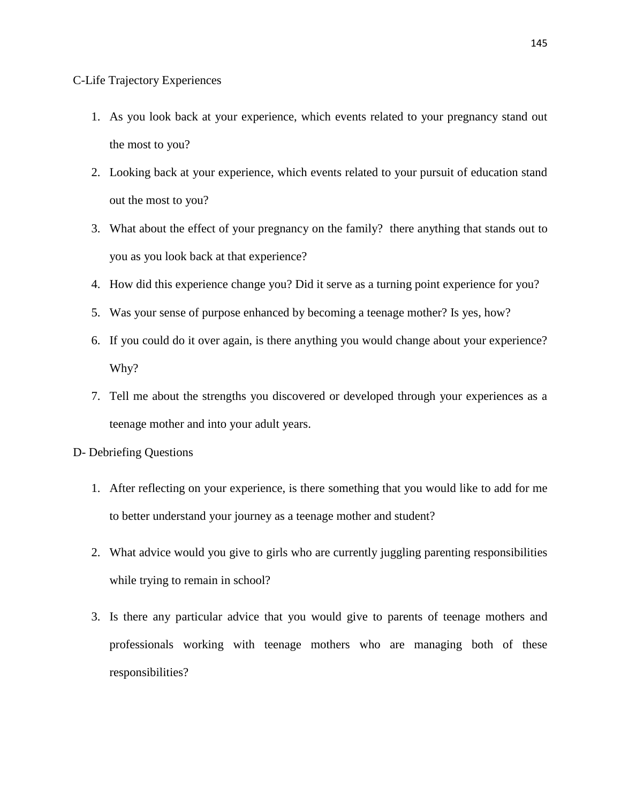#### C-Life Trajectory Experiences

- 1. As you look back at your experience, which events related to your pregnancy stand out the most to you?
- 2. Looking back at your experience, which events related to your pursuit of education stand out the most to you?
- 3. What about the effect of your pregnancy on the family? there anything that stands out to you as you look back at that experience?
- 4. How did this experience change you? Did it serve as a turning point experience for you?
- 5. Was your sense of purpose enhanced by becoming a teenage mother? Is yes, how?
- 6. If you could do it over again, is there anything you would change about your experience? Why?
- 7. Tell me about the strengths you discovered or developed through your experiences as a teenage mother and into your adult years.
- D- Debriefing Questions
	- 1. After reflecting on your experience, is there something that you would like to add for me to better understand your journey as a teenage mother and student?
	- 2. What advice would you give to girls who are currently juggling parenting responsibilities while trying to remain in school?
	- 3. Is there any particular advice that you would give to parents of teenage mothers and professionals working with teenage mothers who are managing both of these responsibilities?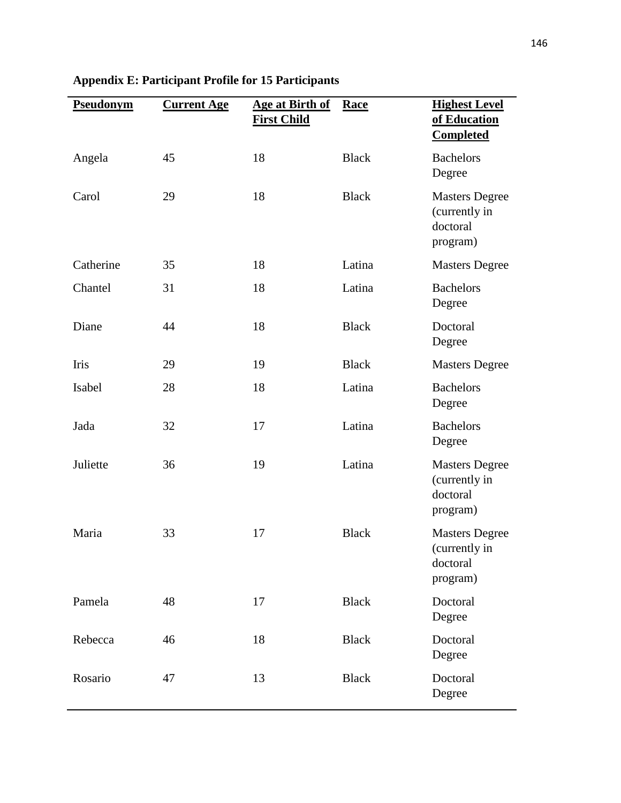| Pseudonym | <b>Current Age</b> | Age at Birth of<br><b>First Child</b> | Race         | <b>Highest Level</b><br>of Education<br><b>Completed</b>       |
|-----------|--------------------|---------------------------------------|--------------|----------------------------------------------------------------|
| Angela    | 45                 | 18                                    | <b>Black</b> | <b>Bachelors</b><br>Degree                                     |
| Carol     | 29                 | 18                                    | <b>Black</b> | <b>Masters Degree</b><br>(currently in<br>doctoral<br>program) |
| Catherine | 35                 | 18                                    | Latina       | <b>Masters Degree</b>                                          |
| Chantel   | 31                 | 18                                    | Latina       | <b>Bachelors</b><br>Degree                                     |
| Diane     | 44                 | 18                                    | <b>Black</b> | Doctoral<br>Degree                                             |
| Iris      | 29                 | 19                                    | <b>Black</b> | <b>Masters Degree</b>                                          |
| Isabel    | 28                 | 18                                    | Latina       | <b>Bachelors</b><br>Degree                                     |
| Jada      | 32                 | 17                                    | Latina       | <b>Bachelors</b><br>Degree                                     |
| Juliette  | 36                 | 19                                    | Latina       | <b>Masters Degree</b><br>(currently in<br>doctoral<br>program) |
| Maria     | 33                 | 17                                    | <b>Black</b> | <b>Masters Degree</b><br>(currently in<br>doctoral<br>program) |
| Pamela    | 48                 | 17                                    | <b>Black</b> | Doctoral<br>Degree                                             |
| Rebecca   | 46                 | 18                                    | <b>Black</b> | Doctoral<br>Degree                                             |
| Rosario   | 47                 | 13                                    | <b>Black</b> | Doctoral<br>Degree                                             |

# **Appendix E: Participant Profile for 15 Participants**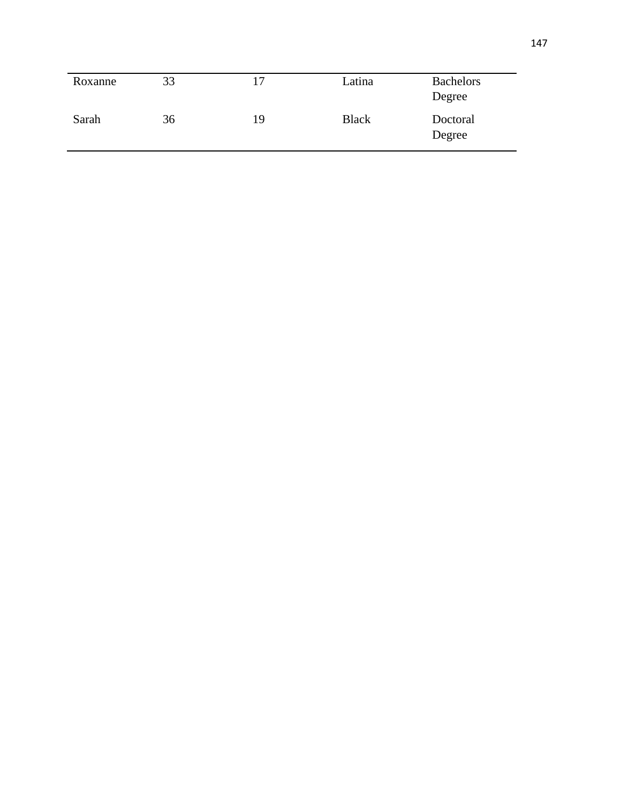| Roxanne | 33 | $\overline{17}$ | Latina       | <b>Bachelors</b><br>Degree |
|---------|----|-----------------|--------------|----------------------------|
| Sarah   | 36 | 19              | <b>Black</b> | Doctoral<br>Degree         |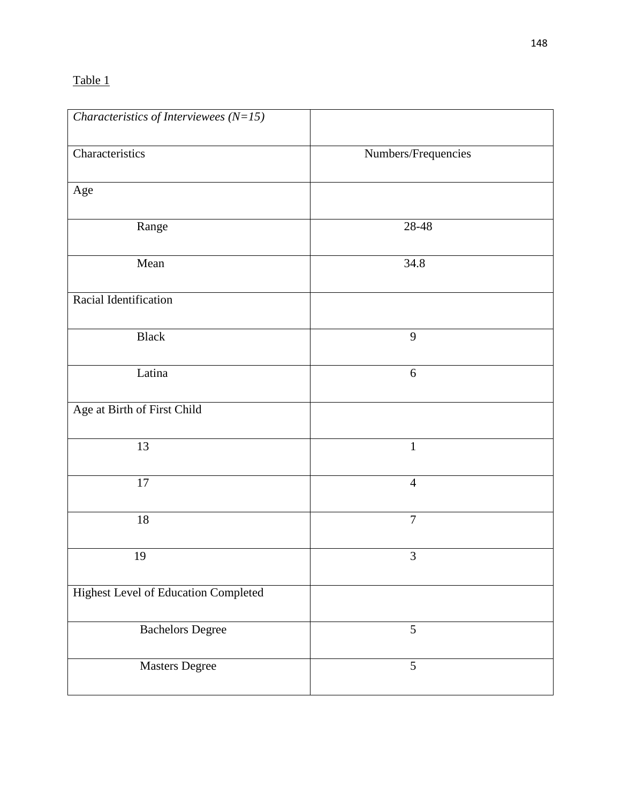# Table 1

| Characteristics of Interviewees $(N=15)$ |                     |  |
|------------------------------------------|---------------------|--|
| Characteristics                          | Numbers/Frequencies |  |
| Age                                      |                     |  |
| Range                                    | 28-48               |  |
| Mean                                     | 34.8                |  |
| Racial Identification                    |                     |  |
| <b>Black</b>                             | 9                   |  |
| Latina                                   | $6\,$               |  |
| Age at Birth of First Child              |                     |  |
| 13                                       | $\mathbf{1}$        |  |
| $17\,$                                   | $\overline{4}$      |  |
| $18\,$                                   | $\overline{7}$      |  |
| 19                                       | 3                   |  |
| Highest Level of Education Completed     |                     |  |
| <b>Bachelors Degree</b>                  | 5                   |  |
| <b>Masters Degree</b>                    | 5                   |  |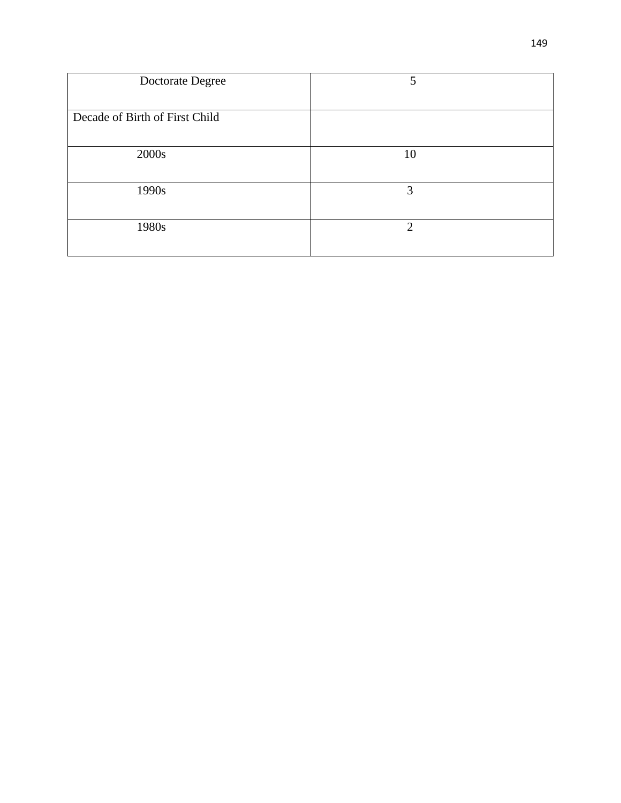| Doctorate Degree               | 5                           |
|--------------------------------|-----------------------------|
| Decade of Birth of First Child |                             |
| 2000s                          | 10                          |
| 1990s                          | 3                           |
| 1980s                          | $\mathcal{D}_{\mathcal{L}}$ |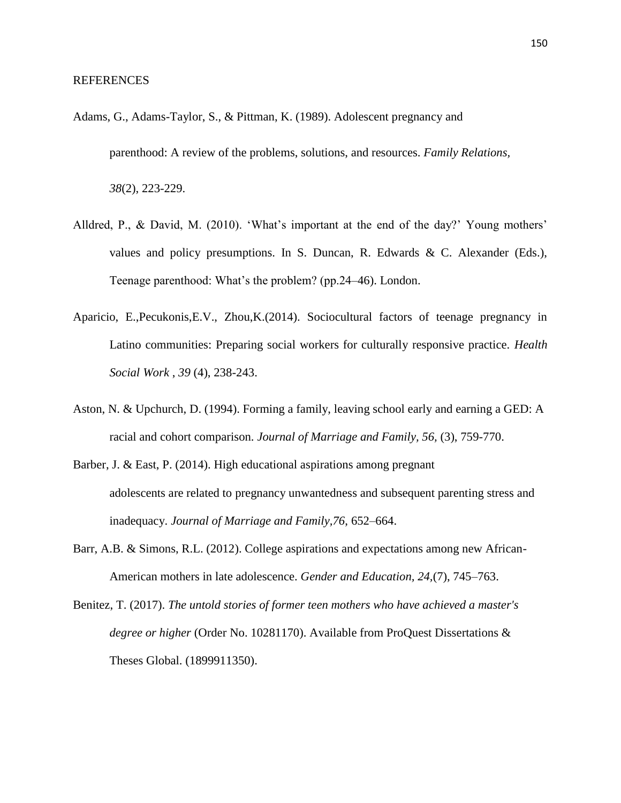- Adams, G., Adams-Taylor, S., & Pittman, K. (1989). Adolescent pregnancy and parenthood: A review of the problems, solutions, and resources. *Family Relations, 38*(2), 223-229.
- Alldred, P., & David, M. (2010). 'What's important at the end of the day?' Young mothers' values and policy presumptions. In S. Duncan, R. Edwards & C. Alexander (Eds.), Teenage parenthood: What's the problem? (pp.24–46). London.
- Aparicio, E.,Pecukonis,E.V., Zhou,K.(2014). Sociocultural factors of teenage pregnancy in Latino communities: Preparing social workers for culturally responsive practice. *Health Social Work* , *39* (4), 238-243.
- Aston, N. & Upchurch, D. (1994). Forming a family, leaving school early and earning a GED: A racial and cohort comparison. *Journal of Marriage and Family, 56,* (3), 759-770.
- Barber, J. & East, P. (2014). High educational aspirations among pregnant adolescents are related to pregnancy unwantedness and subsequent parenting stress and inadequacy. *Journal of Marriage and Family,76*, 652–664.
- Barr, A.B. & Simons, R.L. (2012). College aspirations and expectations among new African-American mothers in late adolescence. *Gender and Education, 24,*(7), 745–763.
- Benitez, T. (2017). *The untold stories of former teen mothers who have achieved a master's degree or higher* (Order No. 10281170). Available from ProQuest Dissertations & Theses Global. (1899911350).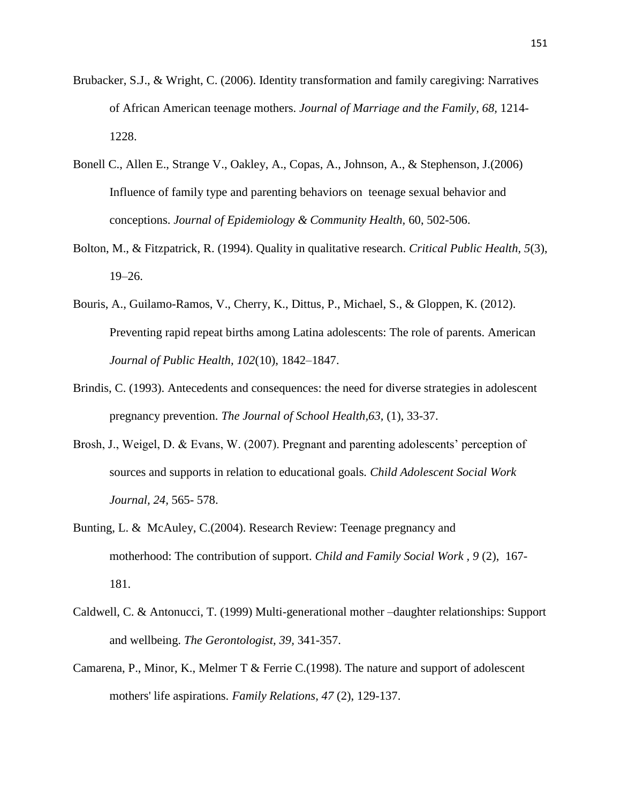- Brubacker, S.J., & Wright, C. (2006). Identity transformation and family caregiving: Narratives of African American teenage mothers. *Journal of Marriage and the Family, 68,* 1214- 1228.
- Bonell C., Allen E., Strange V., Oakley, A., Copas, A., Johnson, A., & Stephenson, J.(2006) Influence of family type and parenting behaviors on teenage sexual behavior and conceptions. *Journal of Epidemiology & Community Health,* 60, 502-506.
- Bolton, M., & Fitzpatrick, R. (1994). Quality in qualitative research. *Critical Public Health, 5*(3), 19–26.
- Bouris, A., Guilamo-Ramos, V., Cherry, K., Dittus, P., Michael, S., & Gloppen, K. (2012). Preventing rapid repeat births among Latina adolescents: The role of parents. American *Journal of Public Health, 102*(10), 1842–1847.
- Brindis, C. (1993). Antecedents and consequences: the need for diverse strategies in adolescent pregnancy prevention. *The Journal of School Health,63,* (1), 33-37.
- Brosh, J., Weigel, D. & Evans, W. (2007). Pregnant and parenting adolescents' perception of sources and supports in relation to educational goals*. Child Adolescent Social Work Journal, 24,* 565- 578.
- Bunting, L. & McAuley, C.(2004). Research Review: Teenage pregnancy and motherhood: The contribution of support. *Child and Family Social Work , 9* (2), 167- 181.
- Caldwell, C. & Antonucci, T. (1999) Multi-generational mother –daughter relationships: Support and wellbeing. *The Gerontologist, 39,* 341-357.
- Camarena, P., Minor, K., Melmer T & Ferrie C.(1998). The nature and support of adolescent mothers' life aspirations. *Family Relations, 47* (2), 129-137.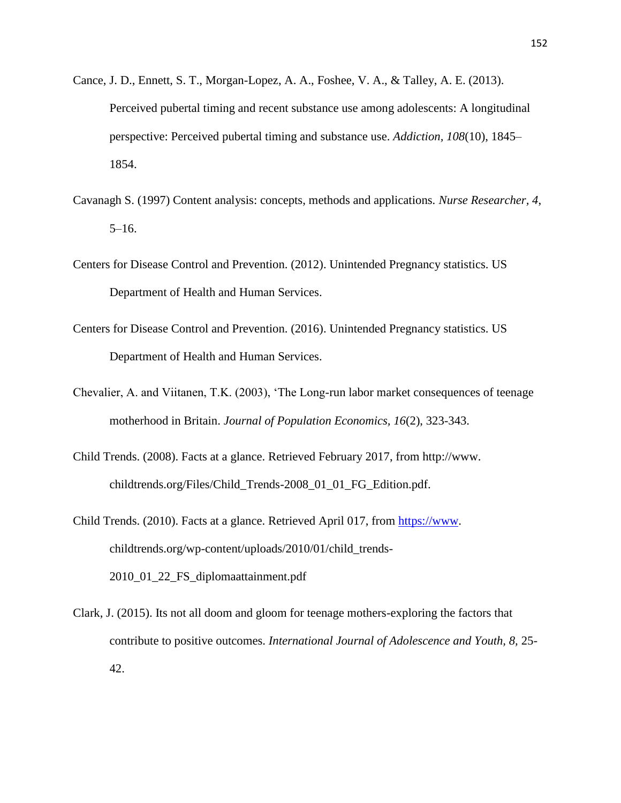- Cance, J. D., Ennett, S. T., Morgan-Lopez, A. A., Foshee, V. A., & Talley, A. E. (2013). Perceived pubertal timing and recent substance use among adolescents: A longitudinal perspective: Perceived pubertal timing and substance use. *Addiction, 108*(10), 1845– 1854.
- Cavanagh S. (1997) Content analysis: concepts, methods and applications*. Nurse Researcher, 4*, 5–16.
- Centers for Disease Control and Prevention. (2012). Unintended Pregnancy statistics. US Department of Health and Human Services.
- Centers for Disease Control and Prevention. (2016). Unintended Pregnancy statistics. US Department of Health and Human Services.
- Chevalier, A. and Viitanen, T.K. (2003), 'The Long-run labor market consequences of teenage motherhood in Britain. *Journal of Population Economics, 16*(2), 323-343.
- Child Trends. (2008). Facts at a glance. Retrieved February 2017, from http://www. childtrends.org/Files/Child\_Trends-2008\_01\_01\_FG\_Edition.pdf.
- Child Trends. (2010). Facts at a glance. Retrieved April 017, from [https://www.](https://www/) childtrends.org/wp-content/uploads/2010/01/child\_trends-2010\_01\_22\_FS\_diplomaattainment.pdf
- Clark, J. (2015). Its not all doom and gloom for teenage mothers-exploring the factors that contribute to positive outcomes. *International Journal of Adolescence and Youth, 8,* 25- 42.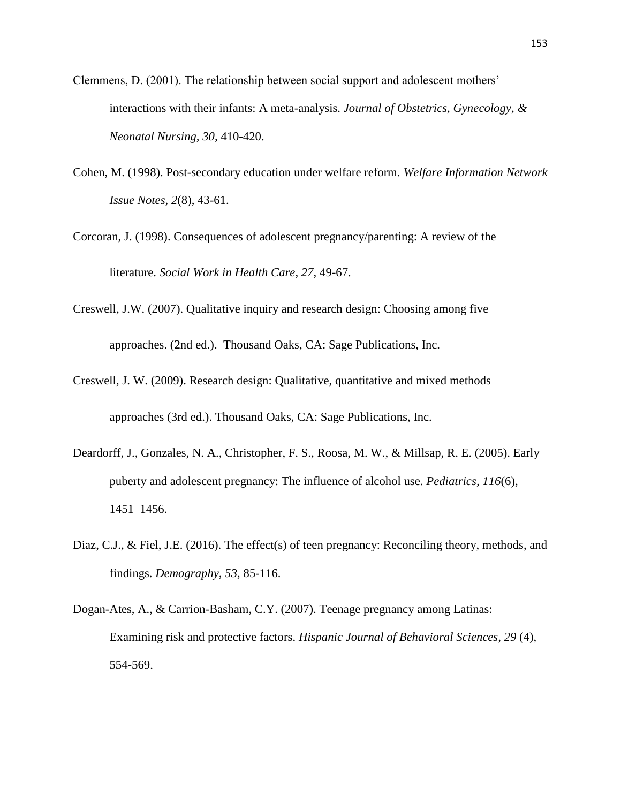- Clemmens, D. (2001). The relationship between social support and adolescent mothers' interactions with their infants: A meta-analysis. *Journal of Obstetrics, Gynecology, & Neonatal Nursing, 30,* 410-420.
- Cohen, M. (1998). Post-secondary education under welfare reform. *Welfare Information Network Issue Notes, 2*(8), 43-61.
- Corcoran, J. (1998). Consequences of adolescent pregnancy/parenting: A review of the literature. *Social Work in Health Care, 27,* 49-67.
- Creswell, J.W. (2007). Qualitative inquiry and research design: Choosing among five approaches. (2nd ed.). Thousand Oaks, CA: Sage Publications, Inc.
- Creswell, J. W. (2009). Research design: Qualitative, quantitative and mixed methods approaches (3rd ed.). Thousand Oaks, CA: Sage Publications, Inc.
- Deardorff, J., Gonzales, N. A., Christopher, F. S., Roosa, M. W., & Millsap, R. E. (2005). Early puberty and adolescent pregnancy: The influence of alcohol use. *Pediatrics, 116*(6), 1451–1456.
- Diaz, C.J., & Fiel, J.E. (2016). The effect(s) of teen pregnancy: Reconciling theory, methods, and findings. *Demography, 53,* 85-116.
- Dogan-Ates, A., & Carrion-Basham, C.Y. (2007). Teenage pregnancy among Latinas: Examining risk and protective factors. *Hispanic Journal of Behavioral Sciences, 29* (4), 554-569.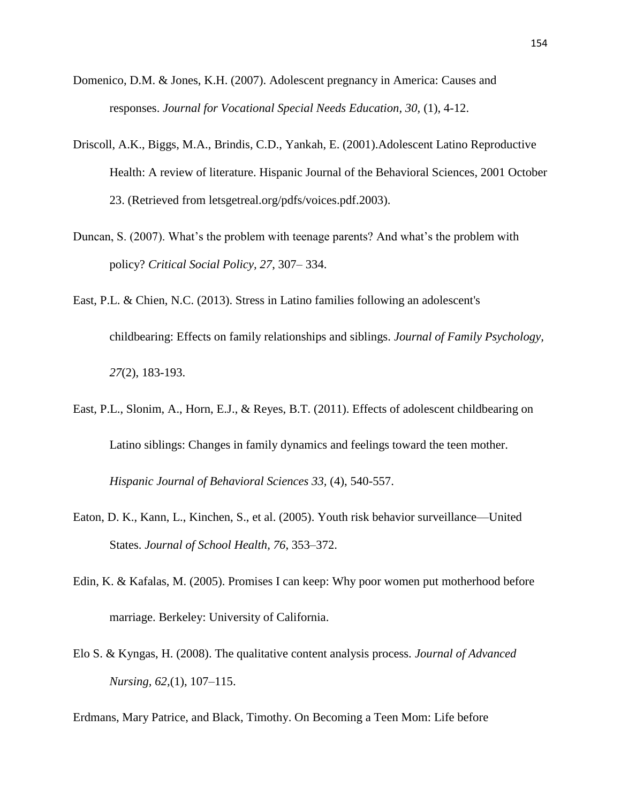- Domenico, D.M. & Jones, K.H. (2007). Adolescent pregnancy in America: Causes and responses. *Journal for Vocational Special Needs Education, 30,* (1), 4-12.
- Driscoll, A.K., Biggs, M.A., Brindis, C.D., Yankah, E. (2001).Adolescent Latino Reproductive Health: A review of literature. Hispanic Journal of the Behavioral Sciences, 2001 October 23. (Retrieved from letsgetreal.org/pdfs/voices.pdf.2003).
- Duncan, S. (2007). What's the problem with teenage parents? And what's the problem with policy? *Critical Social Policy, 27*, 307– 334.
- East, P.L. & Chien, N.C. (2013). Stress in Latino families following an adolescent's childbearing: Effects on family relationships and siblings. *Journal of Family Psychology, 27*(2), 183-193.
- East, P.L., Slonim, A., Horn, E.J., & Reyes, B.T. (2011). Effects of adolescent childbearing on Latino siblings: Changes in family dynamics and feelings toward the teen mother. *Hispanic Journal of Behavioral Sciences 33,* (4), 540-557.
- Eaton, D. K., Kann, L., Kinchen, S., et al. (2005). Youth risk behavior surveillance—United States. *Journal of School Health, 76*, 353–372.
- Edin, K. & Kafalas, M. (2005). Promises I can keep: Why poor women put motherhood before marriage. Berkeley: University of California.
- Elo S. & Kyngas, H. (2008). The qualitative content analysis process. *Journal of Advanced Nursing, 62,*(1), 107–115.
- Erdmans, Mary Patrice, and Black, Timothy. On Becoming a Teen Mom: Life before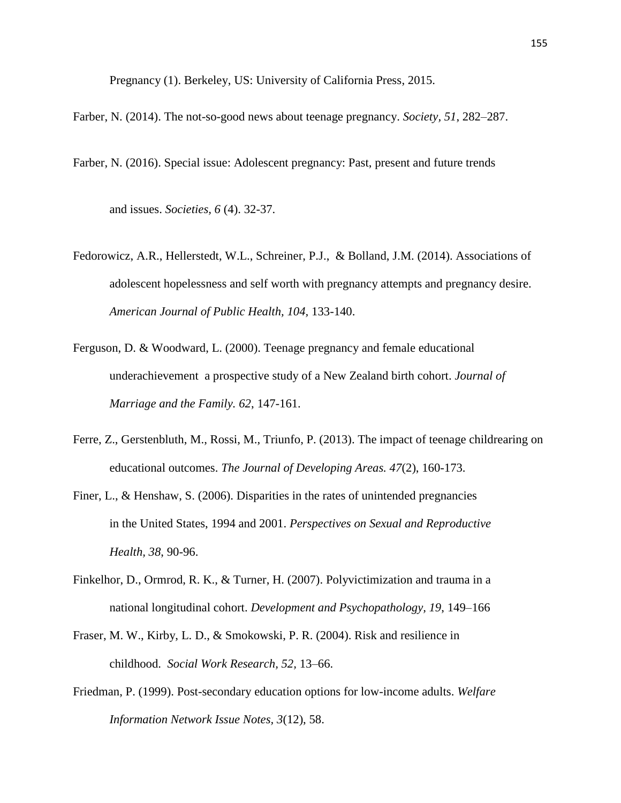Pregnancy (1). Berkeley, US: University of California Press, 2015.

Farber, N. (2014). The not-so-good news about teenage pregnancy. *Society, 51*, 282–287.

Farber, N. (2016). Special issue: Adolescent pregnancy: Past, present and future trends

and issues. *Societies, 6* (4). 32-37.

- Fedorowicz, A.R., Hellerstedt, W.L., Schreiner, P.J., & Bolland, J.M. (2014). Associations of adolescent hopelessness and self worth with pregnancy attempts and pregnancy desire. *American Journal of Public Health, 104,* 133-140.
- Ferguson, D. & Woodward, L. (2000). Teenage pregnancy and female educational underachievement a prospective study of a New Zealand birth cohort. *Journal of Marriage and the Family. 62*, 147-161.
- Ferre, Z., Gerstenbluth, M., Rossi, M., Triunfo, P. (2013). The impact of teenage childrearing on educational outcomes. *The Journal of Developing Areas. 47*(2), 160-173.
- Finer, L., & Henshaw, S. (2006). Disparities in the rates of unintended pregnancies in the United States, 1994 and 2001. *Perspectives on Sexual and Reproductive Health, 38*, 90-96.
- Finkelhor, D., Ormrod, R. K., & Turner, H. (2007). Polyvictimization and trauma in a national longitudinal cohort. *Development and Psychopathology, 19*, 149–166
- Fraser, M. W., Kirby, L. D., & Smokowski, P. R. (2004). Risk and resilience in childhood. *Social Work Research, 52,* 13–66.
- Friedman, P. (1999). Post-secondary education options for low-income adults. *Welfare Information Network Issue Notes, 3*(12), 58.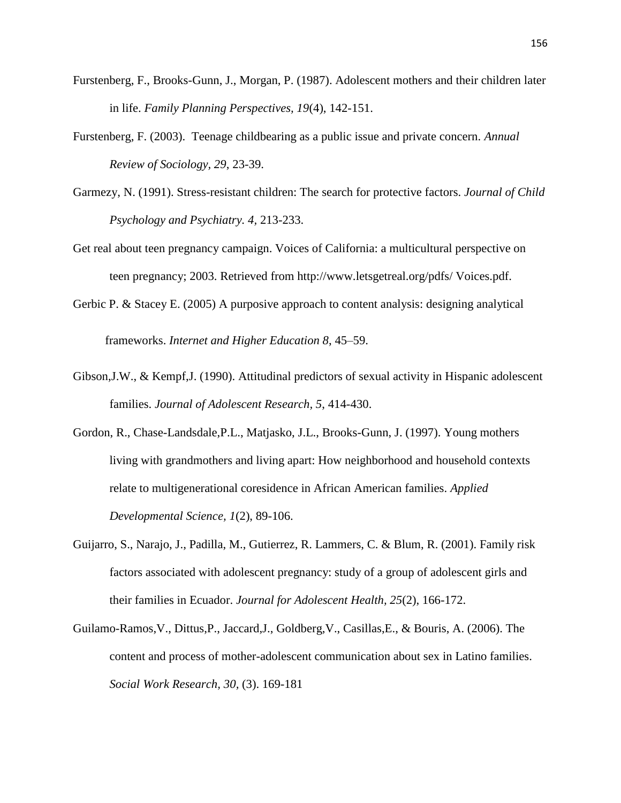- Furstenberg, F., Brooks-Gunn, J., Morgan, P. (1987). Adolescent mothers and their children later in life. *Family Planning Perspectives, 19*(4), 142-151.
- Furstenberg, F. (2003). Teenage childbearing as a public issue and private concern. *Annual Review of Sociology, 29*, 23-39.
- Garmezy, N. (1991). Stress-resistant children: The search for protective factors. *Journal of Child Psychology and Psychiatry. 4,* 213-233.
- Get real about teen pregnancy campaign. Voices of California: a multicultural perspective on teen pregnancy; 2003. Retrieved from http://www.letsgetreal.org/pdfs/ Voices.pdf.
- Gerbic P. & Stacey E. (2005) A purposive approach to content analysis: designing analytical frameworks. *Internet and Higher Education 8*, 45–59.
- Gibson,J.W., & Kempf,J. (1990). Attitudinal predictors of sexual activity in Hispanic adolescent families. *Journal of Adolescent Research, 5*, 414-430.
- Gordon, R., Chase-Landsdale,P.L., Matjasko, J.L., Brooks-Gunn, J. (1997). Young mothers living with grandmothers and living apart: How neighborhood and household contexts relate to multigenerational coresidence in African American families. *Applied Developmental Science, 1*(2), 89-106.
- Guijarro, S., Narajo, J., Padilla, M., Gutierrez, R. Lammers, C. & Blum, R. (2001). Family risk factors associated with adolescent pregnancy: study of a group of adolescent girls and their families in Ecuador. *Journal for Adolescent Health, 25*(2), 166-172.
- Guilamo-Ramos,V., Dittus,P., Jaccard,J., Goldberg,V., Casillas,E., & Bouris, A. (2006). The content and process of mother-adolescent communication about sex in Latino families. *Social Work Research, 30,* (3). 169-181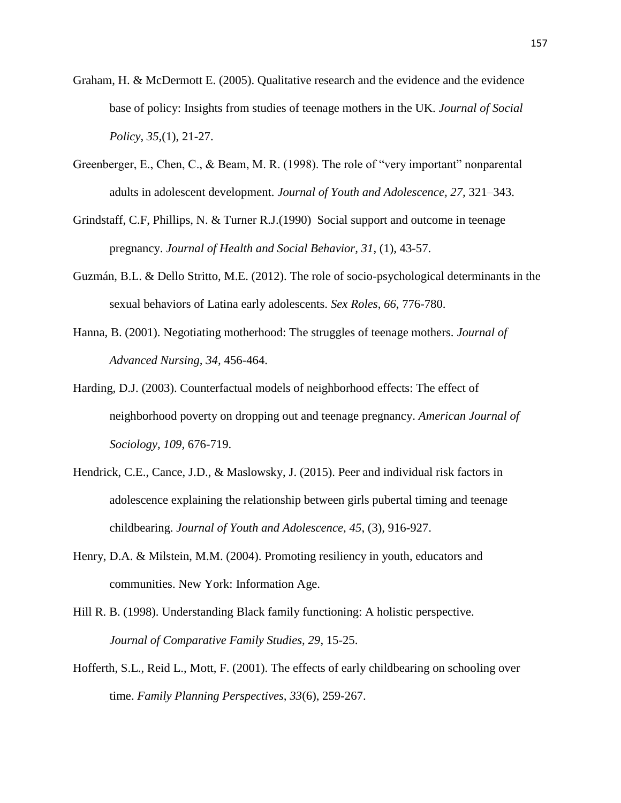- Graham, H. & McDermott E. (2005). Qualitative research and the evidence and the evidence base of policy: Insights from studies of teenage mothers in the UK. *Journal of Social Policy, 35,*(1), 21-27.
- Greenberger, E., Chen, C., & Beam, M. R. (1998). The role of "very important" nonparental adults in adolescent development. *Journal of Youth and Adolescence, 27,* 321–343.
- Grindstaff, C.F, Phillips, N. & Turner R.J.(1990) Social support and outcome in teenage pregnancy. *Journal of Health and Social Behavior, 31*, (1), 43-57.
- Guzmán, B.L. & Dello Stritto, M.E. (2012). The role of socio-psychological determinants in the sexual behaviors of Latina early adolescents. *Sex Roles*, *66*, 776-780.
- Hanna, B. (2001). Negotiating motherhood: The struggles of teenage mothers. *Journal of Advanced Nursing, 34,* 456-464.
- Harding, D.J. (2003). Counterfactual models of neighborhood effects: The effect of neighborhood poverty on dropping out and teenage pregnancy. *American Journal of Sociology, 109,* 676-719.
- Hendrick, C.E., Cance, J.D., & Maslowsky, J. (2015). Peer and individual risk factors in adolescence explaining the relationship between girls pubertal timing and teenage childbearing. *Journal of Youth and Adolescence, 45*, (3), 916-927.
- Henry, D.A. & Milstein, M.M. (2004). Promoting resiliency in youth, educators and communities. New York: Information Age.
- Hill R. B. (1998). Understanding Black family functioning: A holistic perspective. *Journal of Comparative Family Studies, 29*, 15-25.
- Hofferth, S.L., Reid L., Mott, F. (2001). The effects of early childbearing on schooling over time. *Family Planning Perspectives, 33*(6), 259-267.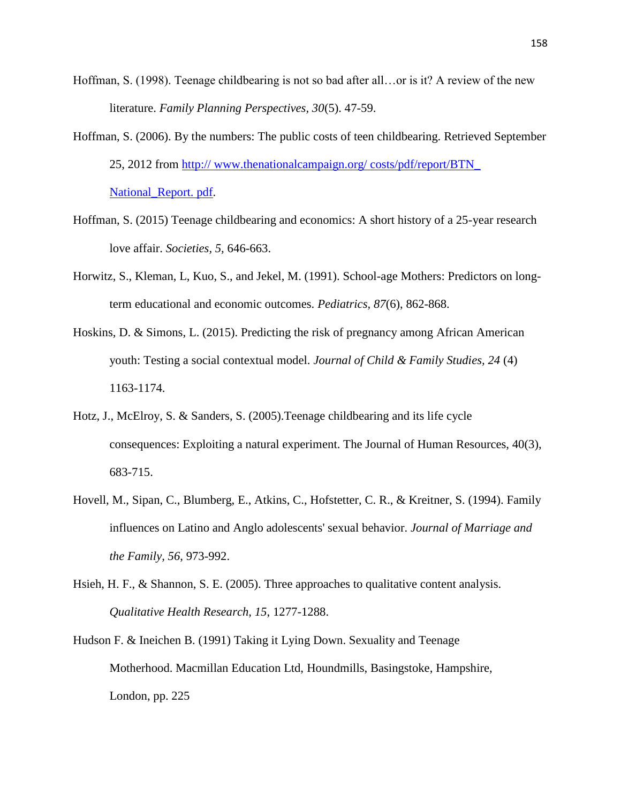- Hoffman, S. (1998). Teenage childbearing is not so bad after all…or is it? A review of the new literature. *Family Planning Perspectives, 30*(5). 47-59.
- Hoffman, S. (2006). By the numbers: The public costs of teen childbearing. Retrieved September 25, 2012 from http:// www.thenationalcampaign.org/ costs/pdf/report/BTN\_ National\_Report. pdf.
- Hoffman, S. (2015) Teenage childbearing and economics: A short history of a 25-year research love affair. *Societies, 5,* 646-663.
- Horwitz, S., Kleman, L, Kuo, S., and Jekel, M. (1991). School-age Mothers: Predictors on longterm educational and economic outcomes. *Pediatrics, 87*(6), 862-868.
- Hoskins, D. & Simons, L. (2015). Predicting the risk of pregnancy among African American youth: Testing a social contextual model. *Journal of Child & Family Studies, 24* (4) 1163-1174.
- Hotz, J., McElroy, S. & Sanders, S. (2005).Teenage childbearing and its life cycle consequences: Exploiting a natural experiment. The Journal of Human Resources, 40(3), 683-715.
- Hovell, M., Sipan, C., Blumberg, E., Atkins, C., Hofstetter, C. R., & Kreitner, S. (1994). Family influences on Latino and Anglo adolescents' sexual behavior. *Journal of Marriage and the Family, 56*, 973-992.
- Hsieh, H. F., & Shannon, S. E. (2005). Three approaches to qualitative content analysis. *Qualitative Health Research, 15*, 1277-1288.
- Hudson F. & Ineichen B. (1991) Taking it Lying Down. Sexuality and Teenage Motherhood. Macmillan Education Ltd, Houndmills, Basingstoke, Hampshire, London, pp. 225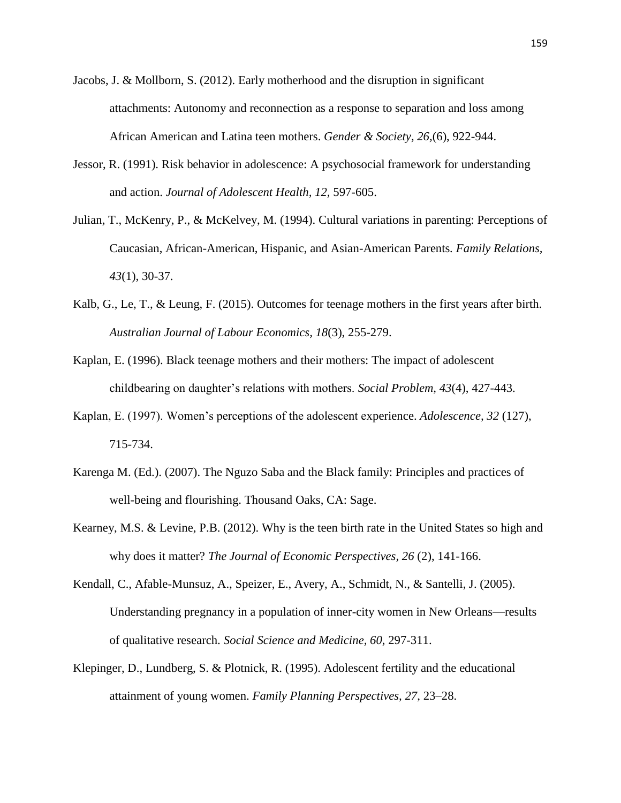- Jacobs, J. & Mollborn, S. (2012). Early motherhood and the disruption in significant attachments: Autonomy and reconnection as a response to separation and loss among African American and Latina teen mothers. *Gender & Society, 26,*(6), 922-944.
- Jessor, R. (1991). Risk behavior in adolescence: A psychosocial framework for understanding and action. *Journal of Adolescent Health, 12,* 597-605.
- Julian, T., McKenry, P., & McKelvey, M. (1994). Cultural variations in parenting: Perceptions of Caucasian, African-American, Hispanic, and Asian-American Parents*. Family Relations, 43*(1), 30-37.
- Kalb, G., Le, T., & Leung, F. (2015). Outcomes for teenage mothers in the first years after birth. *Australian Journal of Labour Economics, 18*(3), 255-279.
- Kaplan, E. (1996). Black teenage mothers and their mothers: The impact of adolescent childbearing on daughter's relations with mothers. *Social Problem, 43*(4), 427-443.
- Kaplan, E. (1997). Women's perceptions of the adolescent experience. *Adolescence, 32* (127), 715-734.
- Karenga M. (Ed.). (2007). The Nguzo Saba and the Black family: Principles and practices of well-being and flourishing. Thousand Oaks, CA: Sage.
- Kearney, M.S. & Levine, P.B. (2012). Why is the teen birth rate in the United States so high and why does it matter? *The Journal of Economic Perspectives, 26* (2), 141-166.
- Kendall, C., Afable-Munsuz, A., Speizer, E., Avery, A., Schmidt, N., & Santelli, J. (2005). Understanding pregnancy in a population of inner-city women in New Orleans—results of qualitative research. *Social Science and Medicine, 60*, 297-311.
- Klepinger, D., Lundberg, S. & Plotnick, R. (1995). Adolescent fertility and the educational attainment of young women. *Family Planning Perspectives, 27*, 23–28.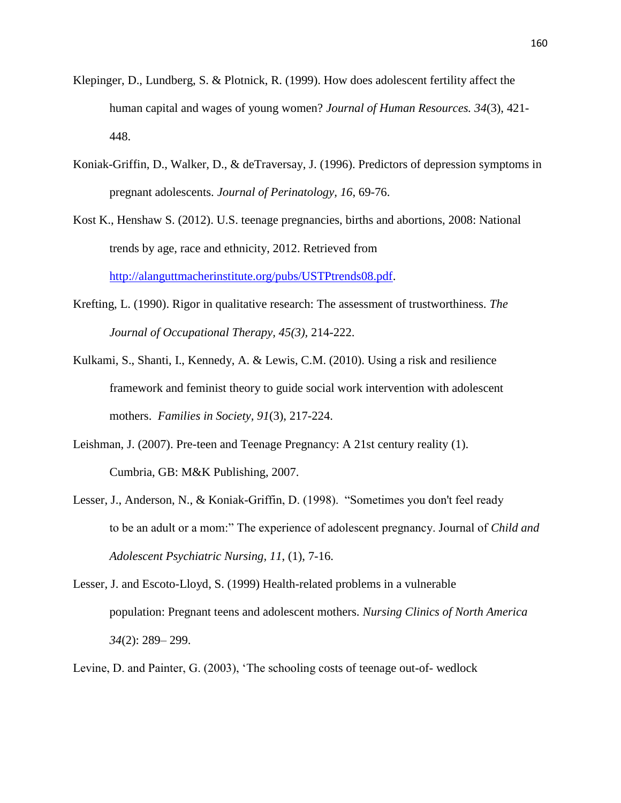- Klepinger, D., Lundberg, S. & Plotnick, R. (1999). How does adolescent fertility affect the human capital and wages of young women? *Journal of Human Resources. 34*(3), 421- 448.
- Koniak-Griffin, D., Walker, D., & deTraversay, J. (1996). Predictors of depression symptoms in pregnant adolescents. *Journal of Perinatology, 16*, 69-76.
- Kost K., Henshaw S. (2012). U.S. teenage pregnancies, births and abortions, 2008: National trends by age, race and ethnicity, 2012. Retrieved from [http://alanguttmacherinstitute.org/pubs/USTPtrends08.pdf.](http://alanguttmacherinstitute.org/pubs/USTPtrends08.pdf)
- Krefting, L. (1990). Rigor in qualitative research: The assessment of trustworthiness. *The Journal of Occupational Therapy, 45(3),* 214-222.
- Kulkami, S., Shanti, I., Kennedy, A. & Lewis, C.M. (2010). Using a risk and resilience framework and feminist theory to guide social work intervention with adolescent mothers. *Families in Society, 91*(3), 217-224.
- Leishman, J. (2007). Pre-teen and Teenage Pregnancy: A 21st century reality (1). Cumbria, GB: M&K Publishing, 2007.
- Lesser, J., Anderson, N., & Koniak-Griffin, D. (1998). "Sometimes you don't feel ready to be an adult or a mom:" The experience of adolescent pregnancy. Journal of *Child and Adolescent Psychiatric Nursing, 11*, (1), 7-16.
- Lesser, J. and Escoto-Lloyd, S. (1999) Health-related problems in a vulnerable population: Pregnant teens and adolescent mothers. *Nursing Clinics of North America 34*(2): 289– 299.
- Levine, D. and Painter, G. (2003), 'The schooling costs of teenage out-of- wedlock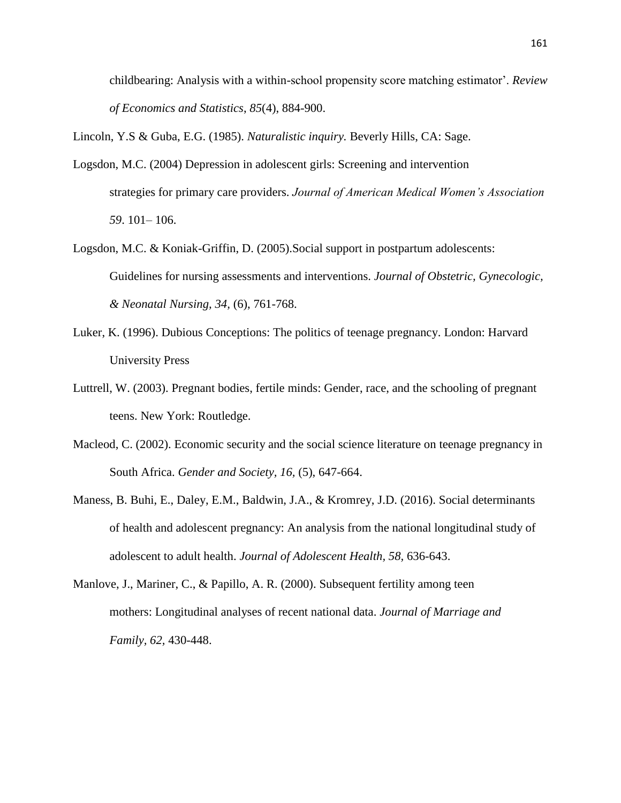childbearing: Analysis with a within-school propensity score matching estimator'. *Review of Economics and Statistics*, *85*(4), 884-900.

Lincoln, Y.S & Guba, E.G. (1985). *Naturalistic inquiry.* Beverly Hills, CA: Sage.

- Logsdon, M.C. (2004) Depression in adolescent girls: Screening and intervention strategies for primary care providers. *Journal of American Medical Women's Association 59*. 101– 106.
- Logsdon, M.C. & Koniak-Griffin, D. (2005).Social support in postpartum adolescents: Guidelines for nursing assessments and interventions. *Journal of Obstetric, Gynecologic, & Neonatal Nursing, 34,* (6), 761-768.
- Luker, K. (1996). Dubious Conceptions: The politics of teenage pregnancy. London: Harvard University Press
- Luttrell, W. (2003). Pregnant bodies, fertile minds: Gender, race, and the schooling of pregnant teens. New York: Routledge.
- Macleod, C. (2002). Economic security and the social science literature on teenage pregnancy in South Africa. *Gender and Society, 16,* (5), 647-664.
- Maness, B. Buhi, E., Daley, E.M., Baldwin, J.A., & Kromrey, J.D. (2016). Social determinants of health and adolescent pregnancy: An analysis from the national longitudinal study of adolescent to adult health. *Journal of Adolescent Health, 58,* 636-643.
- Manlove, J., Mariner, C., & Papillo, A. R. (2000). Subsequent fertility among teen mothers: Longitudinal analyses of recent national data. *Journal of Marriage and Family, 62,* 430-448.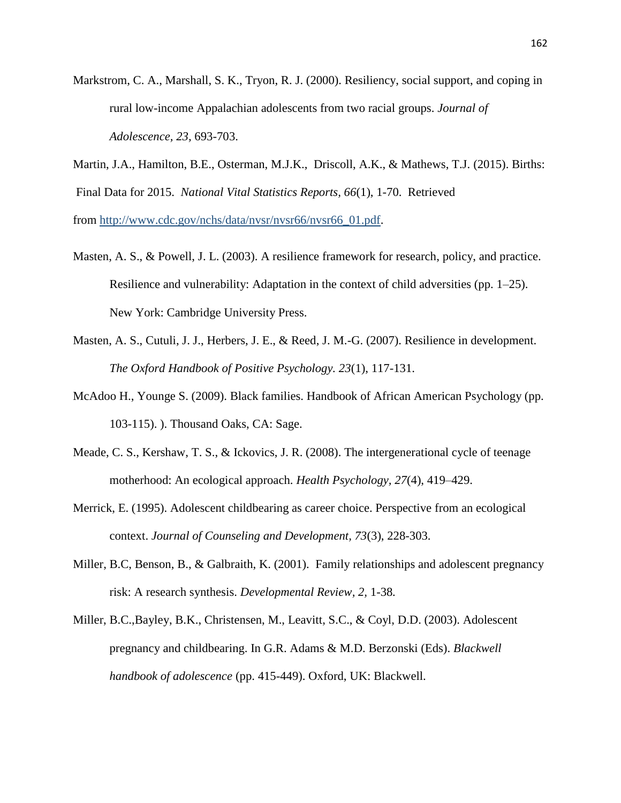- Markstrom, C. A., Marshall, S. K., Tryon, R. J. (2000). Resiliency, social support, and coping in rural low-income Appalachian adolescents from two racial groups. *Journal of Adolescence, 23,* 693-703.
- Martin, J.A., Hamilton, B.E., Osterman, M.J.K., Driscoll, A.K., & Mathews, T.J. (2015). Births: Final Data for 2015. *National Vital Statistics Reports, 66*(1), 1-70. Retrieved from [http://www.cdc.gov/nchs/data/nvsr/nvsr66/nvsr66\\_01.pdf.](http://www.cdc.gov/nchs/data/nvsr/nvsr66/nvsr66_01.pdf)
- Masten, A. S., & Powell, J. L. (2003). A resilience framework for research, policy, and practice. Resilience and vulnerability: Adaptation in the context of child adversities (pp. 1–25). New York: Cambridge University Press.
- Masten, A. S., Cutuli, J. J., Herbers, J. E., & Reed, J. M.-G. (2007). Resilience in development. *The Oxford Handbook of Positive Psychology. 23*(1), 117-131.
- McAdoo H., Younge S. (2009). Black families. Handbook of African American Psychology (pp. 103-115). ). Thousand Oaks, CA: Sage.
- Meade, C. S., Kershaw, T. S., & Ickovics, J. R. (2008). The intergenerational cycle of teenage motherhood: An ecological approach. *Health Psychology, 27*(4), 419–429.
- Merrick, E. (1995). Adolescent childbearing as career choice. Perspective from an ecological context. *Journal of Counseling and Development, 73*(3), 228-303.
- Miller, B.C, Benson, B., & Galbraith, K. (2001). Family relationships and adolescent pregnancy risk: A research synthesis. *Developmental Review, 2,* 1-38*.*
- Miller, B.C.,Bayley, B.K., Christensen, M., Leavitt, S.C., & Coyl, D.D. (2003). Adolescent pregnancy and childbearing. In G.R. Adams & M.D. Berzonski (Eds). *Blackwell handbook of adolescence* (pp. 415-449). Oxford, UK: Blackwell.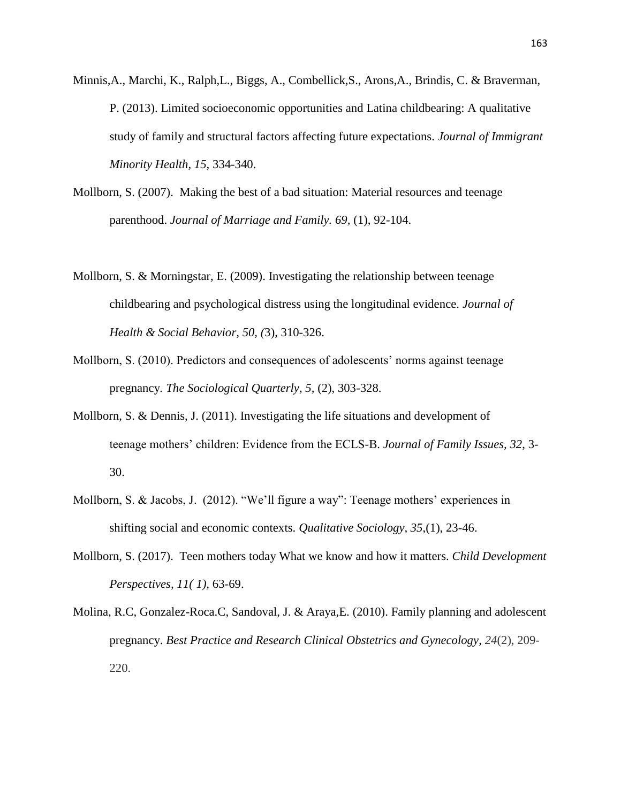- Minnis,A., Marchi, K., Ralph,L., Biggs, A., Combellick,S., Arons,A., Brindis, C. & Braverman, P. (2013). Limited socioeconomic opportunities and Latina childbearing: A qualitative study of family and structural factors affecting future expectations. *Journal of Immigrant Minority Health, 15,* 334-340.
- Mollborn, S. (2007). Making the best of a bad situation: Material resources and teenage parenthood. *Journal of Marriage and Family. 69,* (1), 92-104.
- Mollborn, S. & Morningstar, E. (2009). Investigating the relationship between teenage childbearing and psychological distress using the longitudinal evidence. *Journal of Health & Social Behavior, 50, (*3), 310-326.
- Mollborn, S. (2010). Predictors and consequences of adolescents' norms against teenage pregnancy*. The Sociological Quarterly, 5,* (2), 303-328.
- Mollborn, S. & Dennis, J. (2011). Investigating the life situations and development of teenage mothers' children: Evidence from the ECLS-B. *Journal of Family Issues, 32*, 3- 30.
- Mollborn, S. & Jacobs, J. (2012). "We'll figure a way": Teenage mothers' experiences in shifting social and economic contexts. *Qualitative Sociology, 35*,(1), 23-46.
- Mollborn, S. (2017). Teen mothers today What we know and how it matters. *Child Development Perspectives, 11( 1),* 63-69.
- Molina, R.C, Gonzalez-Roca.C, Sandoval, J. & Araya,E. (2010). Family planning and adolescent pregnancy. *Best Practice and Research Clinical Obstetrics and Gynecology, 24*(2), 209- 220.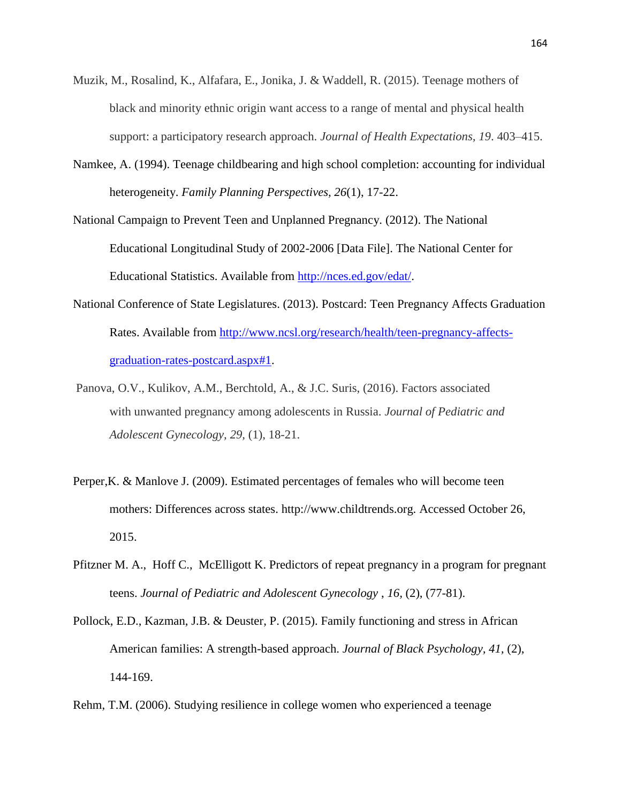- Muzik, M., Rosalind, K., Alfafara, E., Jonika, J. & Waddell, R. (2015). Teenage mothers of black and minority ethnic origin want access to a range of mental and physical health support: a participatory research approach. *Journal of Health Expectations, 19*. 403–415.
- Namkee, A. (1994). Teenage childbearing and high school completion: accounting for individual heterogeneity. *Family Planning Perspectives, 26*(1), 17-22.

National Campaign to Prevent Teen and Unplanned Pregnancy. (2012). The National Educational Longitudinal Study of 2002-2006 [Data File]. The National Center for Educational Statistics. Available from [http://nces.ed.gov/edat/.](http://nces.ed.gov/edat/)

- National Conference of State Legislatures. (2013). Postcard: Teen Pregnancy Affects Graduation Rates. Available from [http://www.ncsl.org/research/health/teen-pregnancy-affects](http://www.ncsl.org/research/health/teen-pregnancy-affects-graduation-rates-postcard.aspx#1)[graduation-rates-postcard.aspx#1.](http://www.ncsl.org/research/health/teen-pregnancy-affects-graduation-rates-postcard.aspx#1)
- Panova, O.V., Kulikov, A.M., Berchtold, A., & J.C. Suris, (2016). Factors associated with unwanted pregnancy among adolescents in Russia. *Journal of Pediatric and Adolescent Gynecology, 29,* (1), 18-21.
- Perper,K. & Manlove J. (2009). Estimated percentages of females who will become teen mothers: Differences across states. [http://www.childtrends.org.](http://www.childtrends.org/) Accessed October 26, 2015.
- Pfitzner M. A., Hoff C., McElligott K. Predictors of repeat pregnancy in a program for pregnant teens. *Journal of Pediatric and Adolescent Gynecology* , *16,* (2), (77-81).
- Pollock, E.D., Kazman, J.B. & Deuster, P. (2015). Family functioning and stress in African American families: A strength-based approach. *Journal of Black Psychology, 41,* (2), 144-169.

Rehm, T.M. (2006). Studying resilience in college women who experienced a teenage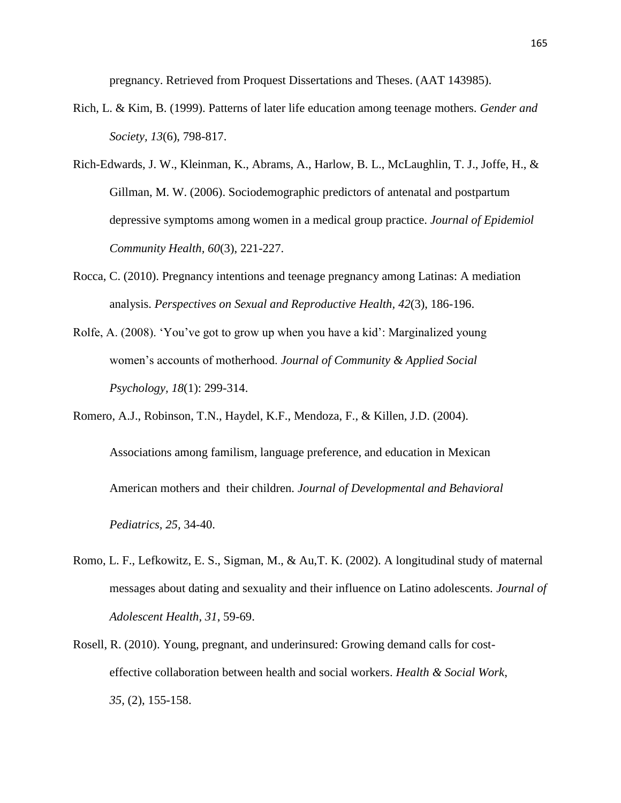pregnancy. Retrieved from Proquest Dissertations and Theses. (AAT 143985).

- Rich, L. & Kim, B. (1999). Patterns of later life education among teenage mothers. *Gender and Society, 13*(6), 798-817.
- Rich-Edwards, J. W., Kleinman, K., Abrams, A., Harlow, B. L., McLaughlin, T. J., Joffe, H., & Gillman, M. W. (2006). Sociodemographic predictors of antenatal and postpartum depressive symptoms among women in a medical group practice. *Journal of Epidemiol Community Health, 60*(3), 221-227.
- Rocca, C. (2010). Pregnancy intentions and teenage pregnancy among Latinas: A mediation analysis. *Perspectives on Sexual and Reproductive Health, 42*(3), 186-196.
- Rolfe, A. (2008). 'You've got to grow up when you have a kid': Marginalized young women's accounts of motherhood. *Journal of Community & Applied Social Psychology, 18*(1): 299-314.
- Romero, A.J., Robinson, T.N., Haydel, K.F., Mendoza, F., & Killen, J.D. (2004). Associations among familism, language preference, and education in Mexican American mothers and their children. *Journal of Developmental and Behavioral Pediatrics, 25,* 34-40.
- Romo, L. F., Lefkowitz, E. S., Sigman, M., & Au,T. K. (2002). A longitudinal study of maternal messages about dating and sexuality and their influence on Latino adolescents. *Journal of Adolescent Health, 31*, 59-69.
- Rosell, R. (2010). Young, pregnant, and underinsured: Growing demand calls for costeffective collaboration between health and social workers. *Health & Social Work*, *35,* (2), 155-158.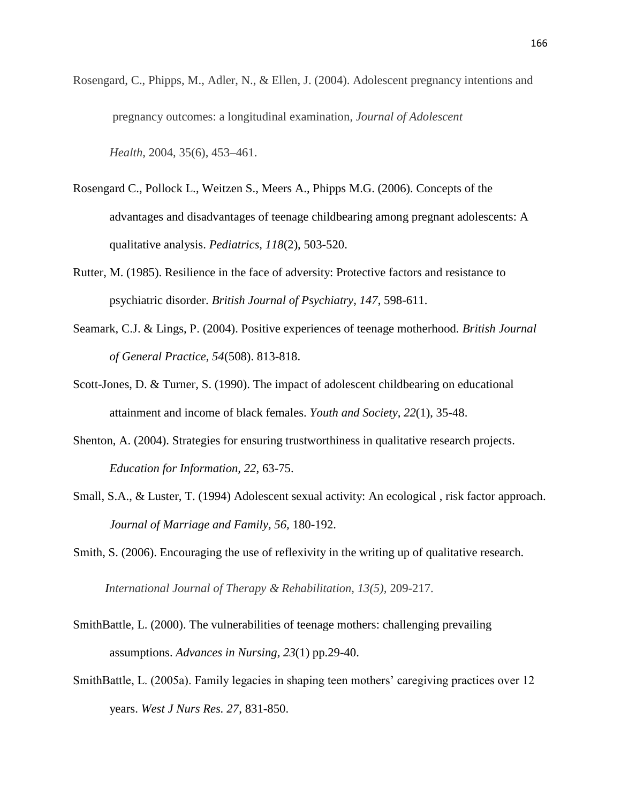Rosengard, C., Phipps, M., Adler, N., & Ellen, J. (2004). Adolescent pregnancy intentions and pregnancy outcomes: a longitudinal examination, *Journal of Adolescent*

*Health*, 2004, 35(6), 453–461.

- Rosengard C., Pollock L., Weitzen S., Meers A., Phipps M.G. (2006). Concepts of the advantages and disadvantages of teenage childbearing among pregnant adolescents: A qualitative analysis. *Pediatrics, 118*(2), 503-520.
- Rutter, M. (1985). Resilience in the face of adversity: Protective factors and resistance to psychiatric disorder. *British Journal of Psychiatry, 147*, 598-611.
- Seamark, C.J. & Lings, P. (2004). Positive experiences of teenage motherhood. *British Journal of General Practice, 54*(508). 813-818.
- Scott-Jones, D. & Turner, S. (1990). The impact of adolescent childbearing on educational attainment and income of black females. *Youth and Society, 22*(1), 35-48.
- Shenton, A. (2004). Strategies for ensuring trustworthiness in qualitative research projects. *Education for Information, 22*, 63-75.
- Small, S.A., & Luster, T. (1994) Adolescent sexual activity: An ecological , risk factor approach. *Journal of Marriage and Family, 56,* 180-192.
- Smith, S. (2006). Encouraging the use of reflexivity in the writing up of qualitative research.

*International Journal of Therapy & Rehabilitation, 13(5),* 209-217.

- SmithBattle, L. (2000). The vulnerabilities of teenage mothers: challenging prevailing assumptions. *Advances in Nursing, 23*(1) pp.29-40.
- SmithBattle, L. (2005a). Family legacies in shaping teen mothers' caregiving practices over 12 years. *West J Nurs Res. 27*, 831-850.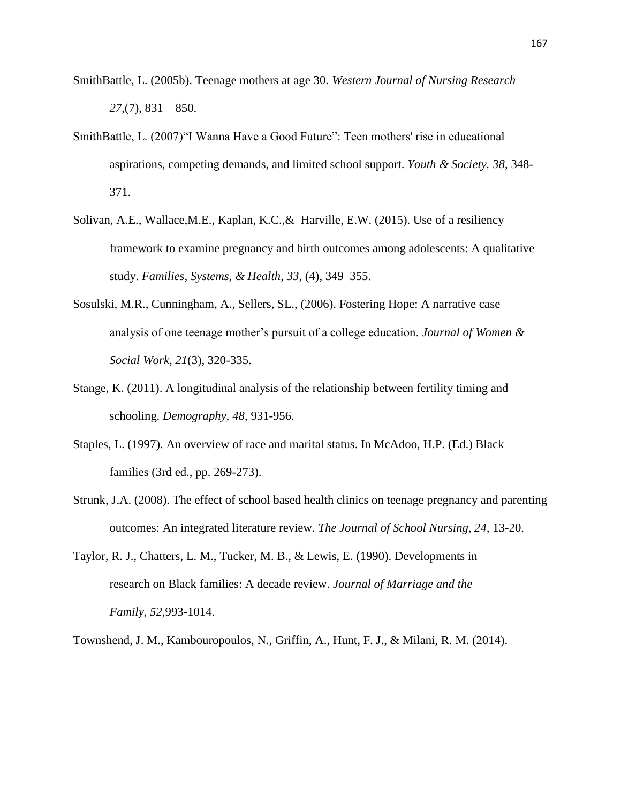- SmithBattle, L. (2005b). Teenage mothers at age 30. *Western Journal of Nursing Research 27,*(7), 831 – 850.
- SmithBattle, L. (2007)"I Wanna Have a Good Future": Teen mothers' rise in educational aspirations, competing demands, and limited school support. *Youth & Society. 38*, 348- 371.
- Solivan, A.E., Wallace,M.E., Kaplan, K.C.,& Harville, E.W. (2015). Use of a resiliency framework to examine pregnancy and birth outcomes among adolescents: A qualitative study. *Families, Systems, & Health*, *33*, (4), 349–355.
- Sosulski, M.R., Cunningham, A., Sellers, SL., (2006). Fostering Hope: A narrative case analysis of one teenage mother's pursuit of a college education. *Journal of Women & Social Work, 21*(3), 320-335.
- Stange, K. (2011). A longitudinal analysis of the relationship between fertility timing and schooling. *Demography, 48,* 931-956.
- Staples, L. (1997). An overview of race and marital status. In McAdoo, H.P. (Ed.) Black families (3rd ed., pp. 269-273).
- Strunk, J.A. (2008). The effect of school based health clinics on teenage pregnancy and parenting outcomes: An integrated literature review. *The Journal of School Nursing, 24,* 13-20.
- Taylor, R. J., Chatters, L. M., Tucker, M. B., & Lewis, E. (1990). Developments in research on Black families: A decade review. *Journal of Marriage and the Family, 52*,993-1014.

Townshend, J. M., Kambouropoulos, N., Griffin, A., Hunt, F. J., & Milani, R. M. (2014).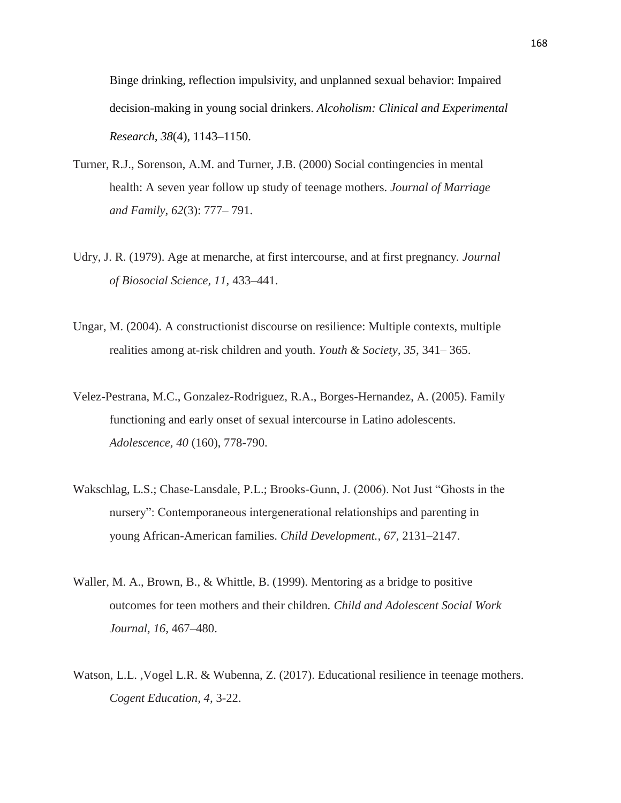Binge drinking, reflection impulsivity, and unplanned sexual behavior: Impaired decision-making in young social drinkers. *Alcoholism: Clinical and Experimental Research, 38*(4), 1143–1150.

- Turner, R.J., Sorenson, A.M. and Turner, J.B. (2000) Social contingencies in mental health: A seven year follow up study of teenage mothers. *Journal of Marriage and Family, 62*(3): 777– 791.
- Udry, J. R. (1979). Age at menarche, at first intercourse, and at first pregnancy*. Journal of Biosocial Science, 11,* 433–441.
- Ungar, M. (2004). A constructionist discourse on resilience: Multiple contexts, multiple realities among at-risk children and youth. *Youth & Society, 35,* 341– 365.
- Velez-Pestrana, M.C., Gonzalez-Rodriguez, R.A., Borges-Hernandez, A. (2005). Family functioning and early onset of sexual intercourse in Latino adolescents. *Adolescence, 40* (160), 778-790.
- Wakschlag, L.S.; Chase-Lansdale, P.L.; Brooks-Gunn, J. (2006). Not Just "Ghosts in the nursery": Contemporaneous intergenerational relationships and parenting in young African-American families. *Child Development., 67,* 2131–2147.
- Waller, M. A., Brown, B., & Whittle, B. (1999). Mentoring as a bridge to positive outcomes for teen mothers and their children*. Child and Adolescent Social Work Journal, 16,* 467–480.
- Watson, L.L. ,Vogel L.R. & Wubenna, Z. (2017). Educational resilience in teenage mothers. *Cogent Education, 4,* 3-22.